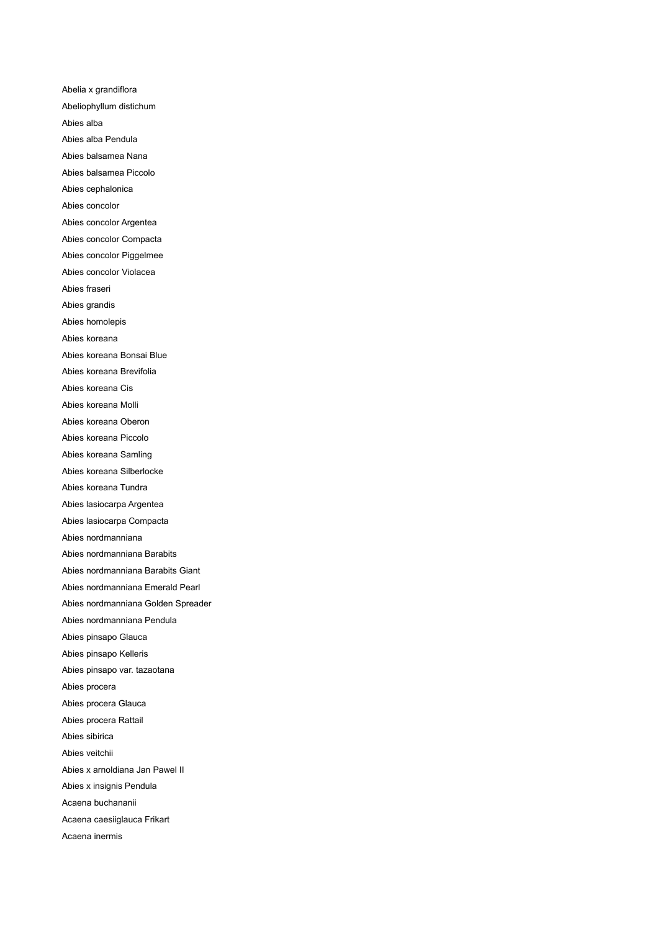Abelia x grandiflora Abeliophyllum distichum Abies alba Abies alba Pendula Abies balsamea Nana Abies balsamea Piccolo Abies cephalonica Abies concolor Abies concolor Argentea Abies concolor Compacta Abies concolor Piggelmee Abies concolor Violacea Abies fraseri Abies grandis Abies homolepis Abies koreana Abies koreana Bonsai Blue Abies koreana Brevifolia Abies koreana Cis Abies koreana Molli Abies koreana Oberon Abies koreana Piccolo Abies koreana Samling Abies koreana Silberlocke Abies koreana Tundra Abies lasiocarpa Argentea Abies lasiocarpa Compacta Abies nordmanniana Abies nordmanniana Barabits Abies nordmanniana Barabits Giant Abies nordmanniana Emerald Pearl Abies nordmanniana Golden Spreader Abies nordmanniana Pendula Abies pinsapo Glauca Abies pinsapo Kelleris Abies pinsapo var. tazaotana Abies procera Abies procera Glauca Abies procera Rattail Abies sibirica Abies veitchii Abies x arnoldiana Jan Pawel II Abies x insignis Pendula Acaena buchananii Acaena caesiiglauca Frikart Acaena inermis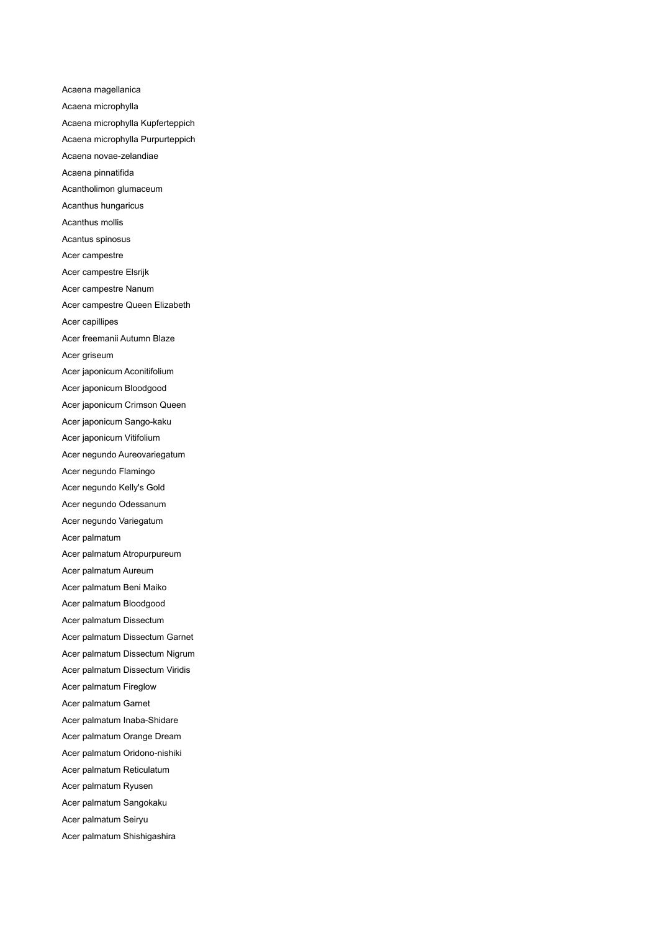Acaena magellanica Acaena microphylla Acaena microphylla Kupferteppich Acaena microphylla Purpurteppich Acaena novae-zelandiae Acaena pinnatifida Acantholimon glumaceum Acanthus hungaricus Acanthus mollis Acantus spinosus Acer campestre Acer campestre Elsrijk Acer campestre Nanum Acer campestre Queen Elizabeth Acer capillipes Acer freemanii Autumn Blaze Acer griseum Acer japonicum Aconitifolium Acer japonicum Bloodgood Acer japonicum Crimson Queen Acer japonicum Sango-kaku Acer japonicum Vitifolium Acer negundo Aureovariegatum Acer negundo Flamingo Acer negundo Kelly's Gold Acer negundo Odessanum Acer negundo Variegatum Acer palmatum Acer palmatum Atropurpureum Acer palmatum Aureum Acer palmatum Beni Maiko Acer palmatum Bloodgood Acer palmatum Dissectum Acer palmatum Dissectum Garnet Acer palmatum Dissectum Nigrum Acer palmatum Dissectum Viridis Acer palmatum Fireglow Acer palmatum Garnet Acer palmatum Inaba-Shidare Acer palmatum Orange Dream Acer palmatum Oridono-nishiki Acer palmatum Reticulatum Acer palmatum Ryusen Acer palmatum Sangokaku Acer palmatum Seiryu Acer palmatum Shishigashira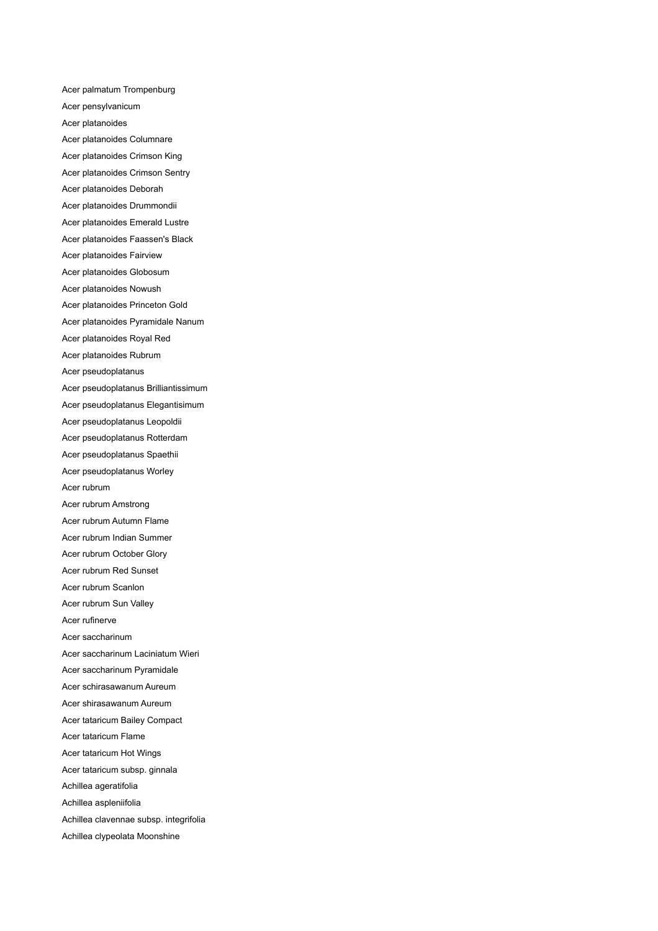Acer palmatum Trompenburg Acer pensylvanicum Acer platanoides Acer platanoides Columnare Acer platanoides Crimson King Acer platanoides Crimson Sentry Acer platanoides Deborah Acer platanoides Drummondii Acer platanoides Emerald Lustre Acer platanoides Faassen's Black Acer platanoides Fairview Acer platanoides Globosum Acer platanoides Nowush Acer platanoides Princeton Gold Acer platanoides Pyramidale Nanum Acer platanoides Royal Red Acer platanoides Rubrum Acer pseudoplatanus Acer pseudoplatanus Brilliantissimum Acer pseudoplatanus Elegantisimum Acer pseudoplatanus Leopoldii Acer pseudoplatanus Rotterdam Acer pseudoplatanus Spaethii Acer pseudoplatanus Worley Acer rubrum Acer rubrum Amstrong Acer rubrum Autumn Flame Acer rubrum Indian Summer Acer rubrum October Glory Acer rubrum Red Sunset Acer rubrum Scanlon Acer rubrum Sun Valley Acer rufinerve Acer saccharinum Acer saccharinum Laciniatum Wieri Acer saccharinum Pyramidale Acer schirasawanum Aureum Acer shirasawanum Aureum Acer tataricum Bailey Compact Acer tataricum Flame Acer tataricum Hot Wings Acer tataricum subsp. ginnala Achillea ageratifolia Achillea aspleniifolia Achillea clavennae subsp. integrifolia Achillea clypeolata Moonshine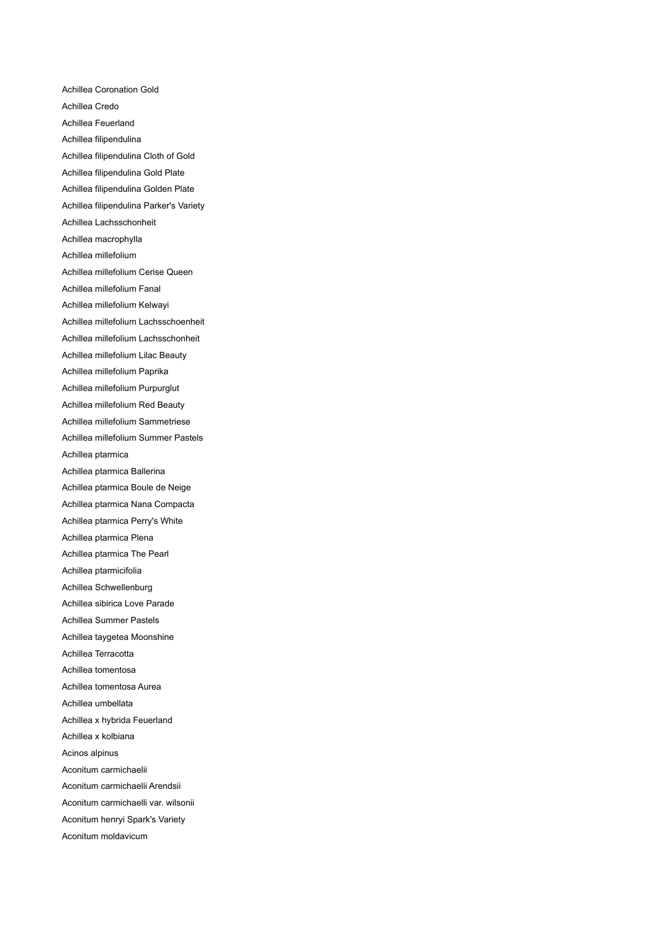Achillea Coronation Gold Achillea Credo Achillea Feuerland Achillea filipendulina Achillea filipendulina Cloth of Gold Achillea filipendulina Gold Plate Achillea filipendulina Golden Plate Achillea filipendulina Parker's Variety Achillea Lachsschonheit Achillea macrophylla Achillea millefolium Achillea millefolium Cerise Queen Achillea millefolium Fanal Achillea millefolium Kelwayi Achillea millefolium Lachsschoenheit Achillea millefolium Lachsschonheit Achillea millefolium Lilac Beauty Achillea millefolium Paprika Achillea millefolium Purpurglut Achillea millefolium Red Beauty Achillea millefolium Sammetriese Achillea millefolium Summer Pastels Achillea ptarmica Achillea ptarmica Ballerina Achillea ptarmica Boule de Neige Achillea ptarmica Nana Compacta Achillea ptarmica Perry's White Achillea ptarmica Plena Achillea ptarmica The Pearl Achillea ptarmicifolia Achillea Schwellenburg Achillea sibirica Love Parade Achillea Summer Pastels Achillea taygetea Moonshine Achillea Terracotta Achillea tomentosa Achillea tomentosa Aurea Achillea umbellata Achillea x hybrida Feuerland Achillea x kolbiana Acinos alpinus Aconitum carmichaelii Aconitum carmichaelii Arendsii Aconitum carmichaelli var. wilsonii Aconitum henryi Spark's Variety Aconitum moldavicum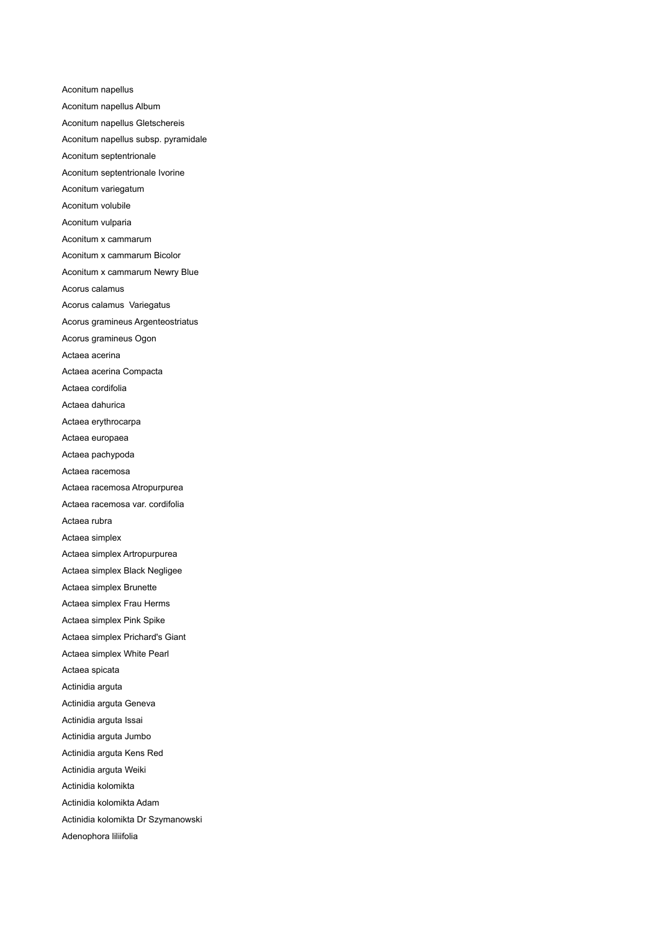Aconitum napellus Aconitum napellus Album Aconitum napellus Gletschereis Aconitum napellus subsp. pyramidale Aconitum septentrionale Aconitum septentrionale Ivorine Aconitum variegatum Aconitum volubile Aconitum vulparia Aconitum x cammarum Aconitum x cammarum Bicolor Aconitum x cammarum Newry Blue Acorus calamus Acorus calamus Variegatus Acorus gramineus Argenteostriatus Acorus gramineus Ogon Actaea acerina Actaea acerina Compacta Actaea cordifolia Actaea dahurica Actaea erythrocarpa Actaea europaea Actaea pachypoda Actaea racemosa Actaea racemosa Atropurpurea Actaea racemosa var. cordifolia Actaea rubra Actaea simplex Actaea simplex Artropurpurea Actaea simplex Black Negligee Actaea simplex Brunette Actaea simplex Frau Herms Actaea simplex Pink Spike Actaea simplex Prichard's Giant Actaea simplex White Pearl Actaea spicata Actinidia arguta Actinidia arguta Geneva Actinidia arguta Issai Actinidia arguta Jumbo Actinidia arguta Kens Red Actinidia arguta Weiki Actinidia kolomikta Actinidia kolomikta Adam Actinidia kolomikta Dr Szymanowski Adenophora liliifolia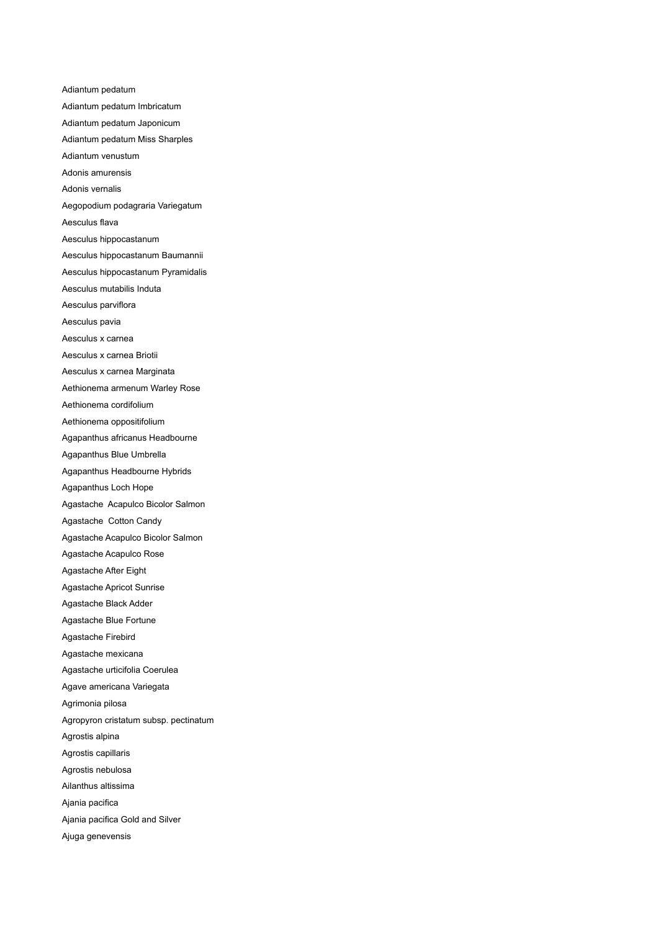Adiantum pedatum Adiantum pedatum Imbricatum Adiantum pedatum Japonicum Adiantum pedatum Miss Sharples Adiantum venustum Adonis amurensis Adonis vernalis Aegopodium podagraria Variegatum Aesculus flava Aesculus hippocastanum Aesculus hippocastanum Baumannii Aesculus hippocastanum Pyramidalis Aesculus mutabilis Induta Aesculus parviflora Aesculus pavia Aesculus x carnea Aesculus x carnea Briotii Aesculus x carnea Marginata Aethionema armenum Warley Rose Aethionema cordifolium Aethionema oppositifolium Agapanthus africanus Headbourne Agapanthus Blue Umbrella Agapanthus Headbourne Hybrids Agapanthus Loch Hope Agastache Acapulco Bicolor Salmon Agastache Cotton Candy Agastache Acapulco Bicolor Salmon Agastache Acapulco Rose Agastache After Eight Agastache Apricot Sunrise Agastache Black Adder Agastache Blue Fortune Agastache Firebird Agastache mexicana Agastache urticifolia Coerulea Agave americana Variegata Agrimonia pilosa Agropyron cristatum subsp. pectinatum Agrostis alpina Agrostis capillaris Agrostis nebulosa Ailanthus altissima Ajania pacifica Ajania pacifica Gold and Silver Ajuga genevensis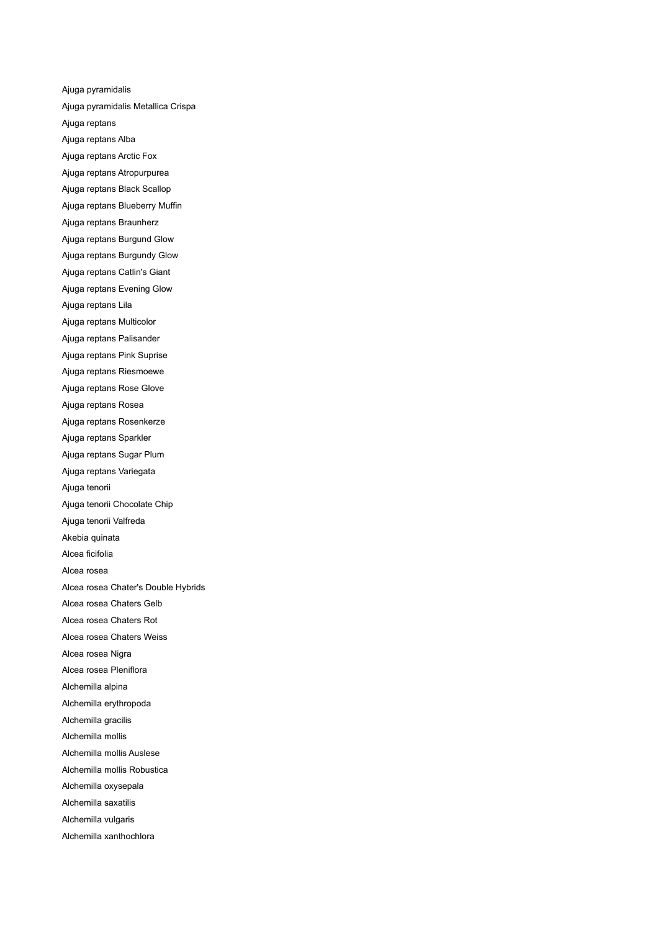Ajuga pyramidalis Ajuga pyramidalis Metallica Crispa Ajuga reptans Ajuga reptans Alba Ajuga reptans Arctic Fox Ajuga reptans Atropurpurea Ajuga reptans Black Scallop Ajuga reptans Blueberry Muffin Ajuga reptans Braunherz Ajuga reptans Burgund Glow Ajuga reptans Burgundy Glow Ajuga reptans Catlin's Giant Ajuga reptans Evening Glow Ajuga reptans Lila Ajuga reptans Multicolor Ajuga reptans Palisander Ajuga reptans Pink Suprise Ajuga reptans Riesmoewe Ajuga reptans Rose Glove Ajuga reptans Rosea Ajuga reptans Rosenkerze Ajuga reptans Sparkler Ajuga reptans Sugar Plum Ajuga reptans Variegata Ajuga tenorii Ajuga tenorii Chocolate Chip Ajuga tenorii Valfreda Akebia quinata Alcea ficifolia Alcea rosea Alcea rosea Chater's Double Hybrids Alcea rosea Chaters Gelb Alcea rosea Chaters Rot Alcea rosea Chaters Weiss Alcea rosea Nigra Alcea rosea Pleniflora Alchemilla alpina Alchemilla erythropoda Alchemilla gracilis Alchemilla mollis Alchemilla mollis Auslese Alchemilla mollis Robustica Alchemilla oxysepala Alchemilla saxatilis Alchemilla vulgaris Alchemilla xanthochlora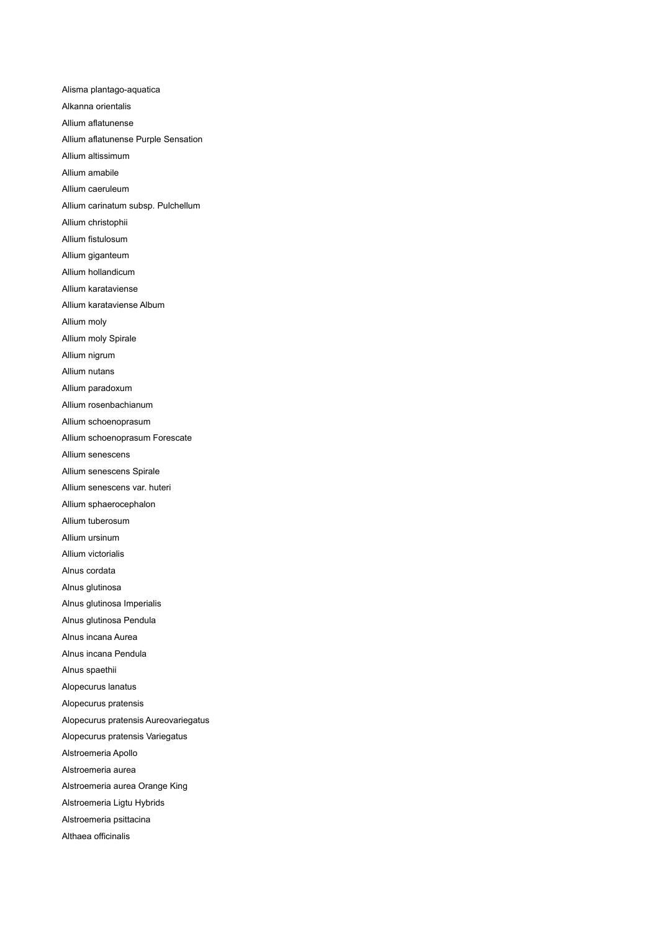Alisma plantago-aquatica Alkanna orientalis Allium aflatunense Allium aflatunense Purple Sensation Allium altissimum Allium amabile Allium caeruleum Allium carinatum subsp. Pulchellum Allium christophii Allium fistulosum Allium giganteum Allium hollandicum Allium karataviense Allium karataviense Album Allium moly Allium moly Spirale Allium nigrum Allium nutans Allium paradoxum Allium rosenbachianum Allium schoenoprasum Allium schoenoprasum Forescate Allium senescens Allium senescens Spirale Allium senescens var. huteri Allium sphaerocephalon Allium tuberosum Allium ursinum Allium victorialis Alnus cordata Alnus glutinosa Alnus glutinosa Imperialis Alnus glutinosa Pendula Alnus incana Aurea Alnus incana Pendula Alnus spaethii Alopecurus lanatus Alopecurus pratensis Alopecurus pratensis Aureovariegatus Alopecurus pratensis Variegatus Alstroemeria Apollo Alstroemeria aurea Alstroemeria aurea Orange King Alstroemeria Ligtu Hybrids Alstroemeria psittacina Althaea officinalis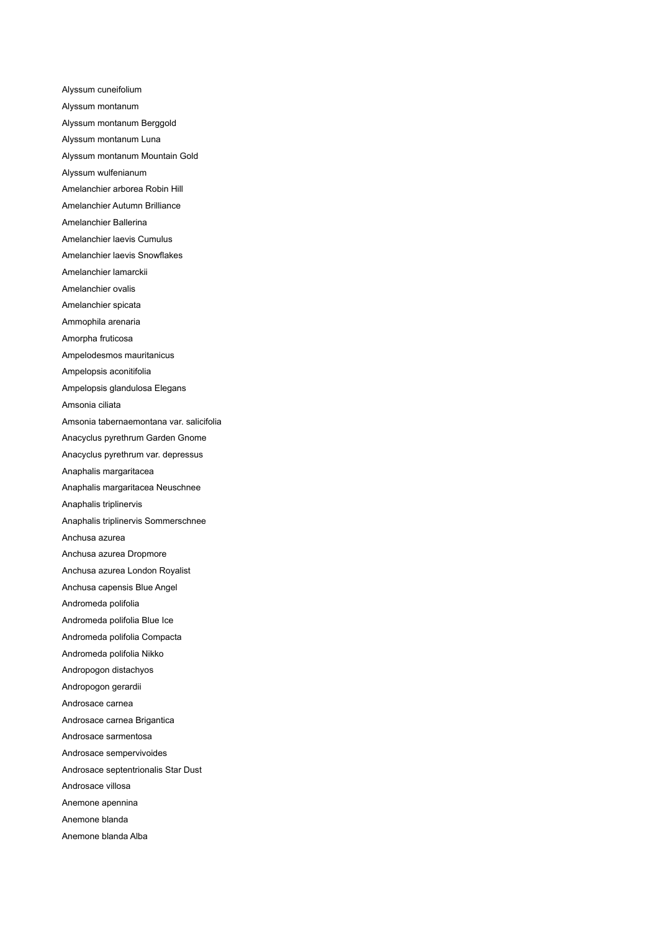Alyssum cuneifolium Alyssum montanum Alyssum montanum Berggold Alyssum montanum Luna Alyssum montanum Mountain Gold Alyssum wulfenianum Amelanchier arborea Robin Hill Amelanchier Autumn Brilliance Amelanchier Ballerina Amelanchier laevis Cumulus Amelanchier laevis Snowflakes Amelanchier lamarckii Amelanchier ovalis Amelanchier spicata Ammophila arenaria Amorpha fruticosa Ampelodesmos mauritanicus Ampelopsis aconitifolia Ampelopsis glandulosa Elegans Amsonia ciliata Amsonia tabernaemontana var. salicifolia Anacyclus pyrethrum Garden Gnome Anacyclus pyrethrum var. depressus Anaphalis margaritacea Anaphalis margaritacea Neuschnee Anaphalis triplinervis Anaphalis triplinervis Sommerschnee Anchusa azurea Anchusa azurea Dropmore Anchusa azurea London Royalist Anchusa capensis Blue Angel Andromeda polifolia Andromeda polifolia Blue Ice Andromeda polifolia Compacta Andromeda polifolia Nikko Andropogon distachyos Andropogon gerardii Androsace carnea Androsace carnea Brigantica Androsace sarmentosa Androsace sempervivoides Androsace septentrionalis Star Dust Androsace villosa Anemone apennina Anemone blanda Anemone blanda Alba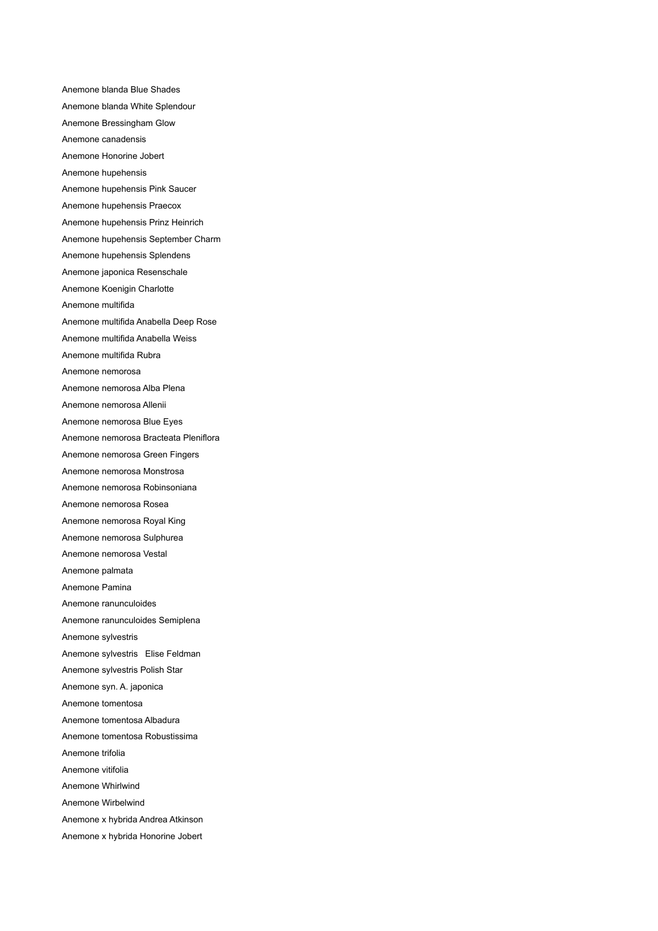Anemone blanda Blue Shades Anemone blanda White Splendour Anemone Bressingham Glow Anemone canadensis Anemone Honorine Jobert Anemone hupehensis Anemone hupehensis Pink Saucer Anemone hupehensis Praecox Anemone hupehensis Prinz Heinrich Anemone hupehensis September Charm Anemone hupehensis Splendens Anemone japonica Resenschale Anemone Koenigin Charlotte Anemone multifida Anemone multifida Anabella Deep Rose Anemone multifida Anabella Weiss Anemone multifida Rubra Anemone nemorosa Anemone nemorosa Alba Plena Anemone nemorosa Allenii Anemone nemorosa Blue Eyes Anemone nemorosa Bracteata Pleniflora Anemone nemorosa Green Fingers Anemone nemorosa Monstrosa Anemone nemorosa Robinsoniana Anemone nemorosa Rosea Anemone nemorosa Royal King Anemone nemorosa Sulphurea Anemone nemorosa Vestal Anemone palmata Anemone Pamina Anemone ranunculoides Anemone ranunculoides Semiplena Anemone sylvestris Anemone sylvestris Elise Feldman Anemone sylvestris Polish Star Anemone syn. A. japonica Anemone tomentosa Anemone tomentosa Albadura Anemone tomentosa Robustissima Anemone trifolia Anemone vitifolia Anemone Whirlwind Anemone Wirbelwind Anemone x hybrida Andrea Atkinson Anemone x hybrida Honorine Jobert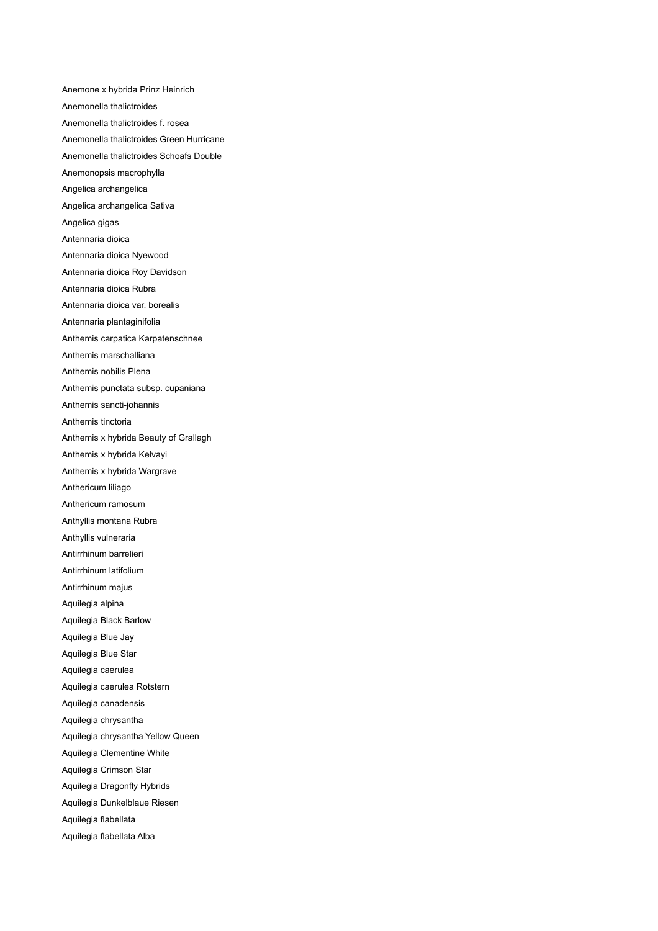Anemone x hybrida Prinz Heinrich Anemonella thalictroides Anemonella thalictroides f. rosea Anemonella thalictroides Green Hurricane Anemonella thalictroides Schoafs Double Anemonopsis macrophylla Angelica archangelica Angelica archangelica Sativa Angelica gigas Antennaria dioica Antennaria dioica Nyewood Antennaria dioica Roy Davidson Antennaria dioica Rubra Antennaria dioica var. borealis Antennaria plantaginifolia Anthemis carpatica Karpatenschnee Anthemis marschalliana Anthemis nobilis Plena Anthemis punctata subsp. cupaniana Anthemis sancti-johannis Anthemis tinctoria Anthemis x hybrida Beauty of Grallagh Anthemis x hybrida Kelvayi Anthemis x hybrida Wargrave Anthericum liliago Anthericum ramosum Anthyllis montana Rubra Anthyllis vulneraria Antirrhinum barrelieri Antirrhinum latifolium Antirrhinum majus Aquilegia alpina Aquilegia Black Barlow Aquilegia Blue Jay Aquilegia Blue Star Aquilegia caerulea Aquilegia caerulea Rotstern Aquilegia canadensis Aquilegia chrysantha Aquilegia chrysantha Yellow Queen Aquilegia Clementine White Aquilegia Crimson Star Aquilegia Dragonfly Hybrids Aquilegia Dunkelblaue Riesen Aquilegia flabellata Aquilegia flabellata Alba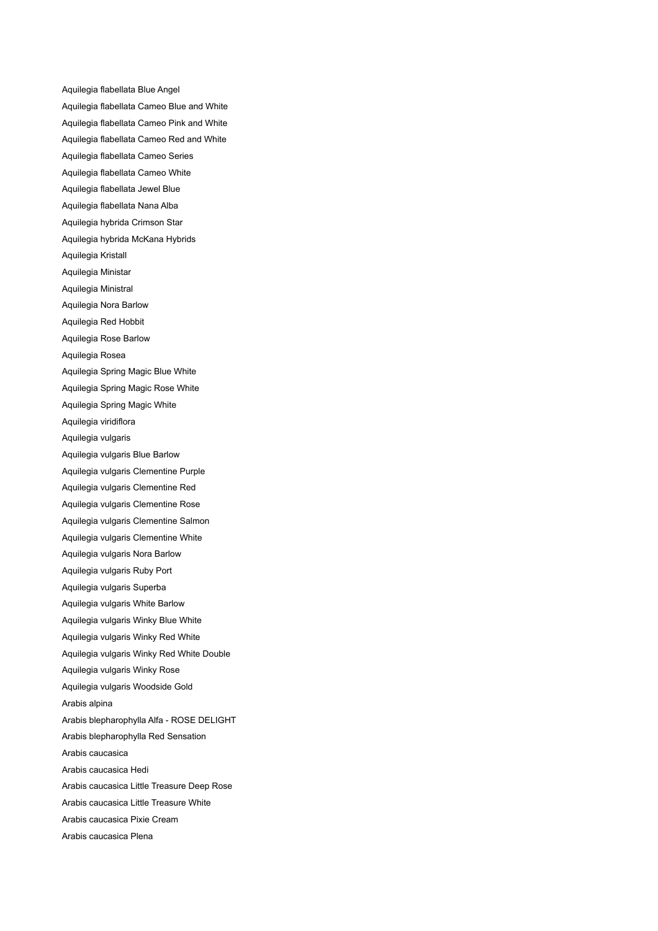Aquilegia flabellata Blue Angel Aquilegia flabellata Cameo Blue and White Aquilegia flabellata Cameo Pink and White Aquilegia flabellata Cameo Red and White Aquilegia flabellata Cameo Series Aquilegia flabellata Cameo White Aquilegia flabellata Jewel Blue Aquilegia flabellata Nana Alba Aquilegia hybrida Crimson Star Aquilegia hybrida McKana Hybrids Aquilegia Kristall Aquilegia Ministar Aquilegia Ministral Aquilegia Nora Barlow Aquilegia Red Hobbit Aquilegia Rose Barlow Aquilegia Rosea Aquilegia Spring Magic Blue White Aquilegia Spring Magic Rose White Aquilegia Spring Magic White Aquilegia viridiflora Aquilegia vulgaris Aquilegia vulgaris Blue Barlow Aquilegia vulgaris Clementine Purple Aquilegia vulgaris Clementine Red Aquilegia vulgaris Clementine Rose Aquilegia vulgaris Clementine Salmon Aquilegia vulgaris Clementine White Aquilegia vulgaris Nora Barlow Aquilegia vulgaris Ruby Port Aquilegia vulgaris Superba Aquilegia vulgaris White Barlow Aquilegia vulgaris Winky Blue White Aquilegia vulgaris Winky Red White Aquilegia vulgaris Winky Red White Double Aquilegia vulgaris Winky Rose Aquilegia vulgaris Woodside Gold Arabis alpina Arabis blepharophylla Alfa - ROSE DELIGHT Arabis blepharophylla Red Sensation Arabis caucasica Arabis caucasica Hedi Arabis caucasica Little Treasure Deep Rose Arabis caucasica Little Treasure White Arabis caucasica Pixie Cream Arabis caucasica Plena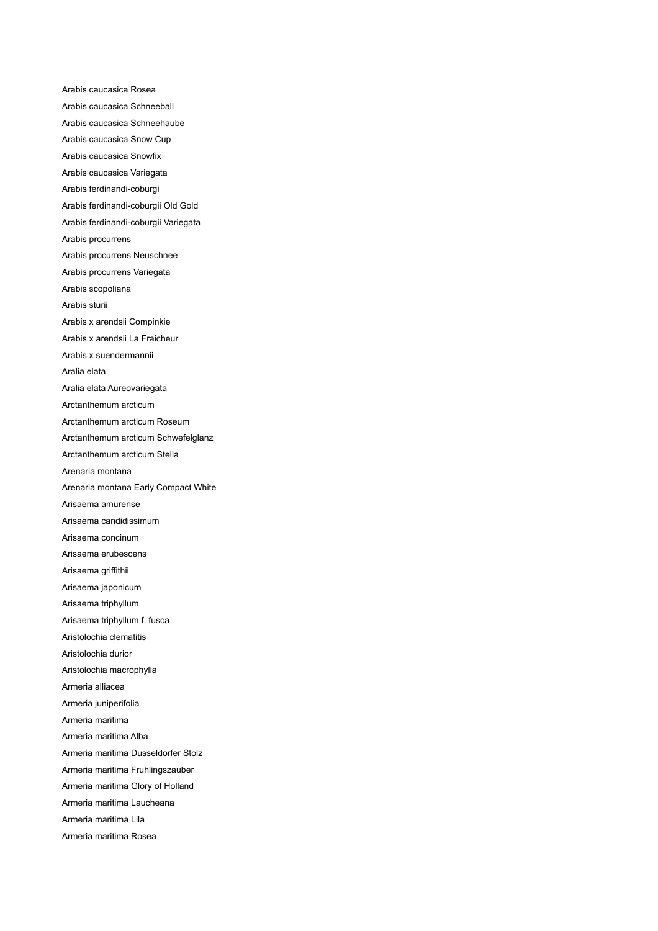Arabis caucasica Rosea Arabis caucasica Schneeball Arabis caucasica Schneehaube Arabis caucasica Snow Cup Arabis caucasica Snowfix Arabis caucasica Variegata Arabis ferdinandi-coburgi Arabis ferdinandi-coburgii Old Gold Arabis ferdinandi-coburgii Variegata Arabis procurrens Arabis procurrens Neuschnee Arabis procurrens Variegata Arabis scopoliana Arabis sturii Arabis x arendsii Compinkie Arabis x arendsii La Fraicheur Arabis x suendermannii Aralia elata Aralia elata Aureovariegata Arctanthemum arcticum Arctanthemum arcticum Roseum Arctanthemum arcticum Schwefelglanz Arctanthemum arcticum Stella Arenaria montana Arenaria montana Early Compact White Arisaema amurense Arisaema candidissimum Arisaema concinum Arisaema erubescens Arisaema griffithii Arisaema japonicum Arisaema triphyllum Arisaema triphyllum f. fusca Aristolochia clematitis Aristolochia durior Aristolochia macrophylla Armeria alliacea Armeria juniperifolia Armeria maritima Armeria maritima Alba Armeria maritima Dusseldorfer Stolz Armeria maritima Fruhlingszauber Armeria maritima Glory of Holland Armeria maritima Laucheana Armeria maritima Lila Armeria maritima Rosea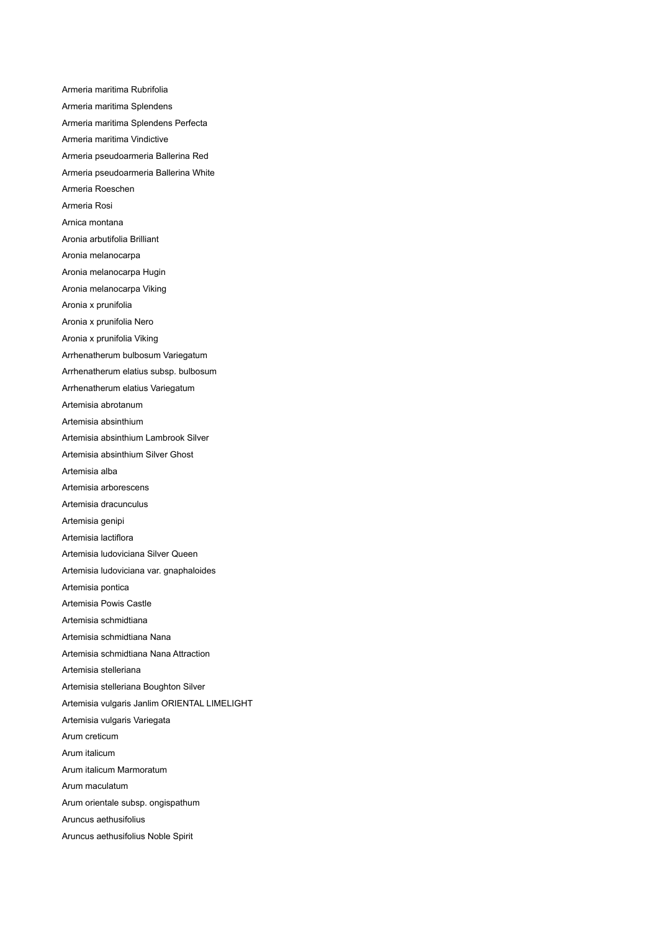Armeria maritima Rubrifolia Armeria maritima Splendens Armeria maritima Splendens Perfecta Armeria maritima Vindictive Armeria pseudoarmeria Ballerina Red Armeria pseudoarmeria Ballerina White Armeria Roeschen Armeria Rosi Arnica montana Aronia arbutifolia Brilliant Aronia melanocarpa Aronia melanocarpa Hugin Aronia melanocarpa Viking Aronia x prunifolia Aronia x prunifolia Nero Aronia x prunifolia Viking Arrhenatherum bulbosum Variegatum Arrhenatherum elatius subsp. bulbosum Arrhenatherum elatius Variegatum Artemisia abrotanum Artemisia absinthium Artemisia absinthium Lambrook Silver Artemisia absinthium Silver Ghost Artemisia alba Artemisia arborescens Artemisia dracunculus Artemisia genipi Artemisia lactiflora Artemisia ludoviciana Silver Queen Artemisia ludoviciana var. gnaphaloides Artemisia pontica Artemisia Powis Castle Artemisia schmidtiana Artemisia schmidtiana Nana Artemisia schmidtiana Nana Attraction Artemisia stelleriana Artemisia stelleriana Boughton Silver Artemisia vulgaris Janlim ORIENTAL LIMELIGHT Artemisia vulgaris Variegata Arum creticum Arum italicum Arum italicum Marmoratum Arum maculatum Arum orientale subsp. ongispathum Aruncus aethusifolius Aruncus aethusifolius Noble Spirit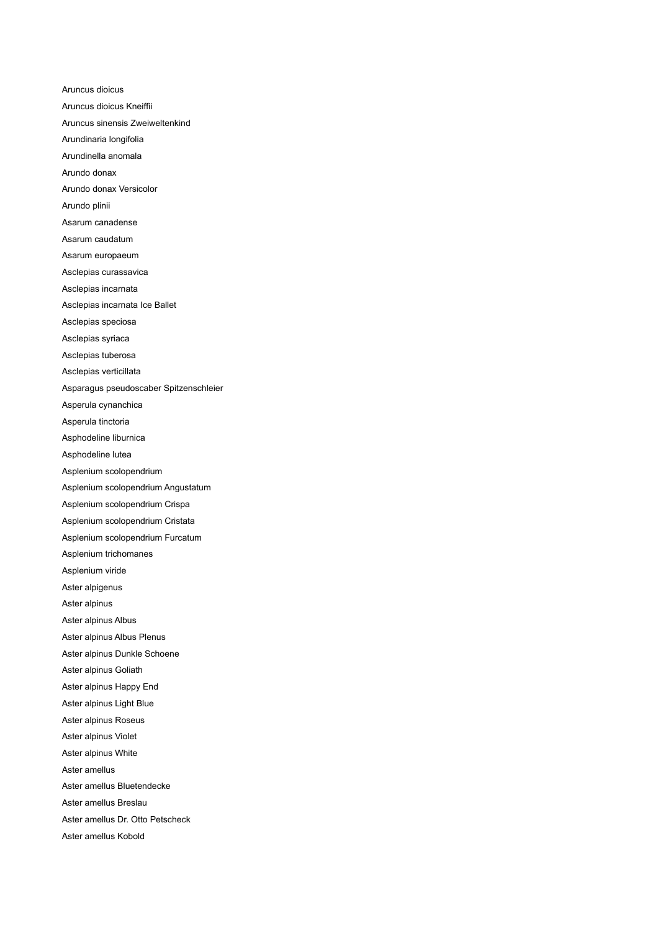Aruncus dioicus Aruncus dioicus Kneiffii Aruncus sinensis Zweiweltenkind Arundinaria longifolia Arundinella anomala Arundo donax Arundo donax Versicolor Arundo plinii Asarum canadense Asarum caudatum Asarum europaeum Asclepias curassavica Asclepias incarnata Asclepias incarnata Ice Ballet Asclepias speciosa Asclepias syriaca Asclepias tuberosa Asclepias verticillata Asparagus pseudoscaber Spitzenschleier Asperula cynanchica Asperula tinctoria Asphodeline liburnica Asphodeline lutea Asplenium scolopendrium Asplenium scolopendrium Angustatum Asplenium scolopendrium Crispa Asplenium scolopendrium Cristata Asplenium scolopendrium Furcatum Asplenium trichomanes Asplenium viride Aster alpigenus Aster alpinus Aster alpinus Albus Aster alpinus Albus Plenus Aster alpinus Dunkle Schoene Aster alpinus Goliath Aster alpinus Happy End Aster alpinus Light Blue Aster alpinus Roseus Aster alpinus Violet Aster alpinus White Aster amellus Aster amellus Bluetendecke Aster amellus Breslau Aster amellus Dr. Otto Petscheck Aster amellus Kobold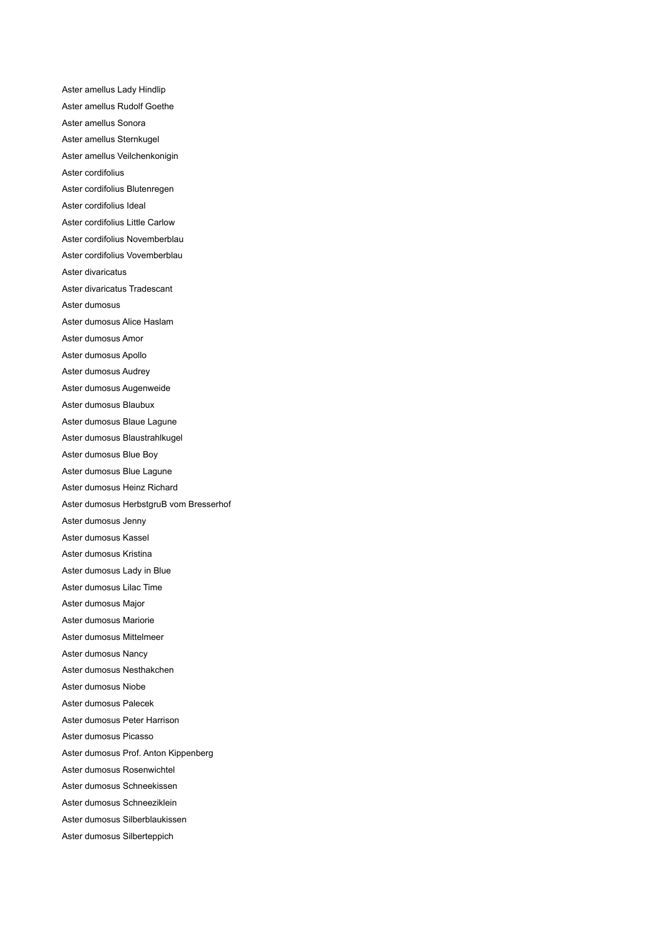Aster amellus Lady Hindlip Aster amellus Rudolf Goethe Aster amellus Sonora Aster amellus Sternkugel Aster amellus Veilchenkonigin Aster cordifolius Aster cordifolius Blutenregen Aster cordifolius Ideal Aster cordifolius Little Carlow Aster cordifolius Novemberblau Aster cordifolius Vovemberblau Aster divaricatus Aster divaricatus Tradescant Aster dumosus Aster dumosus Alice Haslam Aster dumosus Amor Aster dumosus Apollo Aster dumosus Audrey Aster dumosus Augenweide Aster dumosus Blaubux Aster dumosus Blaue Lagune Aster dumosus Blaustrahlkugel Aster dumosus Blue Boy Aster dumosus Blue Lagune Aster dumosus Heinz Richard Aster dumosus HerbstgruB vom Bresserhof Aster dumosus Jenny Aster dumosus Kassel Aster dumosus Kristina Aster dumosus Lady in Blue Aster dumosus Lilac Time Aster dumosus Major Aster dumosus Mariorie Aster dumosus Mittelmeer Aster dumosus Nancy Aster dumosus Nesthakchen Aster dumosus Niobe Aster dumosus Palecek Aster dumosus Peter Harrison Aster dumosus Picasso Aster dumosus Prof. Anton Kippenberg Aster dumosus Rosenwichtel Aster dumosus Schneekissen Aster dumosus Schneeziklein Aster dumosus Silberblaukissen Aster dumosus Silberteppich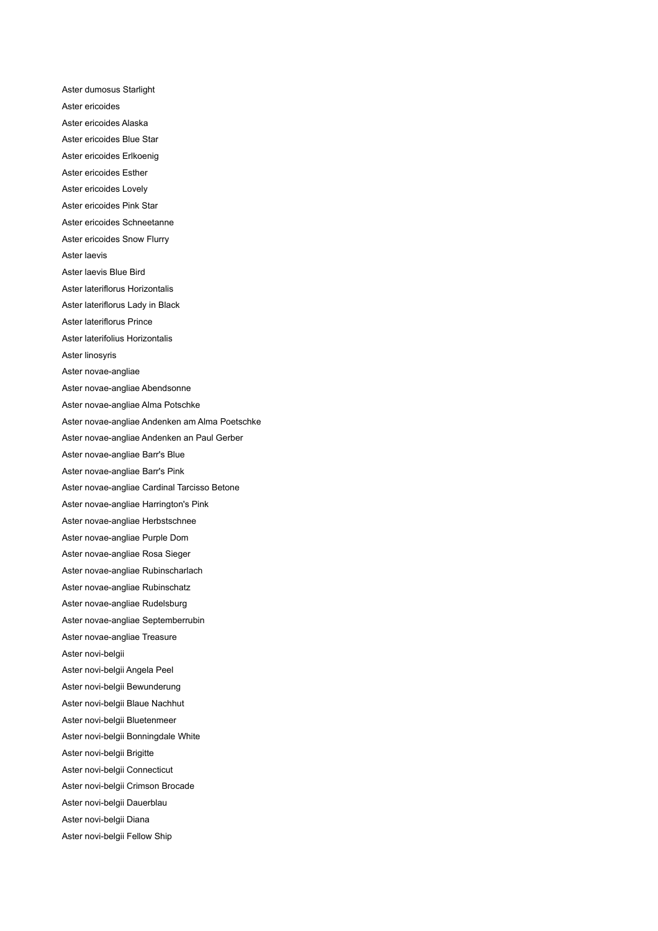Aster dumosus Starlight Aster ericoides Aster ericoides Alaska Aster ericoides Blue Star Aster ericoides Erlkoenig Aster ericoides Esther Aster ericoides Lovely Aster ericoides Pink Star Aster ericoides Schneetanne Aster ericoides Snow Flurry Aster laevis Aster laevis Blue Bird Aster lateriflorus Horizontalis Aster lateriflorus Lady in Black Aster lateriflorus Prince Aster laterifolius Horizontalis Aster linosyris Aster novae-angliae Aster novae-angliae Abendsonne Aster novae-angliae Alma Potschke Aster novae-angliae Andenken am Alma Poetschke Aster novae-angliae Andenken an Paul Gerber Aster novae-angliae Barr's Blue Aster novae-angliae Barr's Pink Aster novae-angliae Cardinal Tarcisso Betone Aster novae-angliae Harrington's Pink Aster novae-angliae Herbstschnee Aster novae-angliae Purple Dom Aster novae-angliae Rosa Sieger Aster novae-angliae Rubinscharlach Aster novae-angliae Rubinschatz Aster novae-angliae Rudelsburg Aster novae-angliae Septemberrubin Aster novae-angliae Treasure Aster novi-belgii Aster novi-belgii Angela Peel Aster novi-belgii Bewunderung Aster novi-belgii Blaue Nachhut Aster novi-belgii Bluetenmeer Aster novi-belgii Bonningdale White Aster novi-belgii Brigitte Aster novi-belgii Connecticut Aster novi-belgii Crimson Brocade Aster novi-belgii Dauerblau Aster novi-belgii Diana Aster novi-belgii Fellow Ship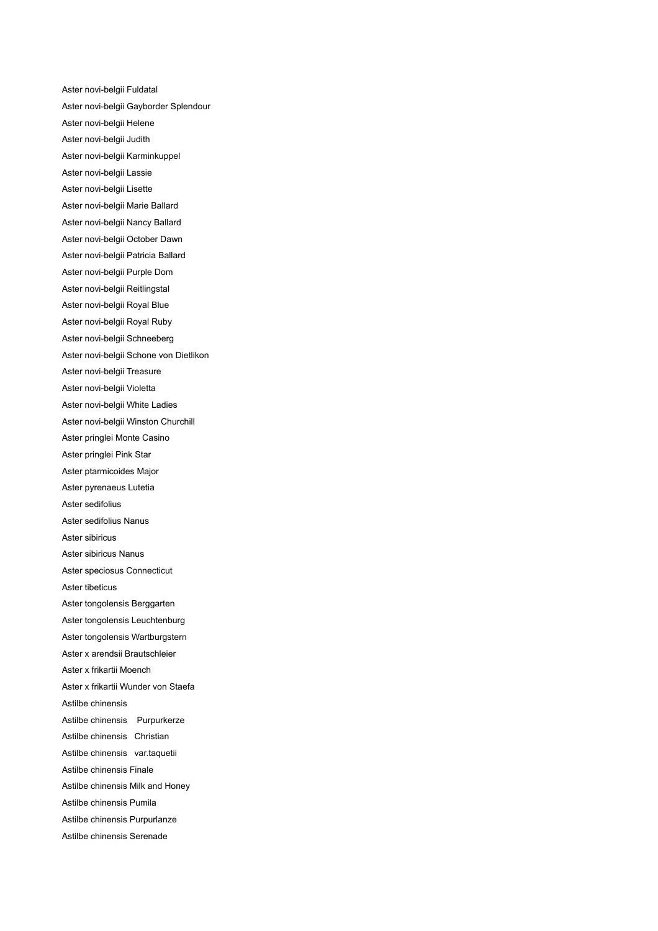Aster novi-belgii Fuldatal Aster novi-belgii Gayborder Splendour Aster novi-belgii Helene Aster novi-belgii Judith Aster novi-belgii Karminkuppel Aster novi-belgii Lassie Aster novi-belgii Lisette Aster novi-belgii Marie Ballard Aster novi-belgii Nancy Ballard Aster novi-belgii October Dawn Aster novi-belgii Patricia Ballard Aster novi-belgii Purple Dom Aster novi-belgii Reitlingstal Aster novi-belgii Royal Blue Aster novi-belgii Royal Ruby Aster novi-belgii Schneeberg Aster novi-belgii Schone von Dietlikon Aster novi-belgii Treasure Aster novi-belgii Violetta Aster novi-belgii White Ladies Aster novi-belgii Winston Churchill Aster pringlei Monte Casino Aster pringlei Pink Star Aster ptarmicoides Major Aster pyrenaeus Lutetia Aster sedifolius Aster sedifolius Nanus Aster sibiricus Aster sibiricus Nanus Aster speciosus Connecticut Aster tibeticus Aster tongolensis Berggarten Aster tongolensis Leuchtenburg Aster tongolensis Wartburgstern Aster x arendsii Brautschleier Aster x frikartii Moench Aster x frikartii Wunder von Staefa Astilbe chinensis Astilbe chinensis Purpurkerze Astilbe chinensis Christian Astilbe chinensis var.taquetii Astilbe chinensis Finale Astilbe chinensis Milk and Honey Astilbe chinensis Pumila Astilbe chinensis Purpurlanze Astilbe chinensis Serenade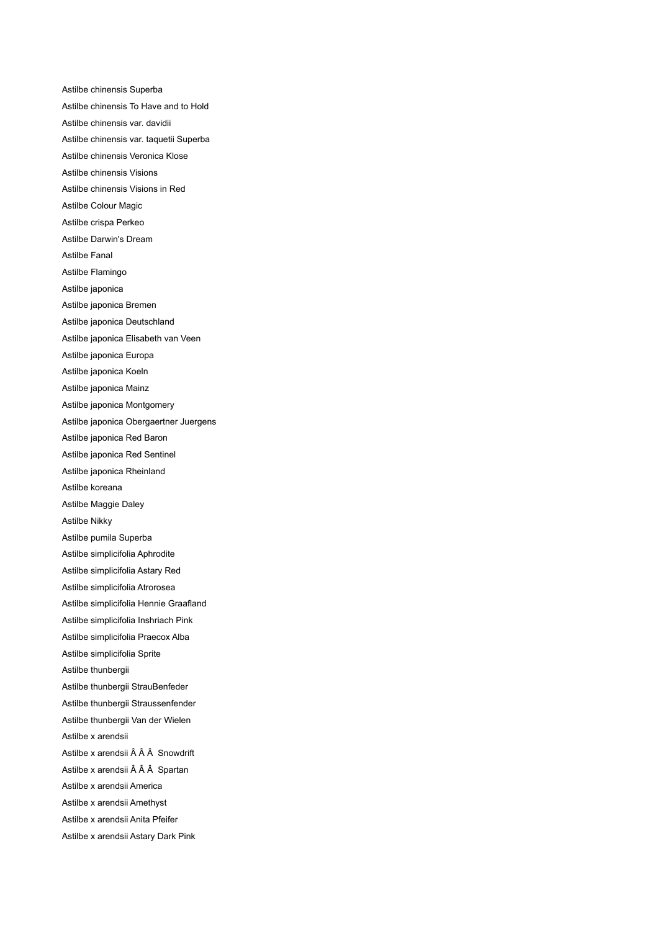Astilbe chinensis Superba Astilbe chinensis To Have and to Hold Astilbe chinensis var. davidii Astilbe chinensis var. taquetii Superba Astilbe chinensis Veronica Klose Astilbe chinensis Visions Astilbe chinensis Visions in Red Astilbe Colour Magic Astilbe crispa Perkeo Astilbe Darwin's Dream Astilbe Fanal Astilbe Flamingo Astilbe japonica Astilbe japonica Bremen Astilbe japonica Deutschland Astilbe japonica Elisabeth van Veen Astilbe japonica Europa Astilbe japonica Koeln Astilbe japonica Mainz Astilbe japonica Montgomery Astilbe japonica Obergaertner Juergens Astilbe japonica Red Baron Astilbe japonica Red Sentinel Astilbe japonica Rheinland Astilbe koreana Astilbe Maggie Daley Astilbe Nikky Astilbe pumila Superba Astilbe simplicifolia Aphrodite Astilbe simplicifolia Astary Red Astilbe simplicifolia Atrorosea Astilbe simplicifolia Hennie Graafland Astilbe simplicifolia Inshriach Pink Astilbe simplicifolia Praecox Alba Astilbe simplicifolia Sprite Astilbe thunbergii Astilbe thunbergii StrauBenfeder Astilbe thunbergii Straussenfender Astilbe thunbergii Van der Wielen Astilbe x arendsii Astilbe x arendsii Â Â Snowdrift Astilbe x arendsii Â Â Spartan Astilbe x arendsii America Astilbe x arendsii Amethyst Astilbe x arendsii Anita Pfeifer Astilbe x arendsii Astary Dark Pink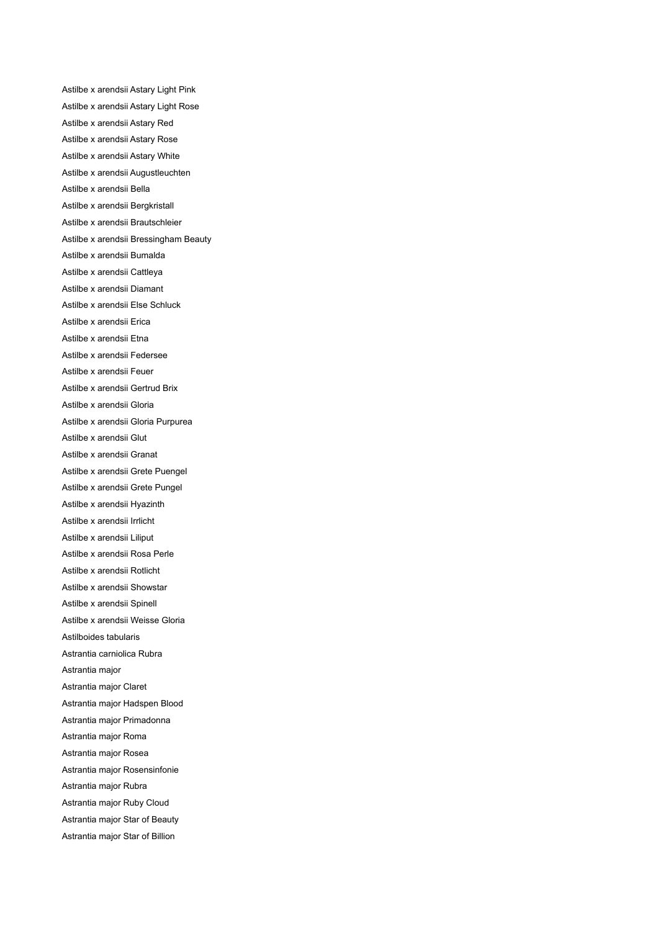Astilbe x arendsii Astary Light Pink Astilbe x arendsii Astary Light Rose Astilbe x arendsii Astary Red Astilbe x arendsii Astary Rose Astilbe x arendsii Astary White Astilbe x arendsii Augustleuchten Astilbe x arendsii Bella Astilbe x arendsii Bergkristall Astilbe x arendsii Brautschleier Astilbe x arendsii Bressingham Beauty Astilbe x arendsii Bumalda Astilbe x arendsii Cattleya Astilbe x arendsii Diamant Astilbe x arendsii Else Schluck Astilbe x arendsii Erica Astilbe x arendsii Etna Astilbe x arendsii Federsee Astilbe x arendsii Feuer Astilbe x arendsii Gertrud Brix Astilbe x arendsii Gloria Astilbe x arendsii Gloria Purpurea Astilbe x arendsii Glut Astilbe x arendsii Granat Astilbe x arendsii Grete Puengel Astilbe x arendsii Grete Pungel Astilbe x arendsii Hyazinth Astilbe x arendsii Irrlicht Astilbe x arendsii Liliput Astilbe x arendsii Rosa Perle Astilbe x arendsii Rotlicht Astilbe x arendsii Showstar Astilbe x arendsii Spinell Astilbe x arendsii Weisse Gloria Astilboides tabularis Astrantia carniolica Rubra Astrantia major Astrantia major Claret Astrantia major Hadspen Blood Astrantia major Primadonna Astrantia major Roma Astrantia major Rosea Astrantia major Rosensinfonie Astrantia major Rubra Astrantia major Ruby Cloud Astrantia major Star of Beauty Astrantia major Star of Billion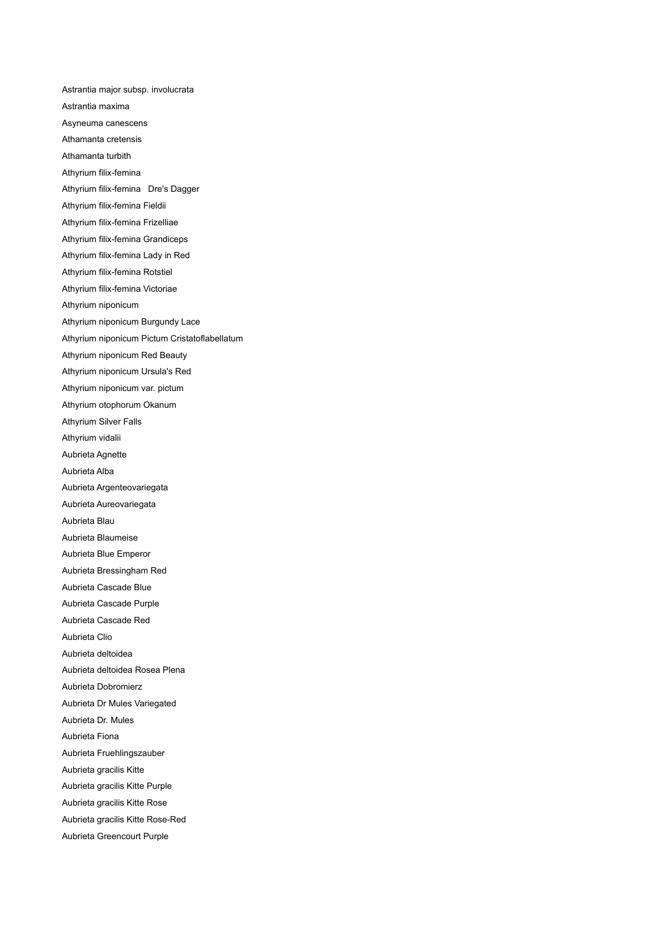Astrantia major subsp. involucrata Astrantia maxima Asyneuma canescens Athamanta cretensis Athamanta turbith Athyrium filix-femina Athyrium filix-femina Dre's Dagger Athyrium filix-femina Fieldii Athyrium filix-femina Frizelliae Athyrium filix-femina Grandiceps Athyrium filix-femina Lady in Red Athyrium filix-femina Rotstiel Athyrium filix-femina Victoriae Athyrium niponicum Athyrium niponicum Burgundy Lace Athyrium niponicum Pictum Cristatoflabellatum Athyrium niponicum Red Beauty Athyrium niponicum Ursula's Red Athyrium niponicum var. pictum Athyrium otophorum Okanum Athyrium Silver Falls Athyrium vidalii Aubrieta Agnette Aubrieta Alba Aubrieta Argenteovariegata Aubrieta Aureovariegata Aubrieta Blau Aubrieta Blaumeise Aubrieta Blue Emperor Aubrieta Bressingham Red Aubrieta Cascade Blue Aubrieta Cascade Purple Aubrieta Cascade Red Aubrieta Clio Aubrieta deltoidea Aubrieta deltoidea Rosea Plena Aubrieta Dobromierz Aubrieta Dr Mules Variegated Aubrieta Dr. Mules Aubrieta Fiona Aubrieta Fruehlingszauber Aubrieta gracilis Kitte Aubrieta gracilis Kitte Purple Aubrieta gracilis Kitte Rose Aubrieta gracilis Kitte Rose-Red Aubrieta Greencourt Purple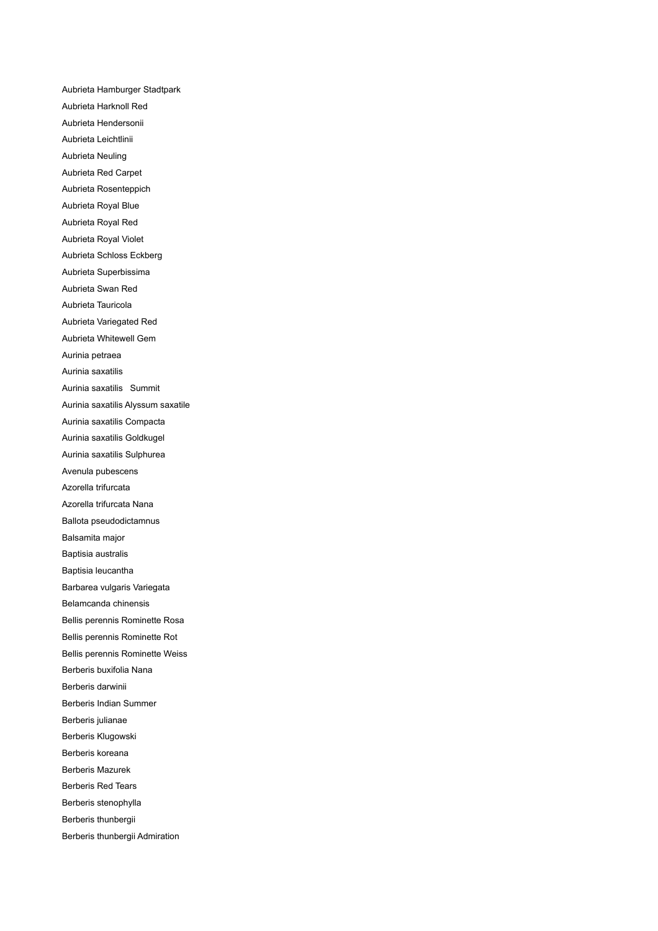Aubrieta Hamburger Stadtpark Aubrieta Harknoll Red Aubrieta Hendersonii Aubrieta Leichtlinii Aubrieta Neuling Aubrieta Red Carpet Aubrieta Rosenteppich Aubrieta Royal Blue Aubrieta Royal Red Aubrieta Royal Violet Aubrieta Schloss Eckberg Aubrieta Superbissima Aubrieta Swan Red Aubrieta Tauricola Aubrieta Variegated Red Aubrieta Whitewell Gem Aurinia petraea Aurinia saxatilis Aurinia saxatilis Summit Aurinia saxatilis Alyssum saxatile Aurinia saxatilis Compacta Aurinia saxatilis Goldkugel Aurinia saxatilis Sulphurea Avenula pubescens Azorella trifurcata Azorella trifurcata Nana Ballota pseudodictamnus Balsamita major Baptisia australis Baptisia leucantha Barbarea vulgaris Variegata Belamcanda chinensis Bellis perennis Rominette Rosa Bellis perennis Rominette Rot Bellis perennis Rominette Weiss Berberis buxifolia Nana Berberis darwinii Berberis Indian Summer Berberis julianae Berberis Klugowski Berberis koreana Berberis Mazurek Berberis Red Tears Berberis stenophylla Berberis thunbergii Berberis thunbergii Admiration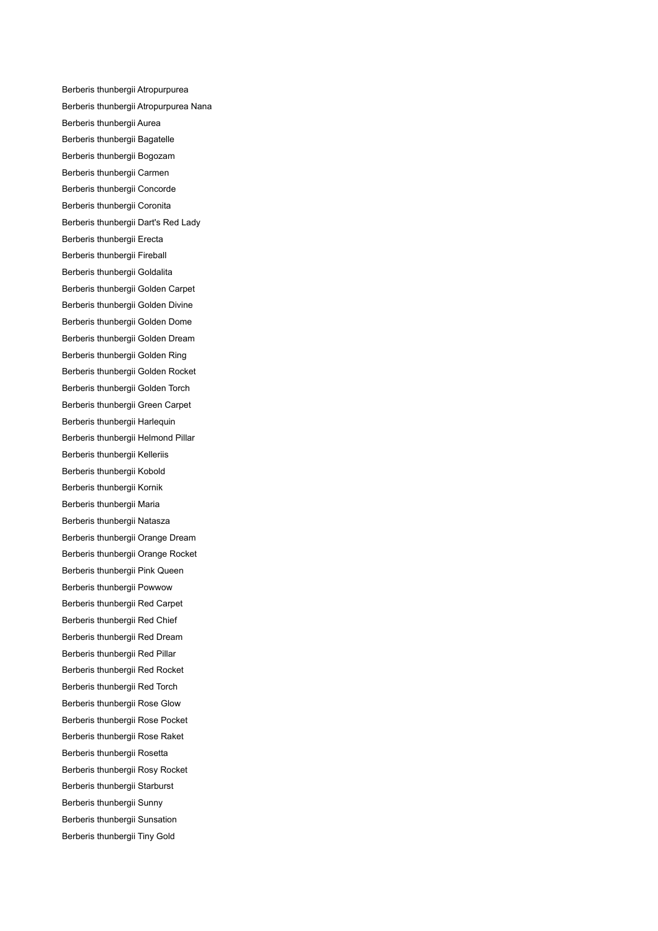Berberis thunbergii Atropurpurea Berberis thunbergii Atropurpurea Nana Berberis thunbergii Aurea Berberis thunbergii Bagatelle Berberis thunbergii Bogozam Berberis thunbergii Carmen Berberis thunbergii Concorde Berberis thunbergii Coronita Berberis thunbergii Dart's Red Lady Berberis thunbergii Erecta Berberis thunbergii Fireball Berberis thunbergii Goldalita Berberis thunbergii Golden Carpet Berberis thunbergii Golden Divine Berberis thunbergii Golden Dome Berberis thunbergii Golden Dream Berberis thunbergii Golden Ring Berberis thunbergii Golden Rocket Berberis thunbergii Golden Torch Berberis thunbergii Green Carpet Berberis thunbergii Harlequin Berberis thunbergii Helmond Pillar Berberis thunbergii Kelleriis Berberis thunbergii Kobold Berberis thunbergii Kornik Berberis thunbergii Maria Berberis thunbergii Natasza Berberis thunbergii Orange Dream Berberis thunbergii Orange Rocket Berberis thunbergii Pink Queen Berberis thunbergii Powwow Berberis thunbergii Red Carpet Berberis thunbergii Red Chief Berberis thunbergii Red Dream Berberis thunbergii Red Pillar Berberis thunbergii Red Rocket Berberis thunbergii Red Torch Berberis thunbergii Rose Glow Berberis thunbergii Rose Pocket Berberis thunbergii Rose Raket Berberis thunbergii Rosetta Berberis thunbergii Rosy Rocket Berberis thunbergii Starburst Berberis thunbergii Sunny Berberis thunbergii Sunsation Berberis thunbergii Tiny Gold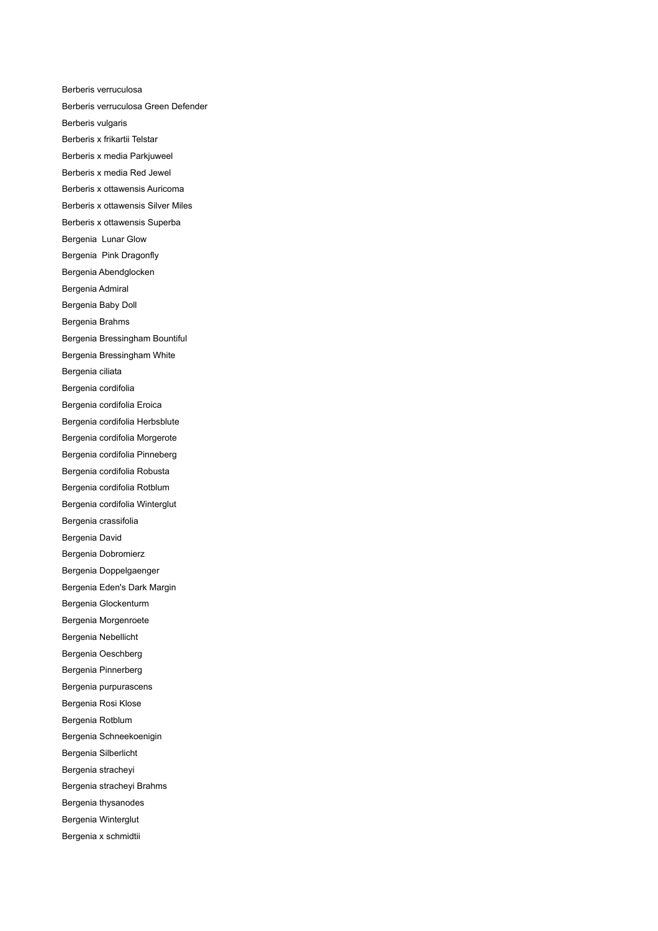Berberis verruculosa Berberis verruculosa Green Defender Berberis vulgaris Berberis x frikartii Telstar Berberis x media Parkjuweel Berberis x media Red Jewel Berberis x ottawensis Auricoma Berberis x ottawensis Silver Miles Berberis x ottawensis Superba Bergenia Lunar Glow Bergenia Pink Dragonfly Bergenia Abendglocken Bergenia Admiral Bergenia Baby Doll Bergenia Brahms Bergenia Bressingham Bountiful Bergenia Bressingham White Bergenia ciliata Bergenia cordifolia Bergenia cordifolia Eroica Bergenia cordifolia Herbsblute Bergenia cordifolia Morgerote Bergenia cordifolia Pinneberg Bergenia cordifolia Robusta Bergenia cordifolia Rotblum Bergenia cordifolia Winterglut Bergenia crassifolia Bergenia David Bergenia Dobromierz Bergenia Doppelgaenger Bergenia Eden's Dark Margin Bergenia Glockenturm Bergenia Morgenroete Bergenia Nebellicht Bergenia Oeschberg Bergenia Pinnerberg Bergenia purpurascens Bergenia Rosi Klose Bergenia Rotblum Bergenia Schneekoenigin Bergenia Silberlicht Bergenia stracheyi Bergenia stracheyi Brahms Bergenia thysanodes Bergenia Winterglut Bergenia x schmidtii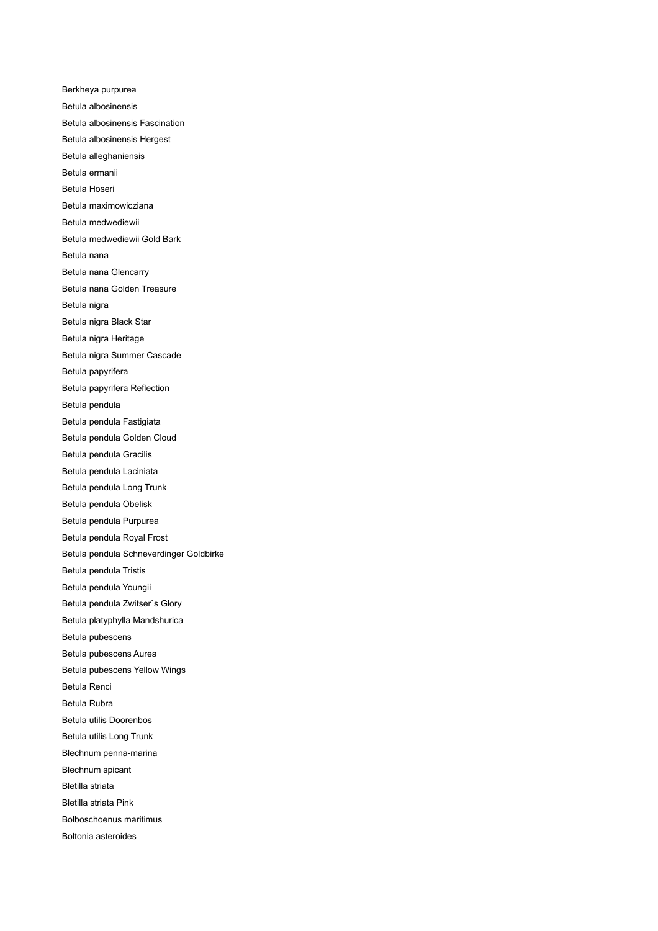Berkheya purpurea Betula albosinensis Betula albosinensis Fascination Betula albosinensis Hergest Betula alleghaniensis Betula ermanii Betula Hoseri Betula maximowicziana Betula medwediewii Betula medwediewii Gold Bark Betula nana Betula nana Glencarry Betula nana Golden Treasure Betula nigra Betula nigra Black Star Betula nigra Heritage Betula nigra Summer Cascade Betula papyrifera Betula papyrifera Reflection Betula pendula Betula pendula Fastigiata Betula pendula Golden Cloud Betula pendula Gracilis Betula pendula Laciniata Betula pendula Long Trunk Betula pendula Obelisk Betula pendula Purpurea Betula pendula Royal Frost Betula pendula Schneverdinger Goldbirke Betula pendula Tristis Betula pendula Youngii Betula pendula Zwitser`s Glory Betula platyphylla Mandshurica Betula pubescens Betula pubescens Aurea Betula pubescens Yellow Wings Betula Renci Betula Rubra Betula utilis Doorenbos Betula utilis Long Trunk Blechnum penna-marina Blechnum spicant Bletilla striata Bletilla striata Pink Bolboschoenus maritimus Boltonia asteroides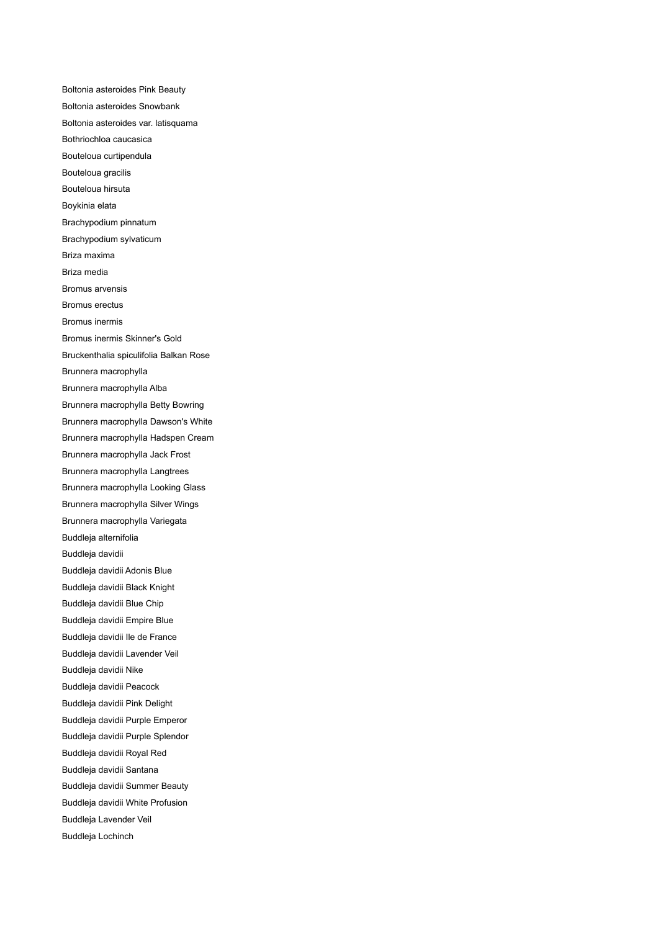Boltonia asteroides Pink Beauty Boltonia asteroides Snowbank Boltonia asteroides var. latisquama Bothriochloa caucasica Bouteloua curtipendula Bouteloua gracilis Bouteloua hirsuta Boykinia elata Brachypodium pinnatum Brachypodium sylvaticum Briza maxima Briza media Bromus arvensis Bromus erectus Bromus inermis Bromus inermis Skinner's Gold Bruckenthalia spiculifolia Balkan Rose Brunnera macrophylla Brunnera macrophylla Alba Brunnera macrophylla Betty Bowring Brunnera macrophylla Dawson's White Brunnera macrophylla Hadspen Cream Brunnera macrophylla Jack Frost Brunnera macrophylla Langtrees Brunnera macrophylla Looking Glass Brunnera macrophylla Silver Wings Brunnera macrophylla Variegata Buddleja alternifolia Buddleja davidii Buddleja davidii Adonis Blue Buddleja davidii Black Knight Buddleja davidii Blue Chip Buddleja davidii Empire Blue Buddleja davidii Ile de France Buddleja davidii Lavender Veil Buddleja davidii Nike Buddleja davidii Peacock Buddleja davidii Pink Delight Buddleja davidii Purple Emperor Buddleja davidii Purple Splendor Buddleja davidii Royal Red Buddleja davidii Santana Buddleja davidii Summer Beauty Buddleja davidii White Profusion Buddleja Lavender Veil Buddleja Lochinch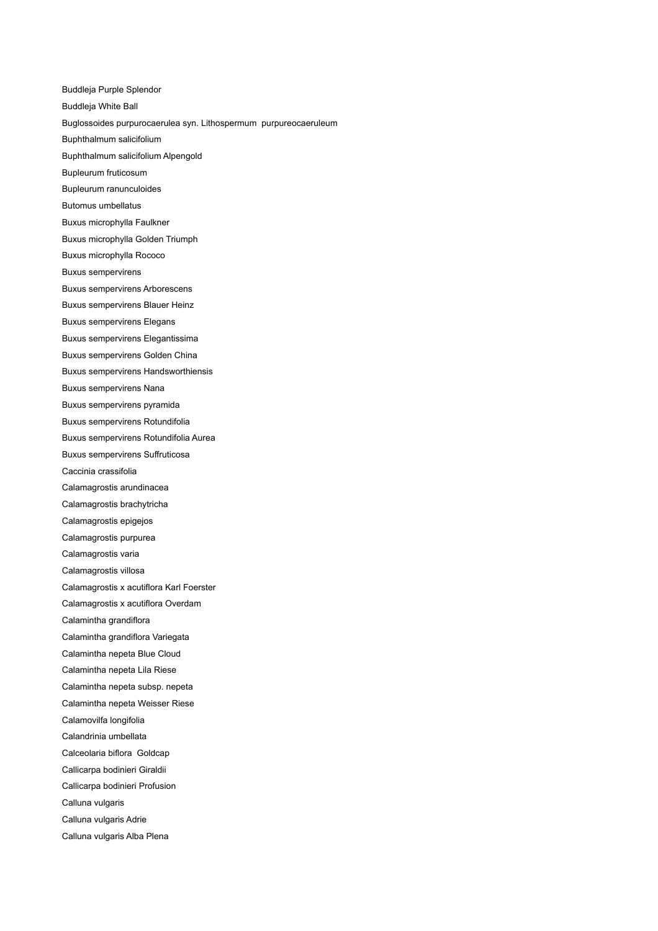Buddleja Purple Splendor Buddleja White Ball Buglossoides purpurocaerulea syn. Lithospermum purpureocaeruleum Buphthalmum salicifolium Buphthalmum salicifolium Alpengold Bupleurum fruticosum Bupleurum ranunculoides Butomus umbellatus Buxus microphylla Faulkner Buxus microphylla Golden Triumph Buxus microphylla Rococo Buxus sempervirens Buxus sempervirens Arborescens Buxus sempervirens Blauer Heinz Buxus sempervirens Elegans Buxus sempervirens Elegantissima Buxus sempervirens Golden China Buxus sempervirens Handsworthiensis Buxus sempervirens Nana Buxus sempervirens pyramida Buxus sempervirens Rotundifolia Buxus sempervirens Rotundifolia Aurea Buxus sempervirens Suffruticosa Caccinia crassifolia Calamagrostis arundinacea Calamagrostis brachytricha Calamagrostis epigejos Calamagrostis purpurea Calamagrostis varia Calamagrostis villosa Calamagrostis x acutiflora Karl Foerster Calamagrostis x acutiflora Overdam Calamintha grandiflora Calamintha grandiflora Variegata Calamintha nepeta Blue Cloud Calamintha nepeta Lila Riese Calamintha nepeta subsp. nepeta Calamintha nepeta Weisser Riese Calamovilfa longifolia Calandrinia umbellata Calceolaria biflora Goldcap Callicarpa bodinieri Giraldii Callicarpa bodinieri Profusion Calluna vulgaris Calluna vulgaris Adrie Calluna vulgaris Alba Plena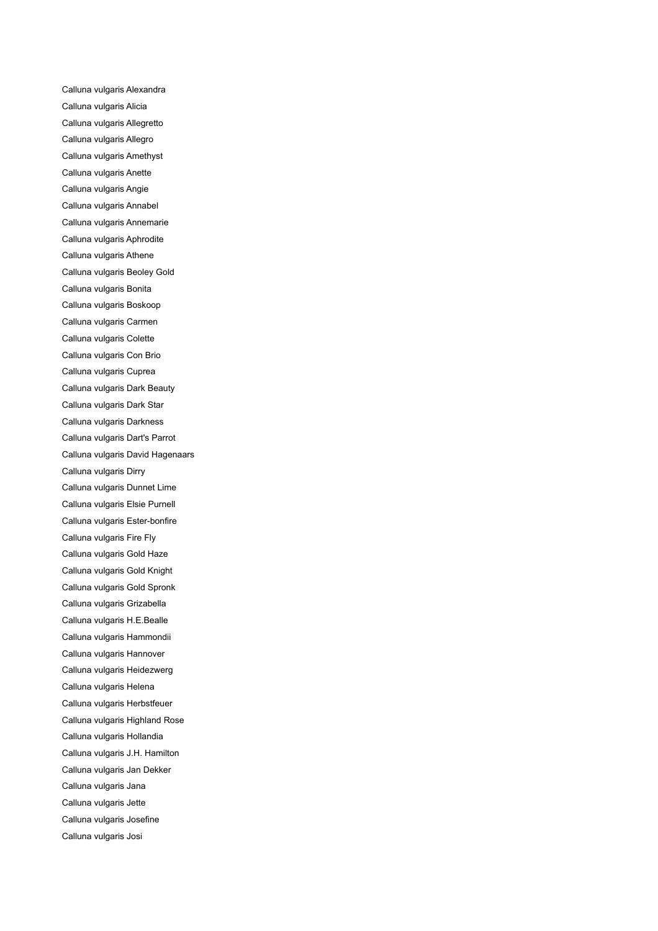Calluna vulgaris Alexandra Calluna vulgaris Alicia Calluna vulgaris Allegretto Calluna vulgaris Allegro Calluna vulgaris Amethyst Calluna vulgaris Anette Calluna vulgaris Angie Calluna vulgaris Annabel Calluna vulgaris Annemarie Calluna vulgaris Aphrodite Calluna vulgaris Athene Calluna vulgaris Beoley Gold Calluna vulgaris Bonita Calluna vulgaris Boskoop Calluna vulgaris Carmen Calluna vulgaris Colette Calluna vulgaris Con Brio Calluna vulgaris Cuprea Calluna vulgaris Dark Beauty Calluna vulgaris Dark Star Calluna vulgaris Darkness Calluna vulgaris Dart's Parrot Calluna vulgaris David Hagenaars Calluna vulgaris Dirry Calluna vulgaris Dunnet Lime Calluna vulgaris Elsie Purnell Calluna vulgaris Ester-bonfire Calluna vulgaris Fire Fly Calluna vulgaris Gold Haze Calluna vulgaris Gold Knight Calluna vulgaris Gold Spronk Calluna vulgaris Grizabella Calluna vulgaris H.E.Bealle Calluna vulgaris Hammondii Calluna vulgaris Hannover Calluna vulgaris Heidezwerg Calluna vulgaris Helena Calluna vulgaris Herbstfeuer Calluna vulgaris Highland Rose Calluna vulgaris Hollandia Calluna vulgaris J.H. Hamilton Calluna vulgaris Jan Dekker Calluna vulgaris Jana Calluna vulgaris Jette Calluna vulgaris Josefine Calluna vulgaris Josi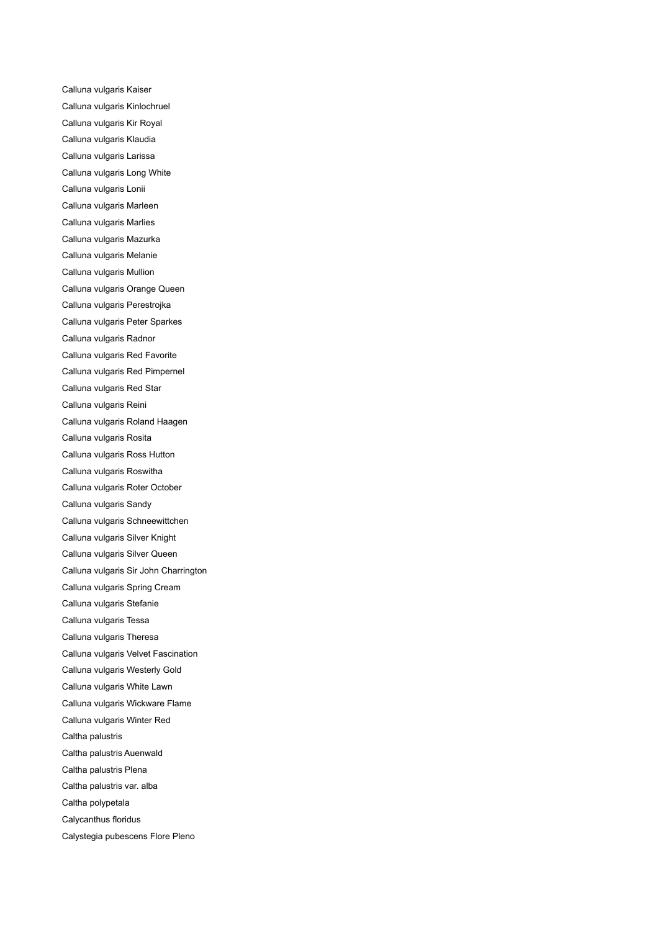Calluna vulgaris Kaiser Calluna vulgaris Kinlochruel Calluna vulgaris Kir Royal Calluna vulgaris Klaudia Calluna vulgaris Larissa Calluna vulgaris Long White Calluna vulgaris Lonii Calluna vulgaris Marleen Calluna vulgaris Marlies Calluna vulgaris Mazurka Calluna vulgaris Melanie Calluna vulgaris Mullion Calluna vulgaris Orange Queen Calluna vulgaris Perestrojka Calluna vulgaris Peter Sparkes Calluna vulgaris Radnor Calluna vulgaris Red Favorite Calluna vulgaris Red Pimpernel Calluna vulgaris Red Star Calluna vulgaris Reini Calluna vulgaris Roland Haagen Calluna vulgaris Rosita Calluna vulgaris Ross Hutton Calluna vulgaris Roswitha Calluna vulgaris Roter October Calluna vulgaris Sandy Calluna vulgaris Schneewittchen Calluna vulgaris Silver Knight Calluna vulgaris Silver Queen Calluna vulgaris Sir John Charrington Calluna vulgaris Spring Cream Calluna vulgaris Stefanie Calluna vulgaris Tessa Calluna vulgaris Theresa Calluna vulgaris Velvet Fascination Calluna vulgaris Westerly Gold Calluna vulgaris White Lawn Calluna vulgaris Wickware Flame Calluna vulgaris Winter Red Caltha palustris Caltha palustris Auenwald Caltha palustris Plena Caltha palustris var. alba Caltha polypetala Calycanthus floridus Calystegia pubescens Flore Pleno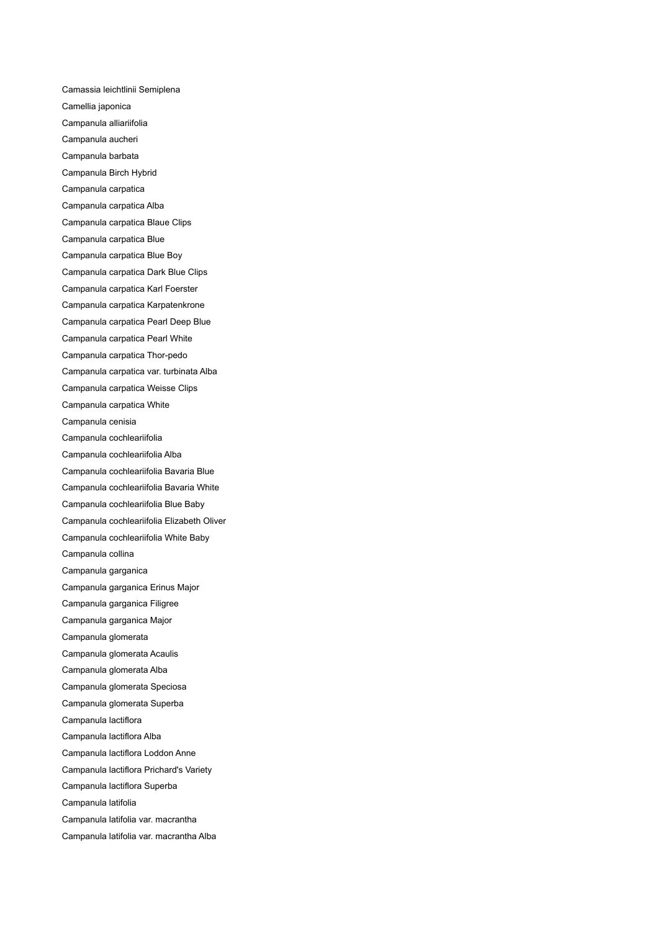Camassia leichtlinii Semiplena Camellia japonica Campanula alliariifolia Campanula aucheri Campanula barbata Campanula Birch Hybrid Campanula carpatica Campanula carpatica Alba Campanula carpatica Blaue Clips Campanula carpatica Blue Campanula carpatica Blue Boy Campanula carpatica Dark Blue Clips Campanula carpatica Karl Foerster Campanula carpatica Karpatenkrone Campanula carpatica Pearl Deep Blue Campanula carpatica Pearl White Campanula carpatica Thor-pedo Campanula carpatica var. turbinata Alba Campanula carpatica Weisse Clips Campanula carpatica White Campanula cenisia Campanula cochleariifolia Campanula cochleariifolia Alba Campanula cochleariifolia Bavaria Blue Campanula cochleariifolia Bavaria White Campanula cochleariifolia Blue Baby Campanula cochleariifolia Elizabeth Oliver Campanula cochleariifolia White Baby Campanula collina Campanula garganica Campanula garganica Erinus Major Campanula garganica Filigree Campanula garganica Major Campanula glomerata Campanula glomerata Acaulis Campanula glomerata Alba Campanula glomerata Speciosa Campanula glomerata Superba Campanula lactiflora Campanula lactiflora Alba Campanula lactiflora Loddon Anne Campanula lactiflora Prichard's Variety Campanula lactiflora Superba Campanula latifolia Campanula latifolia var. macrantha Campanula latifolia var. macrantha Alba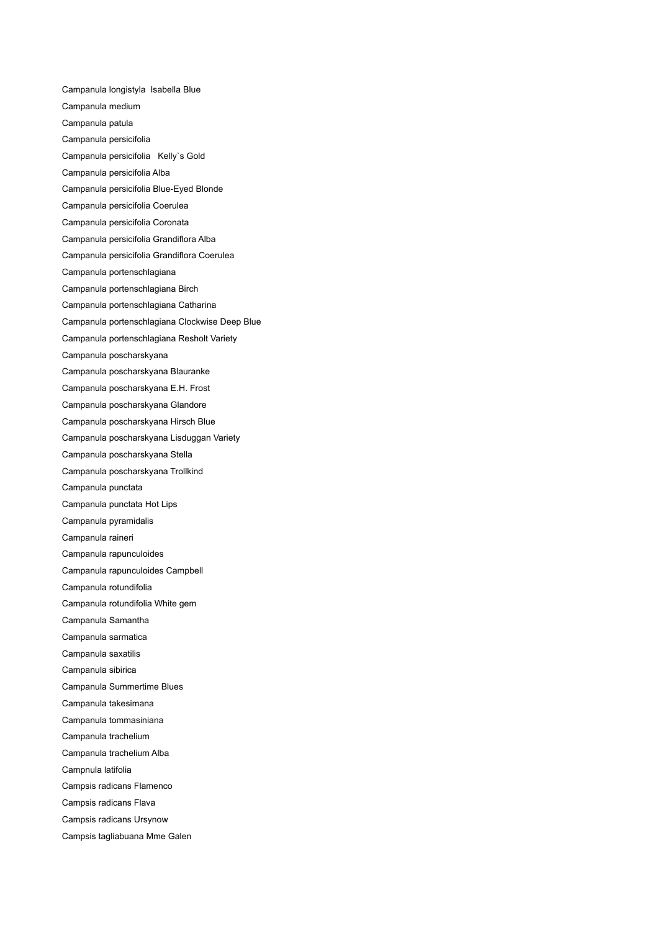Campanula longistyla Isabella Blue

- Campanula medium
- Campanula patula
- Campanula persicifolia
- Campanula persicifolia Kelly`s Gold
- Campanula persicifolia Alba
- Campanula persicifolia Blue-Eyed Blonde
- Campanula persicifolia Coerulea
- Campanula persicifolia Coronata
- Campanula persicifolia Grandiflora Alba
- Campanula persicifolia Grandiflora Coerulea
- Campanula portenschlagiana
- Campanula portenschlagiana Birch
- Campanula portenschlagiana Catharina
- Campanula portenschlagiana Clockwise Deep Blue
- Campanula portenschlagiana Resholt Variety
- Campanula poscharskyana
- Campanula poscharskyana Blauranke
- Campanula poscharskyana E.H. Frost
- Campanula poscharskyana Glandore
- Campanula poscharskyana Hirsch Blue
- Campanula poscharskyana Lisduggan Variety
- Campanula poscharskyana Stella
- Campanula poscharskyana Trollkind
- Campanula punctata
- Campanula punctata Hot Lips
- Campanula pyramidalis
- Campanula raineri
- Campanula rapunculoides
- Campanula rapunculoides Campbell
- Campanula rotundifolia
- Campanula rotundifolia White gem
- Campanula Samantha
- Campanula sarmatica
- Campanula saxatilis
- Campanula sibirica
- Campanula Summertime Blues
- Campanula takesimana
- Campanula tommasiniana
- Campanula trachelium
- Campanula trachelium Alba
- Campnula latifolia
- Campsis radicans Flamenco
- Campsis radicans Flava
- Campsis radicans Ursynow
- Campsis tagliabuana Mme Galen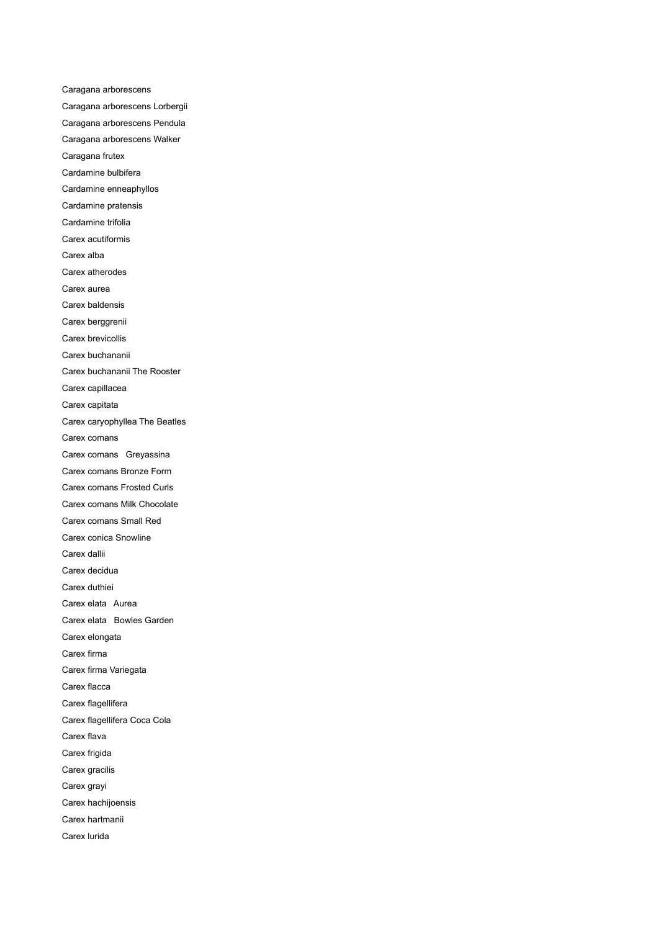Caragana arborescens Caragana arborescens Lorbergii Caragana arborescens Pendula Caragana arborescens Walker Caragana frutex Cardamine bulbifera Cardamine enneaphyllos Cardamine pratensis Cardamine trifolia Carex acutiformis Carex alba Carex atherodes Carex aurea Carex baldensis Carex berggrenii Carex brevicollis Carex buchananii Carex buchananii The Rooster Carex capillacea Carex capitata Carex caryophyllea The Beatles Carex comans Carex comans Greyassina Carex comans Bronze Form Carex comans Frosted Curls Carex comans Milk Chocolate Carex comans Small Red Carex conica Snowline Carex dallii Carex decidua Carex duthiei Carex elata Aurea Carex elata Bowles Garden Carex elongata Carex firma Carex firma Variegata Carex flacca Carex flagellifera Carex flagellifera Coca Cola Carex flava Carex frigida Carex gracilis Carex grayi Carex hachijoensis Carex hartmanii Carex lurida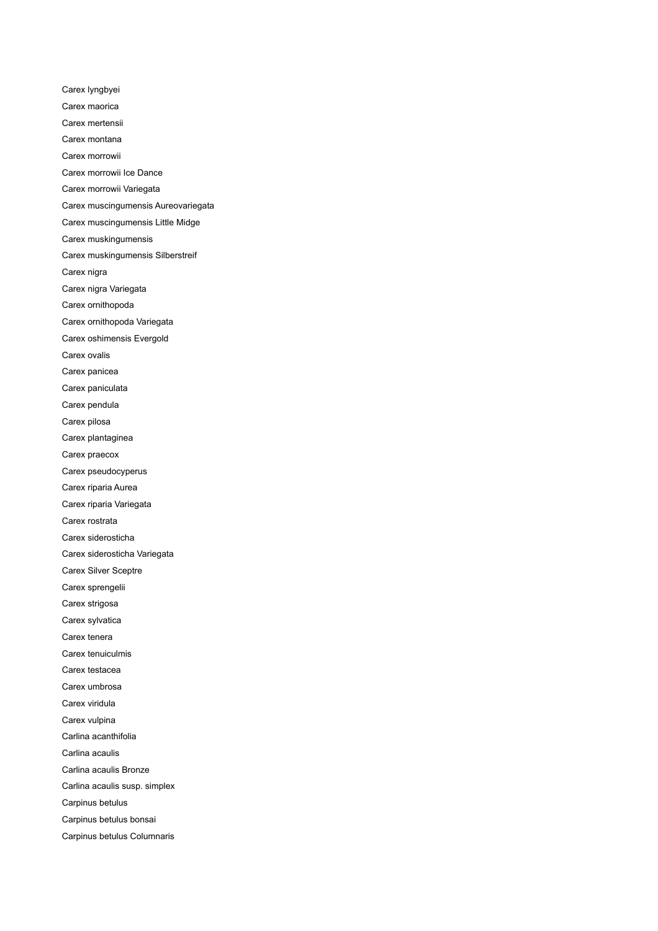Carex lyngbyei Carex maorica Carex mertensii Carex montana Carex morrowii Carex morrowii Ice Dance Carex morrowii Variegata Carex muscingumensis Aureovariegata Carex muscingumensis Little Midge Carex muskingumensis Carex muskingumensis Silberstreif Carex nigra Carex nigra Variegata Carex ornithopoda Carex ornithopoda Variegata Carex oshimensis Evergold Carex ovalis Carex panicea Carex paniculata Carex pendula Carex pilosa Carex plantaginea Carex praecox Carex pseudocyperus Carex riparia Aurea Carex riparia Variegata Carex rostrata Carex siderosticha Carex siderosticha Variegata Carex Silver Sceptre Carex sprengelii Carex strigosa Carex sylvatica Carex tenera Carex tenuiculmis Carex testacea Carex umbrosa Carex viridula Carex vulpina Carlina acanthifolia Carlina acaulis Carlina acaulis Bronze Carlina acaulis susp. simplex Carpinus betulus Carpinus betulus bonsai Carpinus betulus Columnaris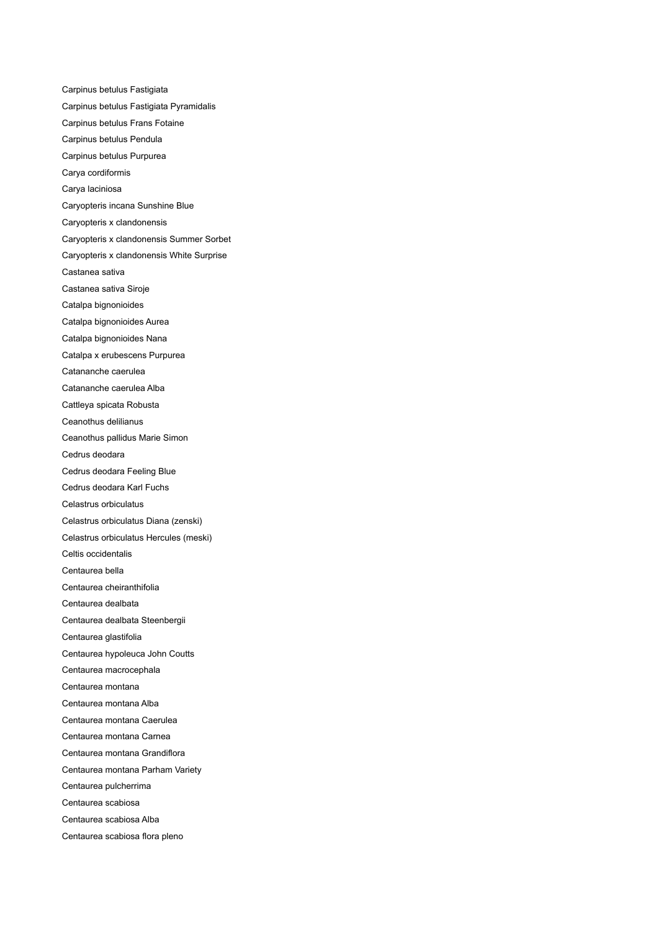Carpinus betulus Fastigiata Carpinus betulus Fastigiata Pyramidalis Carpinus betulus Frans Fotaine Carpinus betulus Pendula Carpinus betulus Purpurea Carya cordiformis Carya laciniosa Caryopteris incana Sunshine Blue Caryopteris x clandonensis Caryopteris x clandonensis Summer Sorbet Caryopteris x clandonensis White Surprise Castanea sativa Castanea sativa Siroje Catalpa bignonioides Catalpa bignonioides Aurea Catalpa bignonioides Nana Catalpa x erubescens Purpurea Catananche caerulea Catananche caerulea Alba Cattleya spicata Robusta Ceanothus delilianus Ceanothus pallidus Marie Simon Cedrus deodara Cedrus deodara Feeling Blue Cedrus deodara Karl Fuchs Celastrus orbiculatus Celastrus orbiculatus Diana (zenski) Celastrus orbiculatus Hercules (meski) Celtis occidentalis Centaurea bella Centaurea cheiranthifolia Centaurea dealbata Centaurea dealbata Steenbergii Centaurea glastifolia Centaurea hypoleuca John Coutts Centaurea macrocephala Centaurea montana Centaurea montana Alba Centaurea montana Caerulea Centaurea montana Carnea Centaurea montana Grandiflora Centaurea montana Parham Variety Centaurea pulcherrima Centaurea scabiosa Centaurea scabiosa Alba Centaurea scabiosa flora pleno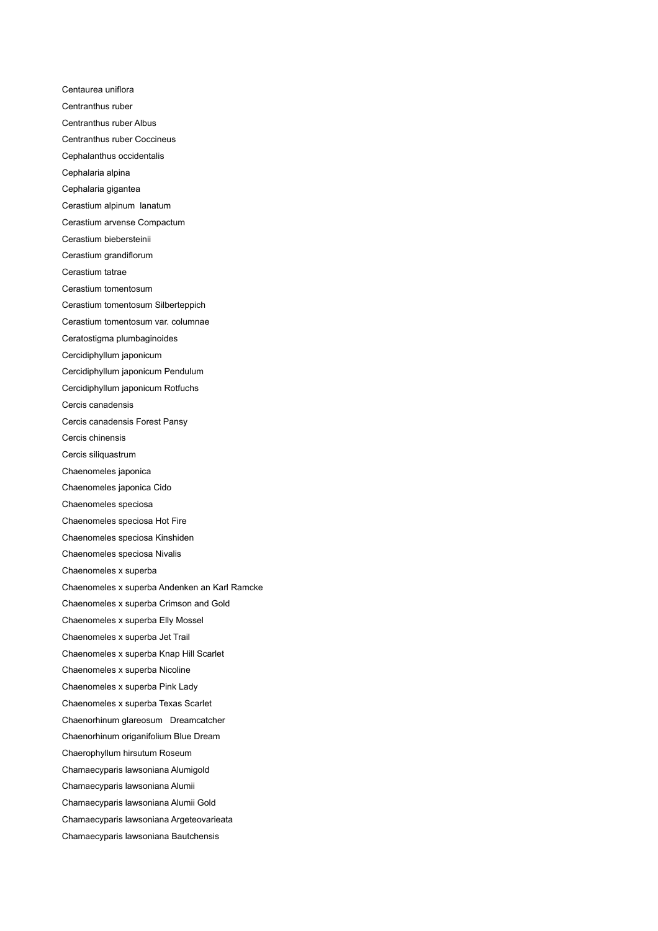Centaurea uniflora Centranthus ruber Centranthus ruber Albus Centranthus ruber Coccineus Cephalanthus occidentalis Cephalaria alpina Cephalaria gigantea Cerastium alpinum lanatum Cerastium arvense Compactum Cerastium biebersteinii Cerastium grandiflorum Cerastium tatrae Cerastium tomentosum Cerastium tomentosum Silberteppich Cerastium tomentosum var. columnae Ceratostigma plumbaginoides Cercidiphyllum japonicum Cercidiphyllum japonicum Pendulum Cercidiphyllum japonicum Rotfuchs Cercis canadensis Cercis canadensis Forest Pansy Cercis chinensis Cercis siliquastrum Chaenomeles japonica Chaenomeles japonica Cido Chaenomeles speciosa Chaenomeles speciosa Hot Fire Chaenomeles speciosa Kinshiden Chaenomeles speciosa Nivalis Chaenomeles x superba Chaenomeles x superba Andenken an Karl Ramcke Chaenomeles x superba Crimson and Gold Chaenomeles x superba Elly Mossel Chaenomeles x superba Jet Trail Chaenomeles x superba Knap Hill Scarlet Chaenomeles x superba Nicoline Chaenomeles x superba Pink Lady Chaenomeles x superba Texas Scarlet Chaenorhinum glareosum Dreamcatcher Chaenorhinum origanifolium Blue Dream Chaerophyllum hirsutum Roseum Chamaecyparis lawsoniana Alumigold Chamaecyparis lawsoniana Alumii Chamaecyparis lawsoniana Alumii Gold Chamaecyparis lawsoniana Argeteovarieata Chamaecyparis lawsoniana Bautchensis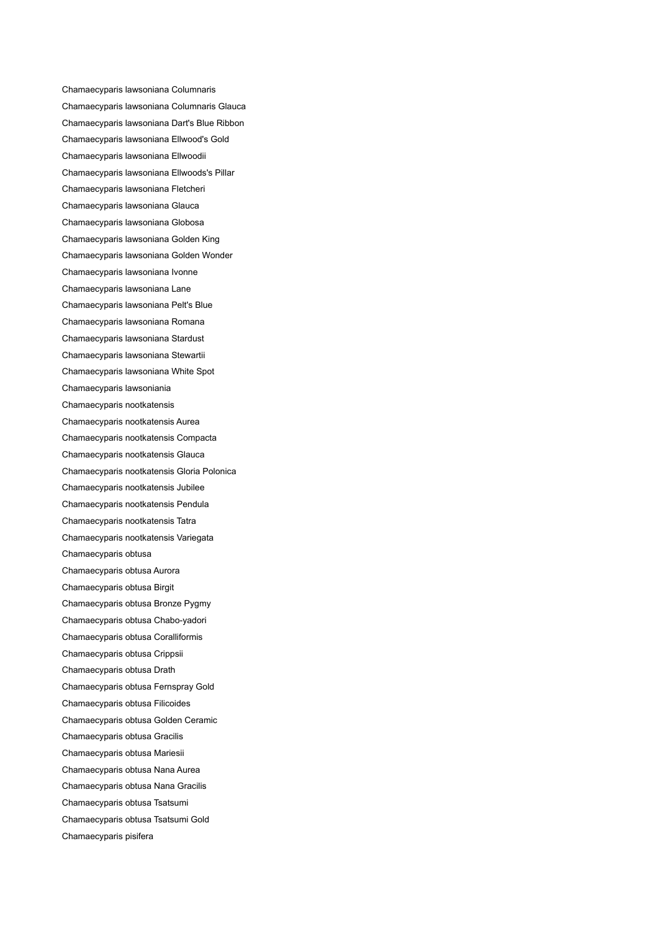Chamaecyparis lawsoniana Columnaris Chamaecyparis lawsoniana Columnaris Glauca Chamaecyparis lawsoniana Dart's Blue Ribbon Chamaecyparis lawsoniana Ellwood's Gold Chamaecyparis lawsoniana Ellwoodii Chamaecyparis lawsoniana Ellwoods's Pillar Chamaecyparis lawsoniana Fletcheri Chamaecyparis lawsoniana Glauca Chamaecyparis lawsoniana Globosa Chamaecyparis lawsoniana Golden King Chamaecyparis lawsoniana Golden Wonder Chamaecyparis lawsoniana Ivonne Chamaecyparis lawsoniana Lane Chamaecyparis lawsoniana Pelt's Blue Chamaecyparis lawsoniana Romana Chamaecyparis lawsoniana Stardust Chamaecyparis lawsoniana Stewartii Chamaecyparis lawsoniana White Spot Chamaecyparis lawsoniania Chamaecyparis nootkatensis Chamaecyparis nootkatensis Aurea Chamaecyparis nootkatensis Compacta Chamaecyparis nootkatensis Glauca Chamaecyparis nootkatensis Gloria Polonica Chamaecyparis nootkatensis Jubilee Chamaecyparis nootkatensis Pendula Chamaecyparis nootkatensis Tatra Chamaecyparis nootkatensis Variegata Chamaecyparis obtusa Chamaecyparis obtusa Aurora Chamaecyparis obtusa Birgit Chamaecyparis obtusa Bronze Pygmy Chamaecyparis obtusa Chabo-yadori Chamaecyparis obtusa Coralliformis Chamaecyparis obtusa Crippsii Chamaecyparis obtusa Drath Chamaecyparis obtusa Fernspray Gold Chamaecyparis obtusa Filicoides Chamaecyparis obtusa Golden Ceramic Chamaecyparis obtusa Gracilis Chamaecyparis obtusa Mariesii Chamaecyparis obtusa Nana Aurea Chamaecyparis obtusa Nana Gracilis Chamaecyparis obtusa Tsatsumi Chamaecyparis obtusa Tsatsumi Gold Chamaecyparis pisifera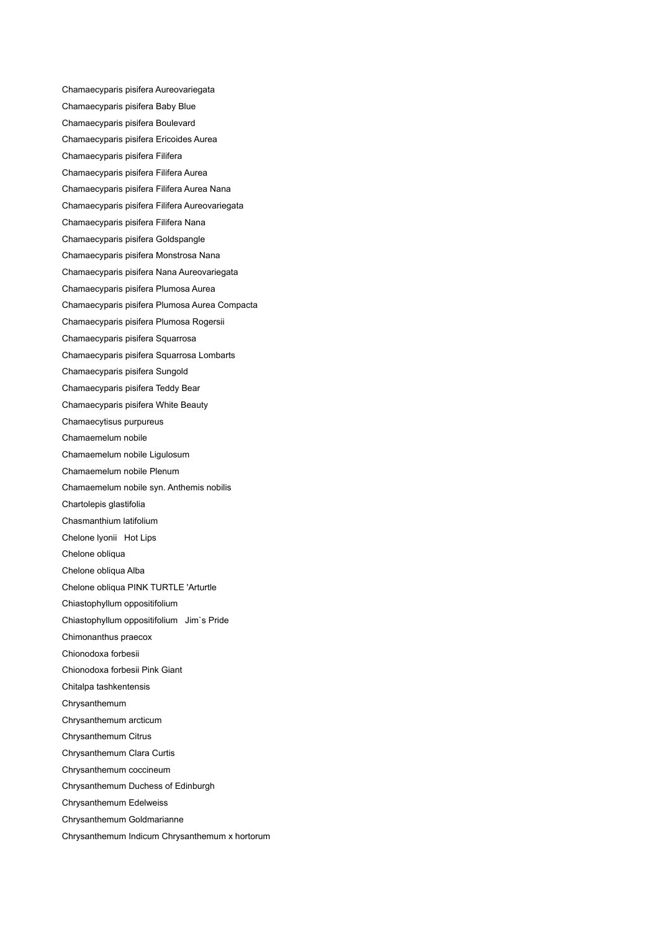Chamaecyparis pisifera Aureovariegata Chamaecyparis pisifera Baby Blue Chamaecyparis pisifera Boulevard Chamaecyparis pisifera Ericoides Aurea Chamaecyparis pisifera Filifera Chamaecyparis pisifera Filifera Aurea Chamaecyparis pisifera Filifera Aurea Nana Chamaecyparis pisifera Filifera Aureovariegata Chamaecyparis pisifera Filifera Nana Chamaecyparis pisifera Goldspangle Chamaecyparis pisifera Monstrosa Nana Chamaecyparis pisifera Nana Aureovariegata Chamaecyparis pisifera Plumosa Aurea Chamaecyparis pisifera Plumosa Aurea Compacta Chamaecyparis pisifera Plumosa Rogersii Chamaecyparis pisifera Squarrosa Chamaecyparis pisifera Squarrosa Lombarts Chamaecyparis pisifera Sungold Chamaecyparis pisifera Teddy Bear Chamaecyparis pisifera White Beauty Chamaecytisus purpureus Chamaemelum nobile Chamaemelum nobile Ligulosum Chamaemelum nobile Plenum Chamaemelum nobile syn. Anthemis nobilis Chartolepis glastifolia Chasmanthium latifolium Chelone lyonii Hot Lips Chelone obliqua Chelone obliqua Alba Chelone obliqua PINK TURTLE 'Arturtle Chiastophyllum oppositifolium Chiastophyllum oppositifolium Jim`s Pride Chimonanthus praecox Chionodoxa forbesii Chionodoxa forbesii Pink Giant Chitalpa tashkentensis Chrysanthemum Chrysanthemum arcticum Chrysanthemum Citrus Chrysanthemum Clara Curtis Chrysanthemum coccineum Chrysanthemum Duchess of Edinburgh Chrysanthemum Edelweiss Chrysanthemum Goldmarianne Chrysanthemum Indicum Chrysanthemum x hortorum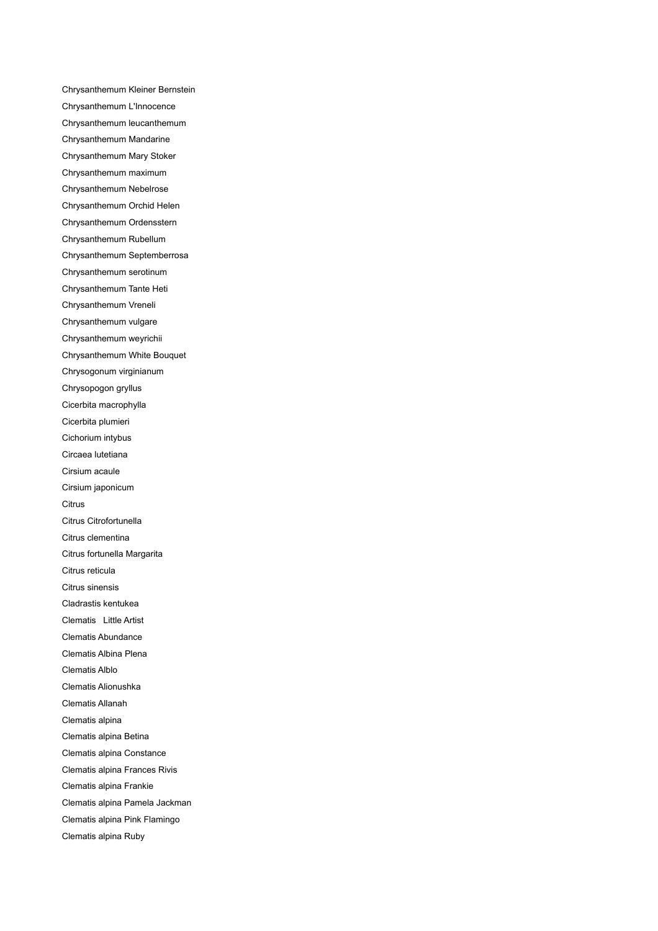Chrysanthemum Kleiner Bernstein Chrysanthemum L'Innocence Chrysanthemum leucanthemum Chrysanthemum Mandarine Chrysanthemum Mary Stoker Chrysanthemum maximum Chrysanthemum Nebelrose Chrysanthemum Orchid Helen Chrysanthemum Ordensstern Chrysanthemum Rubellum Chrysanthemum Septemberrosa Chrysanthemum serotinum Chrysanthemum Tante Heti Chrysanthemum Vreneli Chrysanthemum vulgare Chrysanthemum weyrichii Chrysanthemum White Bouquet Chrysogonum virginianum Chrysopogon gryllus Cicerbita macrophylla Cicerbita plumieri Cichorium intybus Circaea lutetiana Cirsium acaule Cirsium japonicum **Citrus** Citrus Citrofortunella Citrus clementina Citrus fortunella Margarita Citrus reticula Citrus sinensis Cladrastis kentukea Clematis Little Artist Clematis Abundance Clematis Albina Plena Clematis Alblo Clematis Alionushka Clematis Allanah Clematis alpina Clematis alpina Betina Clematis alpina Constance Clematis alpina Frances Rivis Clematis alpina Frankie Clematis alpina Pamela Jackman Clematis alpina Pink Flamingo Clematis alpina Ruby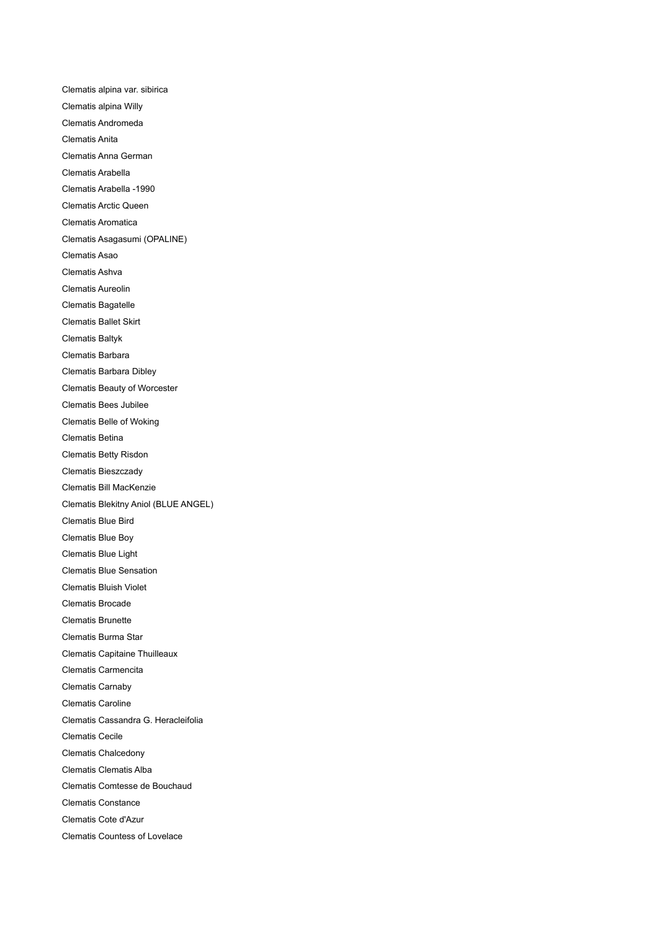Clematis alpina var. sibirica Clematis alpina Willy Clematis Andromeda Clematis Anita Clematis Anna German Clematis Arabella Clematis Arabella -1990 Clematis Arctic Queen Clematis Aromatica Clematis Asagasumi (OPALINE) Clematis Asao Clematis Ashva Clematis Aureolin Clematis Bagatelle Clematis Ballet Skirt Clematis Baltyk Clematis Barbara Clematis Barbara Dibley Clematis Beauty of Worcester Clematis Bees Jubilee Clematis Belle of Woking Clematis Betina Clematis Betty Risdon Clematis Bieszczady Clematis Bill MacKenzie Clematis Blekitny Aniol (BLUE ANGEL) Clematis Blue Bird Clematis Blue Boy Clematis Blue Light Clematis Blue Sensation Clematis Bluish Violet Clematis Brocade Clematis Brunette Clematis Burma Star Clematis Capitaine Thuilleaux Clematis Carmencita Clematis Carnaby Clematis Caroline Clematis Cassandra G. Heracleifolia Clematis Cecile Clematis Chalcedony Clematis Clematis Alba Clematis Comtesse de Bouchaud Clematis Constance Clematis Cote d'Azur Clematis Countess of Lovelace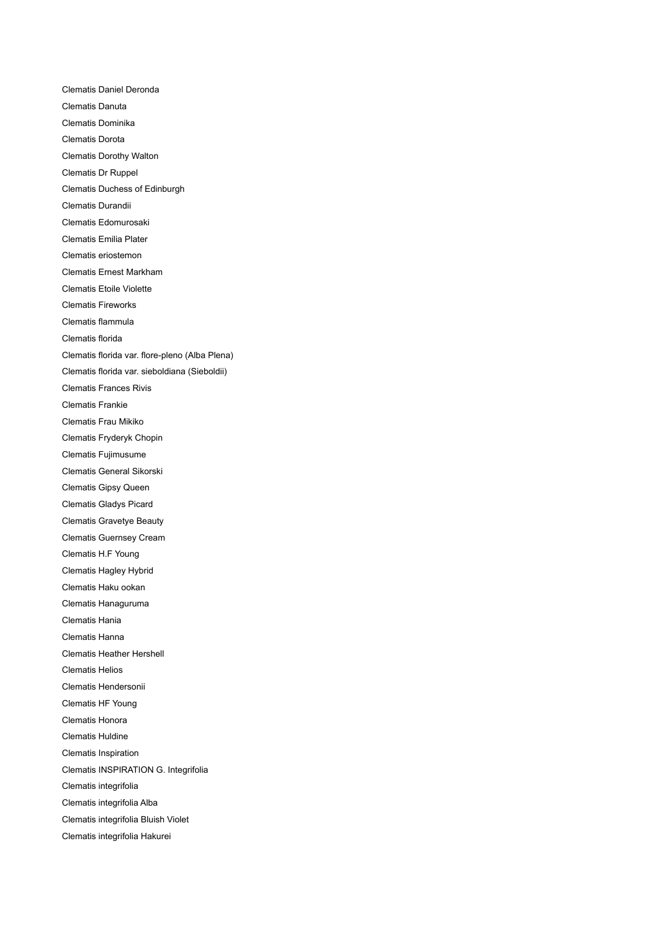Clematis Daniel Deronda Clematis Danuta Clematis Dominika Clematis Dorota Clematis Dorothy Walton Clematis Dr Ruppel Clematis Duchess of Edinburgh Clematis Durandii Clematis Edomurosaki Clematis Emilia Plater Clematis eriostemon Clematis Ernest Markham Clematis Etoile Violette Clematis Fireworks Clematis flammula Clematis florida Clematis florida var. flore-pleno (Alba Plena) Clematis florida var. sieboldiana (Sieboldii) Clematis Frances Rivis Clematis Frankie Clematis Frau Mikiko Clematis Fryderyk Chopin Clematis Fujimusume Clematis General Sikorski Clematis Gipsy Queen Clematis Gladys Picard Clematis Gravetye Beauty Clematis Guernsey Cream Clematis H.F Young Clematis Hagley Hybrid Clematis Haku ookan Clematis Hanaguruma Clematis Hania Clematis Hanna Clematis Heather Hershell Clematis Helios Clematis Hendersonii Clematis HF Young Clematis Honora Clematis Huldine Clematis Inspiration Clematis INSPIRATION G. Integrifolia Clematis integrifolia Clematis integrifolia Alba Clematis integrifolia Bluish Violet Clematis integrifolia Hakurei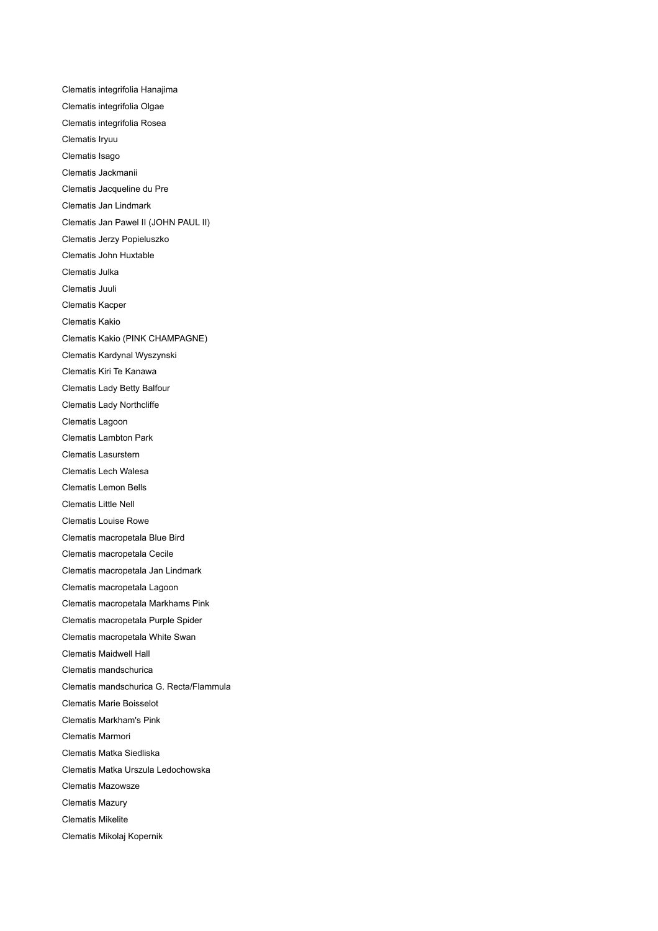Clematis integrifolia Hanajima Clematis integrifolia Olgae Clematis integrifolia Rosea Clematis Iryuu Clematis Isago Clematis Jackmanii Clematis Jacqueline du Pre Clematis Jan Lindmark Clematis Jan Pawel II (JOHN PAUL II) Clematis Jerzy Popieluszko Clematis John Huxtable Clematis Julka Clematis Juuli Clematis Kacper Clematis Kakio Clematis Kakio (PINK CHAMPAGNE) Clematis Kardynal Wyszynski Clematis Kiri Te Kanawa Clematis Lady Betty Balfour Clematis Lady Northcliffe Clematis Lagoon Clematis Lambton Park Clematis Lasurstern Clematis Lech Walesa Clematis Lemon Bells Clematis Little Nell Clematis Louise Rowe Clematis macropetala Blue Bird Clematis macropetala Cecile Clematis macropetala Jan Lindmark Clematis macropetala Lagoon Clematis macropetala Markhams Pink Clematis macropetala Purple Spider Clematis macropetala White Swan Clematis Maidwell Hall Clematis mandschurica Clematis mandschurica G. Recta/Flammula Clematis Marie Boisselot Clematis Markham's Pink Clematis Marmori Clematis Matka Siedliska Clematis Matka Urszula Ledochowska Clematis Mazowsze Clematis Mazury Clematis Mikelite Clematis Mikolaj Kopernik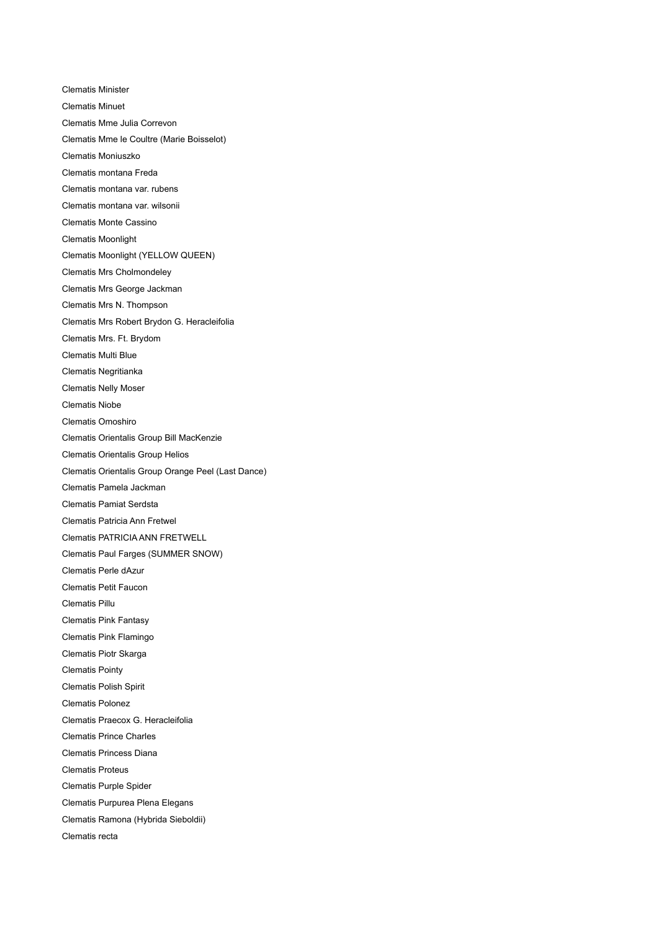Clematis Minister Clematis Minuet Clematis Mme Julia Correvon Clematis Mme le Coultre (Marie Boisselot) Clematis Moniuszko Clematis montana Freda Clematis montana var. rubens Clematis montana var. wilsonii Clematis Monte Cassino Clematis Moonlight Clematis Moonlight (YELLOW QUEEN) Clematis Mrs Cholmondeley Clematis Mrs George Jackman Clematis Mrs N. Thompson Clematis Mrs Robert Brydon G. Heracleifolia Clematis Mrs. Ft. Brydom Clematis Multi Blue Clematis Negritianka Clematis Nelly Moser Clematis Niobe Clematis Omoshiro Clematis Orientalis Group Bill MacKenzie Clematis Orientalis Group Helios Clematis Orientalis Group Orange Peel (Last Dance) Clematis Pamela Jackman Clematis Pamiat Serdsta Clematis Patricia Ann Fretwel Clematis PATRICIA ANN FRETWELL Clematis Paul Farges (SUMMER SNOW) Clematis Perle dAzur Clematis Petit Faucon Clematis Pillu Clematis Pink Fantasy Clematis Pink Flamingo Clematis Piotr Skarga Clematis Pointy Clematis Polish Spirit Clematis Polonez Clematis Praecox G. Heracleifolia Clematis Prince Charles Clematis Princess Diana Clematis Proteus Clematis Purple Spider Clematis Purpurea Plena Elegans Clematis Ramona (Hybrida Sieboldii) Clematis recta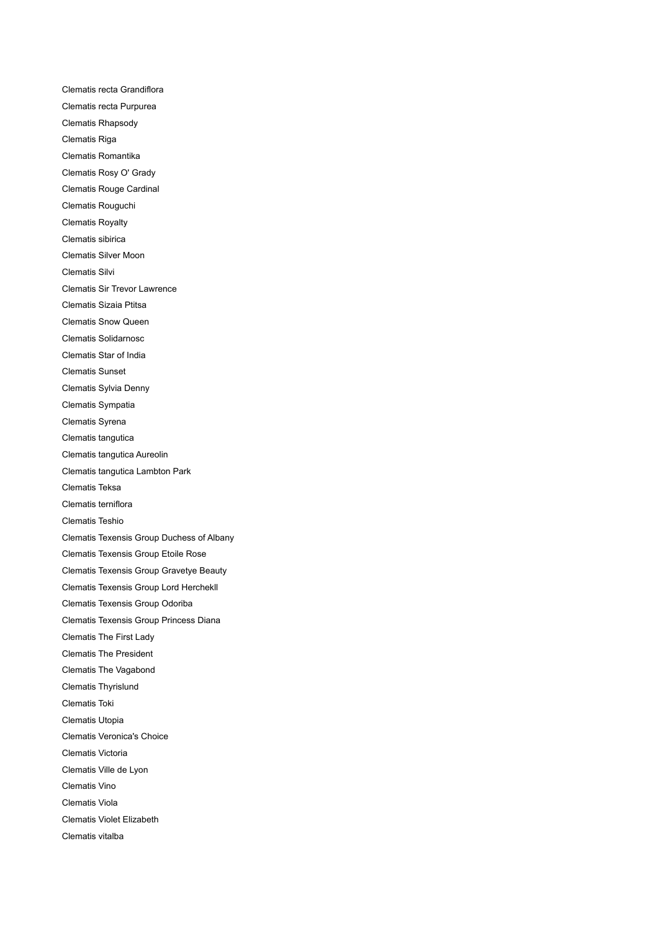Clematis recta Grandiflora Clematis recta Purpurea Clematis Rhapsody Clematis Riga Clematis Romantika Clematis Rosy O' Grady Clematis Rouge Cardinal Clematis Rouguchi Clematis Royalty Clematis sibirica Clematis Silver Moon Clematis Silvi Clematis Sir Trevor Lawrence Clematis Sizaia Ptitsa Clematis Snow Queen Clematis Solidarnosc Clematis Star of India Clematis Sunset Clematis Sylvia Denny Clematis Sympatia Clematis Syrena Clematis tangutica Clematis tangutica Aureolin Clematis tangutica Lambton Park Clematis Teksa Clematis terniflora Clematis Teshio Clematis Texensis Group Duchess of Albany Clematis Texensis Group Etoile Rose Clematis Texensis Group Gravetye Beauty Clematis Texensis Group Lord Herchekll Clematis Texensis Group Odoriba Clematis Texensis Group Princess Diana Clematis The First Lady Clematis The President Clematis The Vagabond Clematis Thyrislund Clematis Toki Clematis Utopia Clematis Veronica's Choice Clematis Victoria Clematis Ville de Lyon Clematis Vino Clematis Viola Clematis Violet Elizabeth Clematis vitalba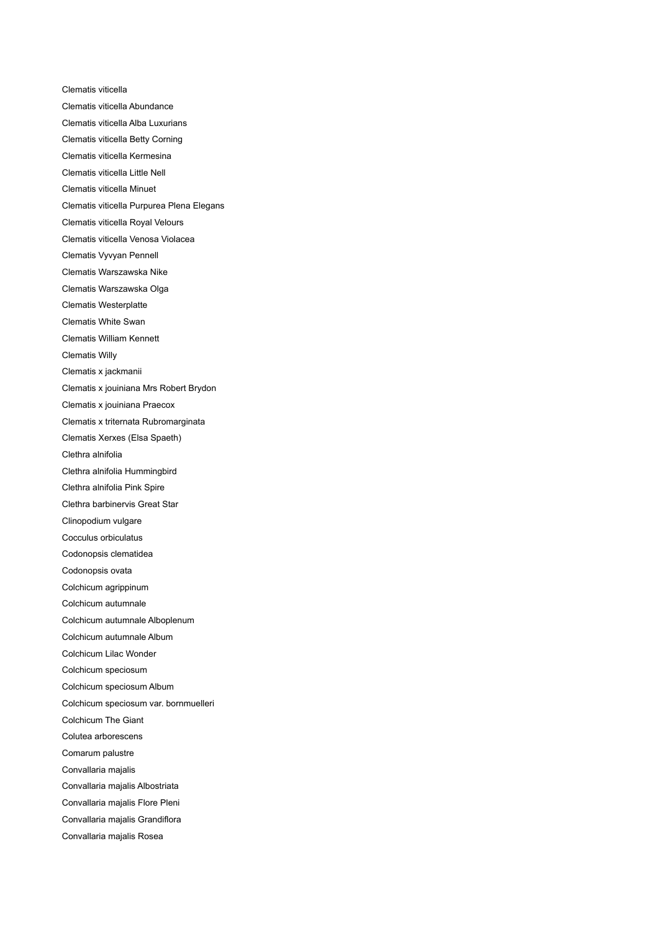Clematis viticella Clematis viticella Abundance Clematis viticella Alba Luxurians Clematis viticella Betty Corning Clematis viticella Kermesina Clematis viticella Little Nell Clematis viticella Minuet Clematis viticella Purpurea Plena Elegans Clematis viticella Royal Velours Clematis viticella Venosa Violacea Clematis Vyvyan Pennell Clematis Warszawska Nike Clematis Warszawska Olga Clematis Westerplatte Clematis White Swan Clematis William Kennett Clematis Willy Clematis x jackmanii Clematis x jouiniana Mrs Robert Brydon Clematis x jouiniana Praecox Clematis x triternata Rubromarginata Clematis Xerxes (Elsa Spaeth) Clethra alnifolia Clethra alnifolia Hummingbird Clethra alnifolia Pink Spire Clethra barbinervis Great Star Clinopodium vulgare Cocculus orbiculatus Codonopsis clematidea Codonopsis ovata Colchicum agrippinum Colchicum autumnale Colchicum autumnale Alboplenum Colchicum autumnale Album Colchicum Lilac Wonder Colchicum speciosum Colchicum speciosum Album Colchicum speciosum var. bornmuelleri Colchicum The Giant Colutea arborescens Comarum palustre Convallaria majalis Convallaria majalis Albostriata Convallaria majalis Flore Pleni Convallaria majalis Grandiflora Convallaria majalis Rosea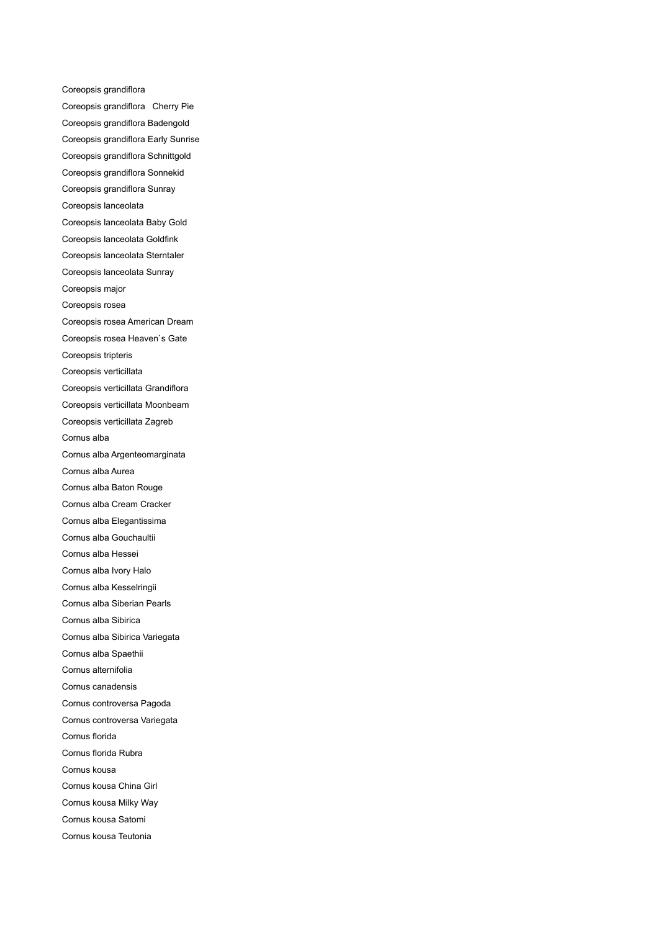Coreopsis grandiflora Coreopsis grandiflora Cherry Pie Coreopsis grandiflora Badengold Coreopsis grandiflora Early Sunrise Coreopsis grandiflora Schnittgold Coreopsis grandiflora Sonnekid Coreopsis grandiflora Sunray Coreopsis lanceolata Coreopsis lanceolata Baby Gold Coreopsis lanceolata Goldfink Coreopsis lanceolata Sterntaler Coreopsis lanceolata Sunray Coreopsis major Coreopsis rosea Coreopsis rosea American Dream Coreopsis rosea Heaven`s Gate Coreopsis tripteris Coreopsis verticillata Coreopsis verticillata Grandiflora Coreopsis verticillata Moonbeam Coreopsis verticillata Zagreb Cornus alba Cornus alba Argenteomarginata Cornus alba Aurea Cornus alba Baton Rouge Cornus alba Cream Cracker Cornus alba Elegantissima Cornus alba Gouchaultii Cornus alba Hessei Cornus alba Ivory Halo Cornus alba Kesselringii Cornus alba Siberian Pearls Cornus alba Sibirica Cornus alba Sibirica Variegata Cornus alba Spaethii Cornus alternifolia Cornus canadensis Cornus controversa Pagoda Cornus controversa Variegata Cornus florida Cornus florida Rubra Cornus kousa Cornus kousa China Girl Cornus kousa Milky Way Cornus kousa Satomi Cornus kousa Teutonia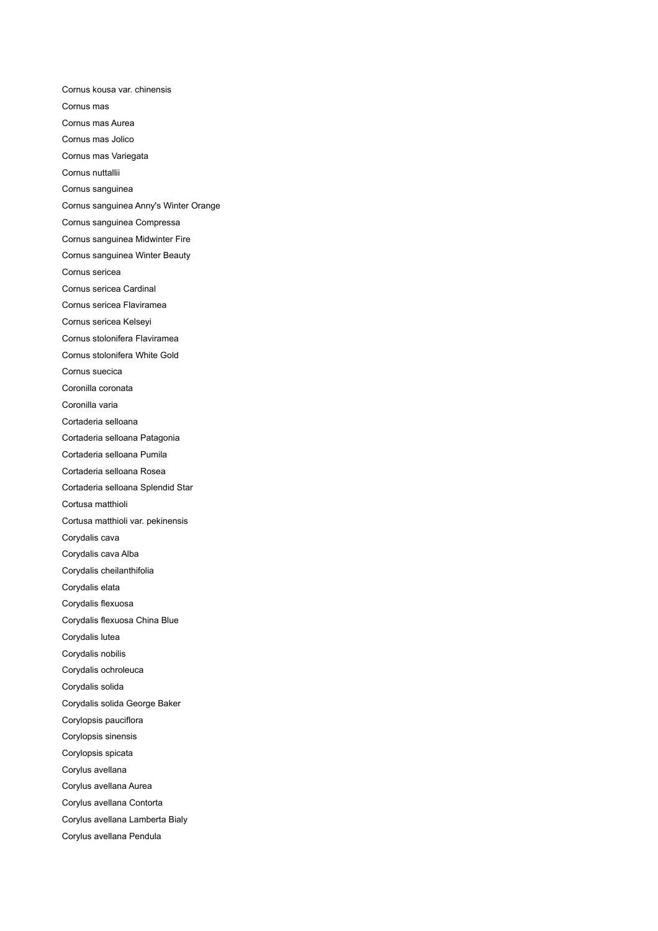Cornus kousa var. chinensis Cornus mas Cornus mas Aurea Cornus mas Jolico Cornus mas Variegata Cornus nuttallii Cornus sanguinea Cornus sanguinea Anny's Winter Orange Cornus sanguinea Compressa Cornus sanguinea Midwinter Fire Cornus sanguinea Winter Beauty Cornus sericea Cornus sericea Cardinal Cornus sericea Flaviramea Cornus sericea Kelseyi Cornus stolonifera Flaviramea Cornus stolonifera White Gold Cornus suecica Coronilla coronata Coronilla varia Cortaderia selloana Cortaderia selloana Patagonia Cortaderia selloana Pumila Cortaderia selloana Rosea Cortaderia selloana Splendid Star Cortusa matthioli Cortusa matthioli var. pekinensis Corydalis cava Corydalis cava Alba Corydalis cheilanthifolia Corydalis elata Corydalis flexuosa Corydalis flexuosa China Blue Corydalis lutea Corydalis nobilis Corydalis ochroleuca Corydalis solida Corydalis solida George Baker Corylopsis pauciflora Corylopsis sinensis Corylopsis spicata Corylus avellana Corylus avellana Aurea Corylus avellana Contorta Corylus avellana Lamberta Bialy Corylus avellana Pendula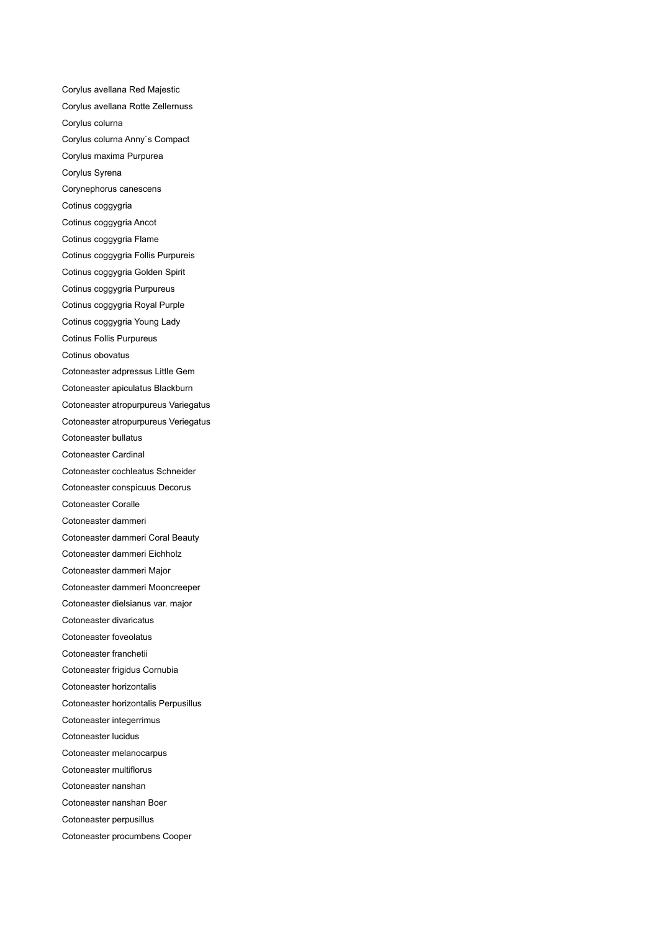Corylus avellana Red Majestic Corylus avellana Rotte Zellernuss Corylus colurna Corylus colurna Anny`s Compact Corylus maxima Purpurea Corylus Syrena Corynephorus canescens Cotinus coggygria Cotinus coggygria Ancot Cotinus coggygria Flame Cotinus coggygria Follis Purpureis Cotinus coggygria Golden Spirit Cotinus coggygria Purpureus Cotinus coggygria Royal Purple Cotinus coggygria Young Lady Cotinus Follis Purpureus Cotinus obovatus Cotoneaster adpressus Little Gem Cotoneaster apiculatus Blackburn Cotoneaster atropurpureus Variegatus Cotoneaster atropurpureus Veriegatus Cotoneaster bullatus Cotoneaster Cardinal Cotoneaster cochleatus Schneider Cotoneaster conspicuus Decorus Cotoneaster Coralle Cotoneaster dammeri Cotoneaster dammeri Coral Beauty Cotoneaster dammeri Eichholz Cotoneaster dammeri Major Cotoneaster dammeri Mooncreeper Cotoneaster dielsianus var. major Cotoneaster divaricatus Cotoneaster foveolatus Cotoneaster franchetii Cotoneaster frigidus Cornubia Cotoneaster horizontalis Cotoneaster horizontalis Perpusillus Cotoneaster integerrimus Cotoneaster lucidus Cotoneaster melanocarpus Cotoneaster multiflorus Cotoneaster nanshan Cotoneaster nanshan Boer Cotoneaster perpusillus Cotoneaster procumbens Cooper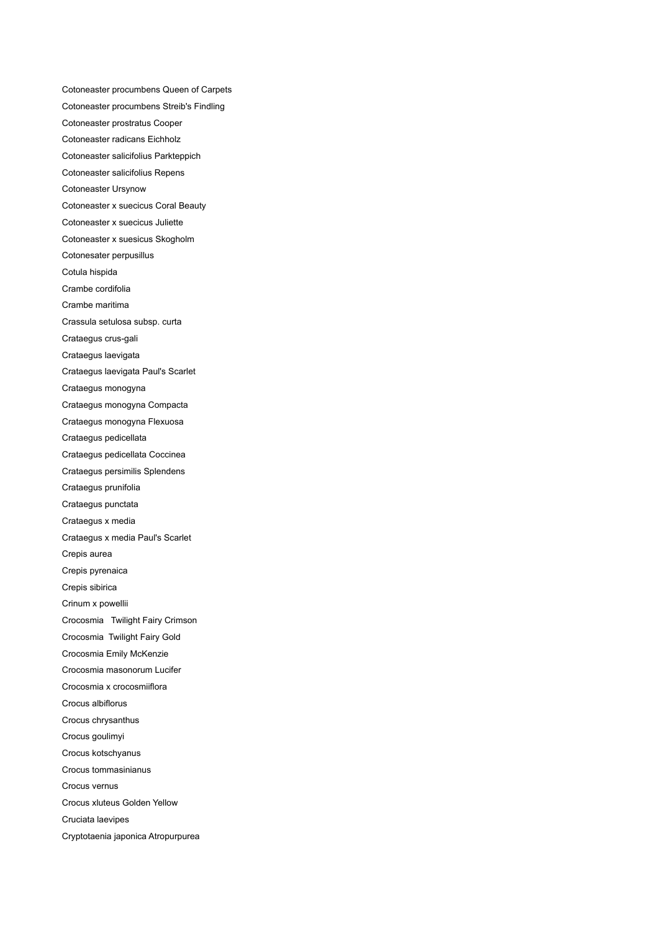Cotoneaster procumbens Queen of Carpets Cotoneaster procumbens Streib's Findling Cotoneaster prostratus Cooper Cotoneaster radicans Eichholz Cotoneaster salicifolius Parkteppich Cotoneaster salicifolius Repens Cotoneaster Ursynow Cotoneaster x suecicus Coral Beauty Cotoneaster x suecicus Juliette Cotoneaster x suesicus Skogholm Cotonesater perpusillus Cotula hispida Crambe cordifolia Crambe maritima Crassula setulosa subsp. curta Crataegus crus-gali Crataegus laevigata Crataegus laevigata Paul's Scarlet Crataegus monogyna Crataegus monogyna Compacta Crataegus monogyna Flexuosa Crataegus pedicellata Crataegus pedicellata Coccinea Crataegus persimilis Splendens Crataegus prunifolia Crataegus punctata Crataegus x media Crataegus x media Paul's Scarlet Crepis aurea Crepis pyrenaica Crepis sibirica Crinum x powellii Crocosmia Twilight Fairy Crimson Crocosmia Twilight Fairy Gold Crocosmia Emily McKenzie Crocosmia masonorum Lucifer Crocosmia x crocosmiiflora Crocus albiflorus Crocus chrysanthus Crocus goulimyi Crocus kotschyanus Crocus tommasinianus Crocus vernus Crocus xluteus Golden Yellow Cruciata laevipes Cryptotaenia japonica Atropurpurea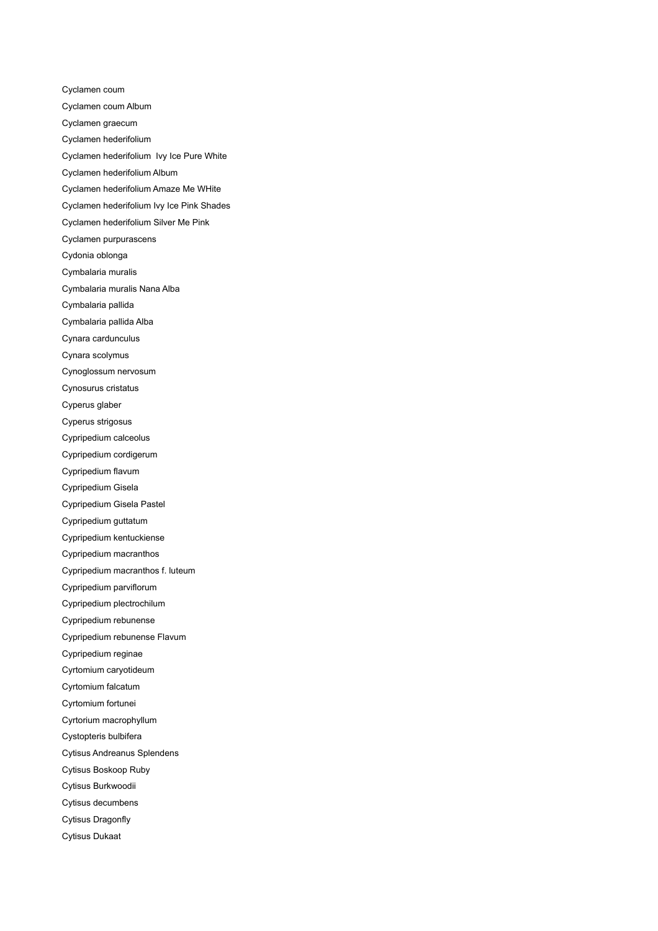Cyclamen coum Cyclamen coum Album Cyclamen graecum Cyclamen hederifolium Cyclamen hederifolium Ivy Ice Pure White Cyclamen hederifolium Album Cyclamen hederifolium Amaze Me WHite Cyclamen hederifolium Ivy Ice Pink Shades Cyclamen hederifolium Silver Me Pink Cyclamen purpurascens Cydonia oblonga Cymbalaria muralis Cymbalaria muralis Nana Alba Cymbalaria pallida Cymbalaria pallida Alba Cynara cardunculus Cynara scolymus Cynoglossum nervosum Cynosurus cristatus Cyperus glaber Cyperus strigosus Cypripedium calceolus Cypripedium cordigerum Cypripedium flavum Cypripedium Gisela Cypripedium Gisela Pastel Cypripedium guttatum Cypripedium kentuckiense Cypripedium macranthos Cypripedium macranthos f. luteum Cypripedium parviflorum Cypripedium plectrochilum Cypripedium rebunense Cypripedium rebunense Flavum Cypripedium reginae Cyrtomium caryotideum Cyrtomium falcatum Cyrtomium fortunei Cyrtorium macrophyllum Cystopteris bulbifera Cytisus Andreanus Splendens Cytisus Boskoop Ruby Cytisus Burkwoodii Cytisus decumbens Cytisus Dragonfly Cytisus Dukaat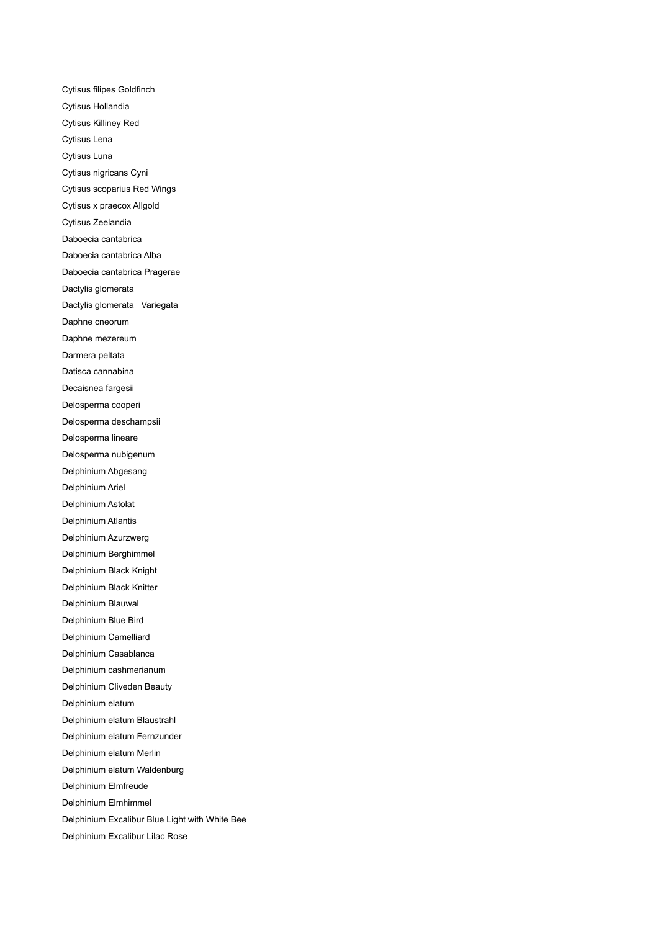Cytisus filipes Goldfinch Cytisus Hollandia Cytisus Killiney Red Cytisus Lena Cytisus Luna Cytisus nigricans Cyni Cytisus scoparius Red Wings Cytisus x praecox Allgold Cytisus Zeelandia Daboecia cantabrica Daboecia cantabrica Alba Daboecia cantabrica Pragerae Dactylis glomerata Dactylis glomerata Variegata Daphne cneorum Daphne mezereum Darmera peltata Datisca cannabina Decaisnea fargesii Delosperma cooperi Delosperma deschampsii Delosperma lineare Delosperma nubigenum Delphinium Abgesang Delphinium Ariel Delphinium Astolat Delphinium Atlantis Delphinium Azurzwerg Delphinium Berghimmel Delphinium Black Knight Delphinium Black Knitter Delphinium Blauwal Delphinium Blue Bird Delphinium Camelliard Delphinium Casablanca Delphinium cashmerianum Delphinium Cliveden Beauty Delphinium elatum Delphinium elatum Blaustrahl Delphinium elatum Fernzunder Delphinium elatum Merlin Delphinium elatum Waldenburg Delphinium Elmfreude Delphinium Elmhimmel Delphinium Excalibur Blue Light with White Bee Delphinium Excalibur Lilac Rose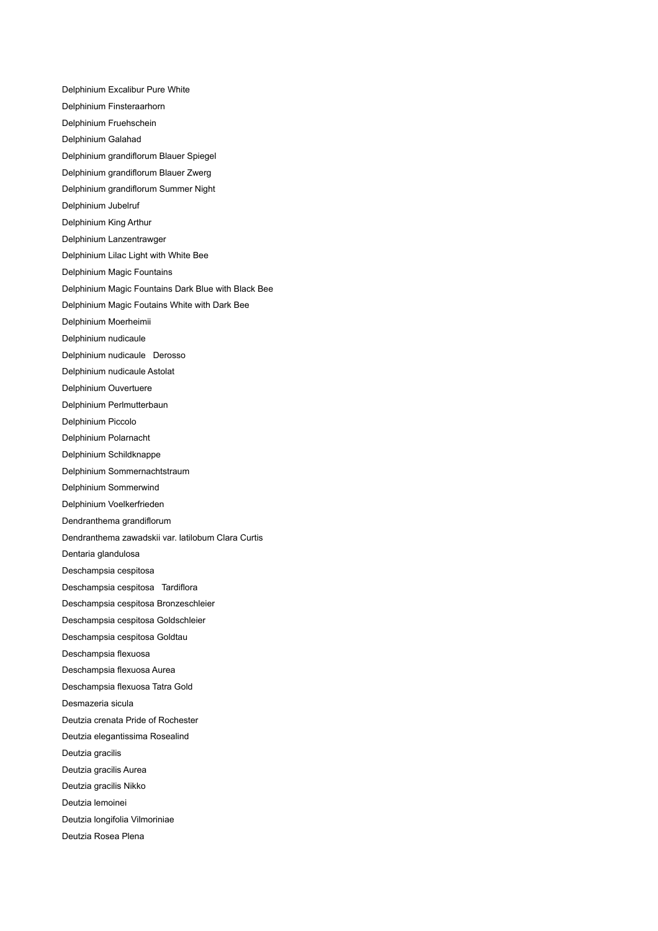Delphinium Excalibur Pure White Delphinium Finsteraarhorn Delphinium Fruehschein Delphinium Galahad Delphinium grandiflorum Blauer Spiegel Delphinium grandiflorum Blauer Zwerg Delphinium grandiflorum Summer Night Delphinium Jubelruf Delphinium King Arthur Delphinium Lanzentrawger Delphinium Lilac Light with White Bee Delphinium Magic Fountains Delphinium Magic Fountains Dark Blue with Black Bee Delphinium Magic Foutains White with Dark Bee Delphinium Moerheimii Delphinium nudicaule Delphinium nudicaule Derosso Delphinium nudicaule Astolat Delphinium Ouvertuere Delphinium Perlmutterbaun Delphinium Piccolo Delphinium Polarnacht Delphinium Schildknappe Delphinium Sommernachtstraum Delphinium Sommerwind Delphinium Voelkerfrieden Dendranthema grandiflorum Dendranthema zawadskii var. latilobum Clara Curtis Dentaria glandulosa Deschampsia cespitosa Deschampsia cespitosa Tardiflora Deschampsia cespitosa Bronzeschleier Deschampsia cespitosa Goldschleier Deschampsia cespitosa Goldtau Deschampsia flexuosa Deschampsia flexuosa Aurea Deschampsia flexuosa Tatra Gold Desmazeria sicula Deutzia crenata Pride of Rochester Deutzia elegantissima Rosealind Deutzia gracilis Deutzia gracilis Aurea Deutzia gracilis Nikko Deutzia lemoinei Deutzia longifolia Vilmoriniae Deutzia Rosea Plena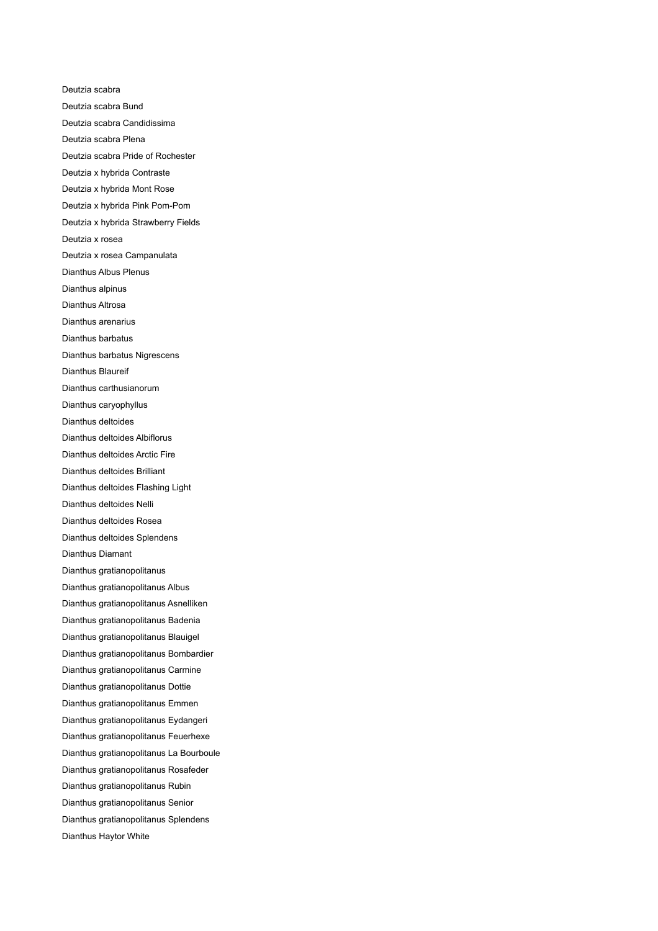Deutzia scabra Deutzia scabra Bund Deutzia scabra Candidissima Deutzia scabra Plena Deutzia scabra Pride of Rochester Deutzia x hybrida Contraste Deutzia x hybrida Mont Rose Deutzia x hybrida Pink Pom-Pom Deutzia x hybrida Strawberry Fields Deutzia x rosea Deutzia x rosea Campanulata Dianthus Albus Plenus Dianthus alpinus Dianthus Altrosa Dianthus arenarius Dianthus barbatus Dianthus barbatus Nigrescens Dianthus Blaureif Dianthus carthusianorum Dianthus caryophyllus Dianthus deltoides Dianthus deltoides Albiflorus Dianthus deltoides Arctic Fire Dianthus deltoides Brilliant Dianthus deltoides Flashing Light Dianthus deltoides Nelli Dianthus deltoides Rosea Dianthus deltoides Splendens Dianthus Diamant Dianthus gratianopolitanus Dianthus gratianopolitanus Albus Dianthus gratianopolitanus Asnelliken Dianthus gratianopolitanus Badenia Dianthus gratianopolitanus Blauigel Dianthus gratianopolitanus Bombardier Dianthus gratianopolitanus Carmine Dianthus gratianopolitanus Dottie Dianthus gratianopolitanus Emmen Dianthus gratianopolitanus Eydangeri Dianthus gratianopolitanus Feuerhexe Dianthus gratianopolitanus La Bourboule Dianthus gratianopolitanus Rosafeder Dianthus gratianopolitanus Rubin Dianthus gratianopolitanus Senior Dianthus gratianopolitanus Splendens Dianthus Haytor White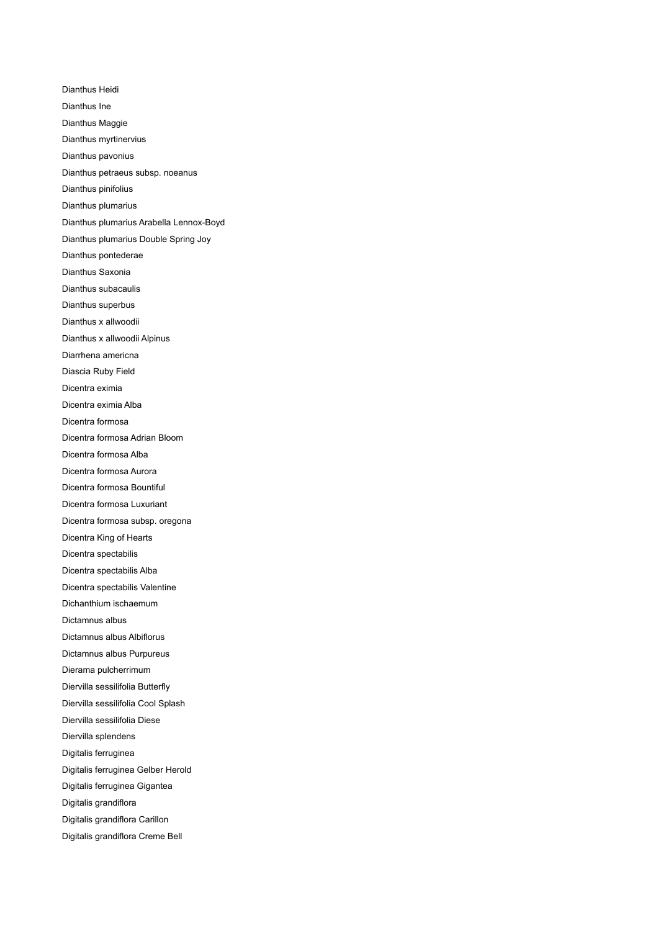Dianthus Heidi Dianthus Ine Dianthus Maggie Dianthus myrtinervius Dianthus pavonius Dianthus petraeus subsp. noeanus Dianthus pinifolius Dianthus plumarius Dianthus plumarius Arabella Lennox-Boyd Dianthus plumarius Double Spring Joy Dianthus pontederae Dianthus Saxonia Dianthus subacaulis Dianthus superbus Dianthus x allwoodii Dianthus x allwoodii Alpinus Diarrhena americna Diascia Ruby Field Dicentra eximia Dicentra eximia Alba Dicentra formosa Dicentra formosa Adrian Bloom Dicentra formosa Alba Dicentra formosa Aurora Dicentra formosa Bountiful Dicentra formosa Luxuriant Dicentra formosa subsp. oregona Dicentra King of Hearts Dicentra spectabilis Dicentra spectabilis Alba Dicentra spectabilis Valentine Dichanthium ischaemum Dictamnus albus Dictamnus albus Albiflorus Dictamnus albus Purpureus Dierama pulcherrimum Diervilla sessilifolia Butterfly Diervilla sessilifolia Cool Splash Diervilla sessilifolia Diese Diervilla splendens Digitalis ferruginea Digitalis ferruginea Gelber Herold Digitalis ferruginea Gigantea Digitalis grandiflora Digitalis grandiflora Carillon Digitalis grandiflora Creme Bell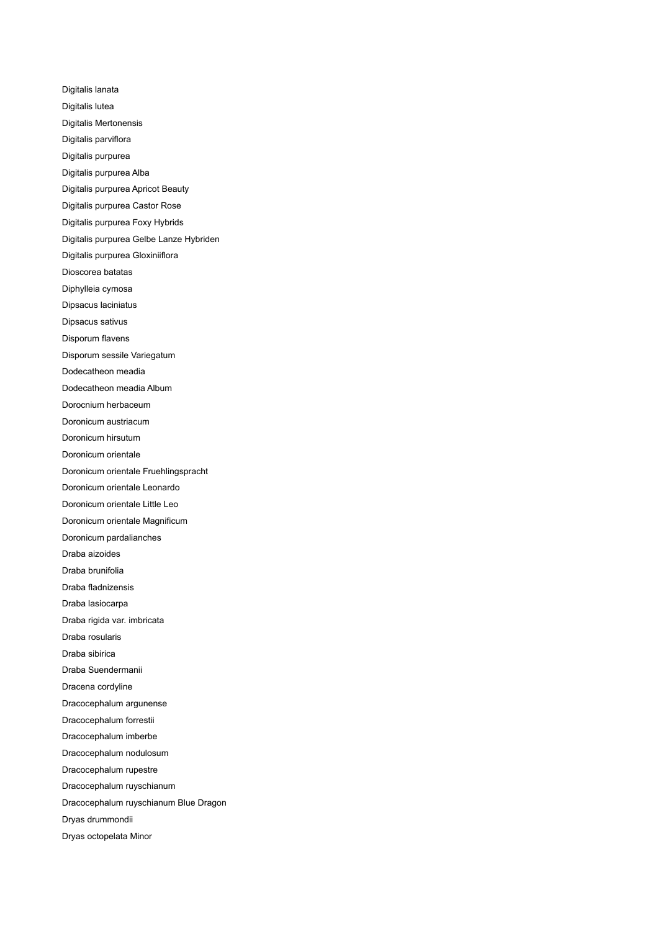Digitalis lanata Digitalis lutea Digitalis Mertonensis Digitalis parviflora Digitalis purpurea Digitalis purpurea Alba Digitalis purpurea Apricot Beauty Digitalis purpurea Castor Rose Digitalis purpurea Foxy Hybrids Digitalis purpurea Gelbe Lanze Hybriden Digitalis purpurea Gloxiniiflora Dioscorea batatas Diphylleia cymosa Dipsacus laciniatus Dipsacus sativus Disporum flavens Disporum sessile Variegatum Dodecatheon meadia Dodecatheon meadia Album Dorocnium herbaceum Doronicum austriacum Doronicum hirsutum Doronicum orientale Doronicum orientale Fruehlingspracht Doronicum orientale Leonardo Doronicum orientale Little Leo Doronicum orientale Magnificum Doronicum pardalianches Draba aizoides Draba brunifolia Draba fladnizensis Draba lasiocarpa Draba rigida var. imbricata Draba rosularis Draba sibirica Draba Suendermanii Dracena cordyline Dracocephalum argunense Dracocephalum forrestii Dracocephalum imberbe Dracocephalum nodulosum Dracocephalum rupestre Dracocephalum ruyschianum Dracocephalum ruyschianum Blue Dragon Dryas drummondii Dryas octopelata Minor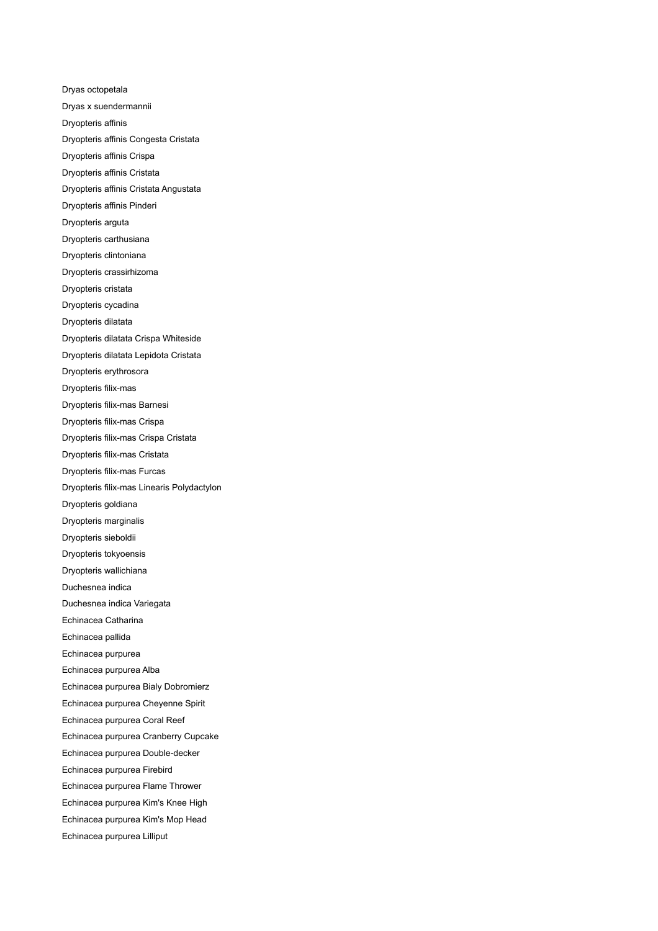Dryas octopetala Dryas x suendermannii Dryopteris affinis Dryopteris affinis Congesta Cristata Dryopteris affinis Crispa Dryopteris affinis Cristata Dryopteris affinis Cristata Angustata Dryopteris affinis Pinderi Dryopteris arguta Dryopteris carthusiana Dryopteris clintoniana Dryopteris crassirhizoma Dryopteris cristata Dryopteris cycadina Dryopteris dilatata Dryopteris dilatata Crispa Whiteside Dryopteris dilatata Lepidota Cristata Dryopteris erythrosora Dryopteris filix-mas Dryopteris filix-mas Barnesi Dryopteris filix-mas Crispa Dryopteris filix-mas Crispa Cristata Dryopteris filix-mas Cristata Dryopteris filix-mas Furcas Dryopteris filix-mas Linearis Polydactylon Dryopteris goldiana Dryopteris marginalis Dryopteris sieboldii Dryopteris tokyoensis Dryopteris wallichiana Duchesnea indica Duchesnea indica Variegata Echinacea Catharina Echinacea pallida Echinacea purpurea Echinacea purpurea Alba Echinacea purpurea Bialy Dobromierz Echinacea purpurea Cheyenne Spirit Echinacea purpurea Coral Reef Echinacea purpurea Cranberry Cupcake Echinacea purpurea Double-decker Echinacea purpurea Firebird Echinacea purpurea Flame Thrower Echinacea purpurea Kim's Knee High Echinacea purpurea Kim's Mop Head Echinacea purpurea Lilliput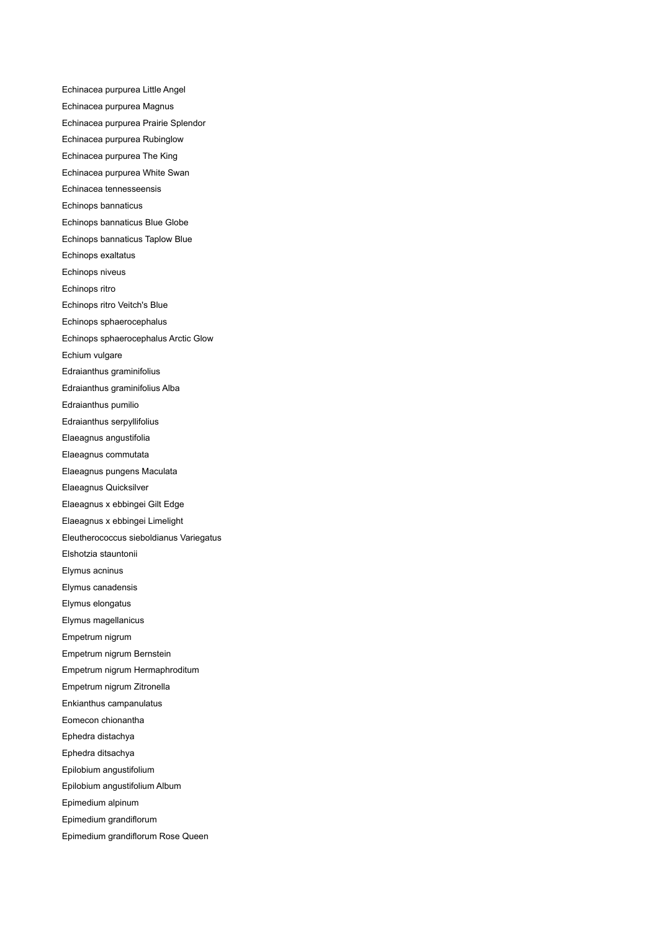Echinacea purpurea Little Angel Echinacea purpurea Magnus Echinacea purpurea Prairie Splendor Echinacea purpurea Rubinglow Echinacea purpurea The King Echinacea purpurea White Swan Echinacea tennesseensis Echinops bannaticus Echinops bannaticus Blue Globe Echinops bannaticus Taplow Blue Echinops exaltatus Echinops niveus Echinops ritro Echinops ritro Veitch's Blue Echinops sphaerocephalus Echinops sphaerocephalus Arctic Glow Echium vulgare Edraianthus graminifolius Edraianthus graminifolius Alba Edraianthus pumilio Edraianthus serpyllifolius Elaeagnus angustifolia Elaeagnus commutata Elaeagnus pungens Maculata Elaeagnus Quicksilver Elaeagnus x ebbingei Gilt Edge Elaeagnus x ebbingei Limelight Eleutherococcus sieboldianus Variegatus Elshotzia stauntonii Elymus acninus Elymus canadensis Elymus elongatus Elymus magellanicus Empetrum nigrum Empetrum nigrum Bernstein Empetrum nigrum Hermaphroditum Empetrum nigrum Zitronella Enkianthus campanulatus Eomecon chionantha Ephedra distachya Ephedra ditsachya Epilobium angustifolium Epilobium angustifolium Album Epimedium alpinum Epimedium grandiflorum Epimedium grandiflorum Rose Queen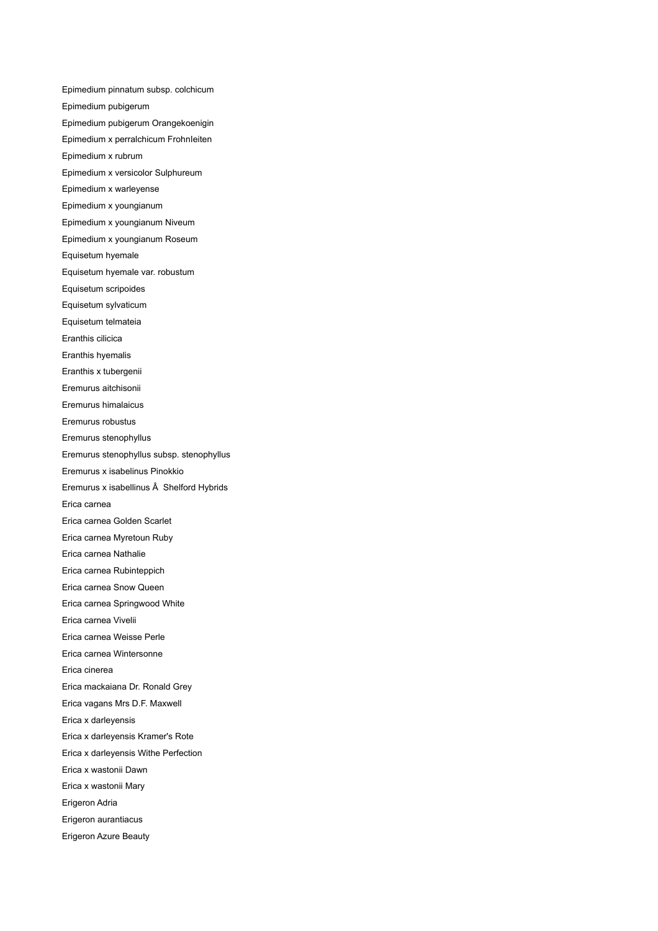Epimedium pinnatum subsp. colchicum Epimedium pubigerum Epimedium pubigerum Orangekoenigin Epimedium x perralchicum FrohnIeiten Epimedium x rubrum Epimedium x versicolor Sulphureum Epimedium x warleyense Epimedium x youngianum Epimedium x youngianum Niveum Epimedium x youngianum Roseum Equisetum hyemale Equisetum hyemale var. robustum Equisetum scripoides Equisetum sylvaticum Equisetum telmateia Eranthis cilicica Eranthis hyemalis Eranthis x tubergenii Eremurus aitchisonii Eremurus himalaicus Eremurus robustus Eremurus stenophyllus Eremurus stenophyllus subsp. stenophyllus Eremurus x isabelinus Pinokkio Eremurus x isabellinus Shelford Hybrids Erica carnea Erica carnea Golden Scarlet Erica carnea Myretoun Ruby Erica carnea Nathalie Erica carnea Rubinteppich Erica carnea Snow Queen Erica carnea Springwood White Erica carnea Vivelii Erica carnea Weisse Perle Erica carnea Wintersonne Erica cinerea Erica mackaiana Dr. Ronald Grey Erica vagans Mrs D.F. Maxwell Erica x darleyensis Erica x darleyensis Kramer's Rote Erica x darleyensis Withe Perfection Erica x wastonii Dawn Erica x wastonii Mary Erigeron Adria Erigeron aurantiacus Erigeron Azure Beauty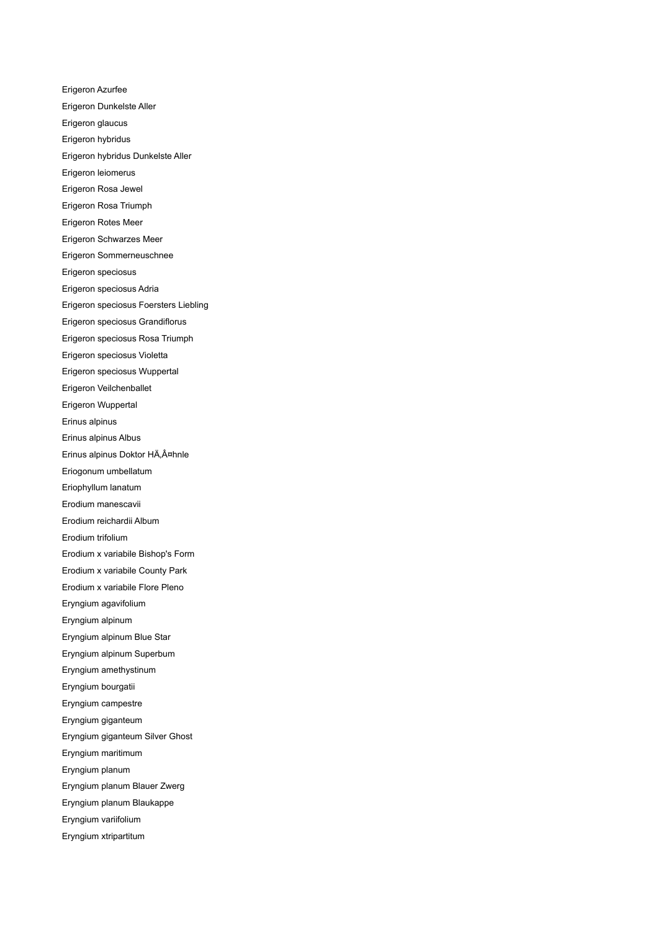Erigeron Azurfee Erigeron Dunkelste Aller Erigeron glaucus Erigeron hybridus Erigeron hybridus Dunkelste Aller Erigeron leiomerus Erigeron Rosa Jewel Erigeron Rosa Triumph Erigeron Rotes Meer Erigeron Schwarzes Meer Erigeron Sommerneuschnee Erigeron speciosus Erigeron speciosus Adria Erigeron speciosus Foersters Liebling Erigeron speciosus Grandiflorus Erigeron speciosus Rosa Triumph Erigeron speciosus Violetta Erigeron speciosus Wuppertal Erigeron Veilchenballet Erigeron Wuppertal Erinus alpinus Erinus alpinus Albus Erinus alpinus Doktor HÄ, ¤hnle Eriogonum umbellatum Eriophyllum lanatum Erodium manescavii Erodium reichardii Album Erodium trifolium Erodium x variabile Bishop's Form Erodium x variabile County Park Erodium x variabile Flore Pleno Eryngium agavifolium Eryngium alpinum Eryngium alpinum Blue Star Eryngium alpinum Superbum Eryngium amethystinum Eryngium bourgatii Eryngium campestre Eryngium giganteum Eryngium giganteum Silver Ghost Eryngium maritimum Eryngium planum Eryngium planum Blauer Zwerg Eryngium planum Blaukappe Eryngium variifolium Eryngium xtripartitum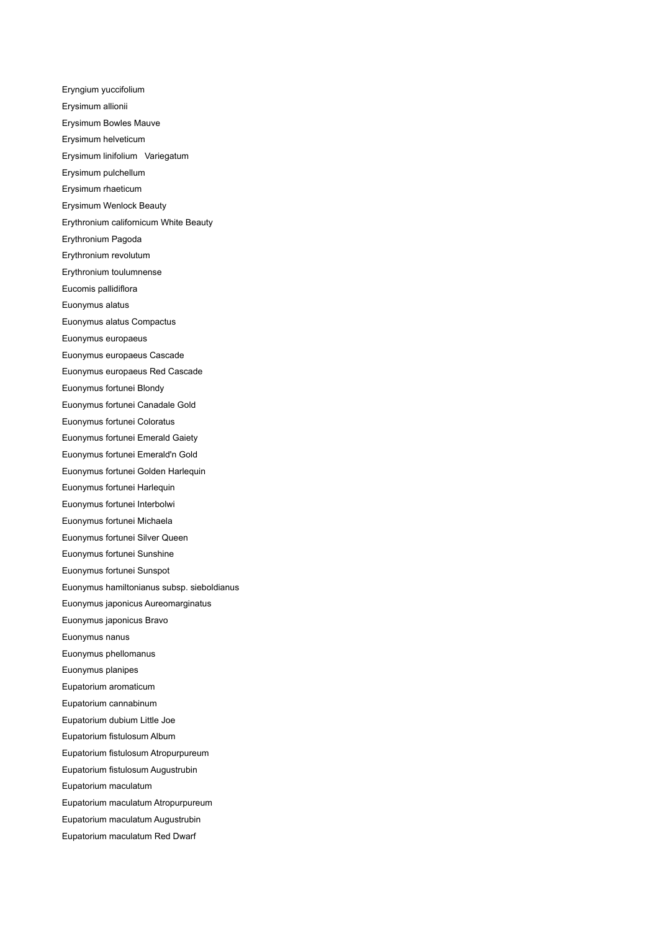Eryngium yuccifolium Erysimum allionii Erysimum Bowles Mauve Erysimum helveticum Erysimum linifolium Variegatum Erysimum pulchellum Erysimum rhaeticum Erysimum Wenlock Beauty Erythronium californicum White Beauty Erythronium Pagoda Erythronium revolutum Erythronium toulumnense Eucomis pallidiflora Euonymus alatus Euonymus alatus Compactus Euonymus europaeus Euonymus europaeus Cascade Euonymus europaeus Red Cascade Euonymus fortunei Blondy Euonymus fortunei Canadale Gold Euonymus fortunei Coloratus Euonymus fortunei Emerald Gaiety Euonymus fortunei Emerald'n Gold Euonymus fortunei Golden Harlequin Euonymus fortunei Harlequin Euonymus fortunei Interbolwi Euonymus fortunei Michaela Euonymus fortunei Silver Queen Euonymus fortunei Sunshine Euonymus fortunei Sunspot Euonymus hamiltonianus subsp. sieboldianus Euonymus japonicus Aureomarginatus Euonymus japonicus Bravo Euonymus nanus Euonymus phellomanus Euonymus planipes Eupatorium aromaticum Eupatorium cannabinum Eupatorium dubium Little Joe Eupatorium fistulosum Album Eupatorium fistulosum Atropurpureum Eupatorium fistulosum Augustrubin Eupatorium maculatum Eupatorium maculatum Atropurpureum Eupatorium maculatum Augustrubin Eupatorium maculatum Red Dwarf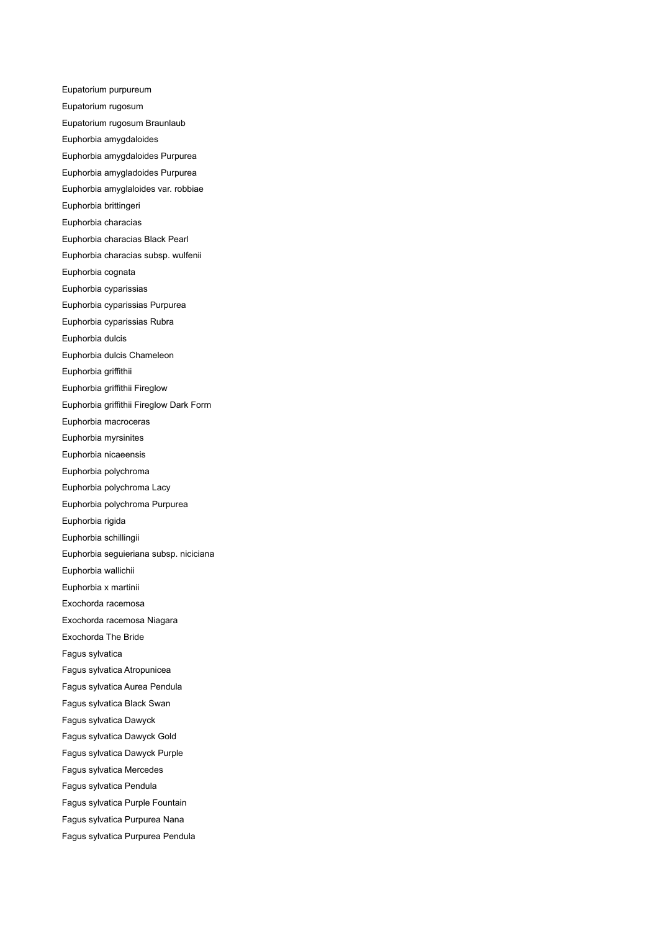Eupatorium purpureum Eupatorium rugosum Eupatorium rugosum Braunlaub Euphorbia amygdaloides Euphorbia amygdaloides Purpurea Euphorbia amygladoides Purpurea Euphorbia amyglaloides var. robbiae Euphorbia brittingeri Euphorbia characias Euphorbia characias Black Pearl Euphorbia characias subsp. wulfenii Euphorbia cognata Euphorbia cyparissias Euphorbia cyparissias Purpurea Euphorbia cyparissias Rubra Euphorbia dulcis Euphorbia dulcis Chameleon Euphorbia griffithii Euphorbia griffithii Fireglow Euphorbia griffithii Fireglow Dark Form Euphorbia macroceras Euphorbia myrsinites Euphorbia nicaeensis Euphorbia polychroma Euphorbia polychroma Lacy Euphorbia polychroma Purpurea Euphorbia rigida Euphorbia schillingii Euphorbia seguieriana subsp. niciciana Euphorbia wallichii Euphorbia x martinii Exochorda racemosa Exochorda racemosa Niagara Exochorda The Bride Fagus sylvatica Fagus sylvatica Atropunicea Fagus sylvatica Aurea Pendula Fagus sylvatica Black Swan Fagus sylvatica Dawyck Fagus sylvatica Dawyck Gold Fagus sylvatica Dawyck Purple Fagus sylvatica Mercedes Fagus sylvatica Pendula Fagus sylvatica Purple Fountain Fagus sylvatica Purpurea Nana Fagus sylvatica Purpurea Pendula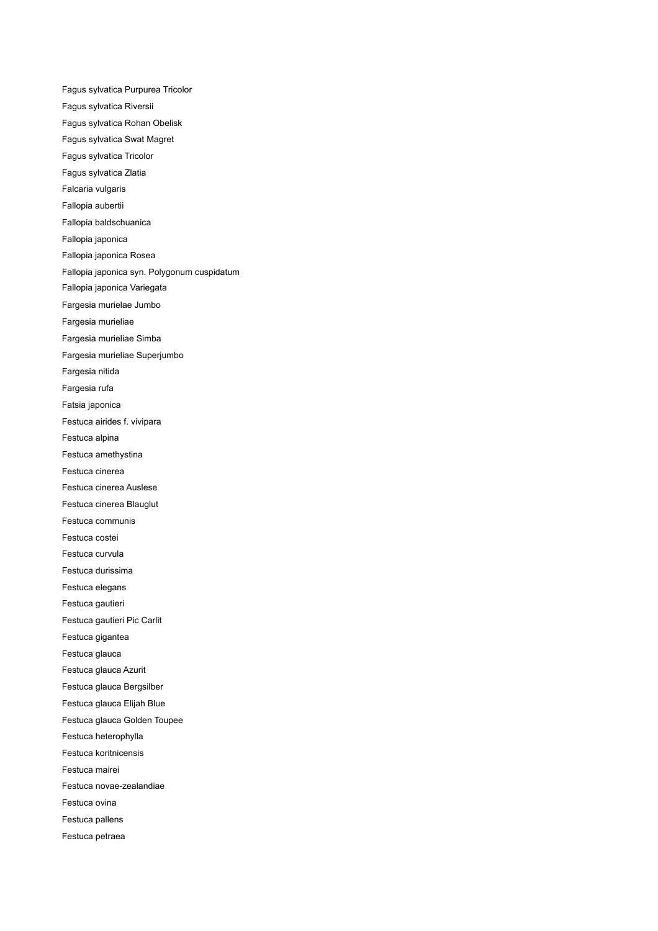Fagus sylvatica Purpurea Tricolor Fagus sylvatica Riversii Fagus sylvatica Rohan Obelisk Fagus sylvatica Swat Magret Fagus sylvatica Tricolor Fagus sylvatica Zlatia Falcaria vulgaris Fallopia aubertii Fallopia baldschuanica Fallopia japonica Fallopia japonica Rosea Fallopia japonica syn. Polygonum cuspidatum Fallopia japonica Variegata Fargesia murielae Jumbo Fargesia murieliae Fargesia murieliae Simba Fargesia murieliae Superjumbo Fargesia nitida Fargesia rufa Fatsia japonica Festuca airides f. vivipara Festuca alpina Festuca amethystina Festuca cinerea Festuca cinerea Auslese Festuca cinerea Blauglut Festuca communis Festuca costei Festuca curvula Festuca durissima Festuca elegans Festuca gautieri Festuca gautieri Pic Carlit Festuca gigantea Festuca glauca Festuca glauca Azurit Festuca glauca Bergsilber Festuca glauca Elijah Blue Festuca glauca Golden Toupee Festuca heterophylla Festuca koritnicensis Festuca mairei Festuca novae-zealandiae Festuca ovina Festuca pallens Festuca petraea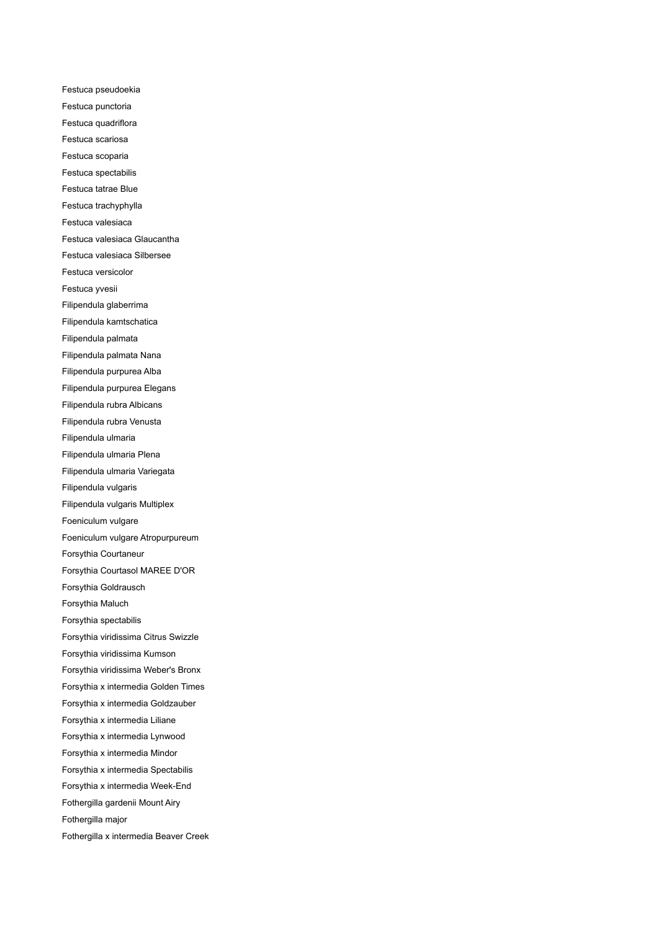Festuca pseudoekia Festuca punctoria Festuca quadriflora Festuca scariosa Festuca scoparia Festuca spectabilis Festuca tatrae Blue Festuca trachyphylla Festuca valesiaca Festuca valesiaca Glaucantha Festuca valesiaca Silbersee Festuca versicolor Festuca yvesii Filipendula glaberrima Filipendula kamtschatica Filipendula palmata Filipendula palmata Nana Filipendula purpurea Alba Filipendula purpurea Elegans Filipendula rubra Albicans Filipendula rubra Venusta Filipendula ulmaria Filipendula ulmaria Plena Filipendula ulmaria Variegata Filipendula vulgaris Filipendula vulgaris Multiplex Foeniculum vulgare Foeniculum vulgare Atropurpureum Forsythia Courtaneur Forsythia Courtasol MAREE D'OR Forsythia Goldrausch Forsythia Maluch Forsythia spectabilis Forsythia viridissima Citrus Swizzle Forsythia viridissima Kumson Forsythia viridissima Weber's Bronx Forsythia x intermedia Golden Times Forsythia x intermedia Goldzauber Forsythia x intermedia Liliane Forsythia x intermedia Lynwood Forsythia x intermedia Mindor Forsythia x intermedia Spectabilis Forsythia x intermedia Week-End Fothergilla gardenii Mount Airy Fothergilla major Fothergilla x intermedia Beaver Creek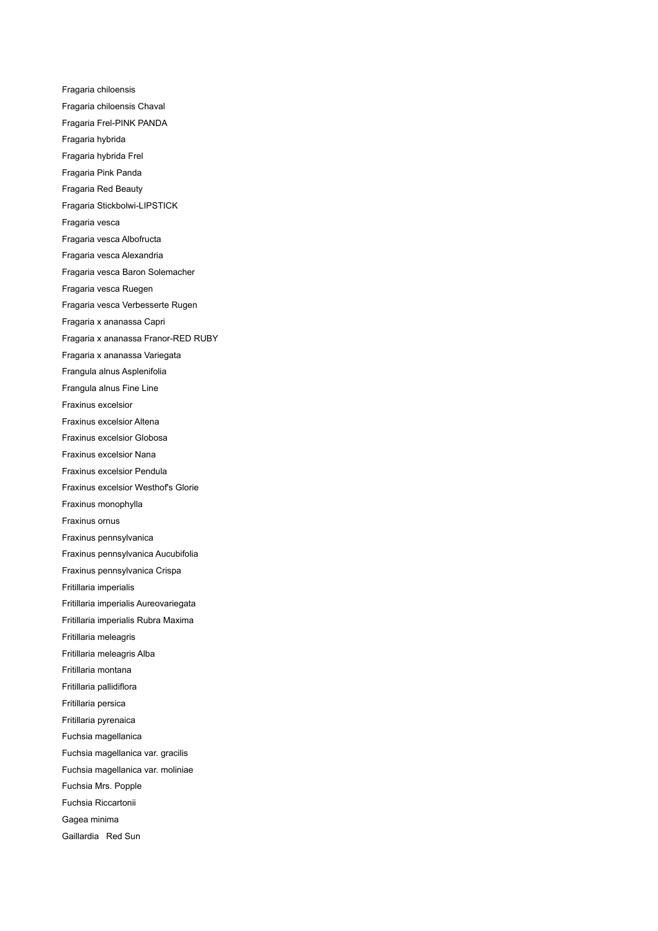Fragaria chiloensis Fragaria chiloensis Chaval Fragaria Frel-PINK PANDA Fragaria hybrida Fragaria hybrida Frel Fragaria Pink Panda Fragaria Red Beauty Fragaria Stickbolwi-LIPSTICK Fragaria vesca Fragaria vesca Albofructa Fragaria vesca Alexandria Fragaria vesca Baron Solemacher Fragaria vesca Ruegen Fragaria vesca Verbesserte Rugen Fragaria x ananassa Capri Fragaria x ananassa Franor-RED RUBY Fragaria x ananassa Variegata Frangula alnus Asplenifolia Frangula alnus Fine Line Fraxinus excelsior Fraxinus excelsior Altena Fraxinus excelsior Globosa Fraxinus excelsior Nana Fraxinus excelsior Pendula Fraxinus excelsior Westhof's Glorie Fraxinus monophylla Fraxinus ornus Fraxinus pennsylvanica Fraxinus pennsylvanica Aucubifolia Fraxinus pennsylvanica Crispa Fritillaria imperialis Fritillaria imperialis Aureovariegata Fritillaria imperialis Rubra Maxima Fritillaria meleagris Fritillaria meleagris Alba Fritillaria montana Fritillaria pallidiflora Fritillaria persica Fritillaria pyrenaica Fuchsia magellanica Fuchsia magellanica var. gracilis Fuchsia magellanica var. moliniae Fuchsia Mrs. Popple Fuchsia Riccartonii Gagea minima Gaillardia Red Sun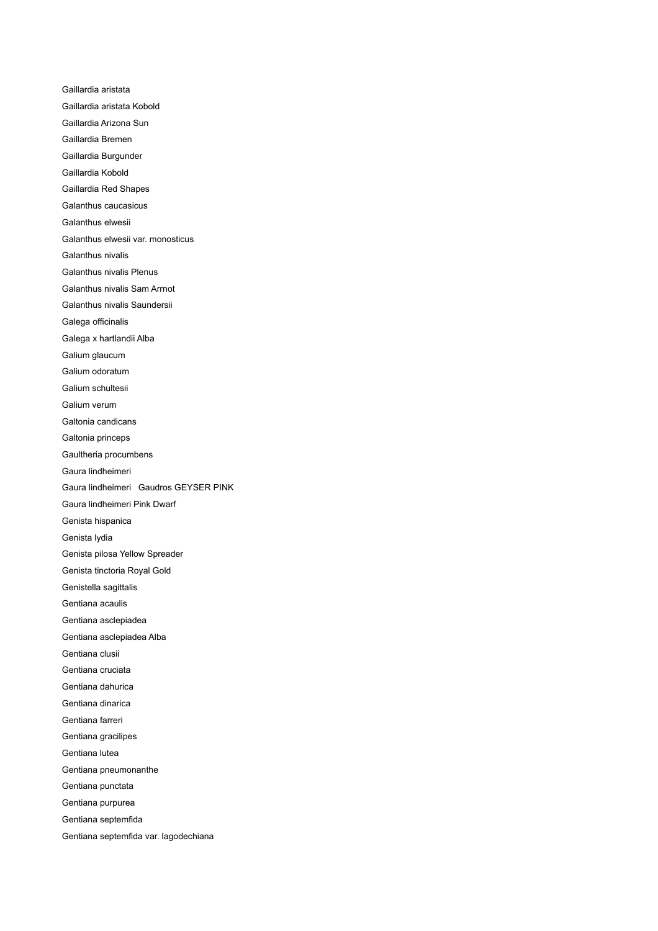Gaillardia aristata Gaillardia aristata Kobold Gaillardia Arizona Sun Gaillardia Bremen Gaillardia Burgunder Gaillardia Kobold Gaillardia Red Shapes Galanthus caucasicus Galanthus elwesii Galanthus elwesii var. monosticus Galanthus nivalis Galanthus nivalis Plenus Galanthus nivalis Sam Arrnot Galanthus nivalis Saundersii Galega officinalis Galega x hartlandii Alba Galium glaucum Galium odoratum Galium schultesii Galium verum Galtonia candicans Galtonia princeps Gaultheria procumbens Gaura lindheimeri Gaura lindheimeri Gaudros GEYSER PINK Gaura lindheimeri Pink Dwarf Genista hispanica Genista lydia Genista pilosa Yellow Spreader Genista tinctoria Royal Gold Genistella sagittalis Gentiana acaulis Gentiana asclepiadea Gentiana asclepiadea Alba Gentiana clusii Gentiana cruciata Gentiana dahurica Gentiana dinarica Gentiana farreri Gentiana gracilipes Gentiana lutea Gentiana pneumonanthe Gentiana punctata Gentiana purpurea Gentiana septemfida Gentiana septemfida var. lagodechiana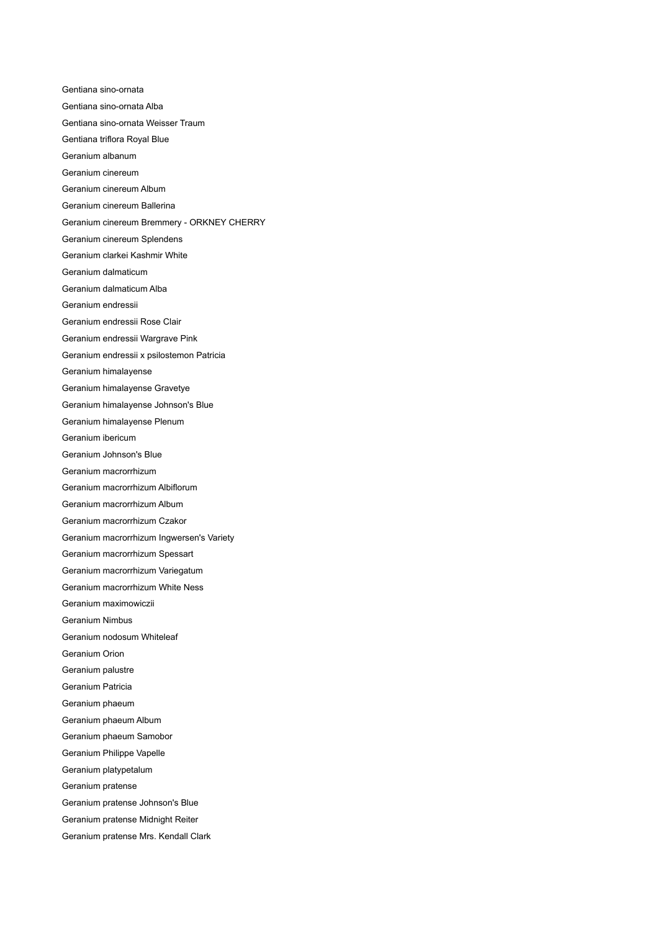Gentiana sino-ornata Gentiana sino-ornata Alba Gentiana sino-ornata Weisser Traum Gentiana triflora Royal Blue Geranium albanum Geranium cinereum Geranium cinereum Album Geranium cinereum Ballerina Geranium cinereum Bremmery - ORKNEY CHERRY Geranium cinereum Splendens Geranium clarkei Kashmir White Geranium dalmaticum Geranium dalmaticum Alba Geranium endressii Geranium endressii Rose Clair Geranium endressii Wargrave Pink Geranium endressii x psilostemon Patricia Geranium himalayense Geranium himalayense Gravetye Geranium himalayense Johnson's Blue Geranium himalayense Plenum Geranium ibericum Geranium Johnson's Blue Geranium macrorrhizum Geranium macrorrhizum Albiflorum Geranium macrorrhizum Album Geranium macrorrhizum Czakor Geranium macrorrhizum Ingwersen's Variety Geranium macrorrhizum Spessart Geranium macrorrhizum Variegatum Geranium macrorrhizum White Ness Geranium maximowiczii Geranium Nimbus Geranium nodosum Whiteleaf Geranium Orion Geranium palustre Geranium Patricia Geranium phaeum Geranium phaeum Album Geranium phaeum Samobor Geranium Philippe Vapelle Geranium platypetalum Geranium pratense Geranium pratense Johnson's Blue Geranium pratense Midnight Reiter Geranium pratense Mrs. Kendall Clark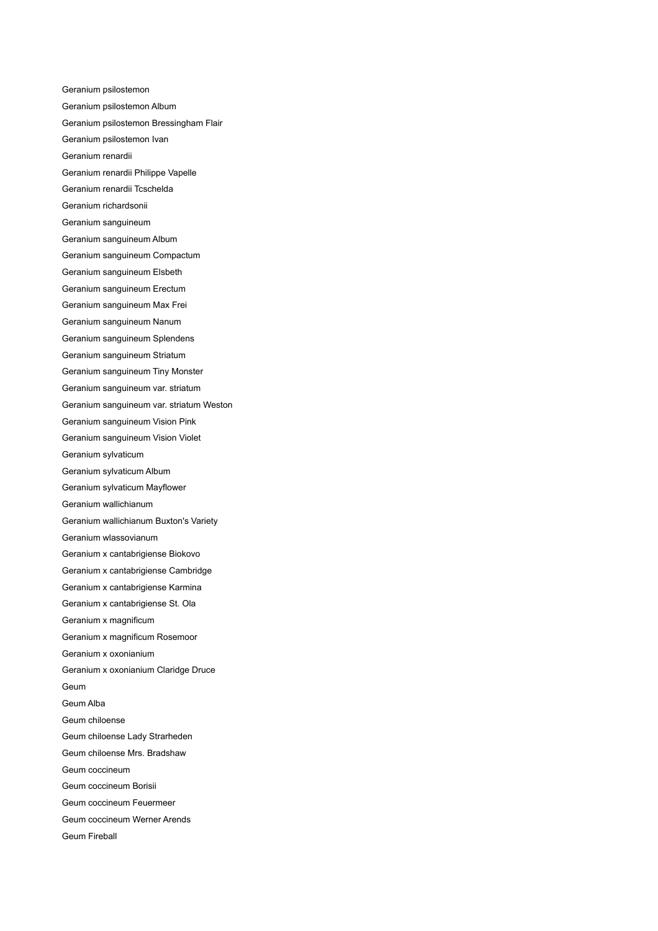Geranium psilostemon Geranium psilostemon Album Geranium psilostemon Bressingham Flair Geranium psilostemon Ivan Geranium renardii Geranium renardii Philippe Vapelle Geranium renardii Tcschelda Geranium richardsonii Geranium sanguineum Geranium sanguineum Album Geranium sanguineum Compactum Geranium sanguineum Elsbeth Geranium sanguineum Erectum Geranium sanguineum Max Frei Geranium sanguineum Nanum Geranium sanguineum Splendens Geranium sanguineum Striatum Geranium sanguineum Tiny Monster Geranium sanguineum var. striatum Geranium sanguineum var. striatum Weston Geranium sanguineum Vision Pink Geranium sanguineum Vision Violet Geranium sylvaticum Geranium sylvaticum Album Geranium sylvaticum Mayflower Geranium wallichianum Geranium wallichianum Buxton's Variety Geranium wlassovianum Geranium x cantabrigiense Biokovo Geranium x cantabrigiense Cambridge Geranium x cantabrigiense Karmina Geranium x cantabrigiense St. Ola Geranium x magnificum Geranium x magnificum Rosemoor Geranium x oxonianium Geranium x oxonianium Claridge Druce Geum Geum Alba Geum chiloense Geum chiloense Lady Strarheden Geum chiloense Mrs. Bradshaw Geum coccineum Geum coccineum Borisii Geum coccineum Feuermeer Geum coccineum Werner Arends Geum Fireball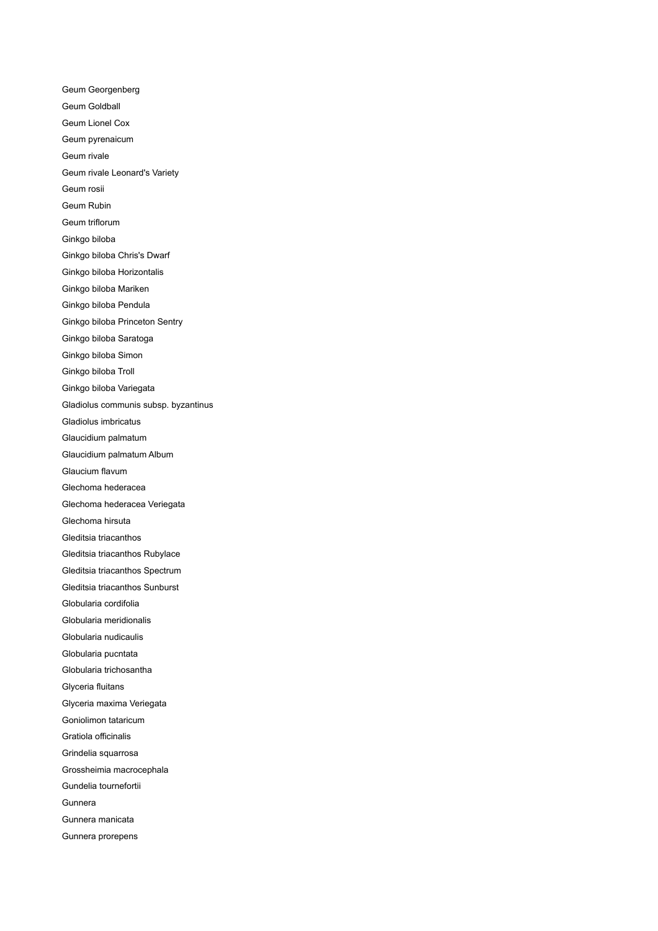Geum Georgenberg Geum Goldball Geum Lionel Cox Geum pyrenaicum Geum rivale Geum rivale Leonard's Variety Geum rosii Geum Rubin Geum triflorum Ginkgo biloba Ginkgo biloba Chris's Dwarf Ginkgo biloba Horizontalis Ginkgo biloba Mariken Ginkgo biloba Pendula Ginkgo biloba Princeton Sentry Ginkgo biloba Saratoga Ginkgo biloba Simon Ginkgo biloba Troll Ginkgo biloba Variegata Gladiolus communis subsp. byzantinus Gladiolus imbricatus Glaucidium palmatum Glaucidium palmatum Album Glaucium flavum Glechoma hederacea Glechoma hederacea Veriegata Glechoma hirsuta Gleditsia triacanthos Gleditsia triacanthos Rubylace Gleditsia triacanthos Spectrum Gleditsia triacanthos Sunburst Globularia cordifolia Globularia meridionalis Globularia nudicaulis Globularia pucntata Globularia trichosantha Glyceria fluitans Glyceria maxima Veriegata Goniolimon tataricum Gratiola officinalis Grindelia squarrosa Grossheimia macrocephala Gundelia tournefortii Gunnera Gunnera manicata Gunnera prorepens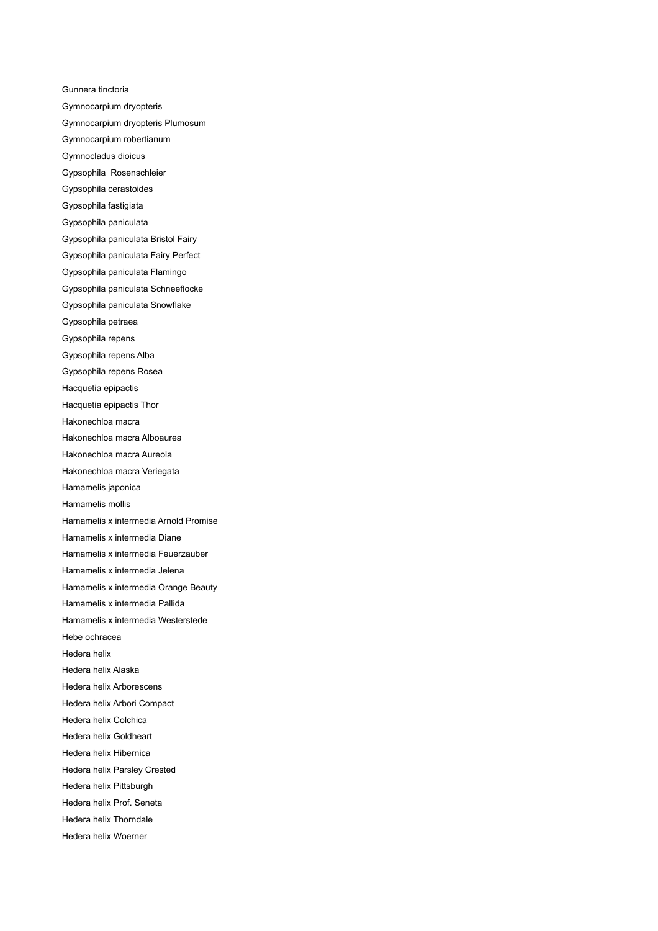Gunnera tinctoria Gymnocarpium dryopteris Gymnocarpium dryopteris Plumosum Gymnocarpium robertianum Gymnocladus dioicus Gypsophila Rosenschleier Gypsophila cerastoides Gypsophila fastigiata Gypsophila paniculata Gypsophila paniculata Bristol Fairy Gypsophila paniculata Fairy Perfect Gypsophila paniculata Flamingo Gypsophila paniculata Schneeflocke Gypsophila paniculata Snowflake Gypsophila petraea Gypsophila repens Gypsophila repens Alba Gypsophila repens Rosea Hacquetia epipactis Hacquetia epipactis Thor Hakonechloa macra Hakonechloa macra Alboaurea Hakonechloa macra Aureola Hakonechloa macra Veriegata Hamamelis japonica Hamamelis mollis Hamamelis x intermedia Arnold Promise Hamamelis x intermedia Diane Hamamelis x intermedia Feuerzauber Hamamelis x intermedia Jelena Hamamelis x intermedia Orange Beauty Hamamelis x intermedia Pallida Hamamelis x intermedia Westerstede Hebe ochracea Hedera helix Hedera helix Alaska Hedera helix Arborescens Hedera helix Arbori Compact Hedera helix Colchica Hedera helix Goldheart Hedera helix Hibernica Hedera helix Parsley Crested Hedera helix Pittsburgh Hedera helix Prof. Seneta Hedera helix Thorndale Hedera helix Woerner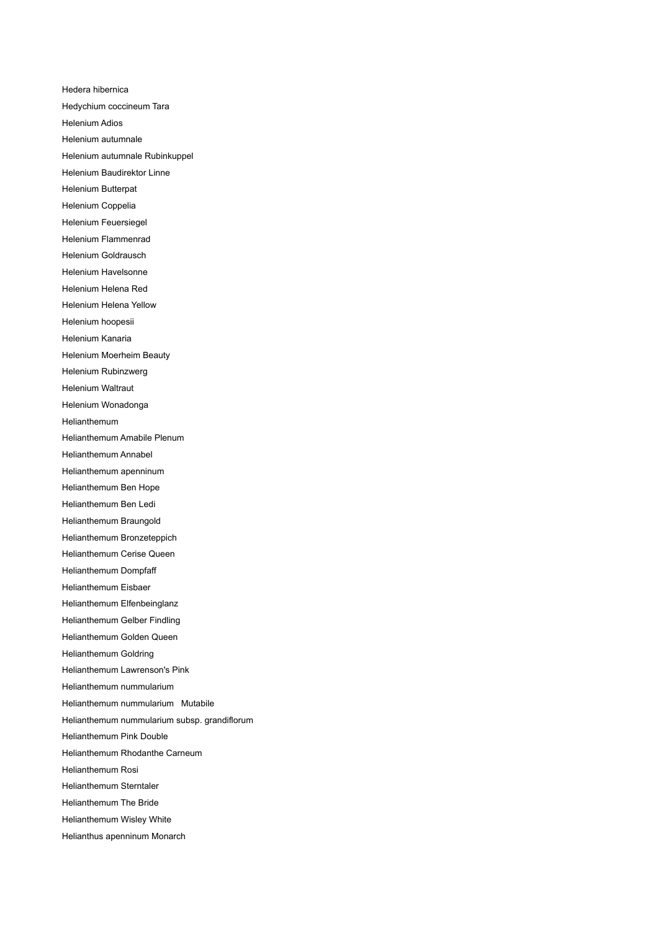Hedera hibernica Hedychium coccineum Tara Helenium Adios Helenium autumnale Helenium autumnale Rubinkuppel Helenium Baudirektor Linne Helenium Butterpat Helenium Coppelia Helenium Feuersiegel Helenium Flammenrad Helenium Goldrausch Helenium Havelsonne Helenium Helena Red Helenium Helena Yellow Helenium hoopesii Helenium Kanaria Helenium Moerheim Beauty Helenium Rubinzwerg Helenium Waltraut Helenium Wonadonga Helianthemum Helianthemum Amabile Plenum Helianthemum Annabel Helianthemum apenninum Helianthemum Ben Hope Helianthemum Ben Ledi Helianthemum Braungold Helianthemum Bronzeteppich Helianthemum Cerise Queen Helianthemum Dompfaff Helianthemum Eisbaer Helianthemum Elfenbeinglanz Helianthemum Gelber Findling Helianthemum Golden Queen Helianthemum Goldring Helianthemum Lawrenson's Pink Helianthemum nummularium Helianthemum nummularium Mutabile Helianthemum nummularium subsp. grandiflorum Helianthemum Pink Double Helianthemum Rhodanthe Carneum Helianthemum Rosi Helianthemum Sterntaler Helianthemum The Bride Helianthemum Wisley White Helianthus apenninum Monarch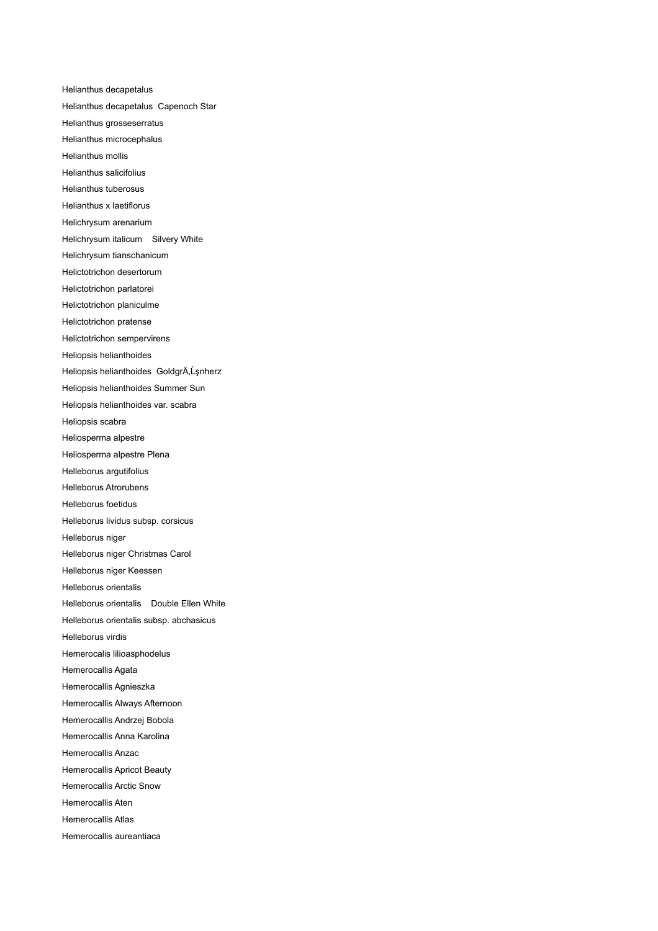Helianthus decapetalus Helianthus decapetalus Capenoch Star Helianthus grosseserratus Helianthus microcephalus Helianthus mollis Helianthus salicifolius Helianthus tuberosus Helianthus x laetiflorus Helichrysum arenarium Helichrysum italicum Silvery White Helichrysum tianschanicum Helictotrichon desertorum Helictotrichon parlatorei Helictotrichon planiculme Helictotrichon pratense Helictotrichon sempervirens Heliopsis helianthoides Heliopsis helianthoides GoldgrÄ, Lsnherz Heliopsis helianthoides Summer Sun Heliopsis helianthoides var. scabra Heliopsis scabra Heliosperma alpestre Heliosperma alpestre Plena Helleborus argutifolius Helleborus Atrorubens Helleborus foetidus Helleborus lividus subsp. corsicus Helleborus niger Helleborus niger Christmas Carol Helleborus niger Keessen Helleborus orientalis Helleborus orientalis Double Ellen White Helleborus orientalis subsp. abchasicus Helleborus virdis Hemerocalis lilioasphodelus Hemerocallis Agata Hemerocallis Agnieszka Hemerocallis Always Afternoon Hemerocallis Andrzej Bobola Hemerocallis Anna Karolina Hemerocallis Anzac Hemerocallis Apricot Beauty Hemerocallis Arctic Snow Hemerocallis Aten Hemerocallis Atlas Hemerocallis aureantiaca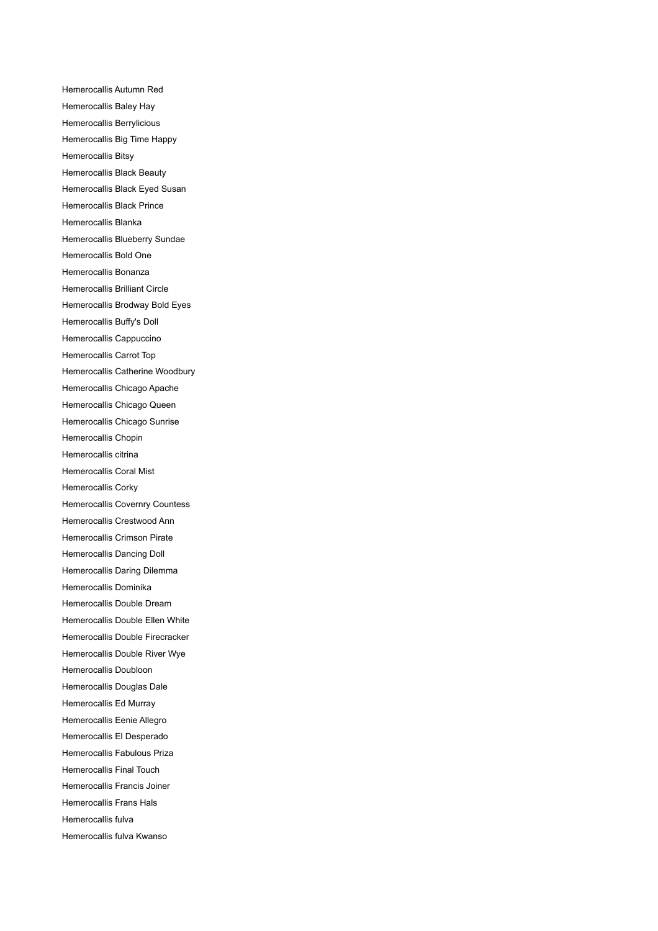Hemerocallis Autumn Red Hemerocallis Baley Hay Hemerocallis Berrylicious Hemerocallis Big Time Happy Hemerocallis Bitsy Hemerocallis Black Beauty Hemerocallis Black Eyed Susan Hemerocallis Black Prince Hemerocallis Blanka Hemerocallis Blueberry Sundae Hemerocallis Bold One Hemerocallis Bonanza Hemerocallis Brilliant Circle Hemerocallis Brodway Bold Eyes Hemerocallis Buffy's Doll Hemerocallis Cappuccino Hemerocallis Carrot Top Hemerocallis Catherine Woodbury Hemerocallis Chicago Apache Hemerocallis Chicago Queen Hemerocallis Chicago Sunrise Hemerocallis Chopin Hemerocallis citrina Hemerocallis Coral Mist Hemerocallis Corky Hemerocallis Covernry Countess Hemerocallis Crestwood Ann Hemerocallis Crimson Pirate Hemerocallis Dancing Doll Hemerocallis Daring Dilemma Hemerocallis Dominika Hemerocallis Double Dream Hemerocallis Double Ellen White Hemerocallis Double Firecracker Hemerocallis Double River Wye Hemerocallis Doubloon Hemerocallis Douglas Dale Hemerocallis Ed Murray Hemerocallis Eenie Allegro Hemerocallis El Desperado Hemerocallis Fabulous Priza Hemerocallis Final Touch Hemerocallis Francis Joiner Hemerocallis Frans Hals Hemerocallis fulva Hemerocallis fulva Kwanso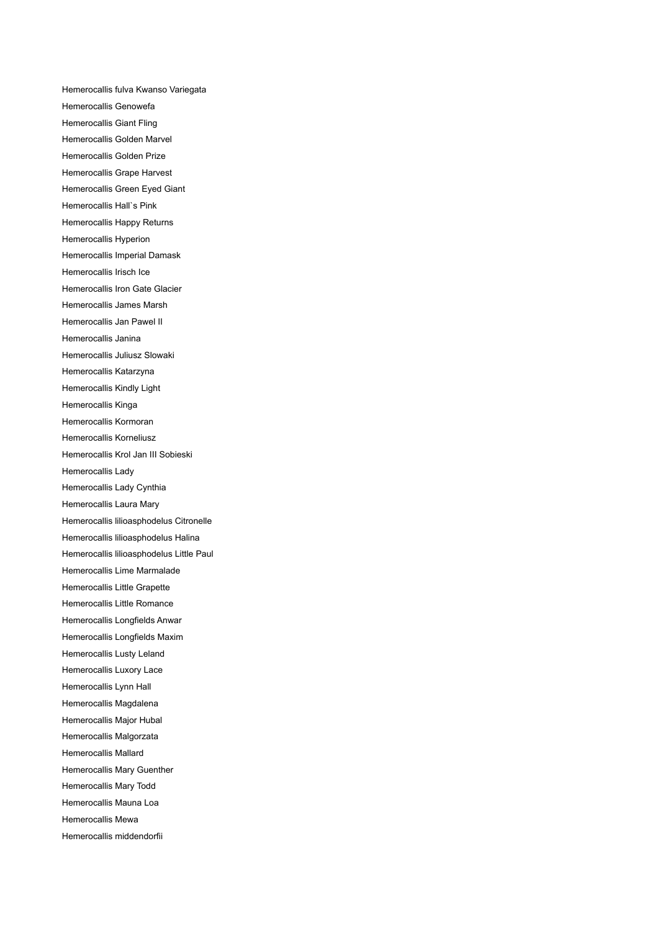Hemerocallis fulva Kwanso Variegata Hemerocallis Genowefa Hemerocallis Giant Fling Hemerocallis Golden Marvel Hemerocallis Golden Prize Hemerocallis Grape Harvest Hemerocallis Green Eyed Giant Hemerocallis Hall`s Pink Hemerocallis Happy Returns Hemerocallis Hyperion Hemerocallis Imperial Damask Hemerocallis Irisch Ice Hemerocallis Iron Gate Glacier Hemerocallis James Marsh Hemerocallis Jan Pawel II Hemerocallis Janina Hemerocallis Juliusz Slowaki Hemerocallis Katarzyna Hemerocallis Kindly Light Hemerocallis Kinga Hemerocallis Kormoran Hemerocallis Korneliusz Hemerocallis Krol Jan III Sobieski Hemerocallis Lady Hemerocallis Lady Cynthia Hemerocallis Laura Mary Hemerocallis lilioasphodelus Citronelle Hemerocallis lilioasphodelus Halina Hemerocallis lilioasphodelus Little Paul Hemerocallis Lime Marmalade Hemerocallis Little Grapette Hemerocallis Little Romance Hemerocallis Longfields Anwar Hemerocallis Longfields Maxim Hemerocallis Lusty Leland Hemerocallis Luxory Lace Hemerocallis Lynn Hall Hemerocallis Magdalena Hemerocallis Major Hubal Hemerocallis Malgorzata Hemerocallis Mallard Hemerocallis Mary Guenther Hemerocallis Mary Todd Hemerocallis Mauna Loa Hemerocallis Mewa Hemerocallis middendorfii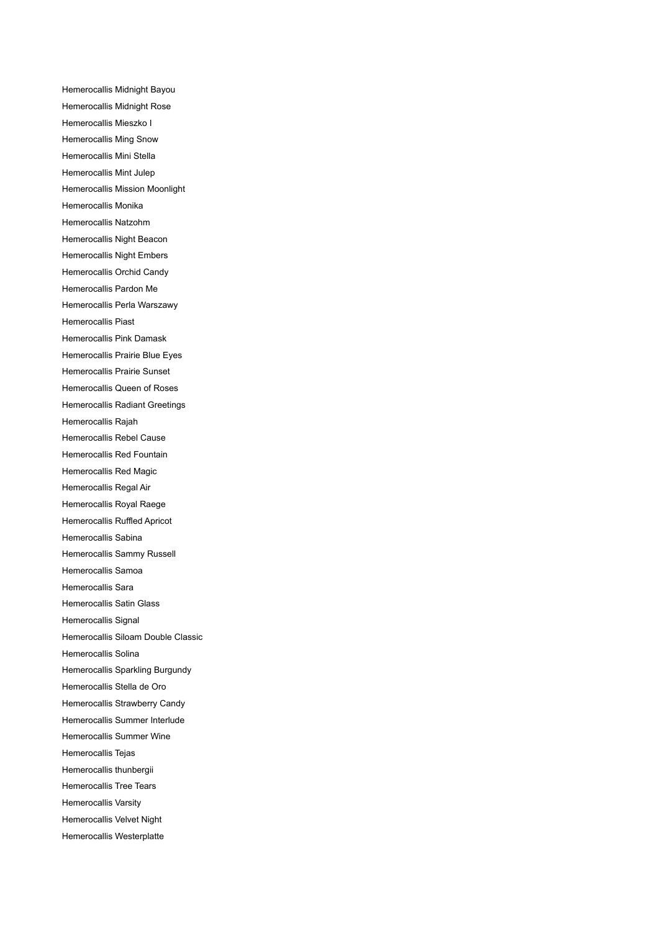Hemerocallis Midnight Bayou Hemerocallis Midnight Rose Hemerocallis Mieszko I Hemerocallis Ming Snow Hemerocallis Mini Stella Hemerocallis Mint Julep Hemerocallis Mission Moonlight Hemerocallis Monika Hemerocallis Natzohm Hemerocallis Night Beacon Hemerocallis Night Embers Hemerocallis Orchid Candy Hemerocallis Pardon Me Hemerocallis Perla Warszawy Hemerocallis Piast Hemerocallis Pink Damask Hemerocallis Prairie Blue Eyes Hemerocallis Prairie Sunset Hemerocallis Queen of Roses Hemerocallis Radiant Greetings Hemerocallis Rajah Hemerocallis Rebel Cause Hemerocallis Red Fountain Hemerocallis Red Magic Hemerocallis Regal Air Hemerocallis Royal Raege Hemerocallis Ruffled Apricot Hemerocallis Sabina Hemerocallis Sammy Russell Hemerocallis Samoa Hemerocallis Sara Hemerocallis Satin Glass Hemerocallis Signal Hemerocallis Siloam Double Classic Hemerocallis Solina Hemerocallis Sparkling Burgundy Hemerocallis Stella de Oro Hemerocallis Strawberry Candy Hemerocallis Summer Interlude Hemerocallis Summer Wine Hemerocallis Tejas Hemerocallis thunbergii Hemerocallis Tree Tears Hemerocallis Varsity Hemerocallis Velvet Night Hemerocallis Westerplatte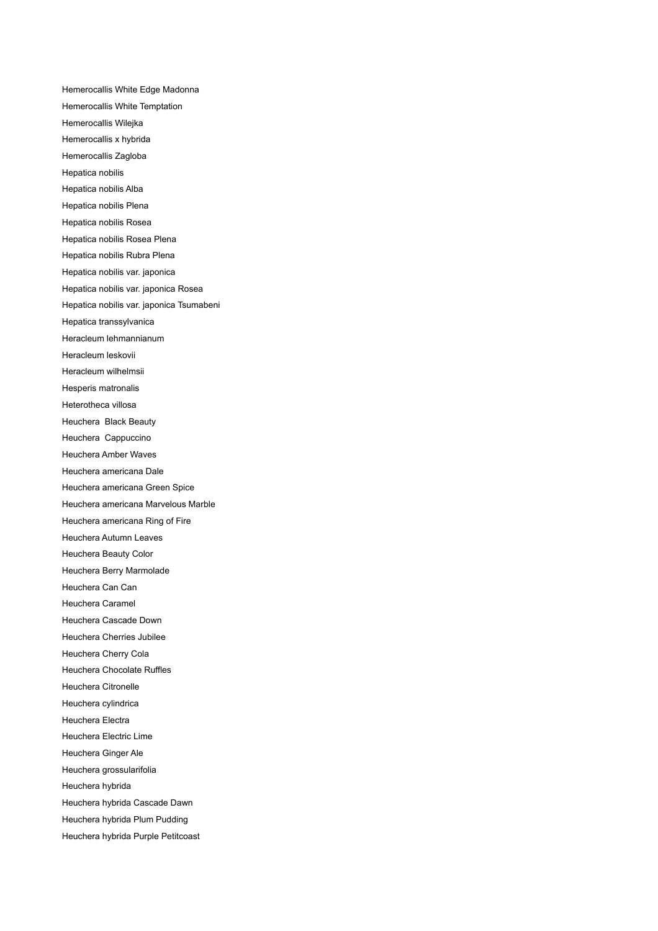Hemerocallis White Edge Madonna Hemerocallis White Temptation Hemerocallis Wilejka Hemerocallis x hybrida Hemerocallis Zagloba Hepatica nobilis Hepatica nobilis Alba Hepatica nobilis Plena Hepatica nobilis Rosea Hepatica nobilis Rosea Plena Hepatica nobilis Rubra Plena Hepatica nobilis var. japonica Hepatica nobilis var. japonica Rosea Hepatica nobilis var. japonica Tsumabeni Hepatica transsylvanica Heracleum lehmannianum Heracleum leskovii Heracleum wilhelmsii Hesperis matronalis Heterotheca villosa Heuchera Black Beauty Heuchera Cappuccino Heuchera Amber Waves Heuchera americana Dale Heuchera americana Green Spice Heuchera americana Marvelous Marble Heuchera americana Ring of Fire Heuchera Autumn Leaves Heuchera Beauty Color Heuchera Berry Marmolade Heuchera Can Can Heuchera Caramel Heuchera Cascade Down Heuchera Cherries Jubilee Heuchera Cherry Cola Heuchera Chocolate Ruffles Heuchera Citronelle Heuchera cylindrica Heuchera Electra Heuchera Electric Lime Heuchera Ginger Ale Heuchera grossularifolia Heuchera hybrida Heuchera hybrida Cascade Dawn Heuchera hybrida Plum Pudding Heuchera hybrida Purple Petitcoast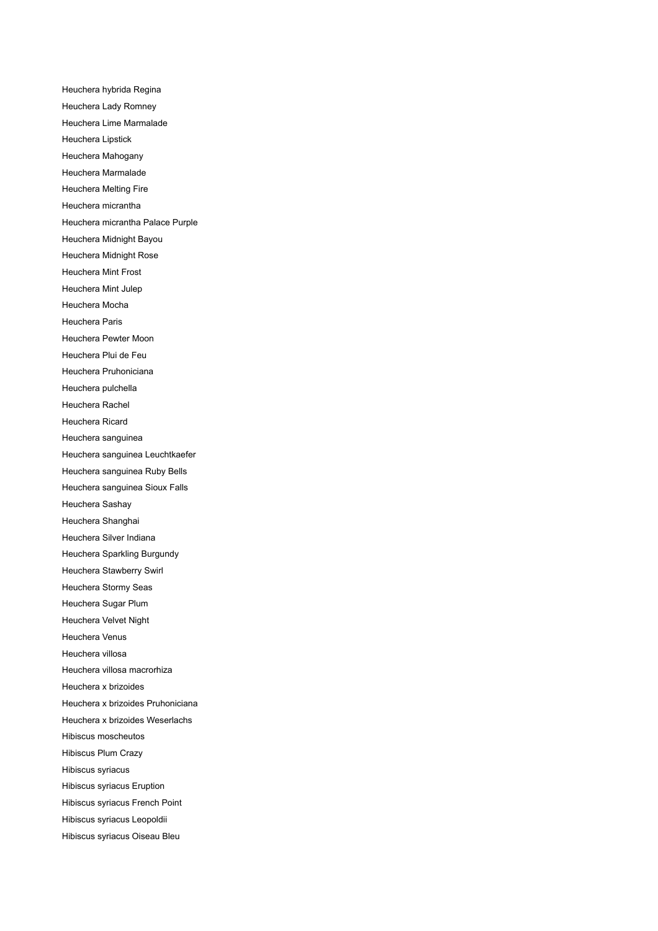Heuchera hybrida Regina Heuchera Lady Romney Heuchera Lime Marmalade Heuchera Lipstick Heuchera Mahogany Heuchera Marmalade Heuchera Melting Fire Heuchera micrantha Heuchera micrantha Palace Purple Heuchera Midnight Bayou Heuchera Midnight Rose Heuchera Mint Frost Heuchera Mint Julep Heuchera Mocha Heuchera Paris Heuchera Pewter Moon Heuchera Plui de Feu Heuchera Pruhoniciana Heuchera pulchella Heuchera Rachel Heuchera Ricard Heuchera sanguinea Heuchera sanguinea Leuchtkaefer Heuchera sanguinea Ruby Bells Heuchera sanguinea Sioux Falls Heuchera Sashay Heuchera Shanghai Heuchera Silver Indiana Heuchera Sparkling Burgundy Heuchera Stawberry Swirl Heuchera Stormy Seas Heuchera Sugar Plum Heuchera Velvet Night Heuchera Venus Heuchera villosa Heuchera villosa macrorhiza Heuchera x brizoides Heuchera x brizoides Pruhoniciana Heuchera x brizoides Weserlachs Hibiscus moscheutos Hibiscus Plum Crazy Hibiscus syriacus Hibiscus syriacus Eruption Hibiscus syriacus French Point Hibiscus syriacus Leopoldii Hibiscus syriacus Oiseau Bleu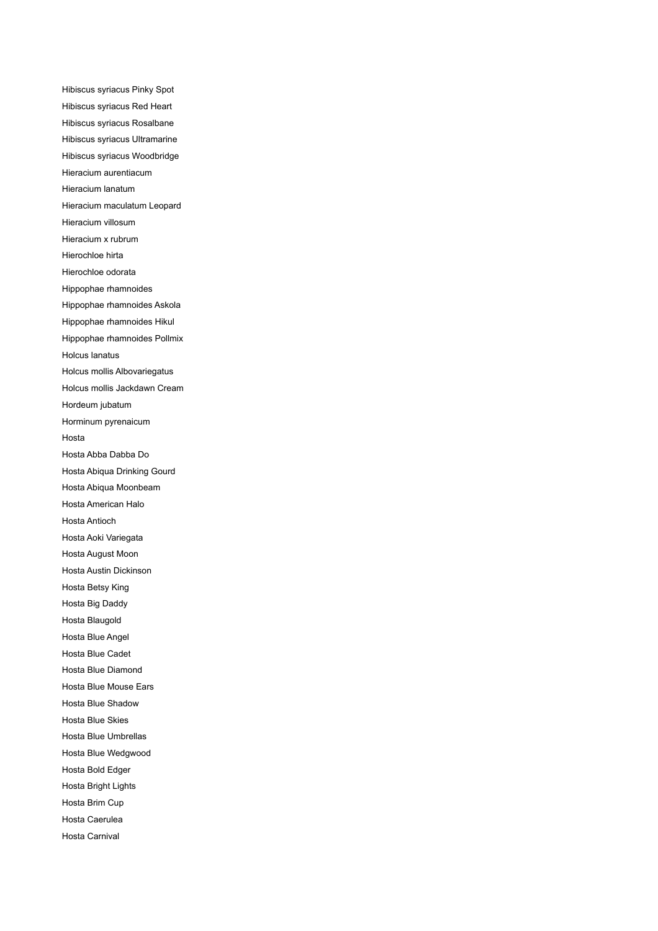Hibiscus syriacus Pinky Spot Hibiscus syriacus Red Heart Hibiscus syriacus Rosalbane Hibiscus syriacus Ultramarine Hibiscus syriacus Woodbridge Hieracium aurentiacum Hieracium lanatum Hieracium maculatum Leopard Hieracium villosum Hieracium x rubrum Hierochloe hirta Hierochloe odorata Hippophae rhamnoides Hippophae rhamnoides Askola Hippophae rhamnoides Hikul Hippophae rhamnoides Pollmix Holcus lanatus Holcus mollis Albovariegatus Holcus mollis Jackdawn Cream Hordeum jubatum Horminum pyrenaicum Hosta Hosta Abba Dabba Do Hosta Abiqua Drinking Gourd Hosta Abiqua Moonbeam Hosta American Halo Hosta Antioch Hosta Aoki Variegata Hosta August Moon Hosta Austin Dickinson Hosta Betsy King Hosta Big Daddy Hosta Blaugold Hosta Blue Angel Hosta Blue Cadet Hosta Blue Diamond Hosta Blue Mouse Ears Hosta Blue Shadow Hosta Blue Skies Hosta Blue Umbrellas Hosta Blue Wedgwood Hosta Bold Edger Hosta Bright Lights Hosta Brim Cup Hosta Caerulea Hosta Carnival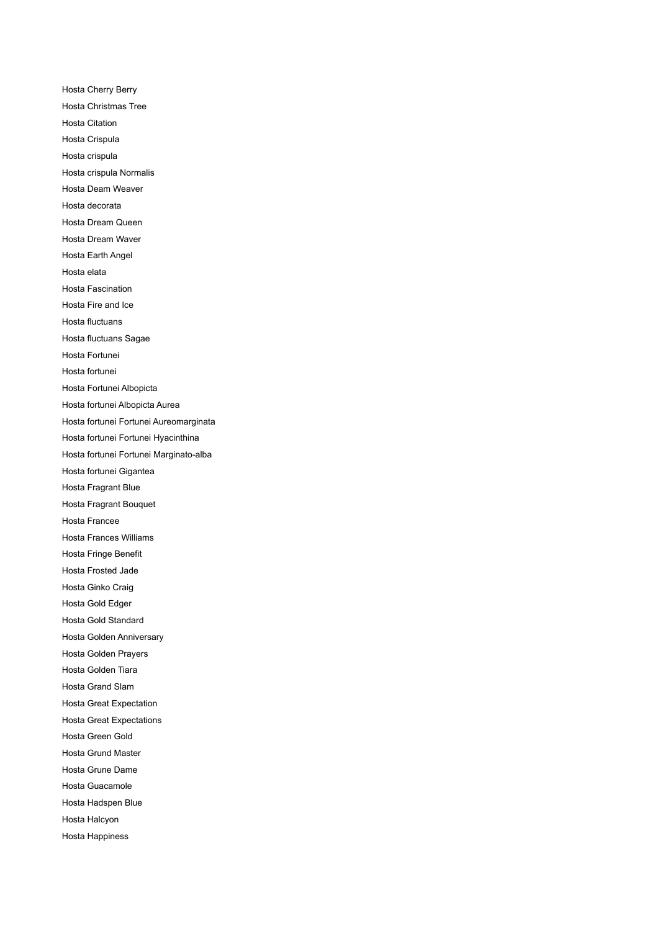Hosta Cherry Berry Hosta Christmas Tree Hosta Citation Hosta Crispula Hosta crispula Hosta crispula Normalis Hosta Deam Weaver Hosta decorata Hosta Dream Queen Hosta Dream Waver Hosta Earth Angel Hosta elata Hosta Fascination Hosta Fire and Ice Hosta fluctuans Hosta fluctuans Sagae Hosta Fortunei Hosta fortunei Hosta Fortunei Albopicta Hosta fortunei Albopicta Aurea Hosta fortunei Fortunei Aureomarginata Hosta fortunei Fortunei Hyacinthina Hosta fortunei Fortunei Marginato-alba Hosta fortunei Gigantea Hosta Fragrant Blue Hosta Fragrant Bouquet Hosta Francee Hosta Frances Williams Hosta Fringe Benefit Hosta Frosted Jade Hosta Ginko Craig Hosta Gold Edger Hosta Gold Standard Hosta Golden Anniversary Hosta Golden Prayers Hosta Golden Tiara Hosta Grand Slam Hosta Great Expectation Hosta Great Expectations Hosta Green Gold Hosta Grund Master Hosta Grune Dame Hosta Guacamole Hosta Hadspen Blue Hosta Halcyon Hosta Happiness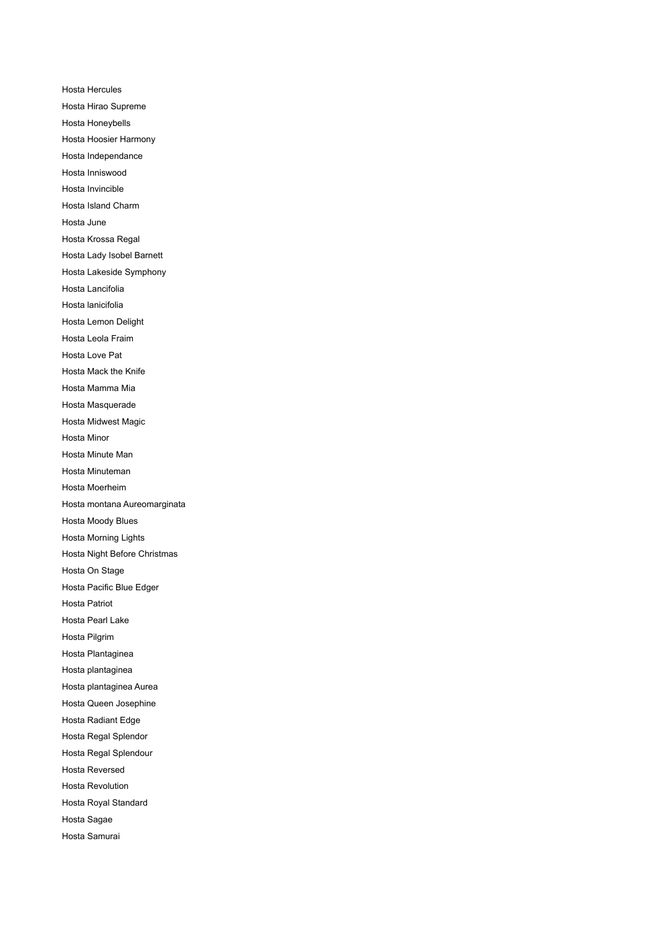Hosta Hercules Hosta Hirao Supreme Hosta Honeybells Hosta Hoosier Harmony Hosta Independance Hosta Inniswood Hosta Invincible Hosta Island Charm Hosta June Hosta Krossa Regal Hosta Lady Isobel Barnett Hosta Lakeside Symphony Hosta Lancifolia Hosta lanicifolia Hosta Lemon Delight Hosta Leola Fraim Hosta Love Pat Hosta Mack the Knife Hosta Mamma Mia Hosta Masquerade Hosta Midwest Magic Hosta Minor Hosta Minute Man Hosta Minuteman Hosta Moerheim Hosta montana Aureomarginata Hosta Moody Blues Hosta Morning Lights Hosta Night Before Christmas Hosta On Stage Hosta Pacific Blue Edger Hosta Patriot Hosta Pearl Lake Hosta Pilgrim Hosta Plantaginea Hosta plantaginea Hosta plantaginea Aurea Hosta Queen Josephine Hosta Radiant Edge Hosta Regal Splendor Hosta Regal Splendour Hosta Reversed Hosta Revolution Hosta Royal Standard Hosta Sagae Hosta Samurai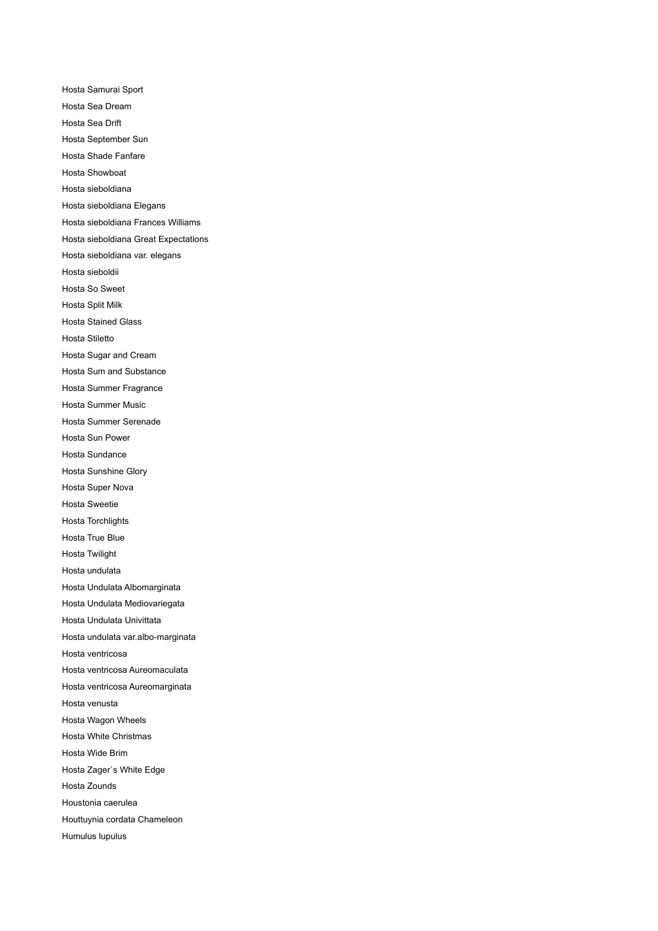Hosta Samurai Sport Hosta Sea Dream Hosta Sea Drift Hosta September Sun Hosta Shade Fanfare Hosta Showboat Hosta sieboldiana Hosta sieboldiana Elegans Hosta sieboldiana Frances Williams Hosta sieboldiana Great Expectations Hosta sieboldiana var. elegans Hosta sieboldii Hosta So Sweet Hosta Split Milk Hosta Stained Glass Hosta Stiletto Hosta Sugar and Cream Hosta Sum and Substance Hosta Summer Fragrance Hosta Summer Music Hosta Summer Serenade Hosta Sun Power Hosta Sundance Hosta Sunshine Glory Hosta Super Nova Hosta Sweetie Hosta Torchlights Hosta True Blue Hosta Twilight Hosta undulata Hosta Undulata Albomarginata Hosta Undulata Mediovariegata Hosta Undulata Univittata Hosta undulata var.albo-marginata Hosta ventricosa Hosta ventricosa Aureomaculata Hosta ventricosa Aureomarginata Hosta venusta Hosta Wagon Wheels Hosta White Christmas Hosta Wide Brim Hosta Zager`s White Edge Hosta Zounds Houstonia caerulea Houttuynia cordata Chameleon Humulus lupulus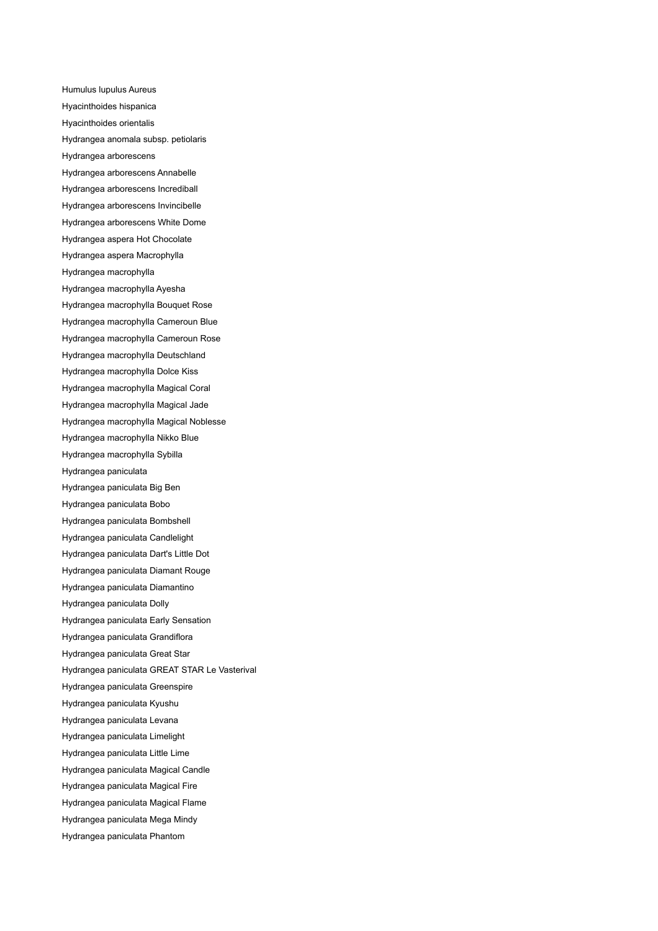Humulus lupulus Aureus Hyacinthoides hispanica Hyacinthoides orientalis Hydrangea anomala subsp. petiolaris Hydrangea arborescens Hydrangea arborescens Annabelle Hydrangea arborescens Incrediball Hydrangea arborescens Invincibelle Hydrangea arborescens White Dome Hydrangea aspera Hot Chocolate Hydrangea aspera Macrophylla Hydrangea macrophylla Hydrangea macrophylla Ayesha Hydrangea macrophylla Bouquet Rose Hydrangea macrophylla Cameroun Blue Hydrangea macrophylla Cameroun Rose Hydrangea macrophylla Deutschland Hydrangea macrophylla Dolce Kiss Hydrangea macrophylla Magical Coral Hydrangea macrophylla Magical Jade Hydrangea macrophylla Magical Noblesse Hydrangea macrophylla Nikko Blue Hydrangea macrophylla Sybilla Hydrangea paniculata Hydrangea paniculata Big Ben Hydrangea paniculata Bobo Hydrangea paniculata Bombshell Hydrangea paniculata Candlelight Hydrangea paniculata Dart's Little Dot Hydrangea paniculata Diamant Rouge Hydrangea paniculata Diamantino Hydrangea paniculata Dolly Hydrangea paniculata Early Sensation Hydrangea paniculata Grandiflora Hydrangea paniculata Great Star Hydrangea paniculata GREAT STAR Le Vasterival Hydrangea paniculata Greenspire Hydrangea paniculata Kyushu Hydrangea paniculata Levana Hydrangea paniculata Limelight Hydrangea paniculata Little Lime Hydrangea paniculata Magical Candle Hydrangea paniculata Magical Fire Hydrangea paniculata Magical Flame Hydrangea paniculata Mega Mindy Hydrangea paniculata Phantom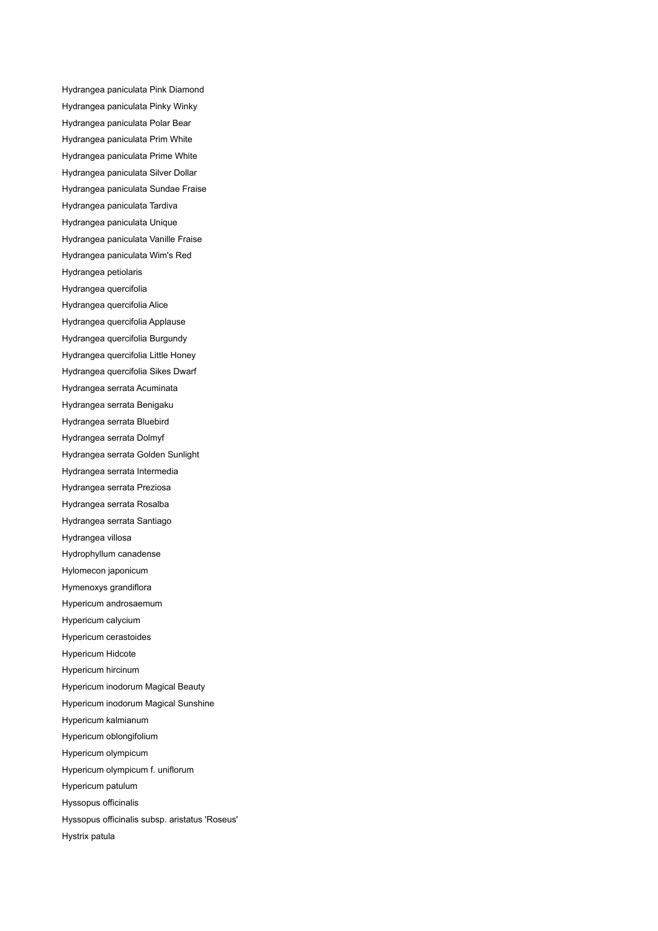Hydrangea paniculata Pink Diamond Hydrangea paniculata Pinky Winky Hydrangea paniculata Polar Bear Hydrangea paniculata Prim White Hydrangea paniculata Prime White Hydrangea paniculata Silver Dollar Hydrangea paniculata Sundae Fraise Hydrangea paniculata Tardiva Hydrangea paniculata Unique Hydrangea paniculata Vanille Fraise Hydrangea paniculata Wim's Red Hydrangea petiolaris Hydrangea quercifolia Hydrangea quercifolia Alice Hydrangea quercifolia Applause Hydrangea quercifolia Burgundy Hydrangea quercifolia Little Honey Hydrangea quercifolia Sikes Dwarf Hydrangea serrata Acuminata Hydrangea serrata Benigaku Hydrangea serrata Bluebird Hydrangea serrata Dolmyf Hydrangea serrata Golden Sunlight Hydrangea serrata Intermedia Hydrangea serrata Preziosa Hydrangea serrata Rosalba Hydrangea serrata Santiago Hydrangea villosa Hydrophyllum canadense Hylomecon japonicum Hymenoxys grandiflora Hypericum androsaemum Hypericum calycium Hypericum cerastoides Hypericum Hidcote Hypericum hircinum Hypericum inodorum Magical Beauty Hypericum inodorum Magical Sunshine Hypericum kalmianum Hypericum oblongifolium Hypericum olympicum Hypericum olympicum f. uniflorum Hypericum patulum Hyssopus officinalis Hyssopus officinalis subsp. aristatus 'Roseus' Hystrix patula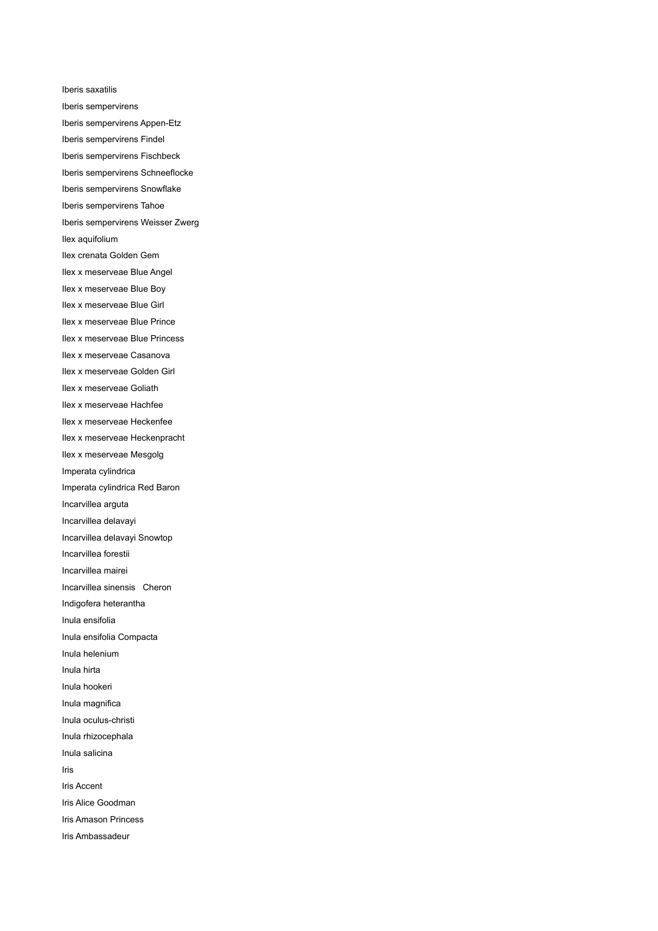Iberis saxatilis Iberis sempervirens Iberis sempervirens Appen-Etz Iberis sempervirens Findel Iberis sempervirens Fischbeck Iberis sempervirens Schneeflocke Iberis sempervirens Snowflake Iberis sempervirens Tahoe Iberis sempervirens Weisser Zwerg Ilex aquifolium Ilex crenata Golden Gem Ilex x meserveae Blue Angel Ilex x meserveae Blue Boy Ilex x meserveae Blue Girl Ilex x meserveae Blue Prince Ilex x meserveae Blue Princess Ilex x meserveae Casanova Ilex x meserveae Golden Girl Ilex x meserveae Goliath Ilex x meserveae Hachfee Ilex x meserveae Heckenfee Ilex x meserveae Heckenpracht Ilex x meserveae Mesgolg Imperata cylindrica Imperata cylindrica Red Baron Incarvillea arguta Incarvillea delavayi Incarvillea delavayi Snowtop Incarvillea forestii Incarvillea mairei Incarvillea sinensis Cheron Indigofera heterantha Inula ensifolia Inula ensifolia Compacta Inula helenium Inula hirta Inula hookeri Inula magnifica Inula oculus-christi Inula rhizocephala Inula salicina Iris Iris Accent Iris Alice Goodman Iris Amason Princess Iris Ambassadeur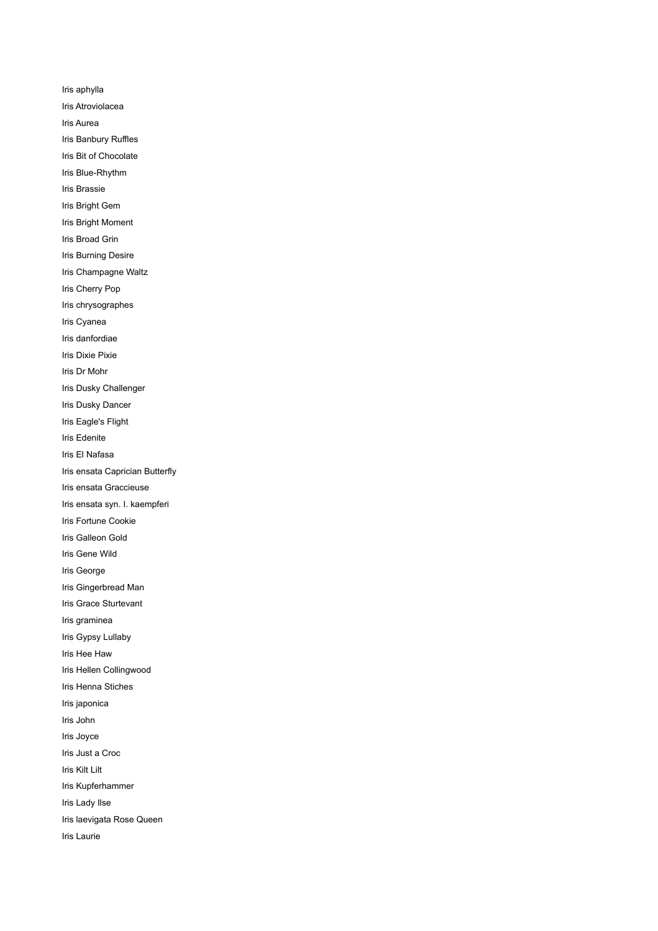Iris aphylla Iris Atroviolacea Iris Aurea Iris Banbury Ruffles Iris Bit of Chocolate Iris Blue-Rhythm Iris Brassie Iris Bright Gem Iris Bright Moment Iris Broad Grin Iris Burning Desire Iris Champagne Waltz Iris Cherry Pop Iris chrysographes Iris Cyanea Iris danfordiae Iris Dixie Pixie Iris Dr Mohr Iris Dusky Challenger Iris Dusky Dancer Iris Eagle's Flight Iris Edenite Iris El Nafasa Iris ensata Caprician Butterfly Iris ensata Graccieuse Iris ensata syn. I. kaempferi Iris Fortune Cookie Iris Galleon Gold Iris Gene Wild Iris George Iris Gingerbread Man Iris Grace Sturtevant Iris graminea Iris Gypsy Lullaby Iris Hee Haw Iris Hellen Collingwood Iris Henna Stiches Iris japonica Iris John Iris Joyce Iris Just a Croc Iris Kilt Lilt Iris Kupferhammer Iris Lady Ilse Iris laevigata Rose Queen Iris Laurie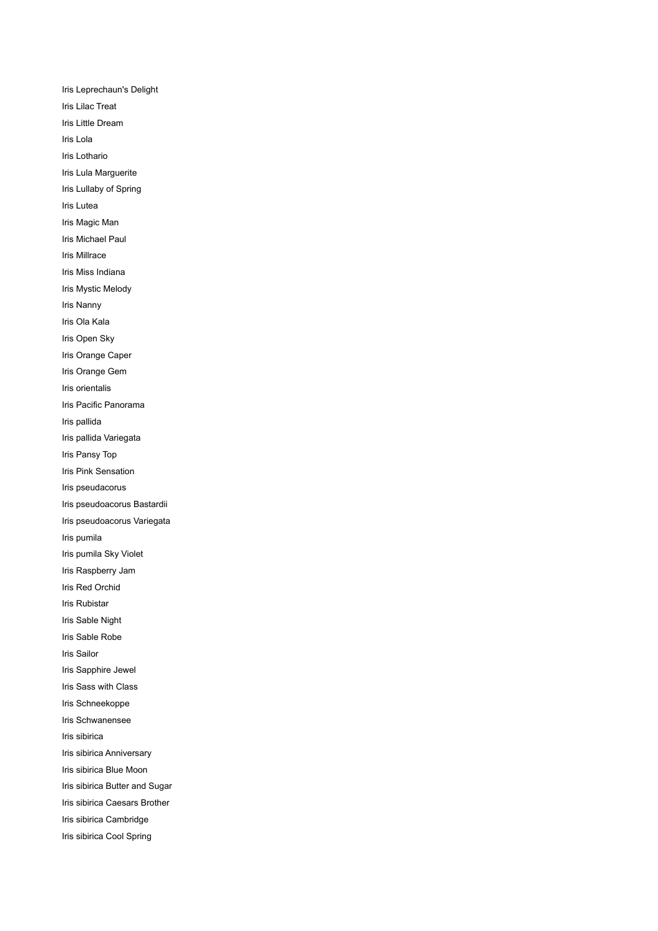Iris Leprechaun's Delight Iris Lilac Treat Iris Little Dream Iris Lola Iris Lothario Iris Lula Marguerite Iris Lullaby of Spring Iris Lutea Iris Magic Man Iris Michael Paul Iris Millrace Iris Miss Indiana Iris Mystic Melody Iris Nanny Iris Ola Kala Iris Open Sky Iris Orange Caper Iris Orange Gem Iris orientalis Iris Pacific Panorama Iris pallida Iris pallida Variegata Iris Pansy Top Iris Pink Sensation Iris pseudacorus Iris pseudoacorus Bastardii Iris pseudoacorus Variegata Iris pumila Iris pumila Sky Violet Iris Raspberry Jam Iris Red Orchid Iris Rubistar Iris Sable Night Iris Sable Robe Iris Sailor Iris Sapphire Jewel Iris Sass with Class Iris Schneekoppe Iris Schwanensee Iris sibirica Iris sibirica Anniversary Iris sibirica Blue Moon Iris sibirica Butter and Sugar Iris sibirica Caesars Brother Iris sibirica Cambridge Iris sibirica Cool Spring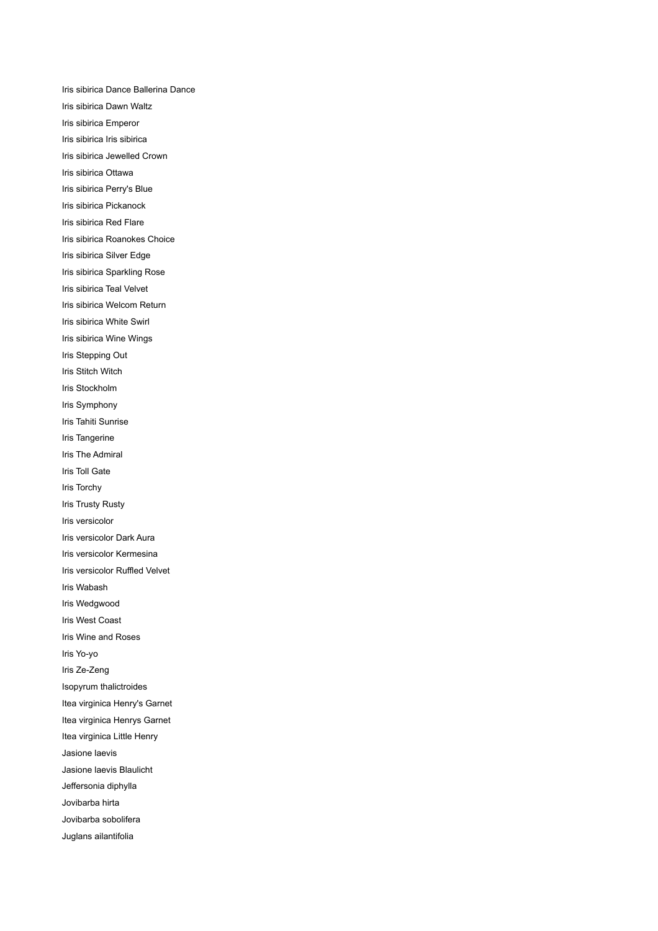Iris sibirica Dance Ballerina Dance Iris sibirica Dawn Waltz Iris sibirica Emperor Iris sibirica Iris sibirica Iris sibirica Jewelled Crown Iris sibirica Ottawa Iris sibirica Perry's Blue Iris sibirica Pickanock Iris sibirica Red Flare Iris sibirica Roanokes Choice Iris sibirica Silver Edge Iris sibirica Sparkling Rose Iris sibirica Teal Velvet Iris sibirica Welcom Return Iris sibirica White Swirl Iris sibirica Wine Wings Iris Stepping Out Iris Stitch Witch Iris Stockholm Iris Symphony Iris Tahiti Sunrise Iris Tangerine Iris The Admiral Iris Toll Gate Iris Torchy Iris Trusty Rusty Iris versicolor Iris versicolor Dark Aura Iris versicolor Kermesina Iris versicolor Ruffled Velvet Iris Wabash Iris Wedgwood Iris West Coast Iris Wine and Roses Iris Yo-yo Iris Ze-Zeng Isopyrum thalictroides Itea virginica Henry's Garnet Itea virginica Henrys Garnet Itea virginica Little Henry Jasione laevis Jasione laevis Blaulicht Jeffersonia diphylla Jovibarba hirta Jovibarba sobolifera Juglans ailantifolia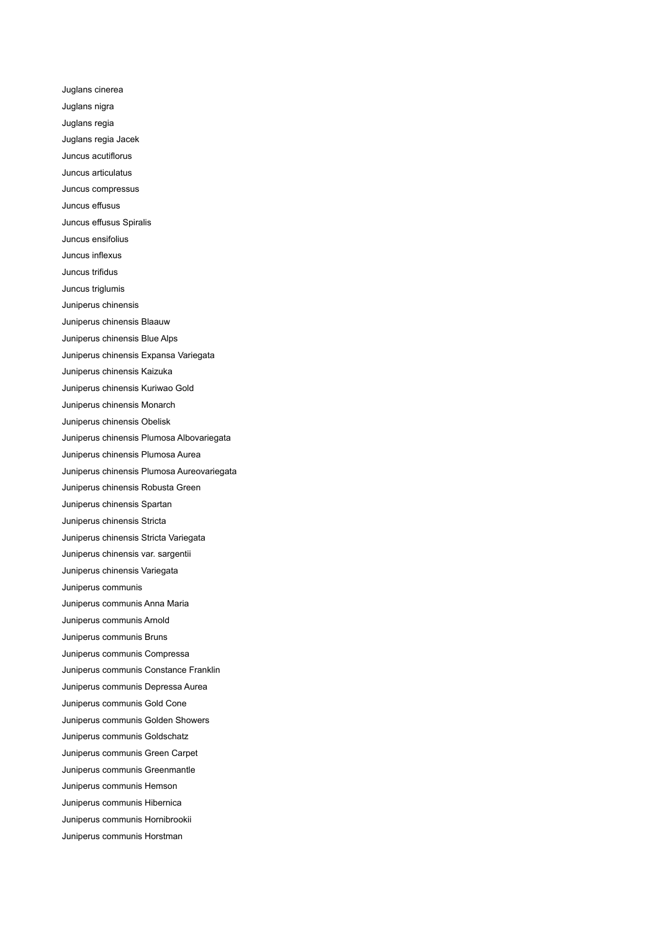Juglans cinerea Juglans nigra Juglans regia Juglans regia Jacek Juncus acutiflorus Juncus articulatus Juncus compressus Juncus effusus Juncus effusus Spiralis Juncus ensifolius Juncus inflexus Juncus trifidus Juncus triglumis Juniperus chinensis Juniperus chinensis Blaauw Juniperus chinensis Blue Alps Juniperus chinensis Expansa Variegata Juniperus chinensis Kaizuka Juniperus chinensis Kuriwao Gold Juniperus chinensis Monarch Juniperus chinensis Obelisk Juniperus chinensis Plumosa Albovariegata Juniperus chinensis Plumosa Aurea Juniperus chinensis Plumosa Aureovariegata Juniperus chinensis Robusta Green Juniperus chinensis Spartan Juniperus chinensis Stricta Juniperus chinensis Stricta Variegata Juniperus chinensis var. sargentii Juniperus chinensis Variegata Juniperus communis Juniperus communis Anna Maria Juniperus communis Arnold Juniperus communis Bruns Juniperus communis Compressa Juniperus communis Constance Franklin Juniperus communis Depressa Aurea Juniperus communis Gold Cone Juniperus communis Golden Showers Juniperus communis Goldschatz Juniperus communis Green Carpet Juniperus communis Greenmantle Juniperus communis Hemson Juniperus communis Hibernica Juniperus communis Hornibrookii Juniperus communis Horstman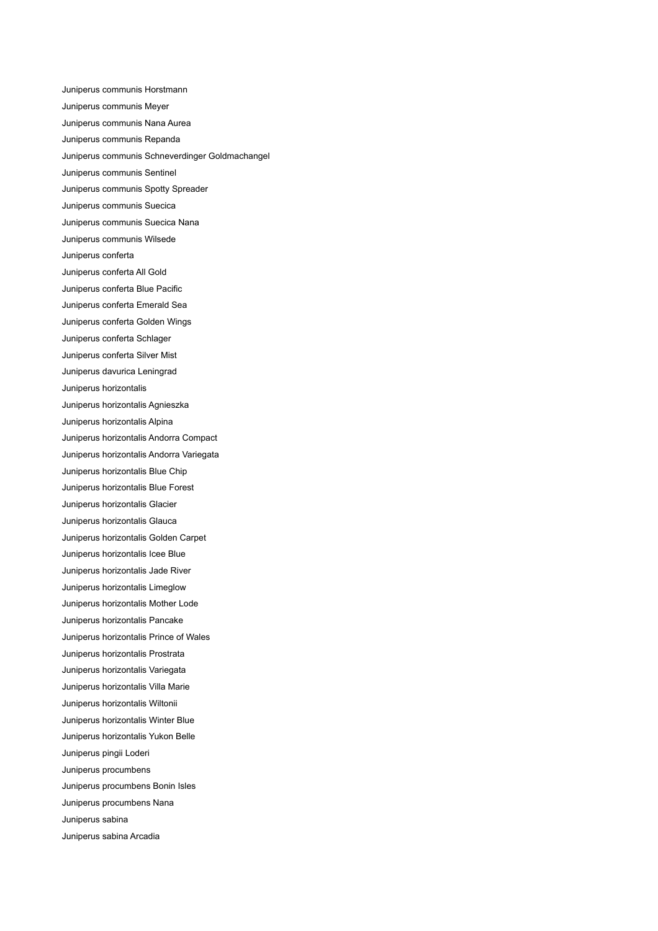Juniperus communis Horstmann Juniperus communis Meyer Juniperus communis Nana Aurea Juniperus communis Repanda Juniperus communis Schneverdinger Goldmachangel Juniperus communis Sentinel Juniperus communis Spotty Spreader Juniperus communis Suecica Juniperus communis Suecica Nana Juniperus communis Wilsede Juniperus conferta Juniperus conferta All Gold Juniperus conferta Blue Pacific Juniperus conferta Emerald Sea Juniperus conferta Golden Wings Juniperus conferta Schlager Juniperus conferta Silver Mist Juniperus davurica Leningrad Juniperus horizontalis Juniperus horizontalis Agnieszka Juniperus horizontalis Alpina Juniperus horizontalis Andorra Compact Juniperus horizontalis Andorra Variegata Juniperus horizontalis Blue Chip Juniperus horizontalis Blue Forest Juniperus horizontalis Glacier Juniperus horizontalis Glauca Juniperus horizontalis Golden Carpet Juniperus horizontalis Icee Blue Juniperus horizontalis Jade River Juniperus horizontalis Limeglow Juniperus horizontalis Mother Lode Juniperus horizontalis Pancake Juniperus horizontalis Prince of Wales Juniperus horizontalis Prostrata Juniperus horizontalis Variegata Juniperus horizontalis Villa Marie Juniperus horizontalis Wiltonii Juniperus horizontalis Winter Blue Juniperus horizontalis Yukon Belle Juniperus pingii Loderi Juniperus procumbens Juniperus procumbens Bonin Isles Juniperus procumbens Nana Juniperus sabina Juniperus sabina Arcadia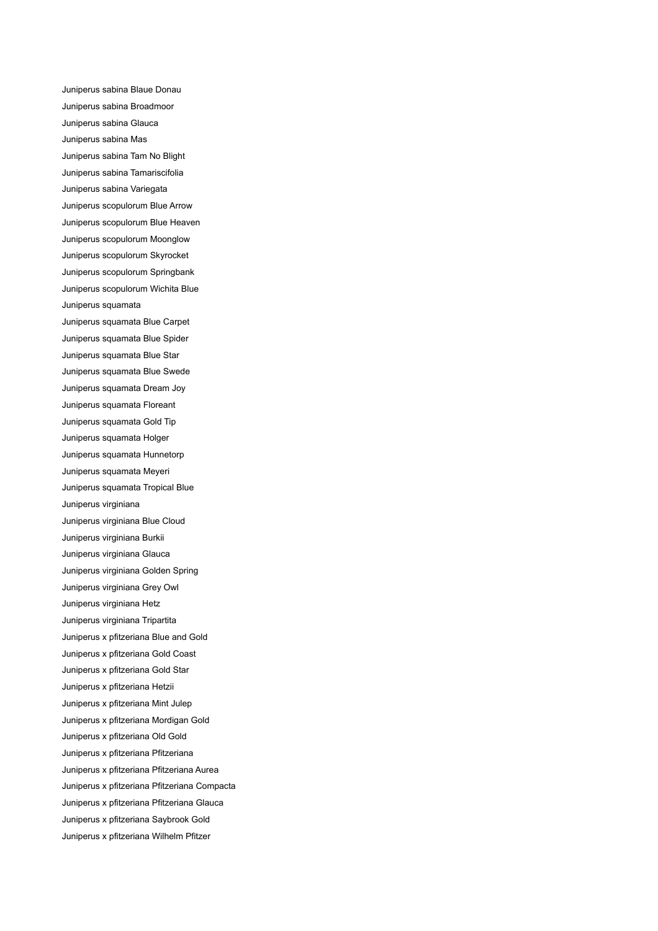Juniperus sabina Blaue Donau Juniperus sabina Broadmoor Juniperus sabina Glauca Juniperus sabina Mas Juniperus sabina Tam No Blight Juniperus sabina Tamariscifolia Juniperus sabina Variegata Juniperus scopulorum Blue Arrow Juniperus scopulorum Blue Heaven Juniperus scopulorum Moonglow Juniperus scopulorum Skyrocket Juniperus scopulorum Springbank Juniperus scopulorum Wichita Blue Juniperus squamata Juniperus squamata Blue Carpet Juniperus squamata Blue Spider Juniperus squamata Blue Star Juniperus squamata Blue Swede Juniperus squamata Dream Joy Juniperus squamata Floreant Juniperus squamata Gold Tip Juniperus squamata Holger Juniperus squamata Hunnetorp Juniperus squamata Meyeri Juniperus squamata Tropical Blue Juniperus virginiana Juniperus virginiana Blue Cloud Juniperus virginiana Burkii Juniperus virginiana Glauca Juniperus virginiana Golden Spring Juniperus virginiana Grey Owl Juniperus virginiana Hetz Juniperus virginiana Tripartita Juniperus x pfitzeriana Blue and Gold Juniperus x pfitzeriana Gold Coast Juniperus x pfitzeriana Gold Star Juniperus x pfitzeriana Hetzii Juniperus x pfitzeriana Mint Julep Juniperus x pfitzeriana Mordigan Gold Juniperus x pfitzeriana Old Gold Juniperus x pfitzeriana Pfitzeriana Juniperus x pfitzeriana Pfitzeriana Aurea Juniperus x pfitzeriana Pfitzeriana Compacta Juniperus x pfitzeriana Pfitzeriana Glauca Juniperus x pfitzeriana Saybrook Gold Juniperus x pfitzeriana Wilhelm Pfitzer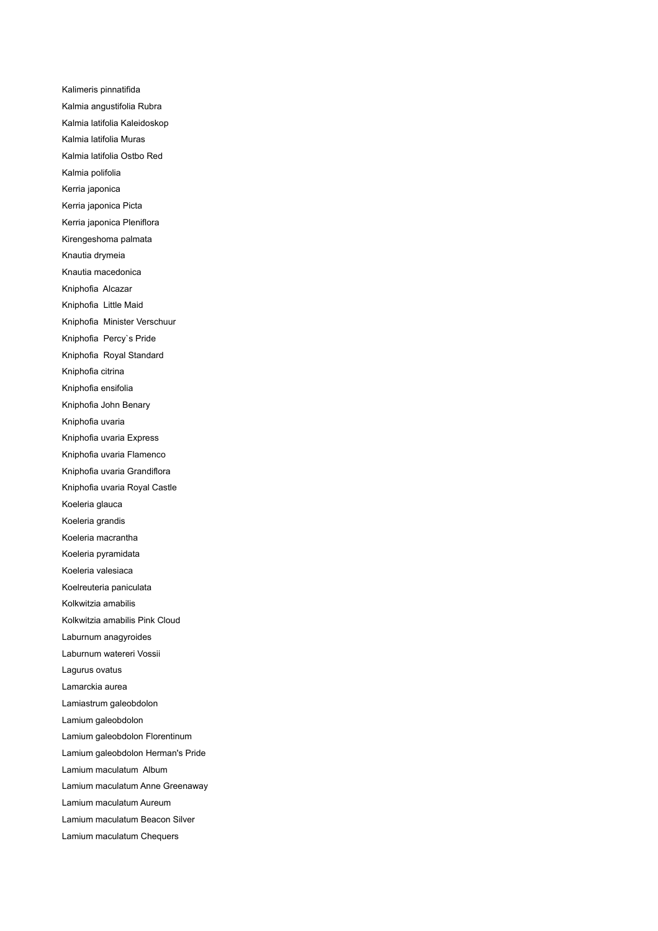Kalimeris pinnatifida Kalmia angustifolia Rubra Kalmia latifolia Kaleidoskop Kalmia latifolia Muras Kalmia latifolia Ostbo Red Kalmia polifolia Kerria japonica Kerria japonica Picta Kerria japonica Pleniflora Kirengeshoma palmata Knautia drymeia Knautia macedonica Kniphofia Alcazar Kniphofia Little Maid Kniphofia Minister Verschuur Kniphofia Percy`s Pride Kniphofia Royal Standard Kniphofia citrina Kniphofia ensifolia Kniphofia John Benary Kniphofia uvaria Kniphofia uvaria Express Kniphofia uvaria Flamenco Kniphofia uvaria Grandiflora Kniphofia uvaria Royal Castle Koeleria glauca Koeleria grandis Koeleria macrantha Koeleria pyramidata Koeleria valesiaca Koelreuteria paniculata Kolkwitzia amabilis Kolkwitzia amabilis Pink Cloud Laburnum anagyroides Laburnum watereri Vossii Lagurus ovatus Lamarckia aurea Lamiastrum galeobdolon Lamium galeobdolon Lamium galeobdolon Florentinum Lamium galeobdolon Herman's Pride Lamium maculatum Album Lamium maculatum Anne Greenaway Lamium maculatum Aureum Lamium maculatum Beacon Silver Lamium maculatum Chequers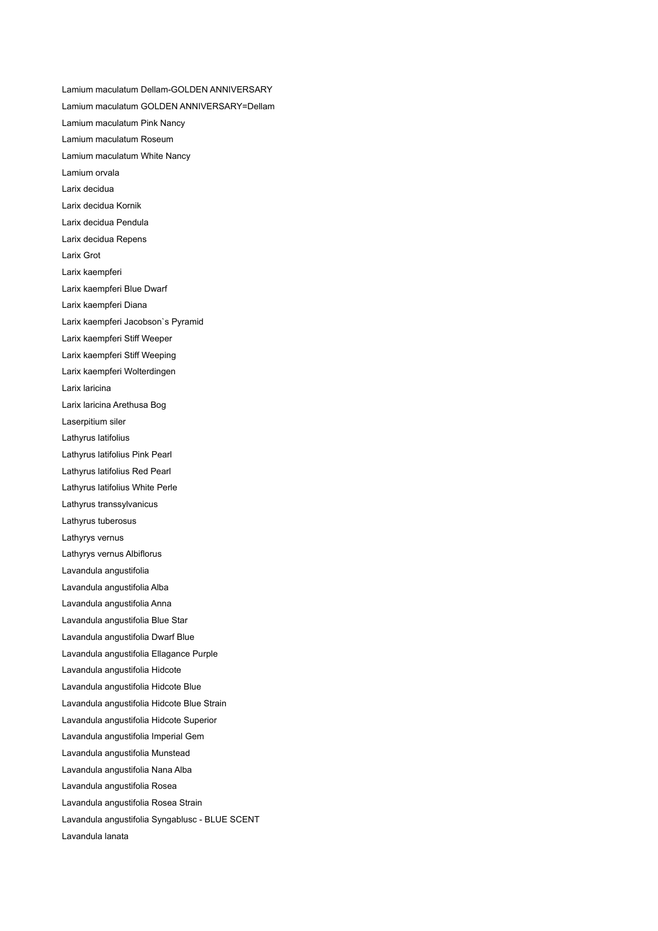Lamium maculatum Dellam-GOLDEN ANNIVERSARY Lamium maculatum GOLDEN ANNIVERSARY=Dellam Lamium maculatum Pink Nancy Lamium maculatum Roseum Lamium maculatum White Nancy Lamium orvala Larix decidua Larix decidua Kornik Larix decidua Pendula Larix decidua Repens Larix Grot Larix kaempferi Larix kaempferi Blue Dwarf Larix kaempferi Diana Larix kaempferi Jacobson`s Pyramid Larix kaempferi Stiff Weeper Larix kaempferi Stiff Weeping Larix kaempferi Wolterdingen Larix laricina Larix laricina Arethusa Bog Laserpitium siler Lathyrus latifolius Lathyrus latifolius Pink Pearl Lathyrus latifolius Red Pearl Lathyrus latifolius White Perle Lathyrus transsylvanicus Lathyrus tuberosus Lathyrys vernus Lathyrys vernus Albiflorus Lavandula angustifolia Lavandula angustifolia Alba Lavandula angustifolia Anna Lavandula angustifolia Blue Star Lavandula angustifolia Dwarf Blue Lavandula angustifolia Ellagance Purple Lavandula angustifolia Hidcote Lavandula angustifolia Hidcote Blue Lavandula angustifolia Hidcote Blue Strain Lavandula angustifolia Hidcote Superior Lavandula angustifolia Imperial Gem Lavandula angustifolia Munstead Lavandula angustifolia Nana Alba Lavandula angustifolia Rosea Lavandula angustifolia Rosea Strain Lavandula angustifolia Syngablusc - BLUE SCENT Lavandula lanata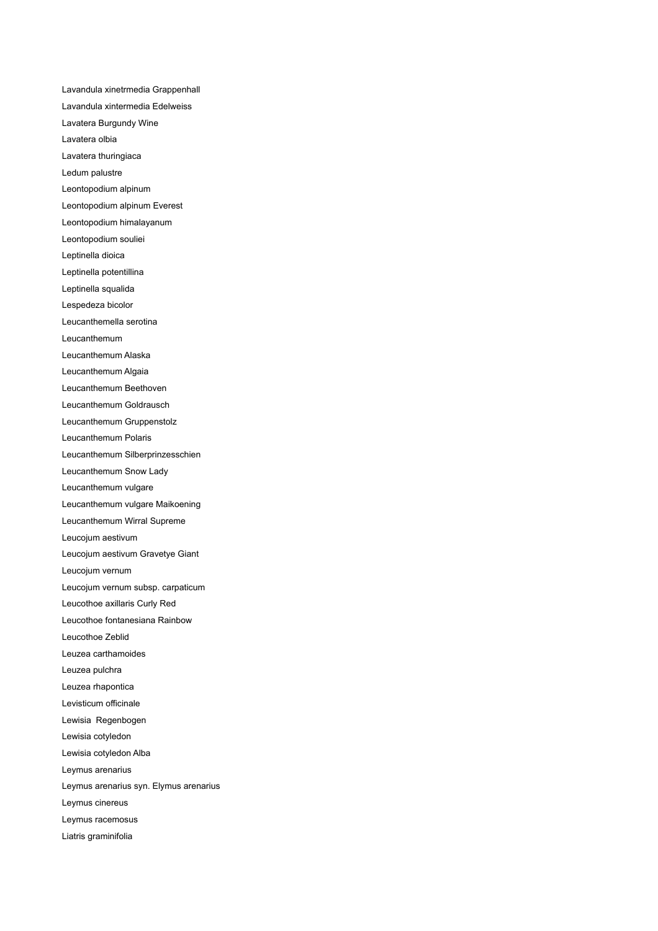Lavandula xinetrmedia Grappenhall Lavandula xintermedia Edelweiss Lavatera Burgundy Wine Lavatera olbia Lavatera thuringiaca Ledum palustre Leontopodium alpinum Leontopodium alpinum Everest Leontopodium himalayanum Leontopodium souliei Leptinella dioica Leptinella potentillina Leptinella squalida Lespedeza bicolor Leucanthemella serotina Leucanthemum Leucanthemum Alaska Leucanthemum Algaia Leucanthemum Beethoven Leucanthemum Goldrausch Leucanthemum Gruppenstolz Leucanthemum Polaris Leucanthemum Silberprinzesschien Leucanthemum Snow Lady Leucanthemum vulgare Leucanthemum vulgare Maikoening Leucanthemum Wirral Supreme Leucojum aestivum Leucojum aestivum Gravetye Giant Leucojum vernum Leucojum vernum subsp. carpaticum Leucothoe axillaris Curly Red Leucothoe fontanesiana Rainbow Leucothoe Zeblid Leuzea carthamoides Leuzea pulchra Leuzea rhapontica Levisticum officinale Lewisia Regenbogen Lewisia cotyledon Lewisia cotyledon Alba Leymus arenarius Leymus arenarius syn. Elymus arenarius Leymus cinereus Leymus racemosus Liatris graminifolia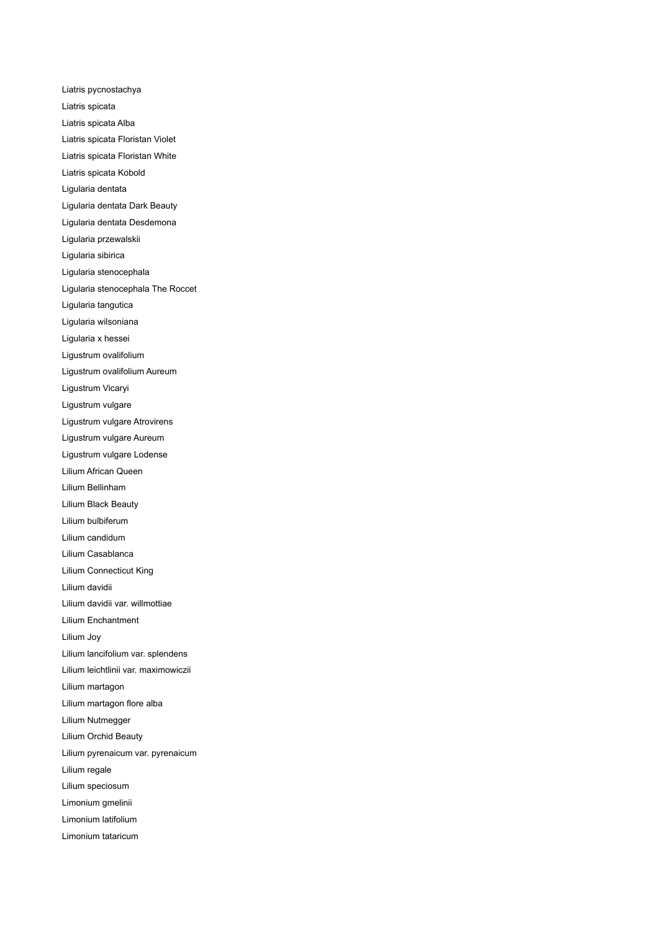Liatris pycnostachya Liatris spicata Liatris spicata Alba Liatris spicata Floristan Violet Liatris spicata Floristan White Liatris spicata Kobold Ligularia dentata Ligularia dentata Dark Beauty Ligularia dentata Desdemona Ligularia przewalskii Ligularia sibirica Ligularia stenocephala Ligularia stenocephala The Roccet Ligularia tangutica Ligularia wilsoniana Ligularia x hessei Ligustrum ovalifolium Ligustrum ovalifolium Aureum Ligustrum Vicaryi Ligustrum vulgare Ligustrum vulgare Atrovirens Ligustrum vulgare Aureum Ligustrum vulgare Lodense Lilium African Queen Lilium Bellinham Lilium Black Beauty Lilium bulbiferum Lilium candidum Lilium Casablanca Lilium Connecticut King Lilium davidii Lilium davidii var. willmottiae Lilium Enchantment Lilium Joy Lilium lancifolium var. splendens Lilium leichtlinii var. maximowiczii Lilium martagon Lilium martagon flore alba Lilium Nutmegger Lilium Orchid Beauty Lilium pyrenaicum var. pyrenaicum Lilium regale Lilium speciosum Limonium gmelinii Limonium latifolium Limonium tataricum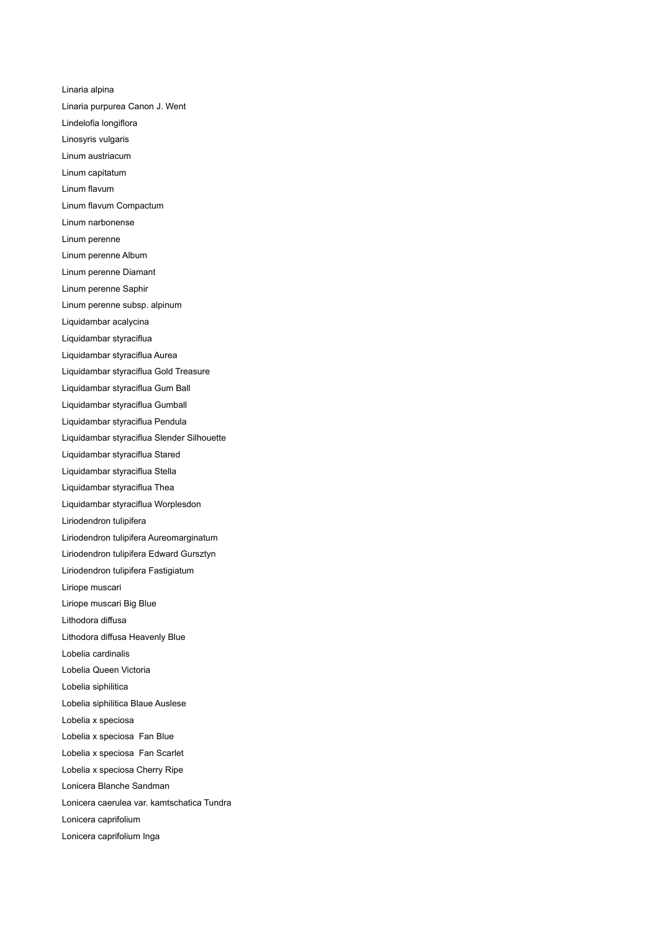Linaria alpina Linaria purpurea Canon J. Went Lindelofia longiflora Linosyris vulgaris Linum austriacum Linum capitatum Linum flavum Linum flavum Compactum Linum narbonense Linum perenne Linum perenne Album Linum perenne Diamant Linum perenne Saphir Linum perenne subsp. alpinum Liquidambar acalycina Liquidambar styraciflua Liquidambar styraciflua Aurea Liquidambar styraciflua Gold Treasure Liquidambar styraciflua Gum Ball Liquidambar styraciflua Gumball Liquidambar styraciflua Pendula Liquidambar styraciflua Slender Silhouette Liquidambar styraciflua Stared Liquidambar styraciflua Stella Liquidambar styraciflua Thea Liquidambar styraciflua Worplesdon Liriodendron tulipifera Liriodendron tulipifera Aureomarginatum Liriodendron tulipifera Edward Gursztyn Liriodendron tulipifera Fastigiatum Liriope muscari Liriope muscari Big Blue Lithodora diffusa Lithodora diffusa Heavenly Blue Lobelia cardinalis Lobelia Queen Victoria Lobelia siphilitica Lobelia siphilitica Blaue Auslese Lobelia x speciosa Lobelia x speciosa Fan Blue Lobelia x speciosa Fan Scarlet Lobelia x speciosa Cherry Ripe Lonicera Blanche Sandman Lonicera caerulea var. kamtschatica Tundra Lonicera caprifolium Lonicera caprifolium Inga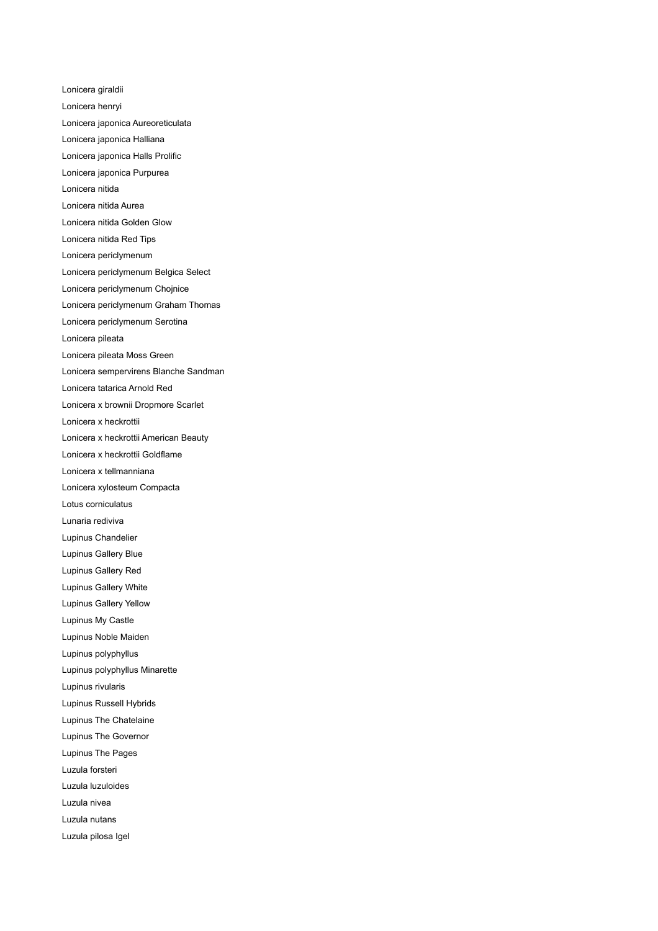Lonicera giraldii Lonicera henryi Lonicera japonica Aureoreticulata Lonicera japonica Halliana Lonicera japonica Halls Prolific Lonicera japonica Purpurea Lonicera nitida Lonicera nitida Aurea Lonicera nitida Golden Glow Lonicera nitida Red Tips Lonicera periclymenum Lonicera periclymenum Belgica Select Lonicera periclymenum Chojnice Lonicera periclymenum Graham Thomas Lonicera periclymenum Serotina Lonicera pileata Lonicera pileata Moss Green Lonicera sempervirens Blanche Sandman Lonicera tatarica Arnold Red Lonicera x brownii Dropmore Scarlet Lonicera x heckrottii Lonicera x heckrottii American Beauty Lonicera x heckrottii Goldflame Lonicera x tellmanniana Lonicera xylosteum Compacta Lotus corniculatus Lunaria rediviva Lupinus Chandelier Lupinus Gallery Blue Lupinus Gallery Red Lupinus Gallery White Lupinus Gallery Yellow Lupinus My Castle Lupinus Noble Maiden Lupinus polyphyllus Lupinus polyphyllus Minarette Lupinus rivularis Lupinus Russell Hybrids Lupinus The Chatelaine Lupinus The Governor Lupinus The Pages Luzula forsteri Luzula luzuloides Luzula nivea Luzula nutans Luzula pilosa Igel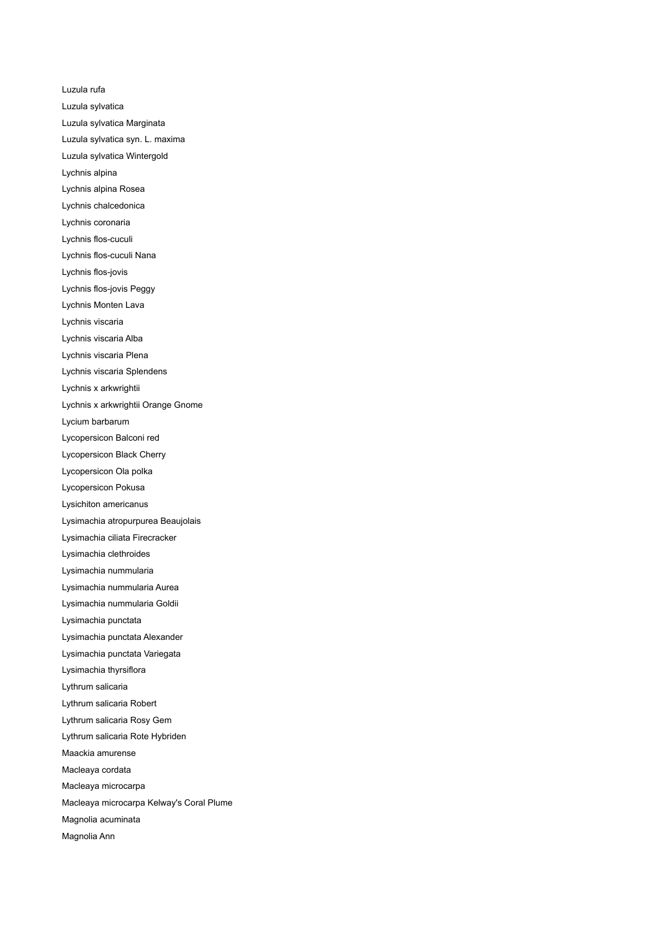Luzula rufa Luzula sylvatica Luzula sylvatica Marginata Luzula sylvatica syn. L. maxima Luzula sylvatica Wintergold Lychnis alpina Lychnis alpina Rosea Lychnis chalcedonica Lychnis coronaria Lychnis flos-cuculi Lychnis flos-cuculi Nana Lychnis flos-jovis Lychnis flos-jovis Peggy Lychnis Monten Lava Lychnis viscaria Lychnis viscaria Alba Lychnis viscaria Plena Lychnis viscaria Splendens Lychnis x arkwrightii Lychnis x arkwrightii Orange Gnome Lycium barbarum Lycopersicon Balconi red Lycopersicon Black Cherry Lycopersicon Ola polka Lycopersicon Pokusa Lysichiton americanus Lysimachia atropurpurea Beaujolais Lysimachia ciliata Firecracker Lysimachia clethroides Lysimachia nummularia Lysimachia nummularia Aurea Lysimachia nummularia Goldii Lysimachia punctata Lysimachia punctata Alexander Lysimachia punctata Variegata Lysimachia thyrsiflora Lythrum salicaria Lythrum salicaria Robert Lythrum salicaria Rosy Gem Lythrum salicaria Rote Hybriden Maackia amurense Macleaya cordata Macleaya microcarpa Macleaya microcarpa Kelway's Coral Plume Magnolia acuminata Magnolia Ann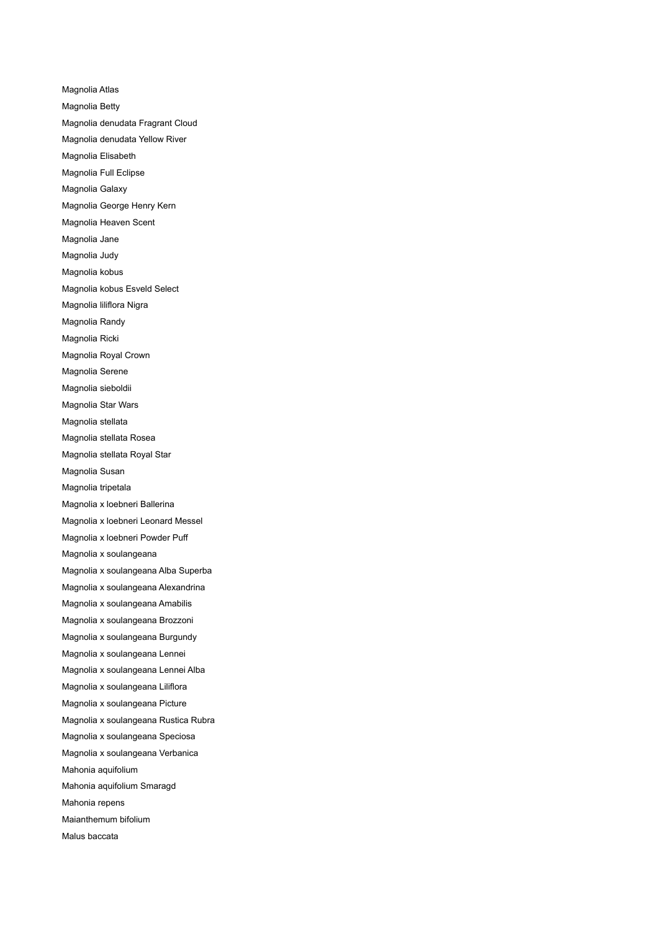Magnolia Atlas Magnolia Betty Magnolia denudata Fragrant Cloud Magnolia denudata Yellow River Magnolia Elisabeth Magnolia Full Eclipse Magnolia Galaxy Magnolia George Henry Kern Magnolia Heaven Scent Magnolia Jane Magnolia Judy Magnolia kobus Magnolia kobus Esveld Select Magnolia liliflora Nigra Magnolia Randy Magnolia Ricki Magnolia Royal Crown Magnolia Serene Magnolia sieboldii Magnolia Star Wars Magnolia stellata Magnolia stellata Rosea Magnolia stellata Royal Star Magnolia Susan Magnolia tripetala Magnolia x loebneri Ballerina Magnolia x loebneri Leonard Messel Magnolia x loebneri Powder Puff Magnolia x soulangeana Magnolia x soulangeana Alba Superba Magnolia x soulangeana Alexandrina Magnolia x soulangeana Amabilis Magnolia x soulangeana Brozzoni Magnolia x soulangeana Burgundy Magnolia x soulangeana Lennei Magnolia x soulangeana Lennei Alba Magnolia x soulangeana Liliflora Magnolia x soulangeana Picture Magnolia x soulangeana Rustica Rubra Magnolia x soulangeana Speciosa Magnolia x soulangeana Verbanica Mahonia aquifolium Mahonia aquifolium Smaragd Mahonia repens Maianthemum bifolium Malus baccata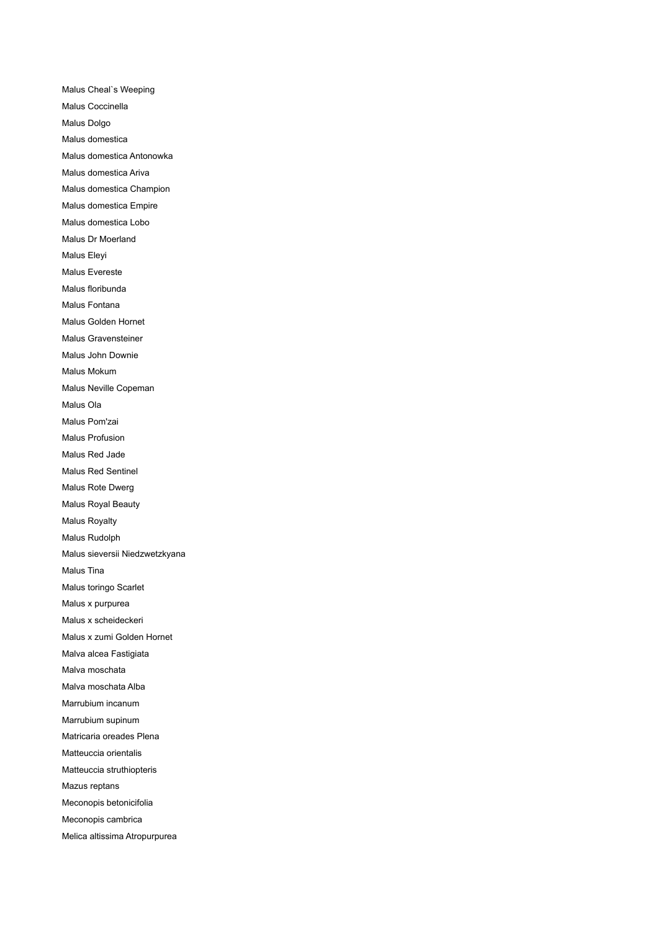Malus Cheal`s Weeping Malus Coccinella Malus Dolgo Malus domestica Malus domestica Antonowka Malus domestica Ariva Malus domestica Champion Malus domestica Empire Malus domestica Lobo Malus Dr Moerland Malus Eleyi Malus Evereste Malus floribunda Malus Fontana Malus Golden Hornet Malus Gravensteiner Malus John Downie Malus Mokum Malus Neville Copeman Malus Ola Malus Pom'zai Malus Profusion Malus Red Jade Malus Red Sentinel Malus Rote Dwerg Malus Royal Beauty Malus Royalty Malus Rudolph Malus sieversii Niedzwetzkyana Malus Tina Malus toringo Scarlet Malus x purpurea Malus x scheideckeri Malus x zumi Golden Hornet Malva alcea Fastigiata Malva moschata Malva moschata Alba Marrubium incanum Marrubium supinum Matricaria oreades Plena Matteuccia orientalis Matteuccia struthiopteris Mazus reptans Meconopis betonicifolia Meconopis cambrica Melica altissima Atropurpurea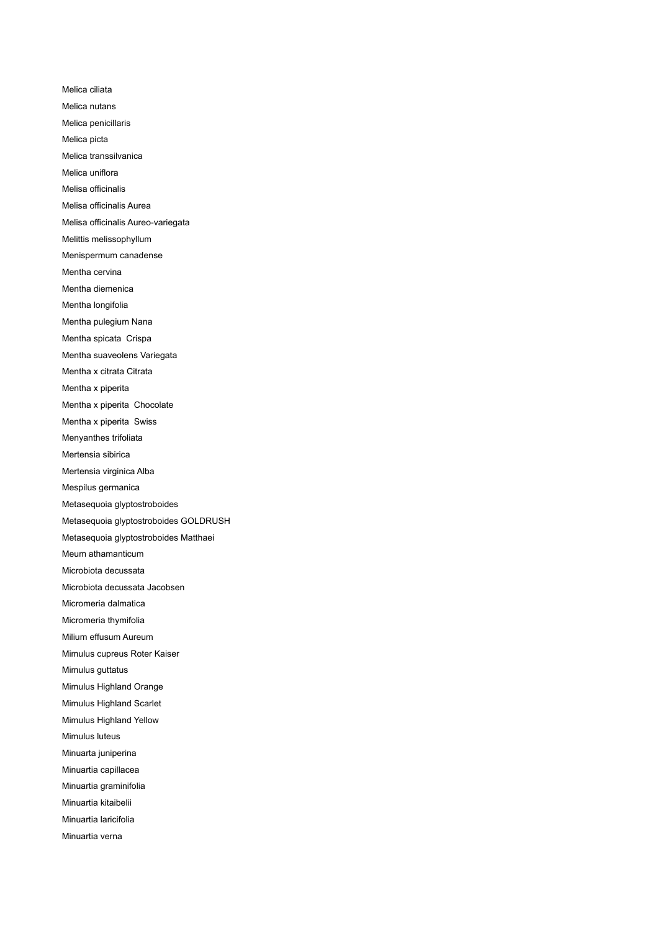Melica ciliata Melica nutans Melica penicillaris Melica picta Melica transsilvanica Melica uniflora Melisa officinalis Melisa officinalis Aurea Melisa officinalis Aureo-variegata Melittis melissophyllum Menispermum canadense Mentha cervina Mentha diemenica Mentha longifolia Mentha pulegium Nana Mentha spicata Crispa Mentha suaveolens Variegata Mentha x citrata Citrata Mentha x piperita Mentha x piperita Chocolate Mentha x piperita Swiss Menyanthes trifoliata Mertensia sibirica Mertensia virginica Alba Mespilus germanica Metasequoia glyptostroboides Metasequoia glyptostroboides GOLDRUSH Metasequoia glyptostroboides Matthaei Meum athamanticum Microbiota decussata Microbiota decussata Jacobsen Micromeria dalmatica Micromeria thymifolia Milium effusum Aureum Mimulus cupreus Roter Kaiser Mimulus guttatus Mimulus Highland Orange Mimulus Highland Scarlet Mimulus Highland Yellow Mimulus luteus Minuarta juniperina Minuartia capillacea Minuartia graminifolia Minuartia kitaibelii Minuartia laricifolia Minuartia verna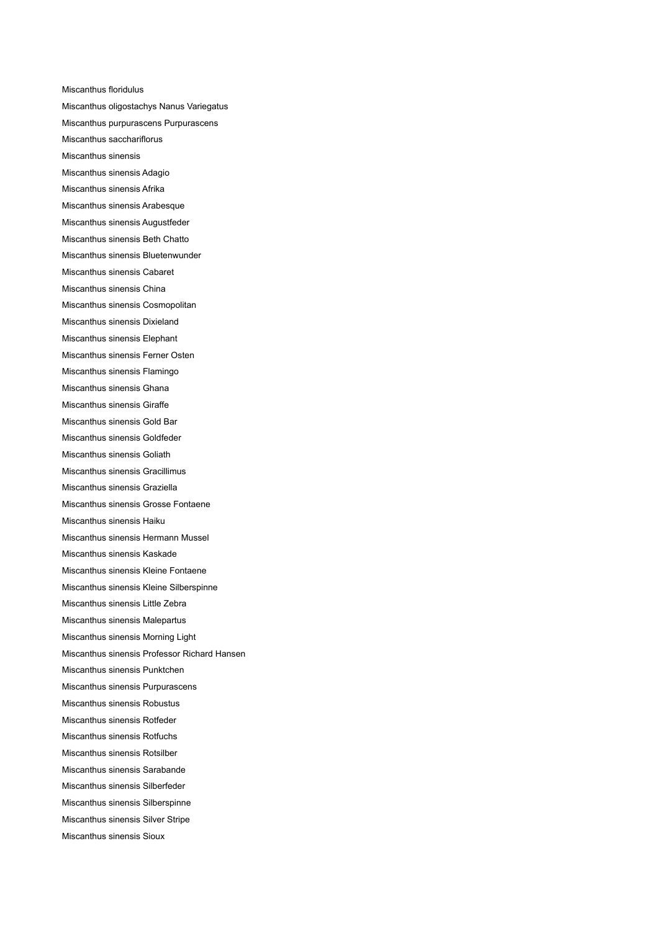Miscanthus floridulus Miscanthus oligostachys Nanus Variegatus Miscanthus purpurascens Purpurascens Miscanthus sacchariflorus Miscanthus sinensis Miscanthus sinensis Adagio Miscanthus sinensis Afrika Miscanthus sinensis Arabesque Miscanthus sinensis Augustfeder Miscanthus sinensis Beth Chatto Miscanthus sinensis Bluetenwunder Miscanthus sinensis Cabaret Miscanthus sinensis China Miscanthus sinensis Cosmopolitan Miscanthus sinensis Dixieland Miscanthus sinensis Elephant Miscanthus sinensis Ferner Osten Miscanthus sinensis Flamingo Miscanthus sinensis Ghana Miscanthus sinensis Giraffe Miscanthus sinensis Gold Bar Miscanthus sinensis Goldfeder Miscanthus sinensis Goliath Miscanthus sinensis Gracillimus Miscanthus sinensis Graziella Miscanthus sinensis Grosse Fontaene Miscanthus sinensis Haiku Miscanthus sinensis Hermann Mussel Miscanthus sinensis Kaskade Miscanthus sinensis Kleine Fontaene Miscanthus sinensis Kleine Silberspinne Miscanthus sinensis Little Zebra Miscanthus sinensis Malepartus Miscanthus sinensis Morning Light Miscanthus sinensis Professor Richard Hansen Miscanthus sinensis Punktchen Miscanthus sinensis Purpurascens Miscanthus sinensis Robustus Miscanthus sinensis Rotfeder Miscanthus sinensis Rotfuchs Miscanthus sinensis Rotsilber Miscanthus sinensis Sarabande Miscanthus sinensis Silberfeder Miscanthus sinensis Silberspinne Miscanthus sinensis Silver Stripe Miscanthus sinensis Sioux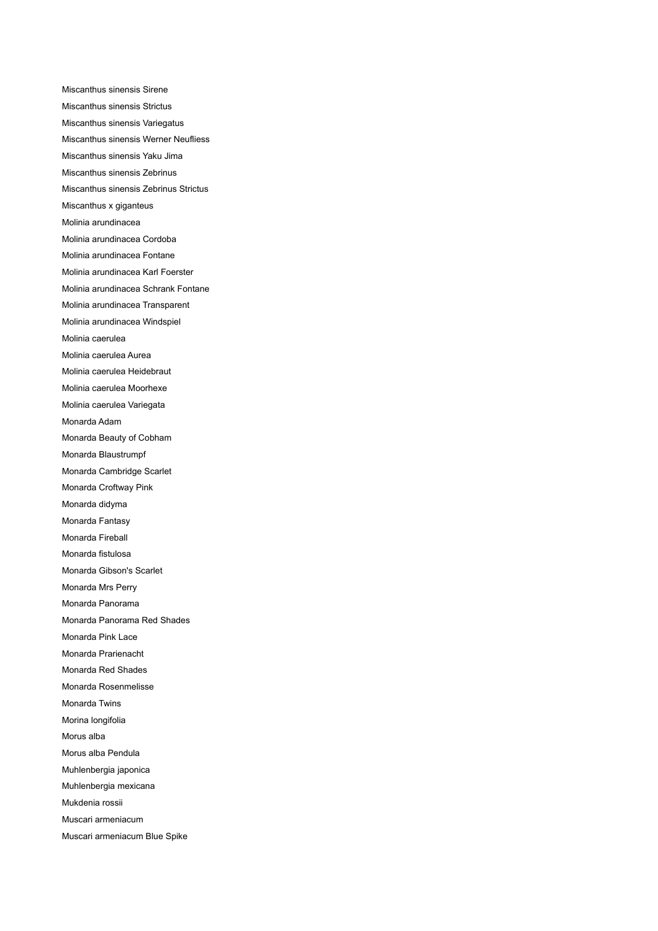Miscanthus sinensis Sirene Miscanthus sinensis Strictus Miscanthus sinensis Variegatus Miscanthus sinensis Werner Neufliess Miscanthus sinensis Yaku Jima Miscanthus sinensis Zebrinus Miscanthus sinensis Zebrinus Strictus Miscanthus x giganteus Molinia arundinacea Molinia arundinacea Cordoba Molinia arundinacea Fontane Molinia arundinacea Karl Foerster Molinia arundinacea Schrank Fontane Molinia arundinacea Transparent Molinia arundinacea Windspiel Molinia caerulea Molinia caerulea Aurea Molinia caerulea Heidebraut Molinia caerulea Moorhexe Molinia caerulea Variegata Monarda Adam Monarda Beauty of Cobham Monarda Blaustrumpf Monarda Cambridge Scarlet Monarda Croftway Pink Monarda didyma Monarda Fantasy Monarda Fireball Monarda fistulosa Monarda Gibson's Scarlet Monarda Mrs Perry Monarda Panorama Monarda Panorama Red Shades Monarda Pink Lace Monarda Prarienacht Monarda Red Shades Monarda Rosenmelisse Monarda Twins Morina longifolia Morus alba Morus alba Pendula Muhlenbergia japonica Muhlenbergia mexicana Mukdenia rossii Muscari armeniacum Muscari armeniacum Blue Spike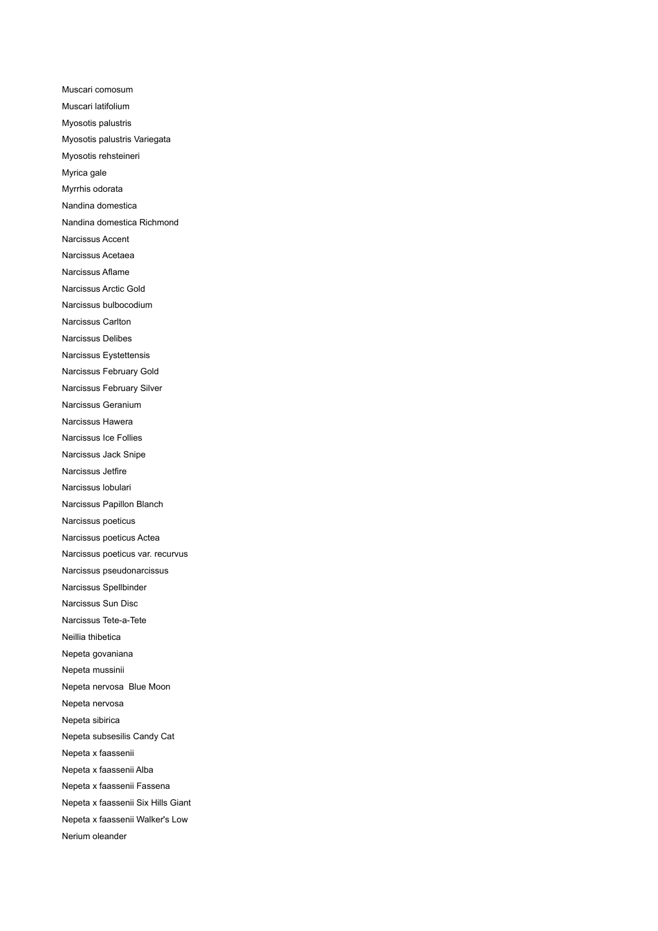Muscari comosum Muscari latifolium Myosotis palustris Myosotis palustris Variegata Myosotis rehsteineri Myrica gale Myrrhis odorata Nandina domestica Nandina domestica Richmond Narcissus Accent Narcissus Acetaea Narcissus Aflame Narcissus Arctic Gold Narcissus bulbocodium Narcissus Carlton Narcissus Delibes Narcissus Eystettensis Narcissus February Gold Narcissus February Silver Narcissus Geranium Narcissus Hawera Narcissus Ice Follies Narcissus Jack Snipe Narcissus Jetfire Narcissus lobulari Narcissus Papillon Blanch Narcissus poeticus Narcissus poeticus Actea Narcissus poeticus var. recurvus Narcissus pseudonarcissus Narcissus Spellbinder Narcissus Sun Disc Narcissus Tete-a-Tete Neillia thibetica Nepeta govaniana Nepeta mussinii Nepeta nervosa Blue Moon Nepeta nervosa Nepeta sibirica Nepeta subsesilis Candy Cat Nepeta x faassenii Nepeta x faassenii Alba Nepeta x faassenii Fassena Nepeta x faassenii Six Hills Giant Nepeta x faassenii Walker's Low Nerium oleander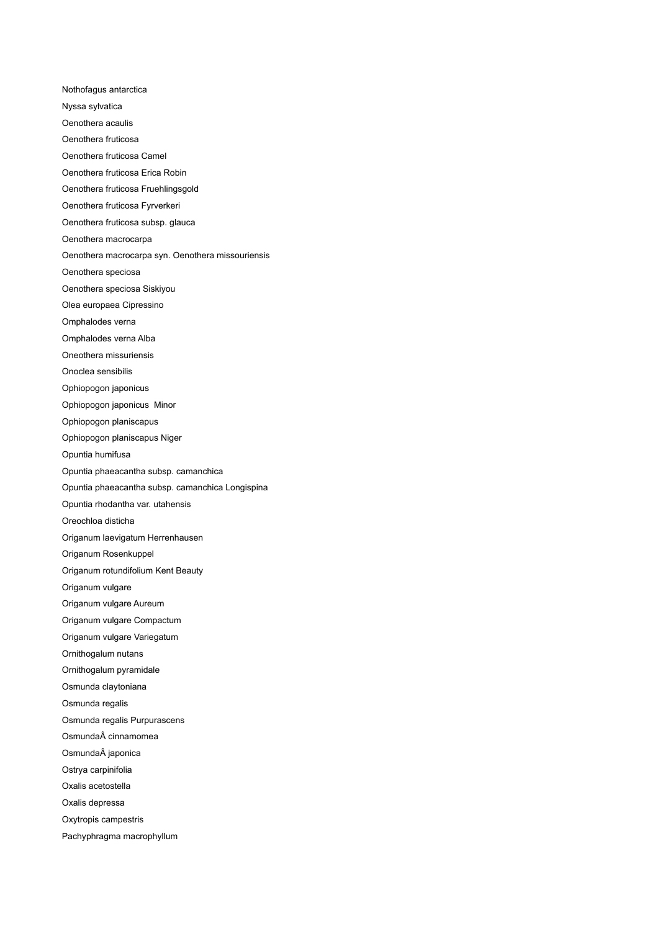Nothofagus antarctica Nyssa sylvatica Oenothera acaulis Oenothera fruticosa Oenothera fruticosa Camel Oenothera fruticosa Erica Robin Oenothera fruticosa Fruehlingsgold Oenothera fruticosa Fyrverkeri Oenothera fruticosa subsp. glauca Oenothera macrocarpa Oenothera macrocarpa syn. Oenothera missouriensis Oenothera speciosa Oenothera speciosa Siskiyou Olea europaea Cipressino Omphalodes verna Omphalodes verna Alba Oneothera missuriensis Onoclea sensibilis Ophiopogon japonicus Ophiopogon japonicus Minor Ophiopogon planiscapus Ophiopogon planiscapus Niger Opuntia humifusa Opuntia phaeacantha subsp. camanchica Opuntia phaeacantha subsp. camanchica Longispina Opuntia rhodantha var. utahensis Oreochloa disticha Origanum laevigatum Herrenhausen Origanum Rosenkuppel Origanum rotundifolium Kent Beauty Origanum vulgare Origanum vulgare Aureum Origanum vulgare Compactum Origanum vulgare Variegatum Ornithogalum nutans Ornithogalum pyramidale Osmunda claytoniana Osmunda regalis Osmunda regalis Purpurascens Osmunda cinnamomea Osmunda japonica Ostrya carpinifolia Oxalis acetostella Oxalis depressa Oxytropis campestris Pachyphragma macrophyllum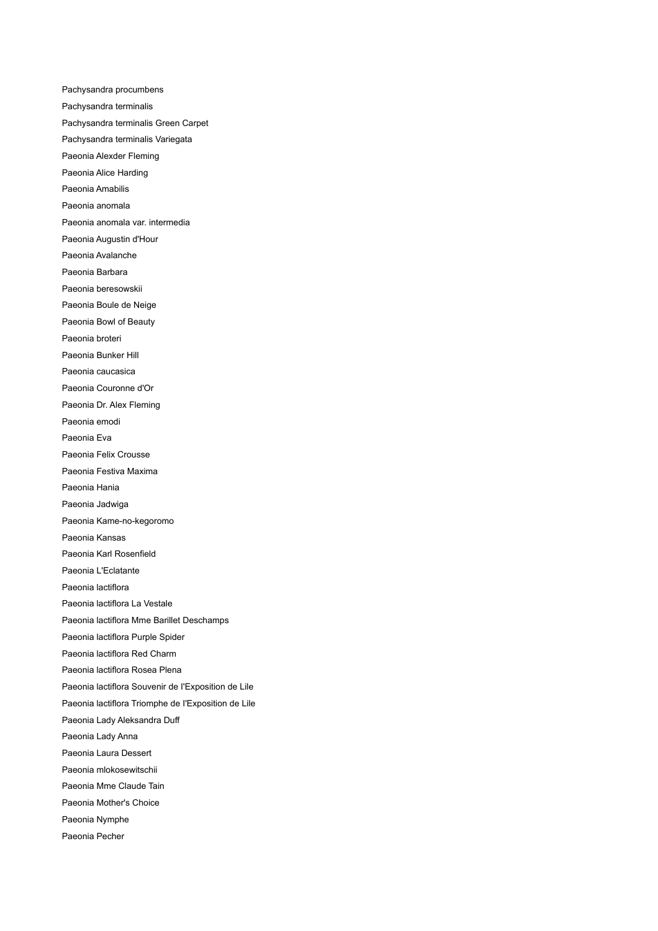Pachysandra procumbens Pachysandra terminalis Pachysandra terminalis Green Carpet Pachysandra terminalis Variegata Paeonia Alexder Fleming Paeonia Alice Harding Paeonia Amabilis Paeonia anomala Paeonia anomala var. intermedia Paeonia Augustin d'Hour Paeonia Avalanche Paeonia Barbara Paeonia beresowskii Paeonia Boule de Neige Paeonia Bowl of Beauty Paeonia broteri Paeonia Bunker Hill Paeonia caucasica Paeonia Couronne d'Or Paeonia Dr. Alex Fleming Paeonia emodi Paeonia Eva Paeonia Felix Crousse Paeonia Festiva Maxima Paeonia Hania Paeonia Jadwiga Paeonia Kame-no-kegoromo Paeonia Kansas Paeonia Karl Rosenfield Paeonia L'Eclatante Paeonia lactiflora Paeonia lactiflora La Vestale Paeonia lactiflora Mme Barillet Deschamps Paeonia lactiflora Purple Spider Paeonia lactiflora Red Charm Paeonia lactiflora Rosea Plena Paeonia lactiflora Souvenir de I'Exposition de Lile Paeonia lactiflora Triomphe de I'Exposition de Lile Paeonia Lady Aleksandra Duff Paeonia Lady Anna Paeonia Laura Dessert Paeonia mlokosewitschii Paeonia Mme Claude Tain Paeonia Mother's Choice Paeonia Nymphe Paeonia Pecher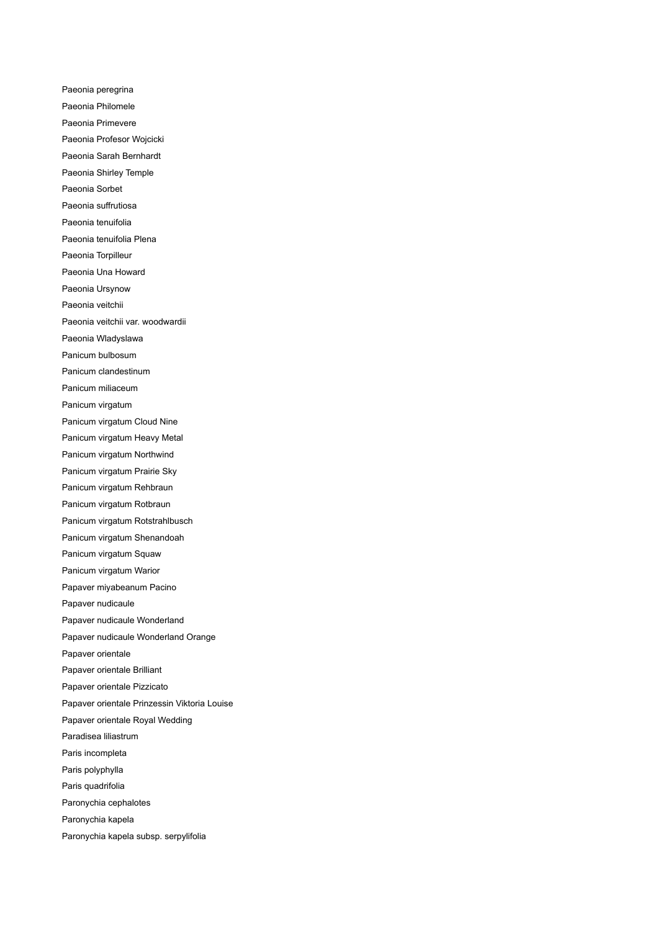Paeonia peregrina Paeonia Philomele Paeonia Primevere Paeonia Profesor Wojcicki Paeonia Sarah Bernhardt Paeonia Shirley Temple Paeonia Sorbet Paeonia suffrutiosa Paeonia tenuifolia Paeonia tenuifolia Plena Paeonia Torpilleur Paeonia Una Howard Paeonia Ursynow Paeonia veitchii Paeonia veitchii var. woodwardii Paeonia Wladyslawa Panicum bulbosum Panicum clandestinum Panicum miliaceum Panicum virgatum Panicum virgatum Cloud Nine Panicum virgatum Heavy Metal Panicum virgatum Northwind Panicum virgatum Prairie Sky Panicum virgatum Rehbraun Panicum virgatum Rotbraun Panicum virgatum Rotstrahlbusch Panicum virgatum Shenandoah Panicum virgatum Squaw Panicum virgatum Warior Papaver miyabeanum Pacino Papaver nudicaule Papaver nudicaule Wonderland Papaver nudicaule Wonderland Orange Papaver orientale Papaver orientale Brilliant Papaver orientale Pizzicato Papaver orientale Prinzessin Viktoria Louise Papaver orientale Royal Wedding Paradisea liliastrum Paris incompleta Paris polyphylla Paris quadrifolia Paronychia cephalotes Paronychia kapela Paronychia kapela subsp. serpylifolia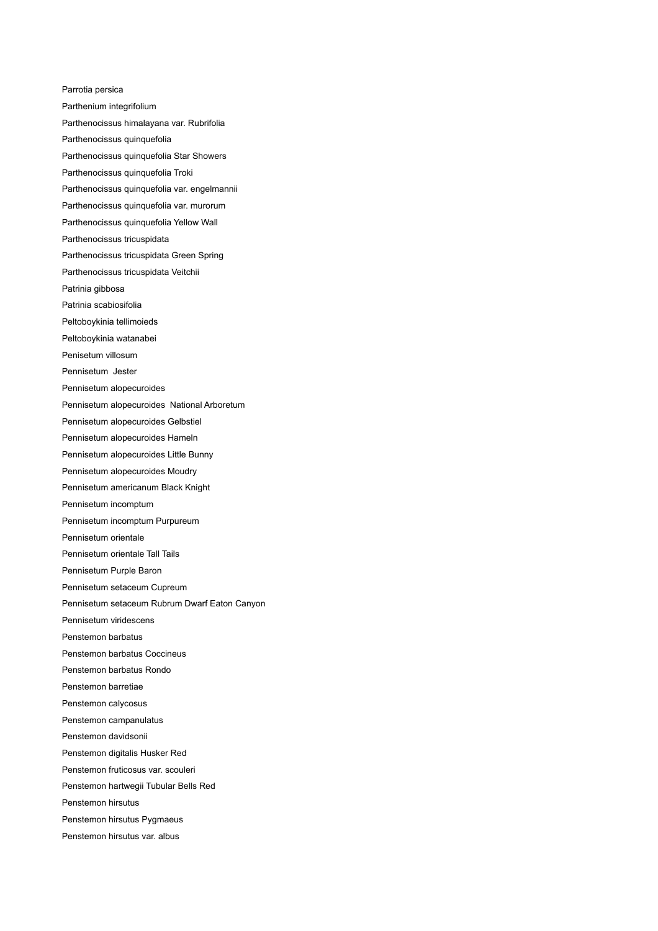Parrotia persica Parthenium integrifolium Parthenocissus himalayana var. Rubrifolia Parthenocissus quinquefolia Parthenocissus quinquefolia Star Showers Parthenocissus quinquefolia Troki Parthenocissus quinquefolia var. engelmannii Parthenocissus quinquefolia var. murorum Parthenocissus quinquefolia Yellow Wall Parthenocissus tricuspidata Parthenocissus tricuspidata Green Spring Parthenocissus tricuspidata Veitchii Patrinia gibbosa Patrinia scabiosifolia Peltoboykinia tellimoieds Peltoboykinia watanabei Penisetum villosum Pennisetum Jester Pennisetum alopecuroides Pennisetum alopecuroides National Arboretum Pennisetum alopecuroides Gelbstiel Pennisetum alopecuroides Hameln Pennisetum alopecuroides Little Bunny Pennisetum alopecuroides Moudry Pennisetum americanum Black Knight Pennisetum incomptum Pennisetum incomptum Purpureum Pennisetum orientale Pennisetum orientale Tall Tails Pennisetum Purple Baron Pennisetum setaceum Cupreum Pennisetum setaceum Rubrum Dwarf Eaton Canyon Pennisetum viridescens Penstemon barbatus Penstemon barbatus Coccineus Penstemon barbatus Rondo Penstemon barretiae Penstemon calycosus Penstemon campanulatus Penstemon davidsonii Penstemon digitalis Husker Red Penstemon fruticosus var. scouleri Penstemon hartwegii Tubular Bells Red Penstemon hirsutus Penstemon hirsutus Pygmaeus Penstemon hirsutus var. albus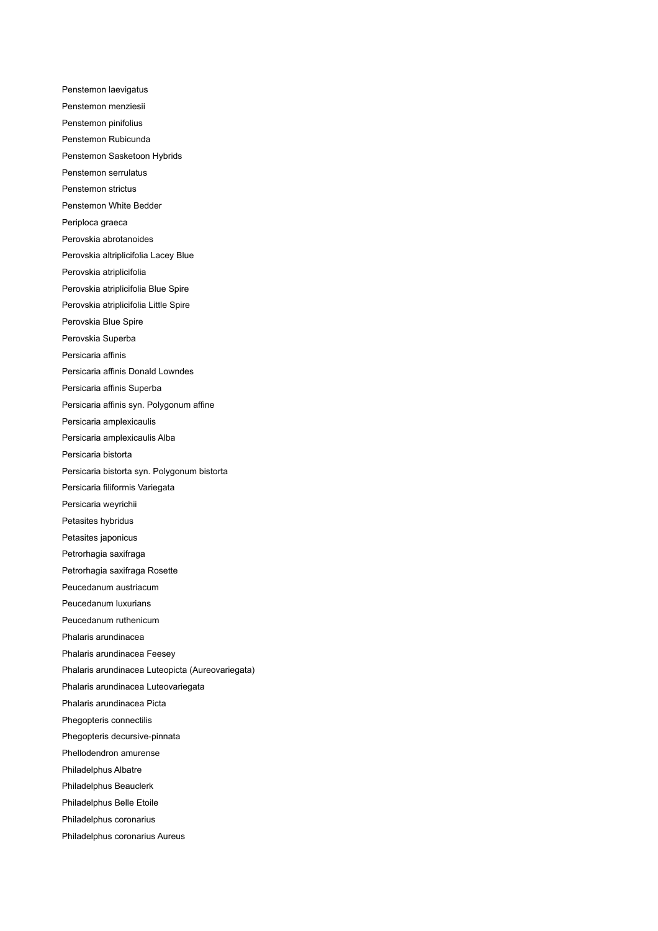Penstemon laevigatus Penstemon menziesii Penstemon pinifolius Penstemon Rubicunda Penstemon Sasketoon Hybrids Penstemon serrulatus Penstemon strictus Penstemon White Bedder Periploca graeca Perovskia abrotanoides Perovskia altriplicifolia Lacey Blue Perovskia atriplicifolia Perovskia atriplicifolia Blue Spire Perovskia atriplicifolia Little Spire Perovskia Blue Spire Perovskia Superba Persicaria affinis Persicaria affinis Donald Lowndes Persicaria affinis Superba Persicaria affinis syn. Polygonum affine Persicaria amplexicaulis Persicaria amplexicaulis Alba Persicaria bistorta Persicaria bistorta syn. Polygonum bistorta Persicaria filiformis Variegata Persicaria weyrichii Petasites hybridus Petasites japonicus Petrorhagia saxifraga Petrorhagia saxifraga Rosette Peucedanum austriacum Peucedanum luxurians Peucedanum ruthenicum Phalaris arundinacea Phalaris arundinacea Feesey Phalaris arundinacea Luteopicta (Aureovariegata) Phalaris arundinacea Luteovariegata Phalaris arundinacea Picta Phegopteris connectilis Phegopteris decursive-pinnata Phellodendron amurense Philadelphus Albatre Philadelphus Beauclerk Philadelphus Belle Etoile Philadelphus coronarius Philadelphus coronarius Aureus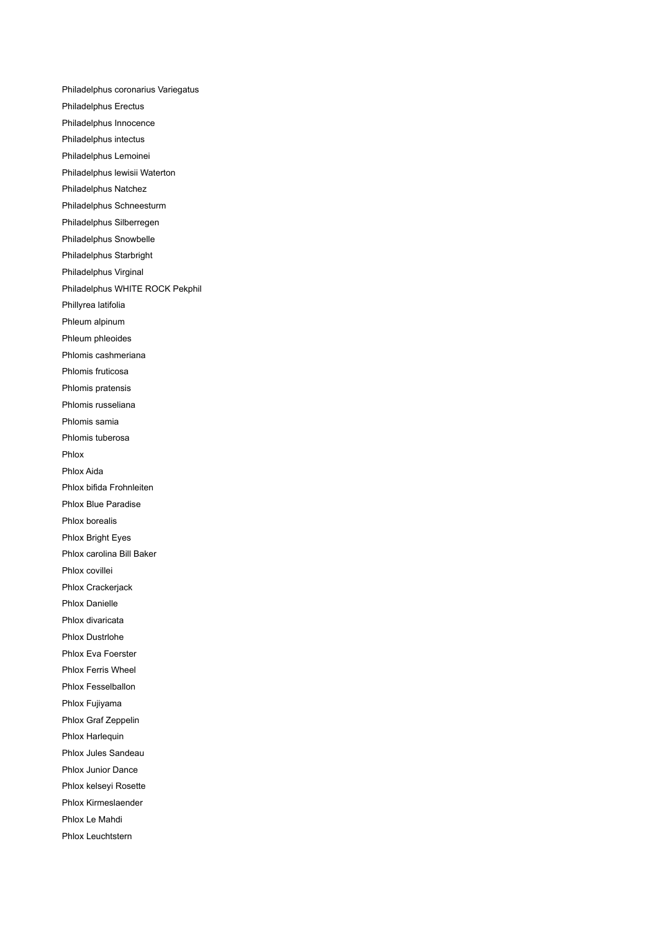Philadelphus coronarius Variegatus Philadelphus Erectus Philadelphus Innocence Philadelphus intectus Philadelphus Lemoinei Philadelphus lewisii Waterton Philadelphus Natchez Philadelphus Schneesturm Philadelphus Silberregen Philadelphus Snowbelle Philadelphus Starbright Philadelphus Virginal Philadelphus WHITE ROCK Pekphil Phillyrea latifolia Phleum alpinum Phleum phleoides Phlomis cashmeriana Phlomis fruticosa Phlomis pratensis Phlomis russeliana Phlomis samia Phlomis tuberosa Phlox Phlox Aida Phlox bifida Frohnleiten Phlox Blue Paradise Phlox borealis Phlox Bright Eyes Phlox carolina Bill Baker Phlox covillei Phlox Crackerjack Phlox Danielle Phlox divaricata Phlox Dustrlohe Phlox Eva Foerster Phlox Ferris Wheel Phlox Fesselballon Phlox Fujiyama Phlox Graf Zeppelin Phlox Harlequin Phlox Jules Sandeau Phlox Junior Dance Phlox kelseyi Rosette Phlox Kirmeslaender Phlox Le Mahdi Phlox Leuchtstern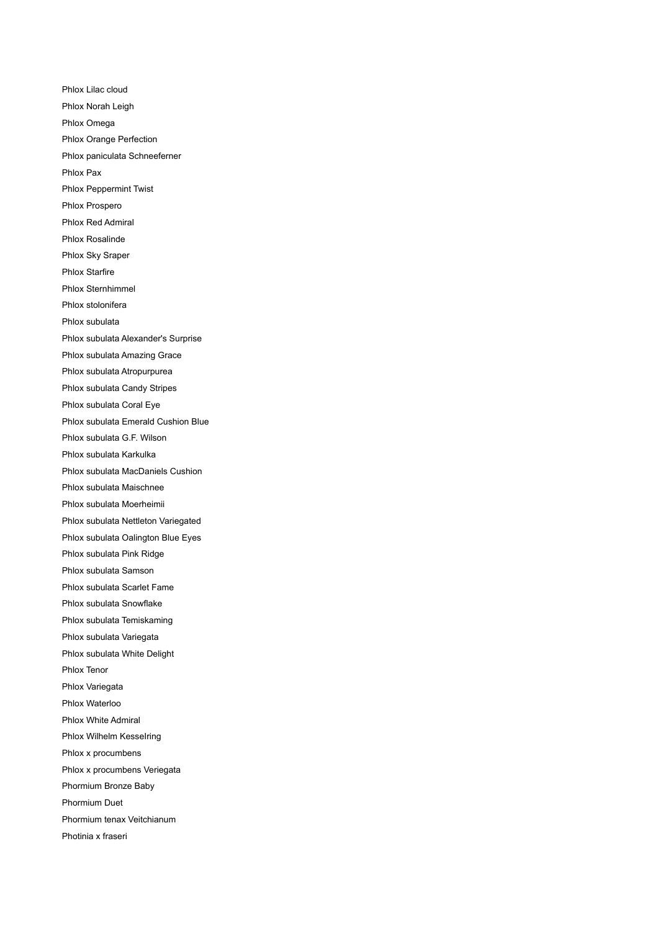Phlox Lilac cloud Phlox Norah Leigh Phlox Omega Phlox Orange Perfection Phlox paniculata Schneeferner Phlox Pax Phlox Peppermint Twist Phlox Prospero Phlox Red Admiral Phlox Rosalinde Phlox Sky Sraper Phlox Starfire Phlox Sternhimmel Phlox stolonifera Phlox subulata Phlox subulata Alexander's Surprise Phlox subulata Amazing Grace Phlox subulata Atropurpurea Phlox subulata Candy Stripes Phlox subulata Coral Eye Phlox subulata Emerald Cushion Blue Phlox subulata G.F. Wilson Phlox subulata Karkulka Phlox subulata MacDaniels Cushion Phlox subulata Maischnee Phlox subulata Moerheimii Phlox subulata Nettleton Variegated Phlox subulata Oalington Blue Eyes Phlox subulata Pink Ridge Phlox subulata Samson Phlox subulata Scarlet Fame Phlox subulata Snowflake Phlox subulata Temiskaming Phlox subulata Variegata Phlox subulata White Delight Phlox Tenor Phlox Variegata Phlox Waterloo Phlox White Admiral Phlox Wilhelm KesseIring Phlox x procumbens Phlox x procumbens Veriegata Phormium Bronze Baby Phormium Duet Phormium tenax Veitchianum Photinia x fraseri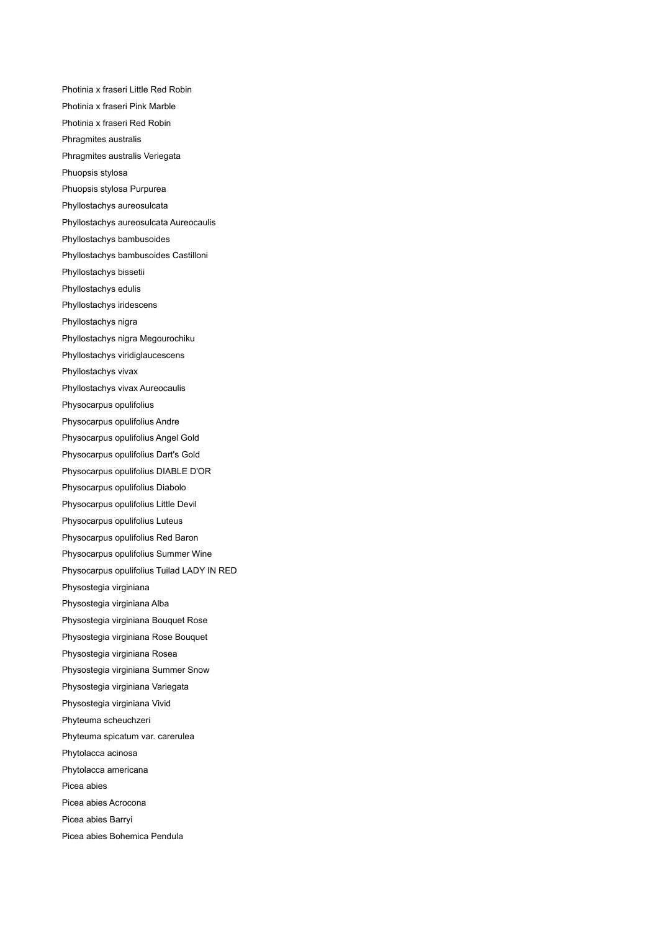Photinia x fraseri Little Red Robin Photinia x fraseri Pink Marble Photinia x fraseri Red Robin Phragmites australis Phragmites australis Veriegata Phuopsis stylosa Phuopsis stylosa Purpurea Phyllostachys aureosulcata Phyllostachys aureosulcata Aureocaulis Phyllostachys bambusoides Phyllostachys bambusoides Castilloni Phyllostachys bissetii Phyllostachys edulis Phyllostachys iridescens Phyllostachys nigra Phyllostachys nigra Megourochiku Phyllostachys viridiglaucescens Phyllostachys vivax Phyllostachys vivax Aureocaulis Physocarpus opulifolius Physocarpus opulifolius Andre Physocarpus opulifolius Angel Gold Physocarpus opulifolius Dart's Gold Physocarpus opulifolius DIABLE D'OR Physocarpus opulifolius Diabolo Physocarpus opulifolius Little Devil Physocarpus opulifolius Luteus Physocarpus opulifolius Red Baron Physocarpus opulifolius Summer Wine Physocarpus opulifolius Tuilad LADY IN RED Physostegia virginiana Physostegia virginiana Alba Physostegia virginiana Bouquet Rose Physostegia virginiana Rose Bouquet Physostegia virginiana Rosea Physostegia virginiana Summer Snow Physostegia virginiana Variegata Physostegia virginiana Vivid Phyteuma scheuchzeri Phyteuma spicatum var. carerulea Phytolacca acinosa Phytolacca americana Picea abies Picea abies Acrocona Picea abies Barryi Picea abies Bohemica Pendula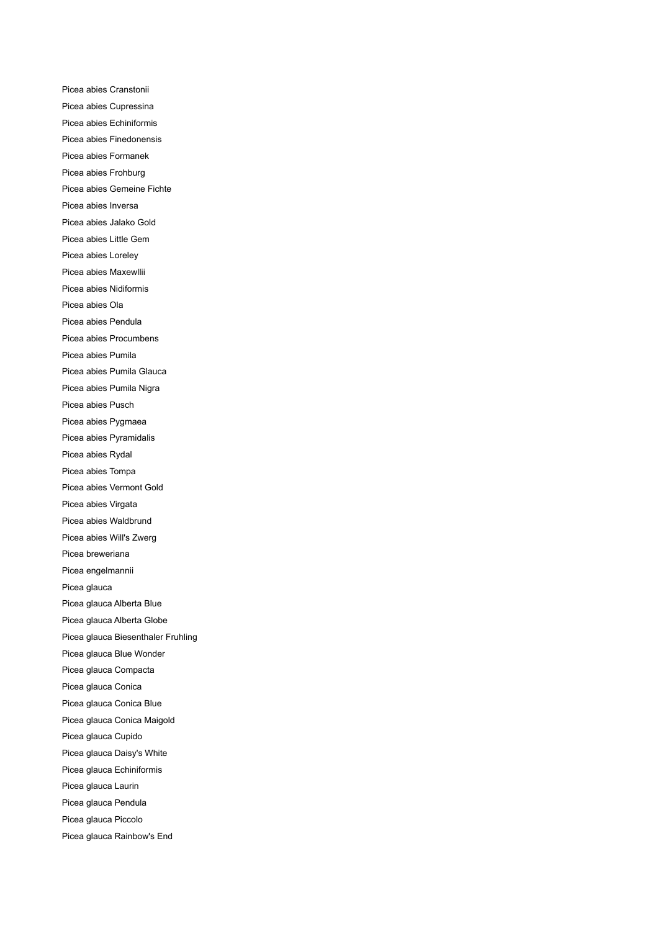Picea abies Cranstonii Picea abies Cupressina Picea abies Echiniformis Picea abies Finedonensis Picea abies Formanek Picea abies Frohburg Picea abies Gemeine Fichte Picea abies Inversa Picea abies Jalako Gold Picea abies Little Gem Picea abies Loreley Picea abies Maxewllii Picea abies Nidiformis Picea abies Ola Picea abies Pendula Picea abies Procumbens Picea abies Pumila Picea abies Pumila Glauca Picea abies Pumila Nigra Picea abies Pusch Picea abies Pygmaea Picea abies Pyramidalis Picea abies Rydal Picea abies Tompa Picea abies Vermont Gold Picea abies Virgata Picea abies Waldbrund Picea abies Will's Zwerg Picea breweriana Picea engelmannii Picea glauca Picea glauca Alberta Blue Picea glauca Alberta Globe Picea glauca Biesenthaler Fruhling Picea glauca Blue Wonder Picea glauca Compacta Picea glauca Conica Picea glauca Conica Blue Picea glauca Conica Maigold Picea glauca Cupido Picea glauca Daisy's White Picea glauca Echiniformis Picea glauca Laurin Picea glauca Pendula Picea glauca Piccolo Picea glauca Rainbow's End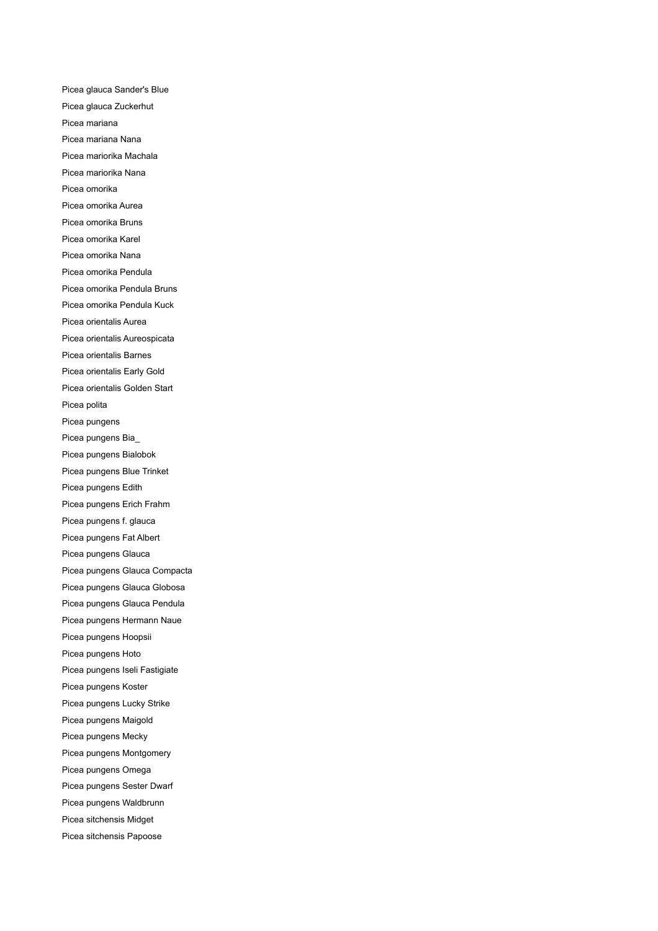Picea glauca Sander's Blue Picea glauca Zuckerhut Picea mariana Picea mariana Nana Picea mariorika Machala Picea mariorika Nana Picea omorika Picea omorika Aurea Picea omorika Bruns Picea omorika Karel Picea omorika Nana Picea omorika Pendula Picea omorika Pendula Bruns Picea omorika Pendula Kuck Picea orientalis Aurea Picea orientalis Aureospicata Picea orientalis Barnes Picea orientalis Early Gold Picea orientalis Golden Start Picea polita Picea pungens Picea pungens Bia\_ Picea pungens Bialobok Picea pungens Blue Trinket Picea pungens Edith Picea pungens Erich Frahm Picea pungens f. glauca Picea pungens Fat Albert Picea pungens Glauca Picea pungens Glauca Compacta Picea pungens Glauca Globosa Picea pungens Glauca Pendula Picea pungens Hermann Naue Picea pungens Hoopsii Picea pungens Hoto Picea pungens Iseli Fastigiate Picea pungens Koster Picea pungens Lucky Strike Picea pungens Maigold Picea pungens Mecky Picea pungens Montgomery Picea pungens Omega Picea pungens Sester Dwarf Picea pungens Waldbrunn Picea sitchensis Midget Picea sitchensis Papoose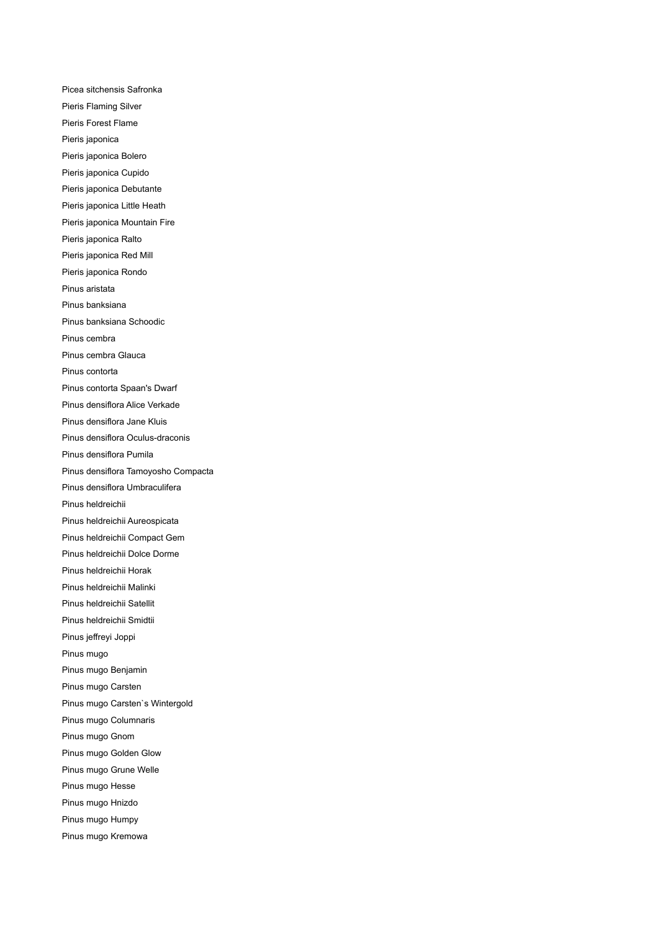Picea sitchensis Safronka Pieris Flaming Silver Pieris Forest Flame Pieris japonica Pieris japonica Bolero Pieris japonica Cupido Pieris japonica Debutante Pieris japonica Little Heath Pieris japonica Mountain Fire Pieris japonica Ralto Pieris japonica Red Mill Pieris japonica Rondo Pinus aristata Pinus banksiana Pinus banksiana Schoodic Pinus cembra Pinus cembra Glauca Pinus contorta Pinus contorta Spaan's Dwarf Pinus densiflora Alice Verkade Pinus densiflora Jane Kluis Pinus densiflora Oculus-draconis Pinus densiflora Pumila Pinus densiflora Tamoyosho Compacta Pinus densiflora Umbraculifera Pinus heldreichii Pinus heldreichii Aureospicata Pinus heldreichii Compact Gem Pinus heldreichii Dolce Dorme Pinus heldreichii Horak Pinus heldreichii Malinki Pinus heldreichii Satellit Pinus heldreichii Smidtii Pinus jeffreyi Joppi Pinus mugo Pinus mugo Benjamin Pinus mugo Carsten Pinus mugo Carsten`s Wintergold Pinus mugo Columnaris Pinus mugo Gnom Pinus mugo Golden Glow Pinus mugo Grune Welle Pinus mugo Hesse Pinus mugo Hnizdo Pinus mugo Humpy Pinus mugo Kremowa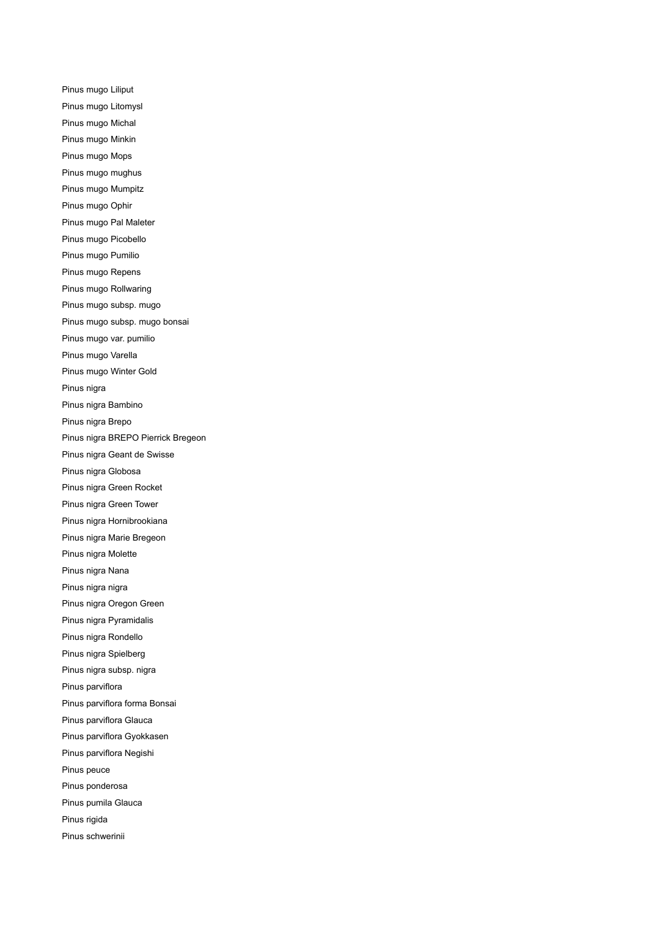Pinus mugo Liliput Pinus mugo Litomysl Pinus mugo Michal Pinus mugo Minkin Pinus mugo Mops Pinus mugo mughus Pinus mugo Mumpitz Pinus mugo Ophir Pinus mugo Pal Maleter Pinus mugo Picobello Pinus mugo Pumilio Pinus mugo Repens Pinus mugo Rollwaring Pinus mugo subsp. mugo Pinus mugo subsp. mugo bonsai Pinus mugo var. pumilio Pinus mugo Varella Pinus mugo Winter Gold Pinus nigra Pinus nigra Bambino Pinus nigra Brepo Pinus nigra BREPO Pierrick Bregeon Pinus nigra Geant de Swisse Pinus nigra Globosa Pinus nigra Green Rocket Pinus nigra Green Tower Pinus nigra Hornibrookiana Pinus nigra Marie Bregeon Pinus nigra Molette Pinus nigra Nana Pinus nigra nigra Pinus nigra Oregon Green Pinus nigra Pyramidalis Pinus nigra Rondello Pinus nigra Spielberg Pinus nigra subsp. nigra Pinus parviflora Pinus parviflora forma Bonsai Pinus parviflora Glauca Pinus parviflora Gyokkasen Pinus parviflora Negishi Pinus peuce Pinus ponderosa Pinus pumila Glauca Pinus rigida Pinus schwerinii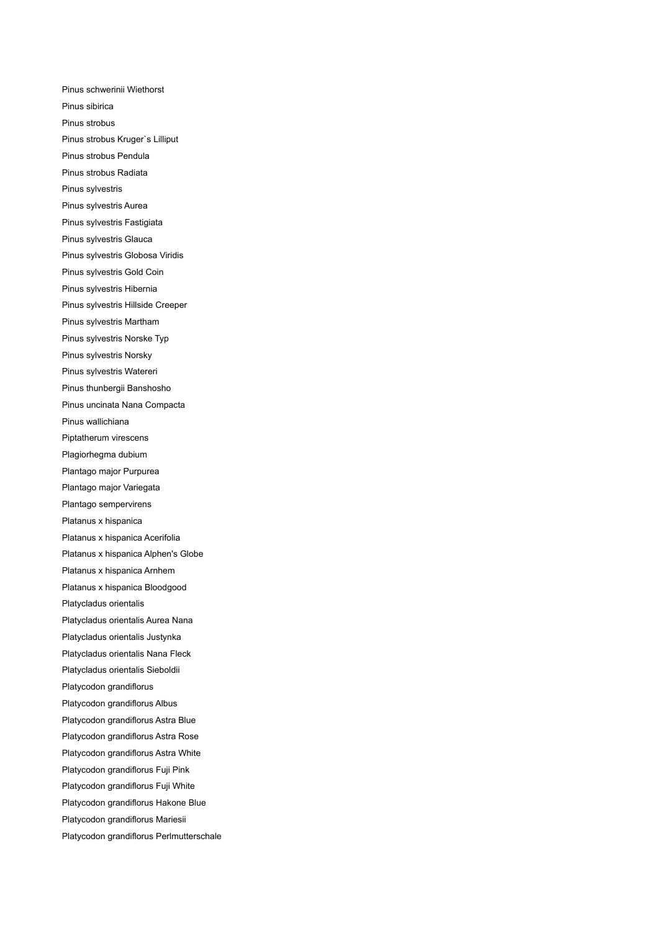Pinus schwerinii Wiethorst Pinus sibirica Pinus strobus Pinus strobus Kruger`s Lilliput Pinus strobus Pendula Pinus strobus Radiata Pinus sylvestris Pinus sylvestris Aurea Pinus sylvestris Fastigiata Pinus sylvestris Glauca Pinus sylvestris Globosa Viridis Pinus sylvestris Gold Coin Pinus sylvestris Hibernia Pinus sylvestris Hillside Creeper Pinus sylvestris Martham Pinus sylvestris Norske Typ Pinus sylvestris Norsky Pinus sylvestris Watereri Pinus thunbergii Banshosho Pinus uncinata Nana Compacta Pinus wallichiana Piptatherum virescens Plagiorhegma dubium Plantago major Purpurea Plantago major Variegata Plantago sempervirens Platanus x hispanica Platanus x hispanica Acerifolia Platanus x hispanica Alphen's Globe Platanus x hispanica Arnhem Platanus x hispanica Bloodgood Platycladus orientalis Platycladus orientalis Aurea Nana Platycladus orientalis Justynka Platycladus orientalis Nana Fleck Platycladus orientalis Sieboldii Platycodon grandiflorus Platycodon grandiflorus Albus Platycodon grandiflorus Astra Blue Platycodon grandiflorus Astra Rose Platycodon grandiflorus Astra White Platycodon grandiflorus Fuji Pink Platycodon grandiflorus Fuji White Platycodon grandiflorus Hakone Blue Platycodon grandiflorus Mariesii Platycodon grandiflorus Perlmutterschale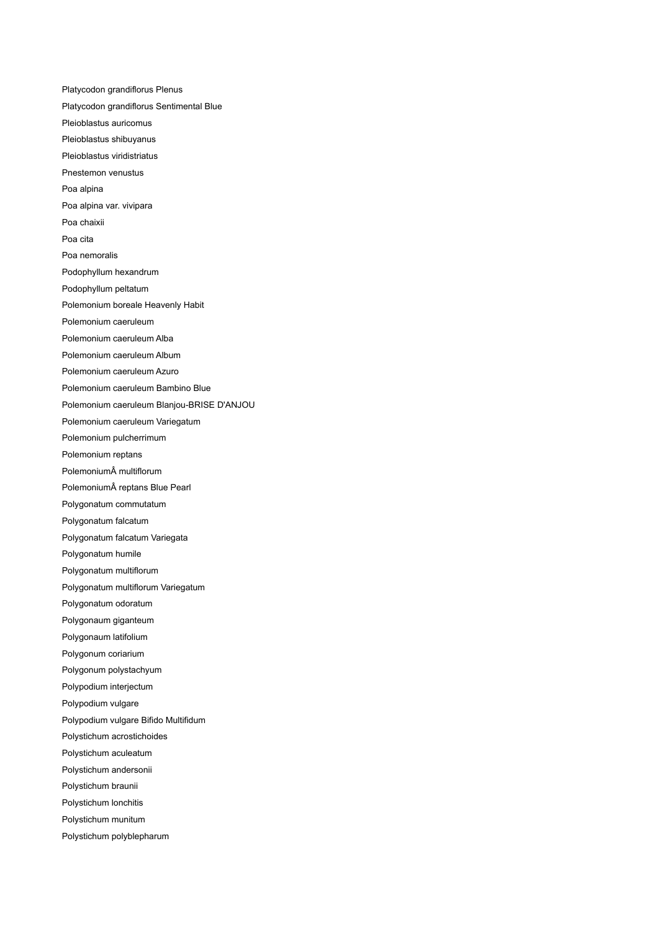Platycodon grandiflorus Plenus Platycodon grandiflorus Sentimental Blue Pleioblastus auricomus Pleioblastus shibuyanus Pleioblastus viridistriatus Pnestemon venustus Poa alpina Poa alpina var. vivipara Poa chaixii Poa cita Poa nemoralis Podophyllum hexandrum Podophyllum peltatum Polemonium boreale Heavenly Habit Polemonium caeruleum Polemonium caeruleum Alba Polemonium caeruleum Album Polemonium caeruleum Azuro Polemonium caeruleum Bambino Blue Polemonium caeruleum Blanjou-BRISE D'ANJOU Polemonium caeruleum Variegatum Polemonium pulcherrimum Polemonium reptans Polemonium multiflorum Polemonium reptans Blue Pearl Polygonatum commutatum Polygonatum falcatum Polygonatum falcatum Variegata Polygonatum humile Polygonatum multiflorum Polygonatum multiflorum Variegatum Polygonatum odoratum Polygonaum giganteum Polygonaum latifolium Polygonum coriarium Polygonum polystachyum Polypodium interjectum Polypodium vulgare Polypodium vulgare Bifido Multifidum Polystichum acrostichoides Polystichum aculeatum Polystichum andersonii Polystichum braunii Polystichum lonchitis Polystichum munitum Polystichum polyblepharum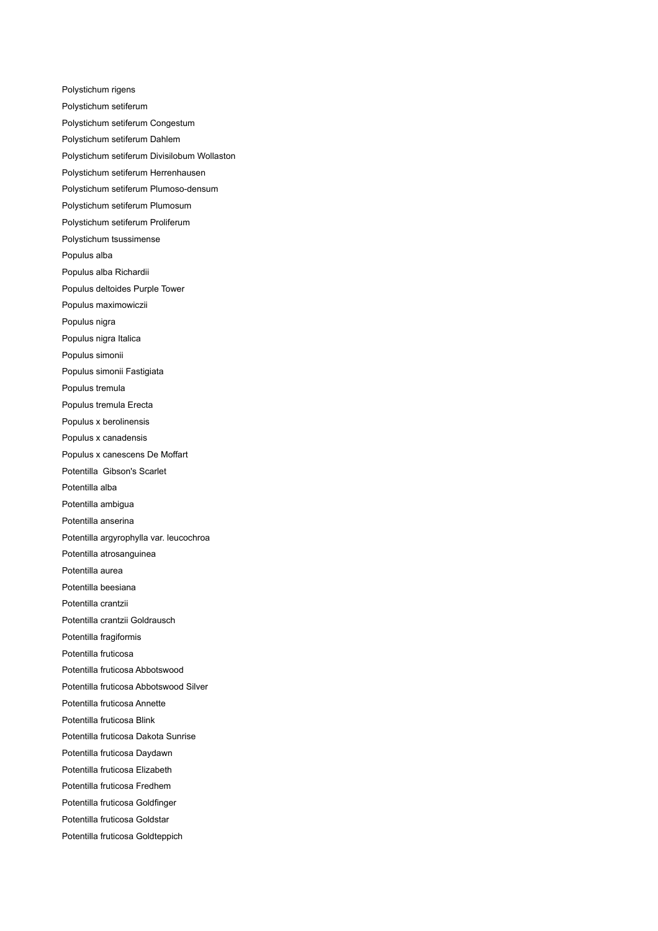Polystichum rigens Polystichum setiferum Polystichum setiferum Congestum Polystichum setiferum Dahlem Polystichum setiferum Divisilobum Wollaston Polystichum setiferum Herrenhausen Polystichum setiferum Plumoso-densum Polystichum setiferum Plumosum Polystichum setiferum Proliferum Polystichum tsussimense Populus alba Populus alba Richardii Populus deltoides Purple Tower Populus maximowiczii Populus nigra Populus nigra Italica Populus simonii Populus simonii Fastigiata Populus tremula Populus tremula Erecta Populus x berolinensis Populus x canadensis Populus x canescens De Moffart Potentilla Gibson's Scarlet Potentilla alba Potentilla ambigua Potentilla anserina Potentilla argyrophylla var. leucochroa Potentilla atrosanguinea Potentilla aurea Potentilla beesiana Potentilla crantzii Potentilla crantzii Goldrausch Potentilla fragiformis Potentilla fruticosa Potentilla fruticosa Abbotswood Potentilla fruticosa Abbotswood Silver Potentilla fruticosa Annette Potentilla fruticosa Blink Potentilla fruticosa Dakota Sunrise Potentilla fruticosa Daydawn Potentilla fruticosa Elizabeth Potentilla fruticosa Fredhem Potentilla fruticosa Goldfinger Potentilla fruticosa Goldstar Potentilla fruticosa Goldteppich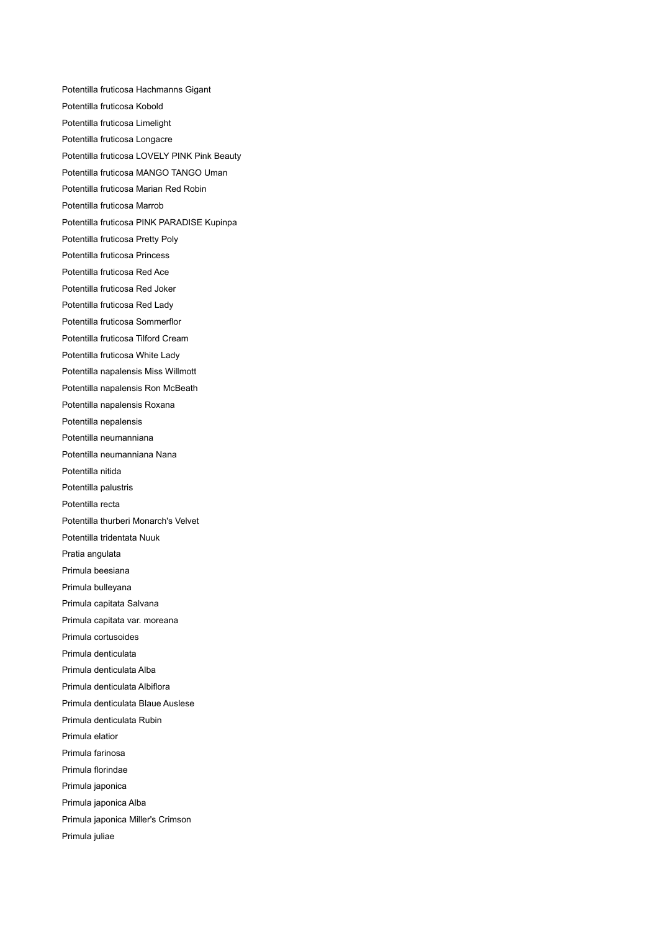Potentilla fruticosa Hachmanns Gigant Potentilla fruticosa Kobold Potentilla fruticosa Limelight Potentilla fruticosa Longacre Potentilla fruticosa LOVELY PINK Pink Beauty Potentilla fruticosa MANGO TANGO Uman Potentilla fruticosa Marian Red Robin Potentilla fruticosa Marrob Potentilla fruticosa PINK PARADISE Kupinpa Potentilla fruticosa Pretty Poly Potentilla fruticosa Princess Potentilla fruticosa Red Ace Potentilla fruticosa Red Joker Potentilla fruticosa Red Lady Potentilla fruticosa Sommerflor Potentilla fruticosa Tilford Cream Potentilla fruticosa White Lady Potentilla napalensis Miss Willmott Potentilla napalensis Ron McBeath Potentilla napalensis Roxana Potentilla nepalensis Potentilla neumanniana Potentilla neumanniana Nana Potentilla nitida Potentilla palustris Potentilla recta Potentilla thurberi Monarch's Velvet Potentilla tridentata Nuuk Pratia angulata Primula beesiana Primula bulleyana Primula capitata Salvana Primula capitata var. moreana Primula cortusoides Primula denticulata Primula denticulata Alba Primula denticulata Albiflora Primula denticulata Blaue Auslese Primula denticulata Rubin Primula elatior Primula farinosa Primula florindae Primula japonica Primula japonica Alba Primula japonica Miller's Crimson Primula juliae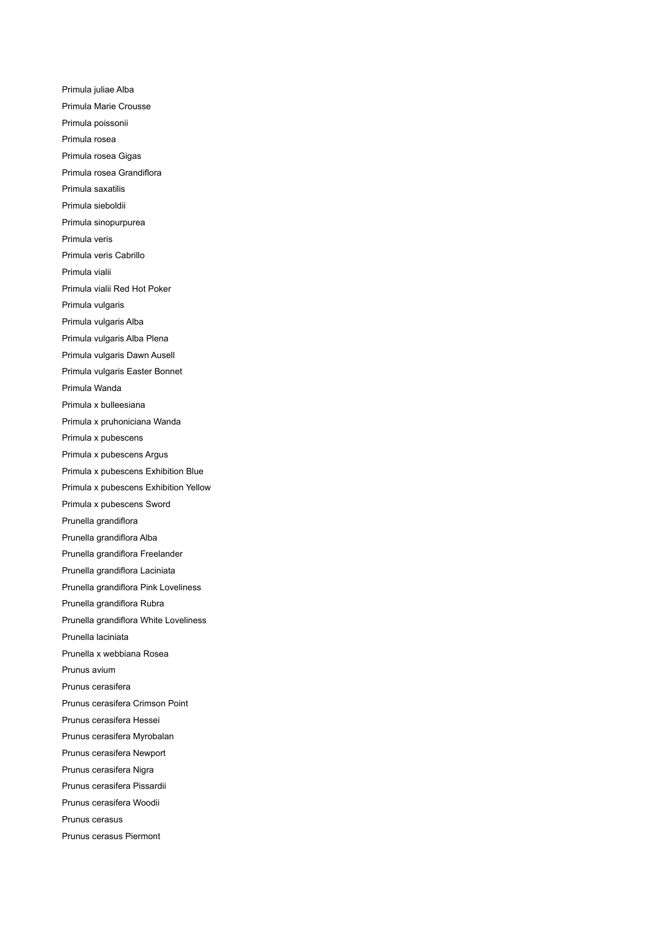Primula juliae Alba Primula Marie Crousse Primula poissonii Primula rosea Primula rosea Gigas Primula rosea Grandiflora Primula saxatilis Primula sieboldii Primula sinopurpurea Primula veris Primula veris Cabrillo Primula vialii Primula vialii Red Hot Poker Primula vulgaris Primula vulgaris Alba Primula vulgaris Alba Plena Primula vulgaris Dawn Ausell Primula vulgaris Easter Bonnet Primula Wanda Primula x bulleesiana Primula x pruhoniciana Wanda Primula x pubescens Primula x pubescens Argus Primula x pubescens Exhibition Blue Primula x pubescens Exhibition Yellow Primula x pubescens Sword Prunella grandiflora Prunella grandiflora Alba Prunella grandiflora Freelander Prunella grandiflora Laciniata Prunella grandiflora Pink Loveliness Prunella grandiflora Rubra Prunella grandiflora White Loveliness Prunella laciniata Prunella x webbiana Rosea Prunus avium Prunus cerasifera Prunus cerasifera Crimson Point Prunus cerasifera Hessei Prunus cerasifera Myrobalan Prunus cerasifera Newport Prunus cerasifera Nigra Prunus cerasifera Pissardii Prunus cerasifera Woodii Prunus cerasus Prunus cerasus Piermont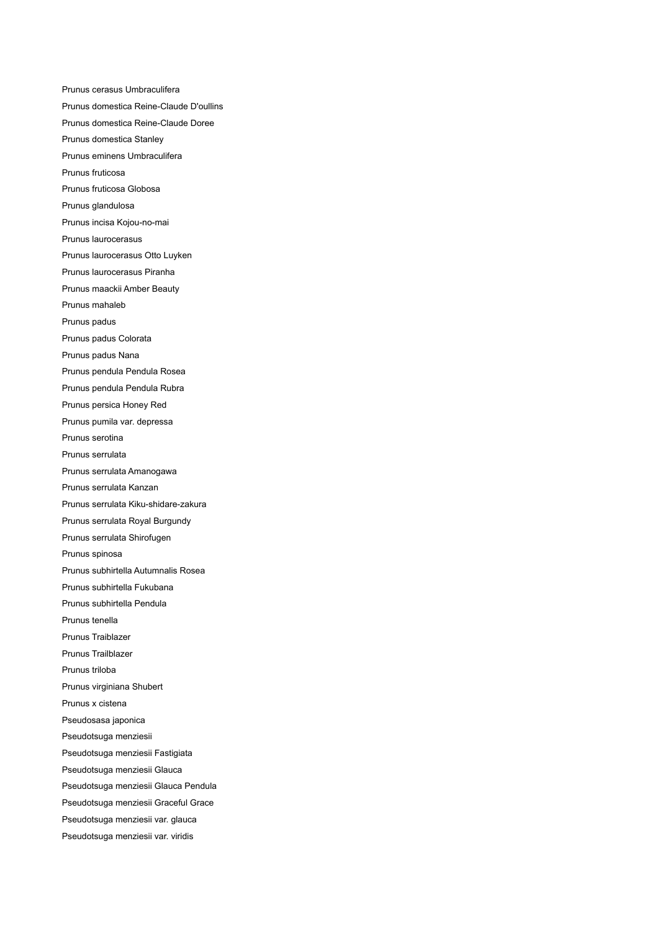Prunus cerasus Umbraculifera Prunus domestica Reine-Claude D'oullins Prunus domestica Reine-Claude Doree Prunus domestica Stanley Prunus eminens Umbraculifera Prunus fruticosa Prunus fruticosa Globosa Prunus glandulosa Prunus incisa Kojou-no-mai Prunus laurocerasus Prunus laurocerasus Otto Luyken Prunus laurocerasus Piranha Prunus maackii Amber Beauty Prunus mahaleb Prunus padus Prunus padus Colorata Prunus padus Nana Prunus pendula Pendula Rosea Prunus pendula Pendula Rubra Prunus persica Honey Red Prunus pumila var. depressa Prunus serotina Prunus serrulata Prunus serrulata Amanogawa Prunus serrulata Kanzan Prunus serrulata Kiku-shidare-zakura Prunus serrulata Royal Burgundy Prunus serrulata Shirofugen Prunus spinosa Prunus subhirtella Autumnalis Rosea Prunus subhirtella Fukubana Prunus subhirtella Pendula Prunus tenella Prunus Traiblazer Prunus Trailblazer Prunus triloba Prunus virginiana Shubert Prunus x cistena Pseudosasa japonica Pseudotsuga menziesii Pseudotsuga menziesii Fastigiata Pseudotsuga menziesii Glauca Pseudotsuga menziesii Glauca Pendula Pseudotsuga menziesii Graceful Grace Pseudotsuga menziesii var. glauca Pseudotsuga menziesii var. viridis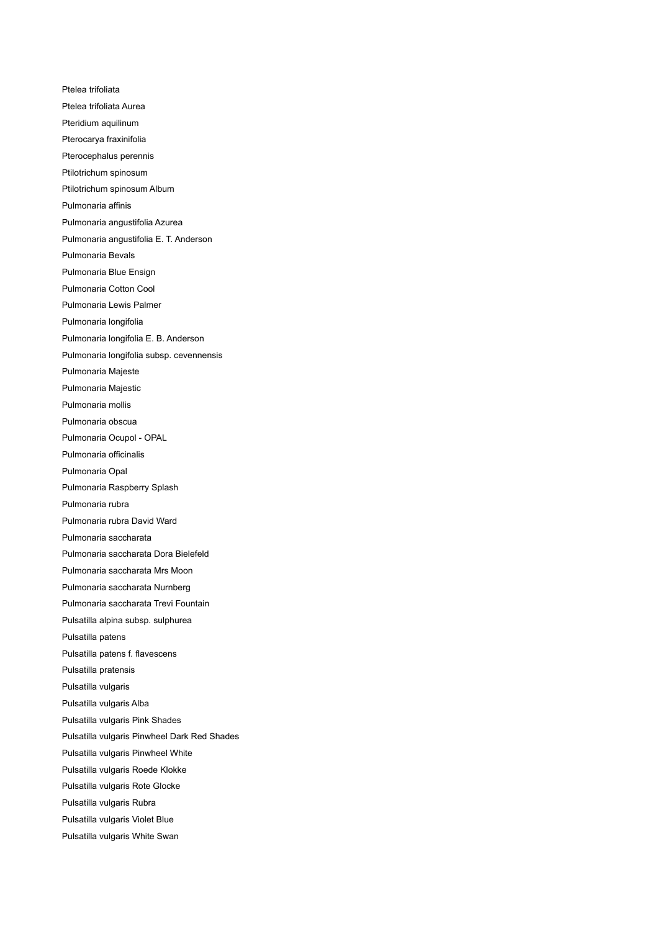Ptelea trifoliata Ptelea trifoliata Aurea Pteridium aquilinum Pterocarya fraxinifolia Pterocephalus perennis Ptilotrichum spinosum Ptilotrichum spinosum Album Pulmonaria affinis Pulmonaria angustifolia Azurea Pulmonaria angustifolia E. T. Anderson Pulmonaria Bevals Pulmonaria Blue Ensign Pulmonaria Cotton Cool Pulmonaria Lewis Palmer Pulmonaria longifolia Pulmonaria longifolia E. B. Anderson Pulmonaria longifolia subsp. cevennensis Pulmonaria Majeste Pulmonaria Majestic Pulmonaria mollis Pulmonaria obscua Pulmonaria Ocupol - OPAL Pulmonaria officinalis Pulmonaria Opal Pulmonaria Raspberry Splash Pulmonaria rubra Pulmonaria rubra David Ward Pulmonaria saccharata Pulmonaria saccharata Dora Bielefeld Pulmonaria saccharata Mrs Moon Pulmonaria saccharata Nurnberg Pulmonaria saccharata Trevi Fountain Pulsatilla alpina subsp. sulphurea Pulsatilla patens Pulsatilla patens f. flavescens Pulsatilla pratensis Pulsatilla vulgaris Pulsatilla vulgaris Alba Pulsatilla vulgaris Pink Shades Pulsatilla vulgaris Pinwheel Dark Red Shades Pulsatilla vulgaris Pinwheel White Pulsatilla vulgaris Roede Klokke Pulsatilla vulgaris Rote Glocke Pulsatilla vulgaris Rubra Pulsatilla vulgaris Violet Blue Pulsatilla vulgaris White Swan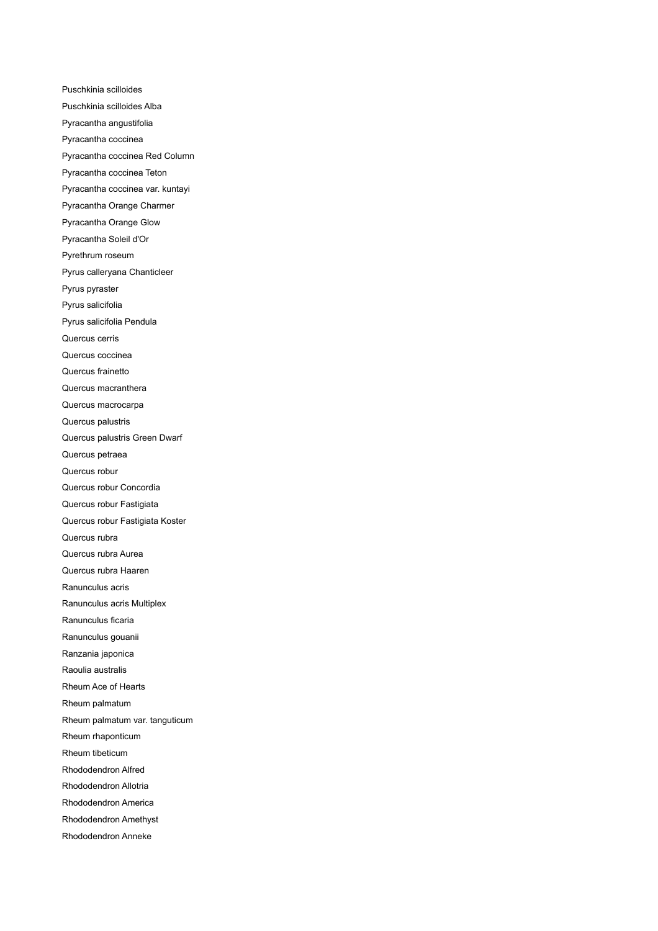Puschkinia scilloides Puschkinia scilloides Alba Pyracantha angustifolia Pyracantha coccinea Pyracantha coccinea Red Column Pyracantha coccinea Teton Pyracantha coccinea var. kuntayi Pyracantha Orange Charmer Pyracantha Orange Glow Pyracantha Soleil d'Or Pyrethrum roseum Pyrus calleryana Chanticleer Pyrus pyraster Pyrus salicifolia Pyrus salicifolia Pendula Quercus cerris Quercus coccinea Quercus frainetto Quercus macranthera Quercus macrocarpa Quercus palustris Quercus palustris Green Dwarf Quercus petraea Quercus robur Quercus robur Concordia Quercus robur Fastigiata Quercus robur Fastigiata Koster Quercus rubra Quercus rubra Aurea Quercus rubra Haaren Ranunculus acris Ranunculus acris Multiplex Ranunculus ficaria Ranunculus gouanii Ranzania japonica Raoulia australis Rheum Ace of Hearts Rheum palmatum Rheum palmatum var. tanguticum Rheum rhaponticum Rheum tibeticum Rhododendron Alfred Rhododendron Allotria Rhododendron America Rhododendron Amethyst Rhododendron Anneke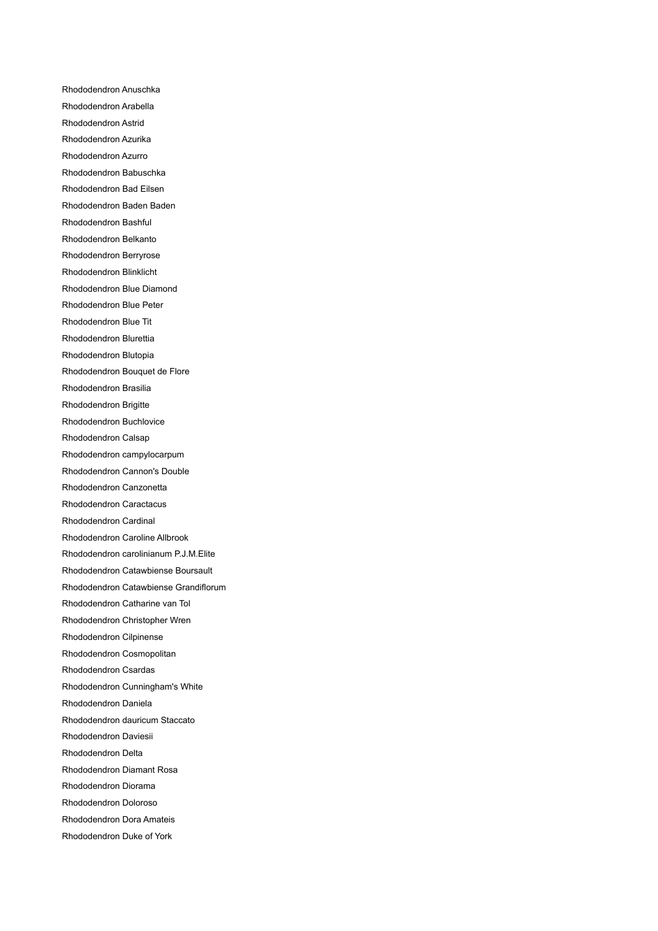Rhododendron Anuschka Rhododendron Arabella Rhododendron Astrid Rhododendron Azurika Rhododendron Azurro Rhododendron Babuschka Rhododendron Bad Eilsen Rhododendron Baden Baden Rhododendron Bashful Rhododendron Belkanto Rhododendron Berryrose Rhododendron Blinklicht Rhododendron Blue Diamond Rhododendron Blue Peter Rhododendron Blue Tit Rhododendron Blurettia Rhododendron Blutopia Rhododendron Bouquet de Flore Rhododendron Brasilia Rhododendron Brigitte Rhododendron Buchlovice Rhododendron Calsap Rhododendron campylocarpum Rhododendron Cannon's Double Rhododendron Canzonetta Rhododendron Caractacus Rhododendron Cardinal Rhododendron Caroline Allbrook Rhododendron carolinianum P.J.M.Elite Rhododendron Catawbiense Boursault Rhododendron Catawbiense Grandiflorum Rhododendron Catharine van Tol Rhododendron Christopher Wren Rhododendron Cilpinense Rhododendron Cosmopolitan Rhododendron Csardas Rhododendron Cunningham's White Rhododendron Daniela Rhododendron dauricum Staccato Rhododendron Daviesii Rhododendron Delta Rhododendron Diamant Rosa Rhododendron Diorama Rhododendron Doloroso Rhododendron Dora Amateis Rhododendron Duke of York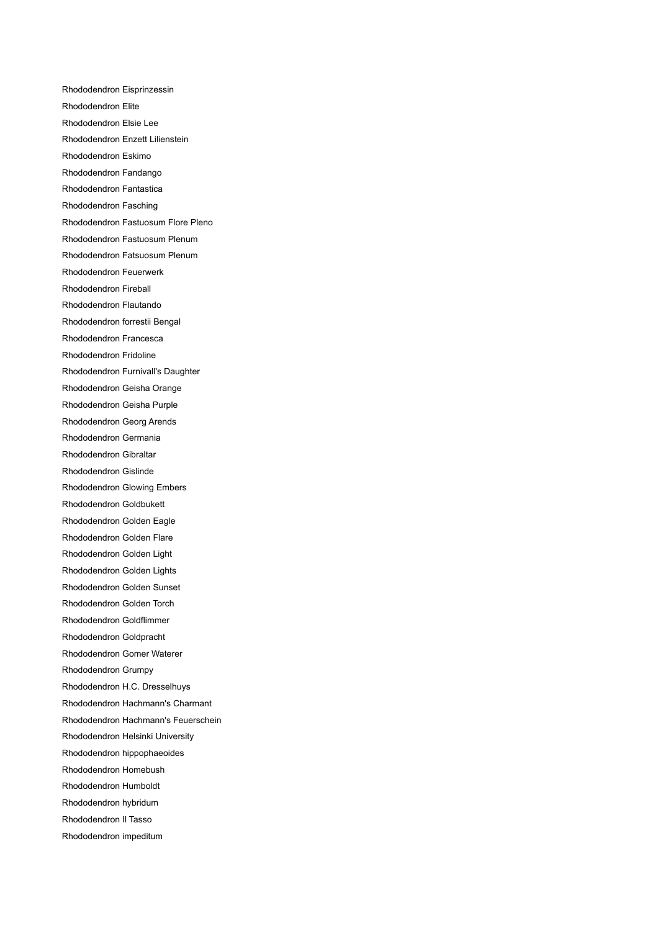Rhododendron Eisprinzessin Rhododendron Elite Rhododendron Elsie Lee Rhododendron Enzett Lilienstein Rhododendron Eskimo Rhododendron Fandango Rhododendron Fantastica Rhododendron Fasching Rhododendron Fastuosum Flore Pleno Rhododendron Fastuosum Plenum Rhododendron Fatsuosum Plenum Rhododendron Feuerwerk Rhododendron Fireball Rhododendron Flautando Rhododendron forrestii Bengal Rhododendron Francesca Rhododendron Fridoline Rhododendron Furnivall's Daughter Rhododendron Geisha Orange Rhododendron Geisha Purple Rhododendron Georg Arends Rhododendron Germania Rhododendron Gibraltar Rhododendron Gislinde Rhododendron Glowing Embers Rhododendron Goldbukett Rhododendron Golden Eagle Rhododendron Golden Flare Rhododendron Golden Light Rhododendron Golden Lights Rhododendron Golden Sunset Rhododendron Golden Torch Rhododendron Goldflimmer Rhododendron Goldpracht Rhododendron Gomer Waterer Rhododendron Grumpy Rhododendron H.C. Dresselhuys Rhododendron Hachmann's Charmant Rhododendron Hachmann's Feuerschein Rhododendron Helsinki University Rhododendron hippophaeoides Rhododendron Homebush Rhododendron Humboldt Rhododendron hybridum Rhododendron Il Tasso Rhododendron impeditum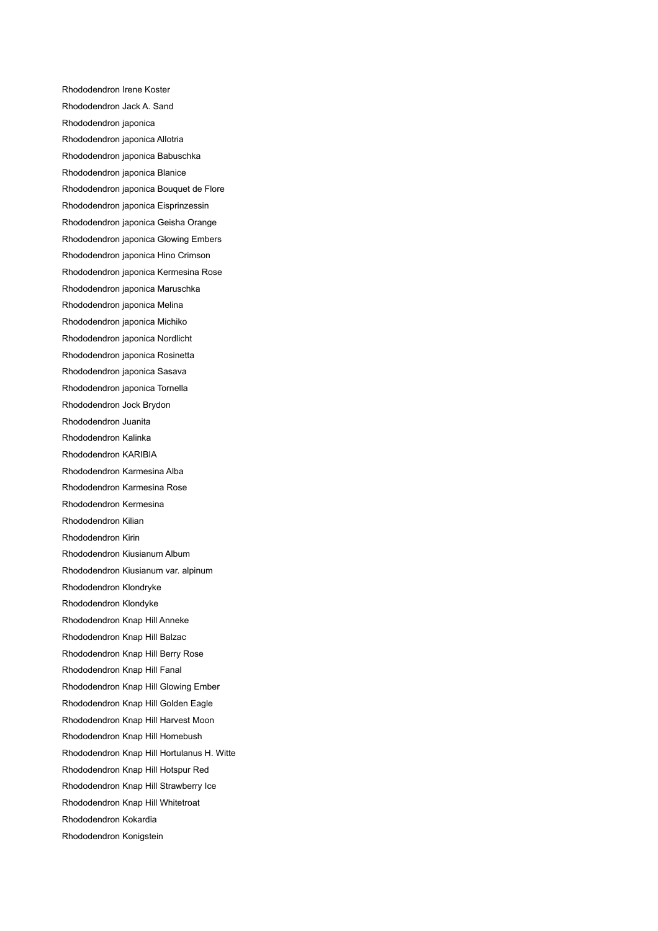Rhododendron Irene Koster Rhododendron Jack A. Sand Rhododendron japonica Rhododendron japonica Allotria Rhododendron japonica Babuschka Rhododendron japonica Blanice Rhododendron japonica Bouquet de Flore Rhododendron japonica Eisprinzessin Rhododendron japonica Geisha Orange Rhododendron japonica Glowing Embers Rhododendron japonica Hino Crimson Rhododendron japonica Kermesina Rose Rhododendron japonica Maruschka Rhododendron japonica Melina Rhododendron japonica Michiko Rhododendron japonica Nordlicht Rhododendron japonica Rosinetta Rhododendron japonica Sasava Rhododendron japonica Tornella Rhododendron Jock Brydon Rhododendron Juanita Rhododendron Kalinka Rhododendron KARIBIA Rhododendron Karmesina Alba Rhododendron Karmesina Rose Rhododendron Kermesina Rhododendron Kilian Rhododendron Kirin Rhododendron Kiusianum Album Rhododendron Kiusianum var. alpinum Rhododendron Klondryke Rhododendron Klondyke Rhododendron Knap Hill Anneke Rhododendron Knap Hill Balzac Rhododendron Knap Hill Berry Rose Rhododendron Knap Hill Fanal Rhododendron Knap Hill Glowing Ember Rhododendron Knap Hill Golden Eagle Rhododendron Knap Hill Harvest Moon Rhododendron Knap Hill Homebush Rhododendron Knap Hill Hortulanus H. Witte Rhododendron Knap Hill Hotspur Red Rhododendron Knap Hill Strawberry Ice Rhododendron Knap Hill Whitetroat Rhododendron Kokardia Rhododendron Konigstein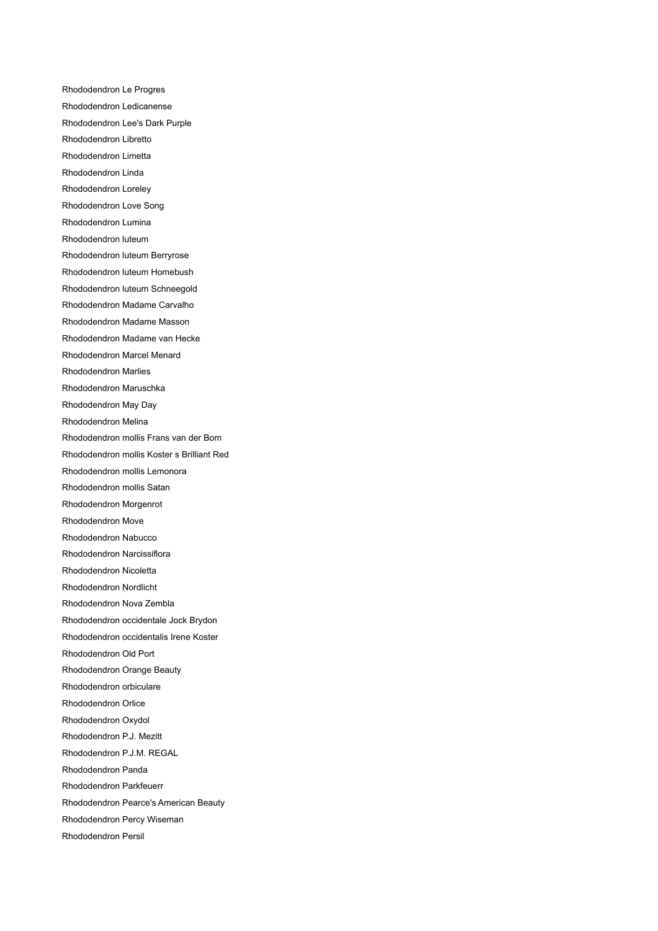Rhododendron Le Progres Rhododendron Ledicanense Rhododendron Lee's Dark Purple Rhododendron Libretto Rhododendron Limetta Rhododendron Linda Rhododendron Loreley Rhododendron Love Song Rhododendron Lumina Rhododendron luteum Rhododendron luteum Berryrose Rhododendron luteum Homebush Rhododendron luteum Schneegold Rhododendron Madame Carvalho Rhododendron Madame Masson Rhododendron Madame van Hecke Rhododendron Marcel Menard Rhododendron Marlies Rhododendron Maruschka Rhododendron May Day Rhododendron Melina Rhododendron mollis Frans van der Bom Rhododendron mollis Koster s Brilliant Red Rhododendron mollis Lemonora Rhododendron mollis Satan Rhododendron Morgenrot Rhododendron Move Rhododendron Nabucco Rhododendron Narcissiflora Rhododendron Nicoletta Rhododendron Nordlicht Rhododendron Nova Zembla Rhododendron occidentale Jock Brydon Rhododendron occidentalis Irene Koster Rhododendron Old Port Rhododendron Orange Beauty Rhododendron orbiculare Rhododendron Orlice Rhododendron Oxydol Rhododendron P.J. Mezitt Rhododendron P.J.M. REGAL Rhododendron Panda Rhododendron Parkfeuerr Rhododendron Pearce's American Beauty Rhododendron Percy Wiseman Rhododendron Persil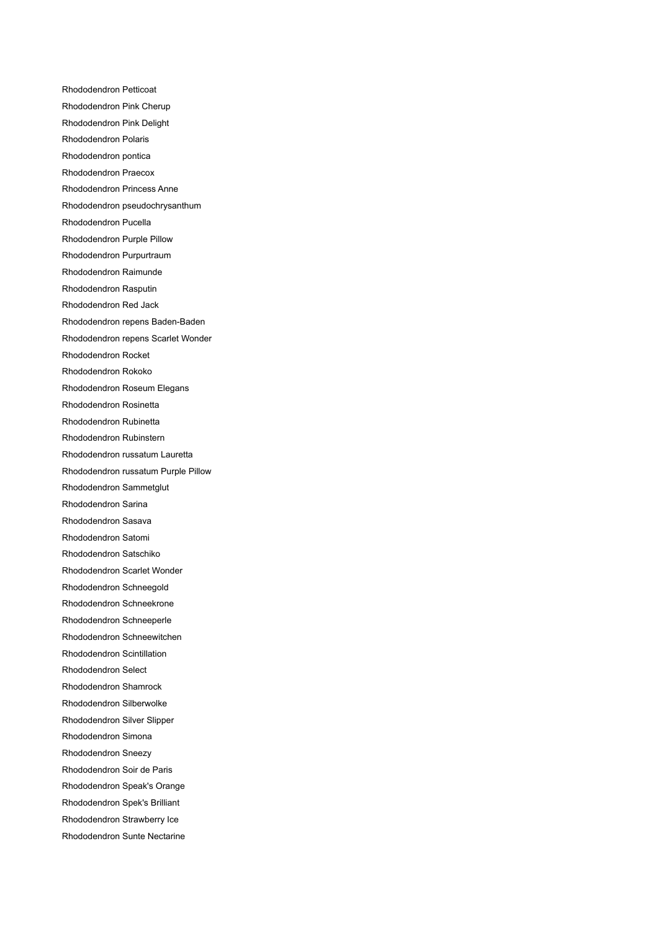Rhododendron Petticoat Rhododendron Pink Cherup Rhododendron Pink Delight Rhododendron Polaris Rhododendron pontica Rhododendron Praecox Rhododendron Princess Anne Rhododendron pseudochrysanthum Rhododendron Pucella Rhododendron Purple Pillow Rhododendron Purpurtraum Rhododendron Raimunde Rhododendron Rasputin Rhododendron Red Jack Rhododendron repens Baden-Baden Rhododendron repens Scarlet Wonder Rhododendron Rocket Rhododendron Rokoko Rhododendron Roseum Elegans Rhododendron Rosinetta Rhododendron Rubinetta Rhododendron Rubinstern Rhododendron russatum Lauretta Rhododendron russatum Purple Pillow Rhododendron Sammetglut Rhododendron Sarina Rhododendron Sasava Rhododendron Satomi Rhododendron Satschiko Rhododendron Scarlet Wonder Rhododendron Schneegold Rhododendron Schneekrone Rhododendron Schneeperle Rhododendron Schneewitchen Rhododendron Scintillation Rhododendron Select Rhododendron Shamrock Rhododendron Silberwolke Rhododendron Silver Slipper Rhododendron Simona Rhododendron Sneezy Rhododendron Soir de Paris Rhododendron Speak's Orange Rhododendron Spek's Brilliant Rhododendron Strawberry Ice Rhododendron Sunte Nectarine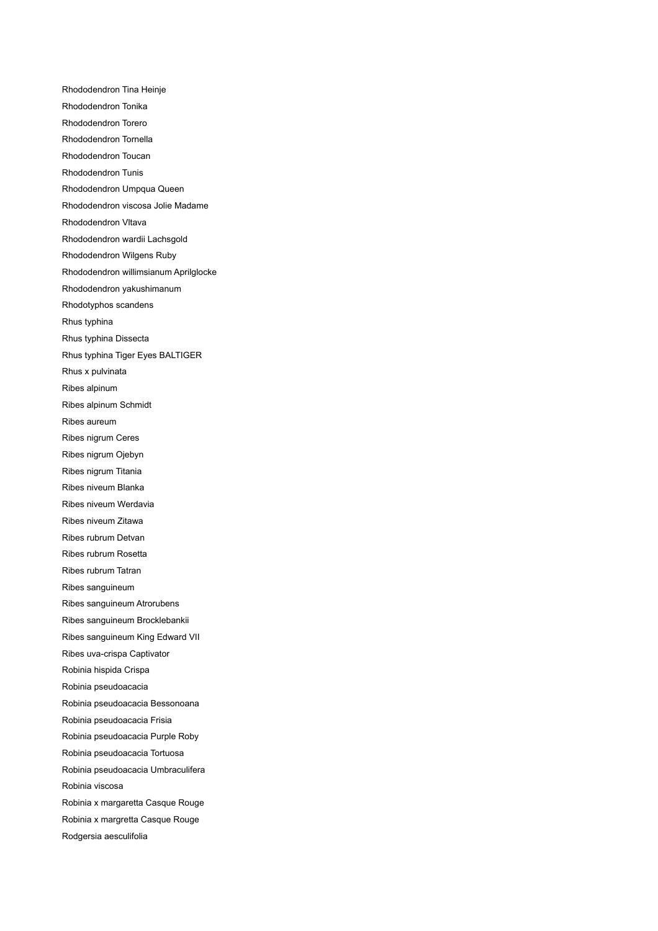Rhododendron Tina Heinje Rhododendron Tonika Rhododendron Torero Rhododendron Tornella Rhododendron Toucan Rhododendron Tunis Rhododendron Umpqua Queen Rhododendron viscosa Jolie Madame Rhododendron Vltava Rhododendron wardii Lachsgold Rhododendron Wilgens Ruby Rhododendron willimsianum Aprilglocke Rhododendron yakushimanum Rhodotyphos scandens Rhus typhina Rhus typhina Dissecta Rhus typhina Tiger Eyes BALTIGER Rhus x pulvinata Ribes alpinum Ribes alpinum Schmidt Ribes aureum Ribes nigrum Ceres Ribes nigrum Ojebyn Ribes nigrum Titania Ribes niveum Blanka Ribes niveum Werdavia Ribes niveum Zitawa Ribes rubrum Detvan Ribes rubrum Rosetta Ribes rubrum Tatran Ribes sanguineum Ribes sanguineum Atrorubens Ribes sanguineum Brocklebankii Ribes sanguineum King Edward VII Ribes uva-crispa Captivator Robinia hispida Crispa Robinia pseudoacacia Robinia pseudoacacia Bessonoana Robinia pseudoacacia Frisia Robinia pseudoacacia Purple Roby Robinia pseudoacacia Tortuosa Robinia pseudoacacia Umbraculifera Robinia viscosa Robinia x margaretta Casque Rouge Robinia x margretta Casque Rouge Rodgersia aesculifolia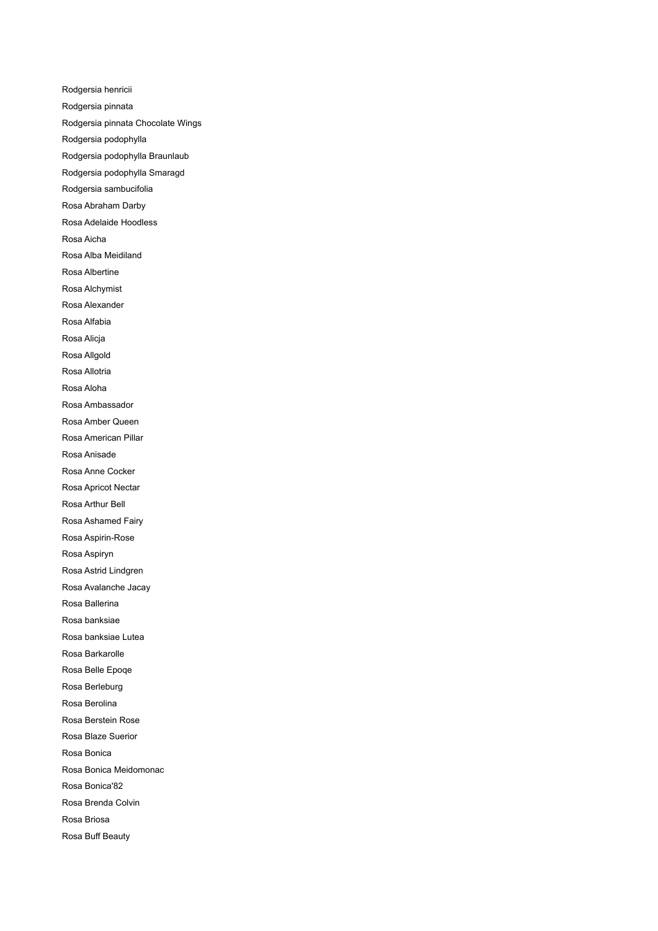Rodgersia henricii Rodgersia pinnata Rodgersia pinnata Chocolate Wings Rodgersia podophylla Rodgersia podophylla Braunlaub Rodgersia podophylla Smaragd Rodgersia sambucifolia Rosa Abraham Darby Rosa Adelaide Hoodless Rosa Aicha Rosa Alba Meidiland Rosa Albertine Rosa Alchymist Rosa Alexander Rosa Alfabia Rosa Alicja Rosa Allgold Rosa Allotria Rosa Aloha Rosa Ambassador Rosa Amber Queen Rosa American Pillar Rosa Anisade Rosa Anne Cocker Rosa Apricot Nectar Rosa Arthur Bell Rosa Ashamed Fairy Rosa Aspirin-Rose Rosa Aspiryn Rosa Astrid Lindgren Rosa Avalanche Jacay Rosa Ballerina Rosa banksiae Rosa banksiae Lutea Rosa Barkarolle Rosa Belle Epoqe Rosa Berleburg Rosa Berolina Rosa Berstein Rose Rosa Blaze Suerior Rosa Bonica Rosa Bonica Meidomonac Rosa Bonica'82 Rosa Brenda Colvin Rosa Briosa Rosa Buff Beauty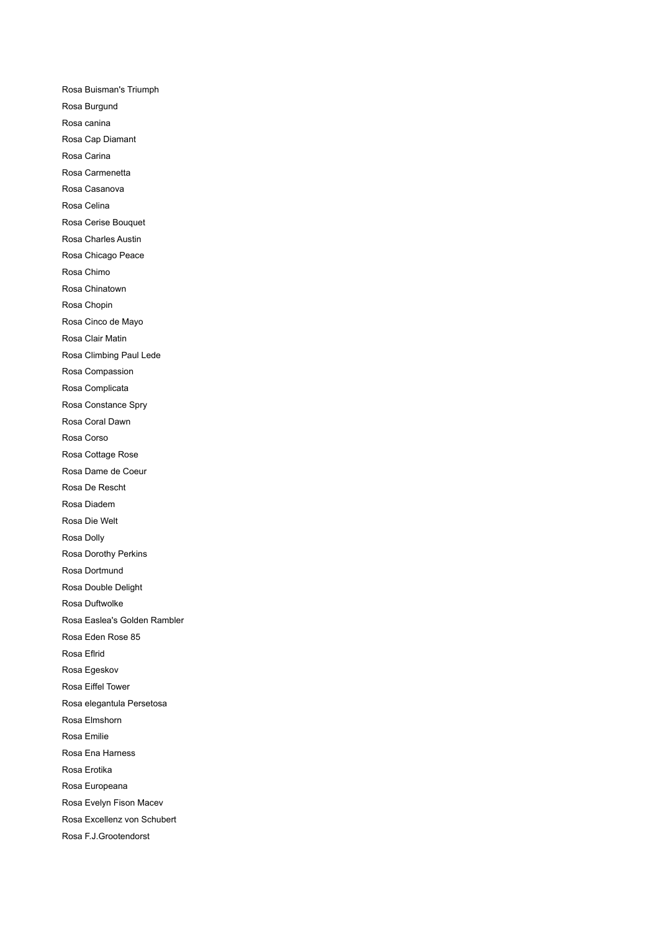Rosa Buisman's Triumph Rosa Burgund Rosa canina Rosa Cap Diamant Rosa Carina Rosa Carmenetta Rosa Casanova Rosa Celina Rosa Cerise Bouquet Rosa Charles Austin Rosa Chicago Peace Rosa Chimo Rosa Chinatown Rosa Chopin Rosa Cinco de Mayo Rosa Clair Matin Rosa Climbing Paul Lede Rosa Compassion Rosa Complicata Rosa Constance Spry Rosa Coral Dawn Rosa Corso Rosa Cottage Rose Rosa Dame de Coeur Rosa De Rescht Rosa Diadem Rosa Die Welt Rosa Dolly Rosa Dorothy Perkins Rosa Dortmund Rosa Double Delight Rosa Duftwolke Rosa Easlea's Golden Rambler Rosa Eden Rose 85 Rosa Eflrid Rosa Egeskov Rosa Eiffel Tower Rosa elegantula Persetosa Rosa Elmshorn Rosa Emilie Rosa Ena Harness Rosa Erotika Rosa Europeana Rosa Evelyn Fison Macev Rosa Excellenz von Schubert Rosa F.J.Grootendorst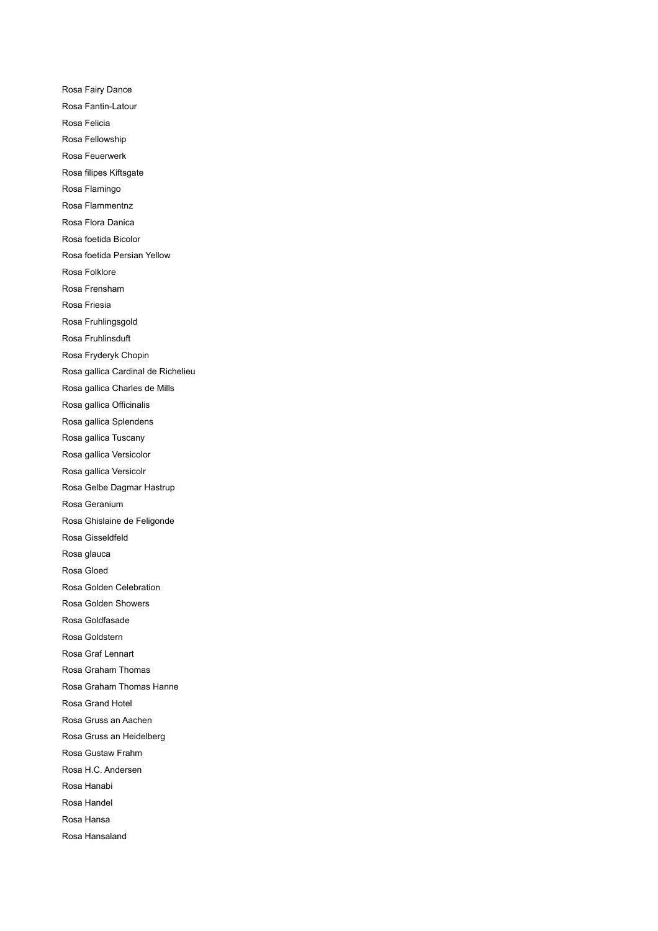Rosa Fairy Dance Rosa Fantin-Latour Rosa Felicia Rosa Fellowship Rosa Feuerwerk Rosa filipes Kiftsgate Rosa Flamingo Rosa Flammentnz Rosa Flora Danica Rosa foetida Bicolor Rosa foetida Persian Yellow Rosa Folklore Rosa Frensham Rosa Friesia Rosa Fruhlingsgold Rosa Fruhlinsduft Rosa Fryderyk Chopin Rosa gallica Cardinal de Richelieu Rosa gallica Charles de Mills Rosa gallica Officinalis Rosa gallica Splendens Rosa gallica Tuscany Rosa gallica Versicolor Rosa gallica Versicolr Rosa Gelbe Dagmar Hastrup Rosa Geranium Rosa Ghislaine de Feligonde Rosa Gisseldfeld Rosa glauca Rosa Gloed Rosa Golden Celebration Rosa Golden Showers Rosa Goldfasade Rosa Goldstern Rosa Graf Lennart Rosa Graham Thomas Rosa Graham Thomas Hanne Rosa Grand Hotel Rosa Gruss an Aachen Rosa Gruss an Heidelberg Rosa Gustaw Frahm Rosa H.C. Andersen Rosa Hanabi Rosa Handel Rosa Hansa Rosa Hansaland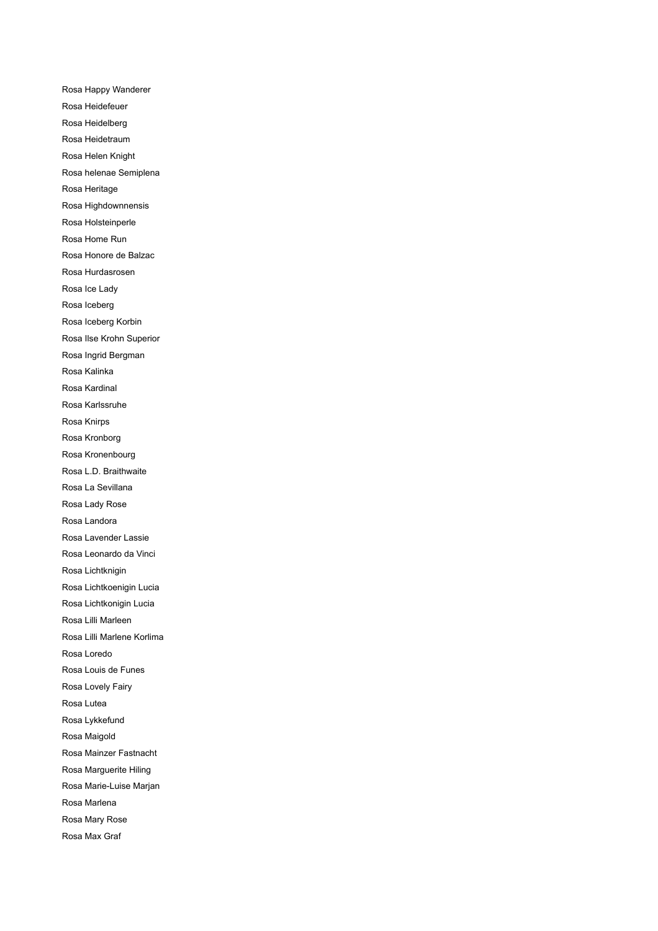Rosa Happy Wanderer Rosa Heidefeuer Rosa Heidelberg Rosa Heidetraum Rosa Helen Knight Rosa helenae Semiplena Rosa Heritage Rosa Highdownnensis Rosa Holsteinperle Rosa Home Run Rosa Honore de Balzac Rosa Hurdasrosen Rosa Ice Lady Rosa Iceberg Rosa Iceberg Korbin Rosa Ilse Krohn Superior Rosa Ingrid Bergman Rosa Kalinka Rosa Kardinal Rosa Karlssruhe Rosa Knirps Rosa Kronborg Rosa Kronenbourg Rosa L.D. Braithwaite Rosa La Sevillana Rosa Lady Rose Rosa Landora Rosa Lavender Lassie Rosa Leonardo da Vinci Rosa Lichtknigin Rosa Lichtkoenigin Lucia Rosa Lichtkonigin Lucia Rosa Lilli Marleen Rosa Lilli Marlene Korlima Rosa Loredo Rosa Louis de Funes Rosa Lovely Fairy Rosa Lutea Rosa Lykkefund Rosa Maigold Rosa Mainzer Fastnacht Rosa Marguerite Hiling Rosa Marie-Luise Marjan Rosa Marlena Rosa Mary Rose Rosa Max Graf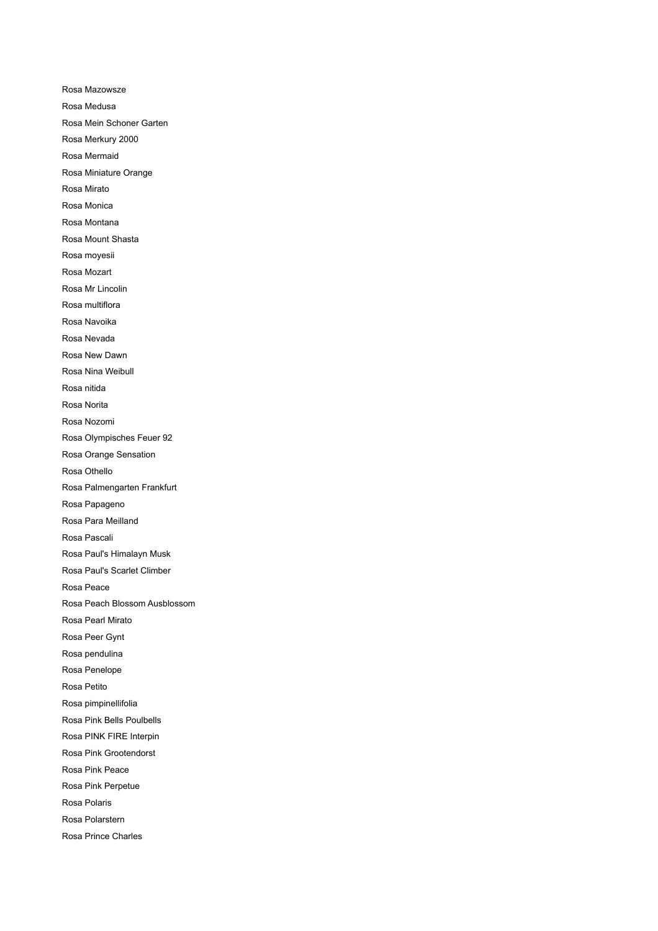Rosa Mazowsze Rosa Medusa Rosa Mein Schoner Garten Rosa Merkury 2000 Rosa Mermaid Rosa Miniature Orange Rosa Mirato Rosa Monica Rosa Montana Rosa Mount Shasta Rosa moyesii Rosa Mozart Rosa Mr Lincolin Rosa multiflora Rosa Navoika Rosa Nevada Rosa New Dawn Rosa Nina Weibull Rosa nitida Rosa Norita Rosa Nozomi Rosa Olympisches Feuer 92 Rosa Orange Sensation Rosa Othello Rosa Palmengarten Frankfurt Rosa Papageno Rosa Para Meilland Rosa Pascali Rosa Paul's Himalayn Musk Rosa Paul's Scarlet Climber Rosa Peace Rosa Peach Blossom Ausblossom Rosa Pearl Mirato Rosa Peer Gynt Rosa pendulina Rosa Penelope Rosa Petito Rosa pimpinellifolia Rosa Pink Bells Poulbells Rosa PINK FIRE Interpin Rosa Pink Grootendorst Rosa Pink Peace Rosa Pink Perpetue Rosa Polaris Rosa Polarstern Rosa Prince Charles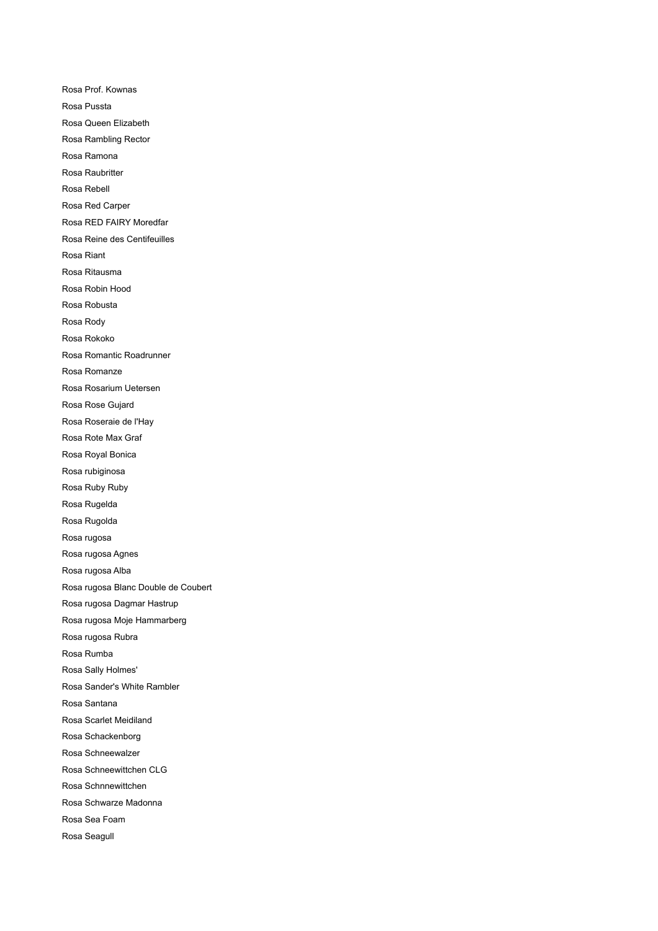Rosa Prof. Kownas Rosa Pussta Rosa Queen Elizabeth Rosa Rambling Rector Rosa Ramona Rosa Raubritter Rosa Rebell Rosa Red Carper Rosa RED FAIRY Moredfar Rosa Reine des Centifeuilles Rosa Riant Rosa Ritausma Rosa Robin Hood Rosa Robusta Rosa Rody Rosa Rokoko Rosa Romantic Roadrunner Rosa Romanze Rosa Rosarium Uetersen Rosa Rose Gujard Rosa Roseraie de l'Hay Rosa Rote Max Graf Rosa Royal Bonica Rosa rubiginosa Rosa Ruby Ruby Rosa Rugelda Rosa Rugolda Rosa rugosa Rosa rugosa Agnes Rosa rugosa Alba Rosa rugosa Blanc Double de Coubert Rosa rugosa Dagmar Hastrup Rosa rugosa Moje Hammarberg Rosa rugosa Rubra Rosa Rumba Rosa Sally Holmes' Rosa Sander's White Rambler Rosa Santana Rosa Scarlet Meidiland Rosa Schackenborg Rosa Schneewalzer Rosa Schneewittchen CLG Rosa Schnnewittchen Rosa Schwarze Madonna Rosa Sea Foam Rosa Seagull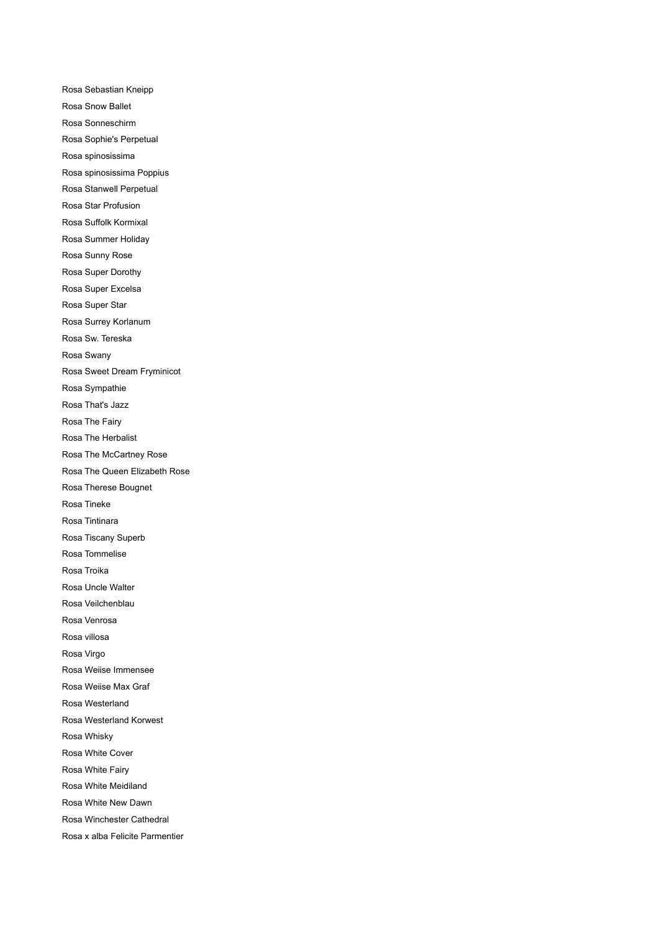Rosa Sebastian Kneipp Rosa Snow Ballet Rosa Sonneschirm Rosa Sophie's Perpetual Rosa spinosissima Rosa spinosissima Poppius Rosa Stanwell Perpetual Rosa Star Profusion Rosa Suffolk Kormixal Rosa Summer Holiday Rosa Sunny Rose Rosa Super Dorothy Rosa Super Excelsa Rosa Super Star Rosa Surrey Korlanum Rosa Sw. Tereska Rosa Swany Rosa Sweet Dream Fryminicot Rosa Sympathie Rosa That's Jazz Rosa The Fairy Rosa The Herbalist Rosa The McCartney Rose Rosa The Queen Elizabeth Rose Rosa Therese Bougnet Rosa Tineke Rosa Tintinara Rosa Tiscany Superb Rosa Tommelise Rosa Troika Rosa Uncle Walter Rosa Veilchenblau Rosa Venrosa Rosa villosa Rosa Virgo Rosa Weiise Immensee Rosa Weiise Max Graf Rosa Westerland Rosa Westerland Korwest Rosa Whisky Rosa White Cover Rosa White Fairy Rosa White Meidiland Rosa White New Dawn Rosa Winchester Cathedral Rosa x alba Felicite Parmentier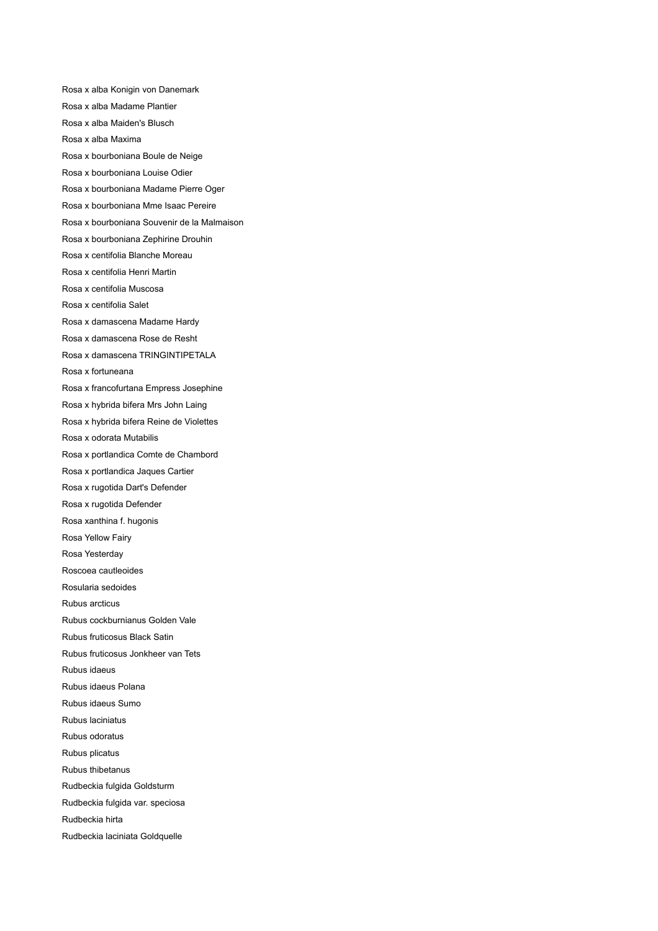Rosa x alba Konigin von Danemark Rosa x alba Madame Plantier Rosa x alba Maiden's Blusch Rosa x alba Maxima Rosa x bourboniana Boule de Neige Rosa x bourboniana Louise Odier Rosa x bourboniana Madame Pierre Oger Rosa x bourboniana Mme Isaac Pereire Rosa x bourboniana Souvenir de la Malmaison Rosa x bourboniana Zephirine Drouhin Rosa x centifolia Blanche Moreau Rosa x centifolia Henri Martin Rosa x centifolia Muscosa Rosa x centifolia Salet Rosa x damascena Madame Hardy Rosa x damascena Rose de Resht Rosa x damascena TRINGINTIPETALA Rosa x fortuneana Rosa x francofurtana Empress Josephine Rosa x hybrida bifera Mrs John Laing Rosa x hybrida bifera Reine de Violettes Rosa x odorata Mutabilis Rosa x portlandica Comte de Chambord Rosa x portlandica Jaques Cartier Rosa x rugotida Dart's Defender Rosa x rugotida Defender Rosa xanthina f. hugonis Rosa Yellow Fairy Rosa Yesterday Roscoea cautleoides Rosularia sedoides Rubus arcticus Rubus cockburnianus Golden Vale Rubus fruticosus Black Satin Rubus fruticosus Jonkheer van Tets Rubus idaeus Rubus idaeus Polana Rubus idaeus Sumo Rubus laciniatus Rubus odoratus Rubus plicatus Rubus thibetanus Rudbeckia fulgida Goldsturm Rudbeckia fulgida var. speciosa Rudbeckia hirta Rudbeckia laciniata Goldquelle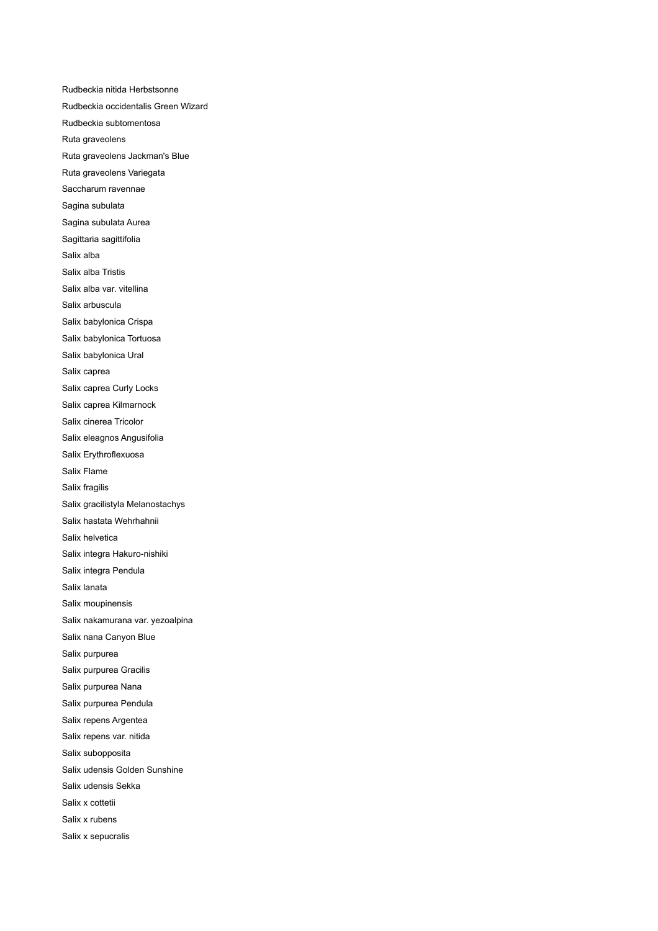Rudbeckia nitida Herbstsonne Rudbeckia occidentalis Green Wizard Rudbeckia subtomentosa Ruta graveolens Ruta graveolens Jackman's Blue Ruta graveolens Variegata Saccharum ravennae Sagina subulata Sagina subulata Aurea Sagittaria sagittifolia Salix alba Salix alba Tristis Salix alba var. vitellina Salix arbuscula Salix babylonica Crispa Salix babylonica Tortuosa Salix babylonica Ural Salix caprea Salix caprea Curly Locks Salix caprea Kilmarnock Salix cinerea Tricolor Salix eleagnos Angusifolia Salix Erythroflexuosa Salix Flame Salix fragilis Salix gracilistyla Melanostachys Salix hastata Wehrhahnii Salix helvetica Salix integra Hakuro-nishiki Salix integra Pendula Salix lanata Salix moupinensis Salix nakamurana var. yezoalpina Salix nana Canyon Blue Salix purpurea Salix purpurea Gracilis Salix purpurea Nana Salix purpurea Pendula Salix repens Argentea Salix repens var. nitida Salix subopposita Salix udensis Golden Sunshine Salix udensis Sekka Salix x cottetii Salix x rubens Salix x sepucralis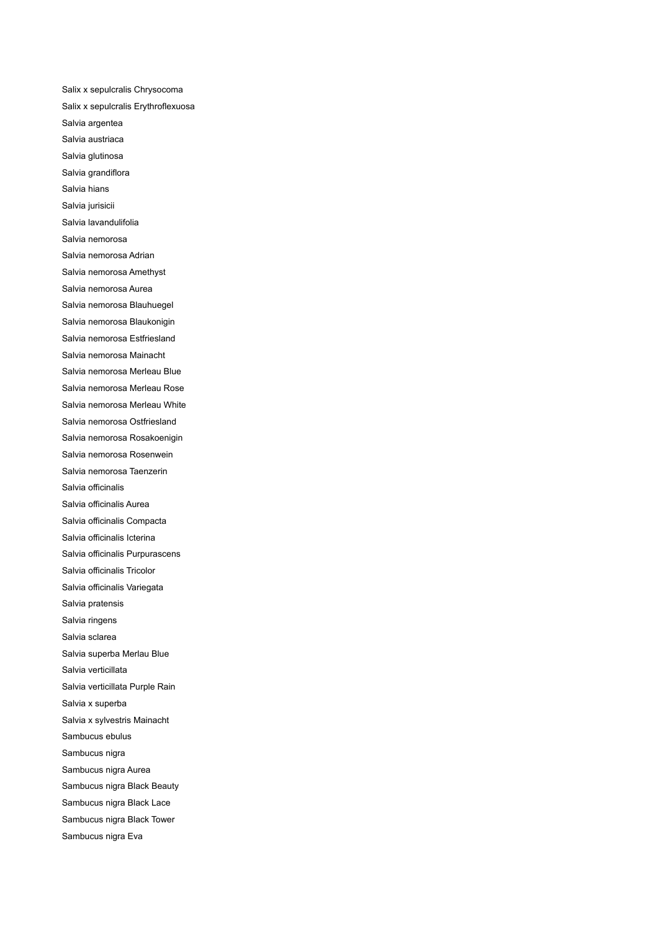Salix x sepulcralis Chrysocoma Salix x sepulcralis Erythroflexuosa Salvia argentea Salvia austriaca Salvia glutinosa Salvia grandiflora Salvia hians Salvia jurisicii Salvia lavandulifolia Salvia nemorosa Salvia nemorosa Adrian Salvia nemorosa Amethyst Salvia nemorosa Aurea Salvia nemorosa Blauhuegel Salvia nemorosa Blaukonigin Salvia nemorosa Estfriesland Salvia nemorosa Mainacht Salvia nemorosa Merleau Blue Salvia nemorosa Merleau Rose Salvia nemorosa Merleau White Salvia nemorosa Ostfriesland Salvia nemorosa Rosakoenigin Salvia nemorosa Rosenwein Salvia nemorosa Taenzerin Salvia officinalis Salvia officinalis Aurea Salvia officinalis Compacta Salvia officinalis Icterina Salvia officinalis Purpurascens Salvia officinalis Tricolor Salvia officinalis Variegata Salvia pratensis Salvia ringens Salvia sclarea Salvia superba Merlau Blue Salvia verticillata Salvia verticillata Purple Rain Salvia x superba Salvia x sylvestris Mainacht Sambucus ebulus Sambucus nigra Sambucus nigra Aurea Sambucus nigra Black Beauty Sambucus nigra Black Lace Sambucus nigra Black Tower Sambucus nigra Eva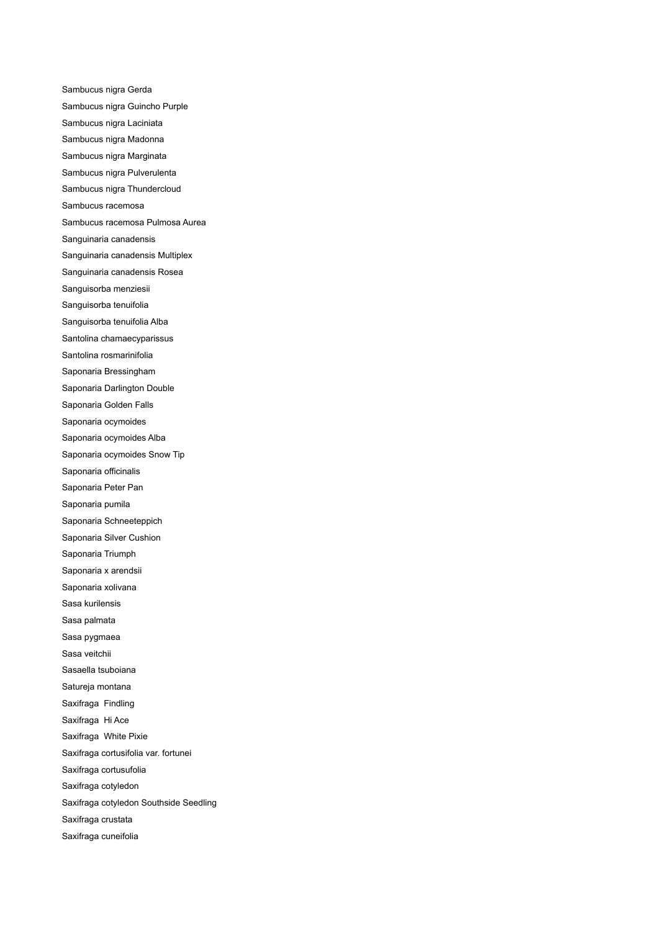Sambucus nigra Gerda Sambucus nigra Guincho Purple Sambucus nigra Laciniata Sambucus nigra Madonna Sambucus nigra Marginata Sambucus nigra Pulverulenta Sambucus nigra Thundercloud Sambucus racemosa Sambucus racemosa Pulmosa Aurea Sanguinaria canadensis Sanguinaria canadensis Multiplex Sanguinaria canadensis Rosea Sanguisorba menziesii Sanguisorba tenuifolia Sanguisorba tenuifolia Alba Santolina chamaecyparissus Santolina rosmarinifolia Saponaria Bressingham Saponaria Darlington Double Saponaria Golden Falls Saponaria ocymoides Saponaria ocymoides Alba Saponaria ocymoides Snow Tip Saponaria officinalis Saponaria Peter Pan Saponaria pumila Saponaria Schneeteppich Saponaria Silver Cushion Saponaria Triumph Saponaria x arendsii Saponaria xolivana Sasa kurilensis Sasa palmata Sasa pygmaea Sasa veitchii Sasaella tsuboiana Satureja montana Saxifraga Findling Saxifraga Hi Ace Saxifraga White Pixie Saxifraga cortusifolia var. fortunei Saxifraga cortusufolia Saxifraga cotyledon Saxifraga cotyledon Southside Seedling Saxifraga crustata Saxifraga cuneifolia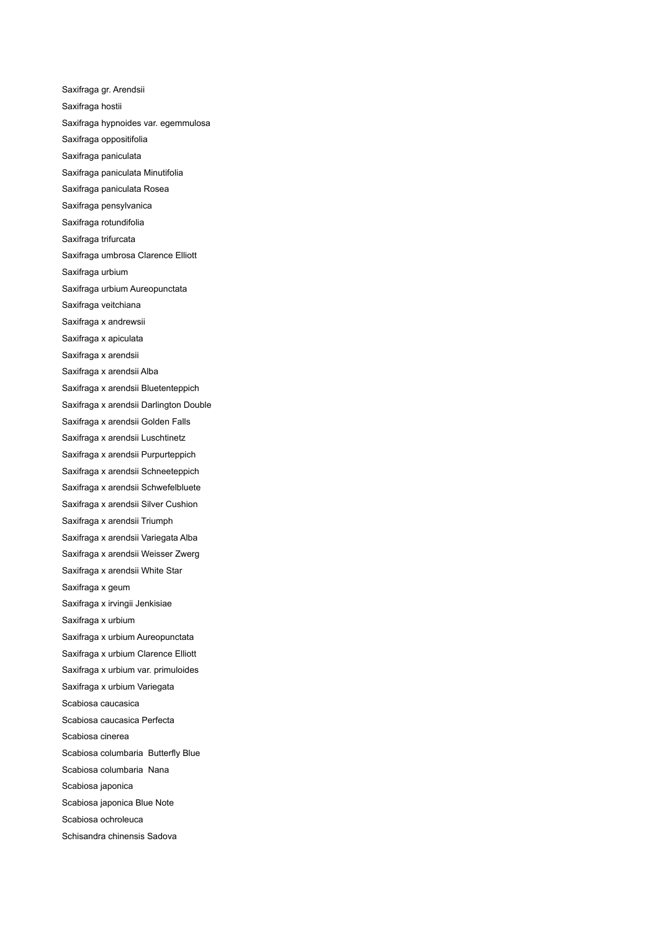Saxifraga gr. Arendsii Saxifraga hostii Saxifraga hypnoides var. egemmulosa Saxifraga oppositifolia Saxifraga paniculata Saxifraga paniculata Minutifolia Saxifraga paniculata Rosea Saxifraga pensylvanica Saxifraga rotundifolia Saxifraga trifurcata Saxifraga umbrosa Clarence Elliott Saxifraga urbium Saxifraga urbium Aureopunctata Saxifraga veitchiana Saxifraga x andrewsii Saxifraga x apiculata Saxifraga x arendsii Saxifraga x arendsii Alba Saxifraga x arendsii Bluetenteppich Saxifraga x arendsii Darlington Double Saxifraga x arendsii Golden Falls Saxifraga x arendsii Luschtinetz Saxifraga x arendsii Purpurteppich Saxifraga x arendsii Schneeteppich Saxifraga x arendsii Schwefelbluete Saxifraga x arendsii Silver Cushion Saxifraga x arendsii Triumph Saxifraga x arendsii Variegata Alba Saxifraga x arendsii Weisser Zwerg Saxifraga x arendsii White Star Saxifraga x geum Saxifraga x irvingii Jenkisiae Saxifraga x urbium Saxifraga x urbium Aureopunctata Saxifraga x urbium Clarence Elliott Saxifraga x urbium var. primuloides Saxifraga x urbium Variegata Scabiosa caucasica Scabiosa caucasica Perfecta Scabiosa cinerea Scabiosa columbaria Butterfly Blue Scabiosa columbaria Nana Scabiosa japonica Scabiosa japonica Blue Note Scabiosa ochroleuca Schisandra chinensis Sadova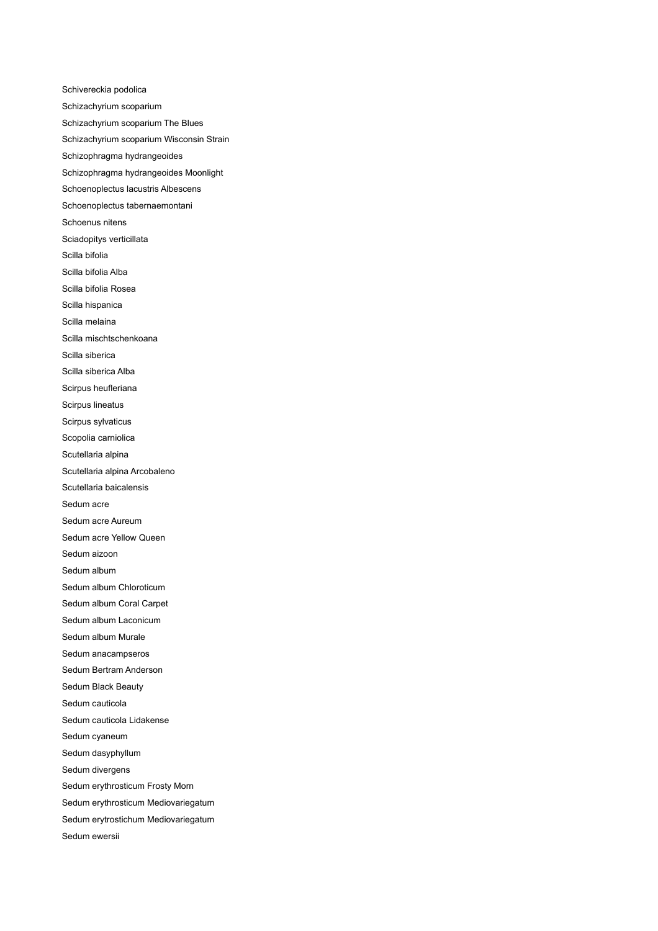Schivereckia podolica Schizachyrium scoparium Schizachyrium scoparium The Blues Schizachyrium scoparium Wisconsin Strain Schizophragma hydrangeoides Schizophragma hydrangeoides Moonlight Schoenoplectus lacustris Albescens Schoenoplectus tabernaemontani Schoenus nitens Sciadopitys verticillata Scilla bifolia Scilla bifolia Alba Scilla bifolia Rosea Scilla hispanica Scilla melaina Scilla mischtschenkoana Scilla siberica Scilla siberica Alba Scirpus heufleriana Scirpus lineatus Scirpus sylvaticus Scopolia carniolica Scutellaria alpina Scutellaria alpina Arcobaleno Scutellaria baicalensis Sedum acre Sedum acre Aureum Sedum acre Yellow Queen Sedum aizoon Sedum album Sedum album Chloroticum Sedum album Coral Carpet Sedum album Laconicum Sedum album Murale Sedum anacampseros Sedum Bertram Anderson Sedum Black Beauty Sedum cauticola Sedum cauticola Lidakense Sedum cyaneum Sedum dasyphyllum Sedum divergens Sedum erythrosticum Frosty Morn Sedum erythrosticum Mediovariegatum Sedum erytrostichum Mediovariegatum Sedum ewersii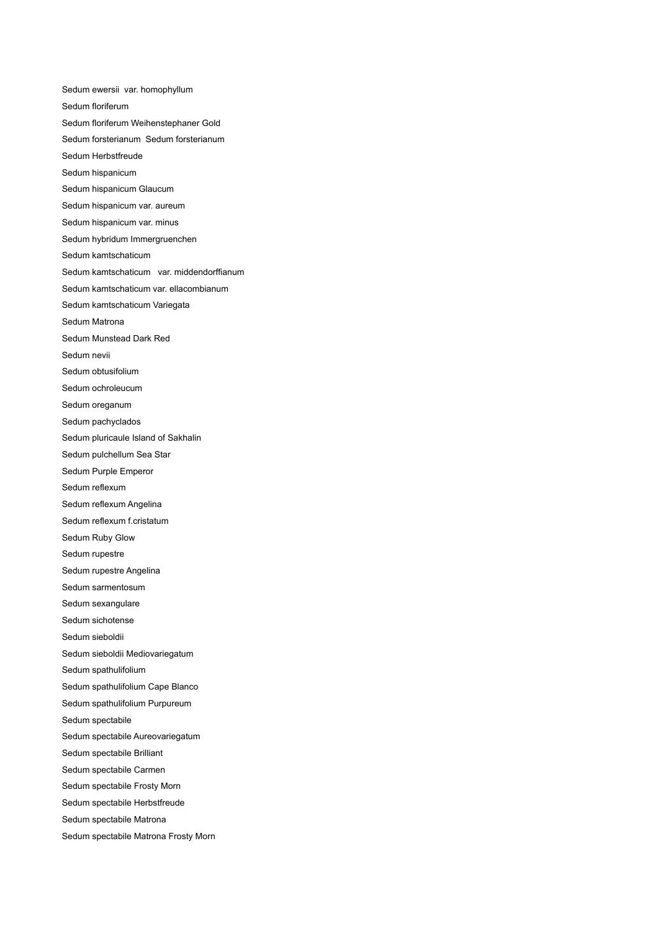Sedum ewersii var. homophyllum Sedum floriferum Sedum floriferum Weihenstephaner Gold Sedum forsterianum Sedum forsterianum Sedum Herbstfreude Sedum hispanicum Sedum hispanicum Glaucum Sedum hispanicum var. aureum Sedum hispanicum var. minus Sedum hybridum Immergruenchen Sedum kamtschaticum Sedum kamtschaticum var. middendorffianum Sedum kamtschaticum var. ellacombianum Sedum kamtschaticum Variegata Sedum Matrona Sedum Munstead Dark Red Sedum nevii Sedum obtusifolium Sedum ochroleucum Sedum oreganum Sedum pachyclados Sedum pluricaule Island of Sakhalin Sedum pulchellum Sea Star Sedum Purple Emperor Sedum reflexum Sedum reflexum Angelina Sedum reflexum f.cristatum Sedum Ruby Glow Sedum rupestre Sedum rupestre Angelina Sedum sarmentosum Sedum sexangulare Sedum sichotense Sedum sieboldii Sedum sieboldii Mediovariegatum Sedum spathulifolium Sedum spathulifolium Cape Blanco Sedum spathulifolium Purpureum Sedum spectabile Sedum spectabile Aureovariegatum Sedum spectabile Brilliant Sedum spectabile Carmen Sedum spectabile Frosty Morn Sedum spectabile Herbstfreude Sedum spectabile Matrona Sedum spectabile Matrona Frosty Morn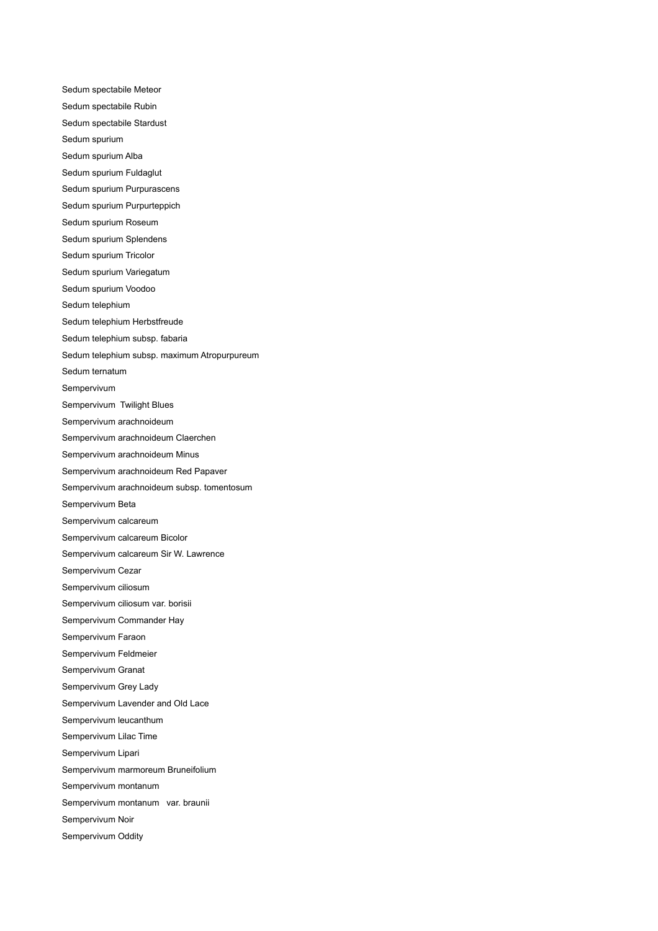Sedum spectabile Meteor Sedum spectabile Rubin Sedum spectabile Stardust Sedum spurium Sedum spurium Alba Sedum spurium Fuldaglut Sedum spurium Purpurascens Sedum spurium Purpurteppich Sedum spurium Roseum Sedum spurium Splendens Sedum spurium Tricolor Sedum spurium Variegatum Sedum spurium Voodoo Sedum telephium Sedum telephium Herbstfreude Sedum telephium subsp. fabaria Sedum telephium subsp. maximum Atropurpureum Sedum ternatum Sempervivum Sempervivum Twilight Blues Sempervivum arachnoideum Sempervivum arachnoideum Claerchen Sempervivum arachnoideum Minus Sempervivum arachnoideum Red Papaver Sempervivum arachnoideum subsp. tomentosum Sempervivum Beta Sempervivum calcareum Sempervivum calcareum Bicolor Sempervivum calcareum Sir W. Lawrence Sempervivum Cezar Sempervivum ciliosum Sempervivum ciliosum var. borisii Sempervivum Commander Hay Sempervivum Faraon Sempervivum Feldmeier Sempervivum Granat Sempervivum Grey Lady Sempervivum Lavender and Old Lace Sempervivum leucanthum Sempervivum Lilac Time Sempervivum Lipari Sempervivum marmoreum Bruneifolium Sempervivum montanum Sempervivum montanum var. braunii Sempervivum Noir Sempervivum Oddity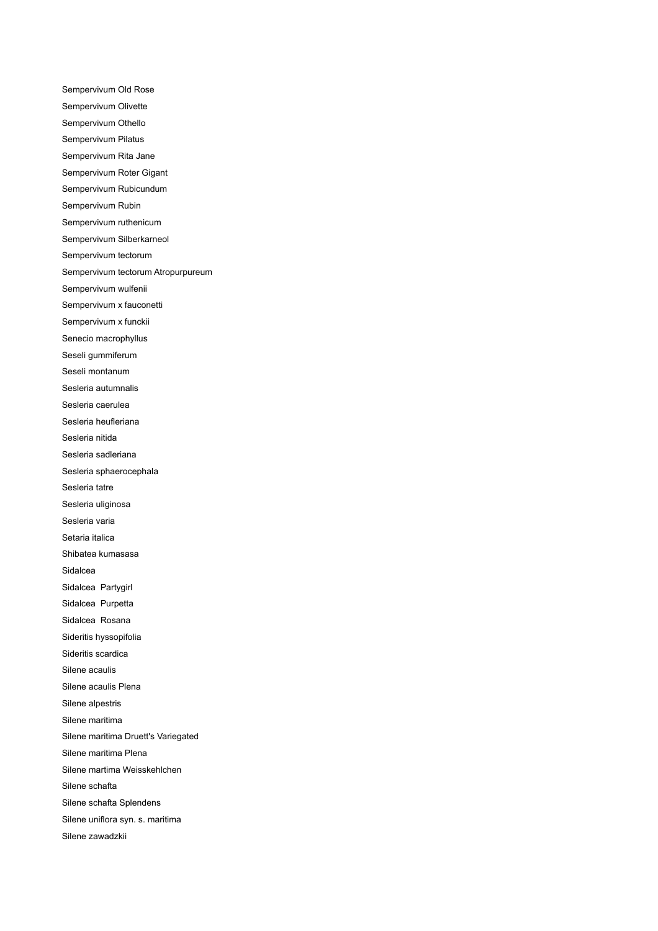Sempervivum Old Rose Sempervivum Olivette Sempervivum Othello Sempervivum Pilatus Sempervivum Rita Jane Sempervivum Roter Gigant Sempervivum Rubicundum Sempervivum Rubin Sempervivum ruthenicum Sempervivum Silberkarneol Sempervivum tectorum Sempervivum tectorum Atropurpureum Sempervivum wulfenii Sempervivum x fauconetti Sempervivum x funckii Senecio macrophyllus Seseli gummiferum Seseli montanum Sesleria autumnalis Sesleria caerulea Sesleria heufleriana Sesleria nitida Sesleria sadleriana Sesleria sphaerocephala Sesleria tatre Sesleria uliginosa Sesleria varia Setaria italica Shibatea kumasasa Sidalcea Sidalcea Partygirl Sidalcea Purpetta Sidalcea Rosana Sideritis hyssopifolia Sideritis scardica Silene acaulis Silene acaulis Plena Silene alpestris Silene maritima Silene maritima Druett's Variegated Silene maritima Plena Silene martima Weisskehlchen Silene schafta Silene schafta Splendens Silene uniflora syn. s. maritima Silene zawadzkii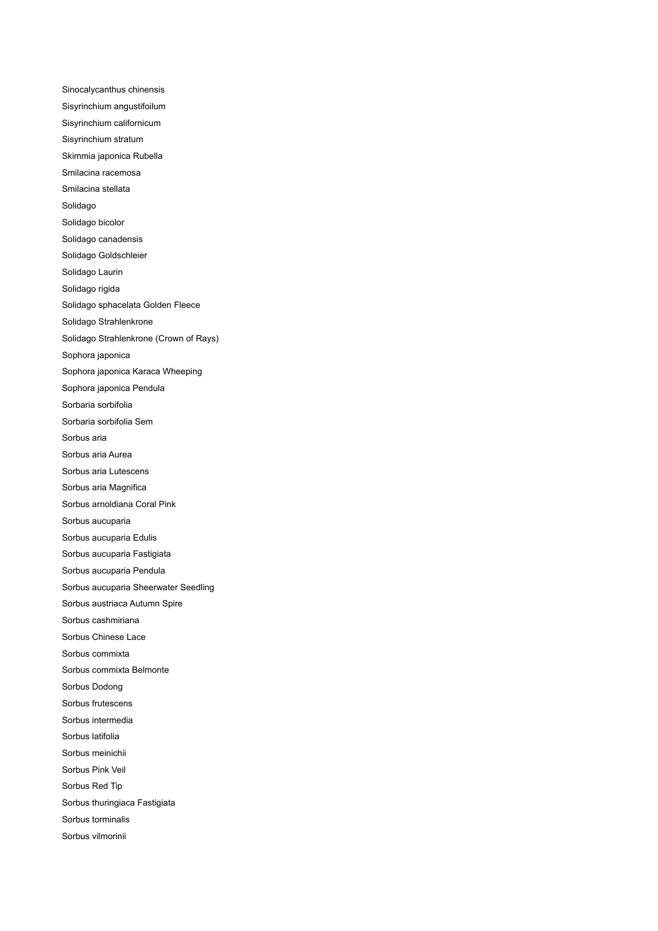Sinocalycanthus chinensis Sisyrinchium angustifoilum Sisyrinchium californicum Sisyrinchium stratum Skimmia japonica Rubella Smilacina racemosa Smilacina stellata Solidago Solidago bicolor Solidago canadensis Solidago Goldschleier Solidago Laurin Solidago rigida Solidago sphacelata Golden Fleece Solidago Strahlenkrone Solidago Strahlenkrone (Crown of Rays) Sophora japonica Sophora japonica Karaca Wheeping Sophora japonica Pendula Sorbaria sorbifolia Sorbaria sorbifolia Sem Sorbus aria Sorbus aria Aurea Sorbus aria Lutescens Sorbus aria Magnifica Sorbus arnoldiana Coral Pink Sorbus aucuparia Sorbus aucuparia Edulis Sorbus aucuparia Fastigiata Sorbus aucuparia Pendula Sorbus aucuparia Sheerwater Seedling Sorbus austriaca Autumn Spire Sorbus cashmiriana Sorbus Chinese Lace Sorbus commixta Sorbus commixta Belmonte Sorbus Dodong Sorbus frutescens Sorbus intermedia Sorbus latifolia Sorbus meinichii Sorbus Pink Veil Sorbus Red Tip Sorbus thuringiaca Fastigiata Sorbus torminalis Sorbus vilmorinii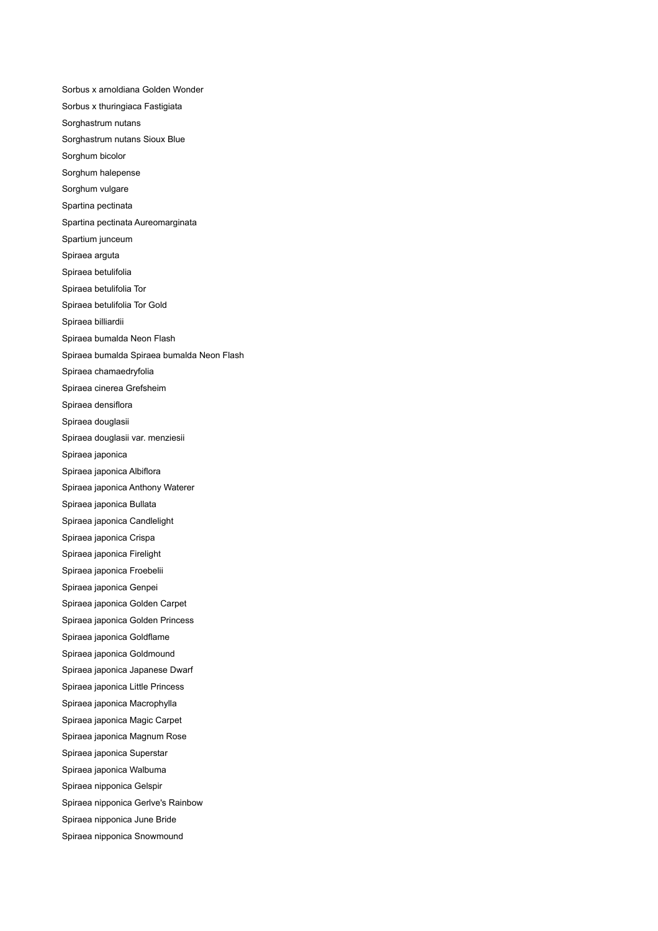Sorbus x arnoldiana Golden Wonder Sorbus x thuringiaca Fastigiata Sorghastrum nutans Sorghastrum nutans Sioux Blue Sorghum bicolor Sorghum halepense Sorghum vulgare Spartina pectinata Spartina pectinata Aureomarginata Spartium junceum Spiraea arguta Spiraea betulifolia Spiraea betulifolia Tor Spiraea betulifolia Tor Gold Spiraea billiardii Spiraea bumalda Neon Flash Spiraea bumalda Spiraea bumalda Neon Flash Spiraea chamaedryfolia Spiraea cinerea Grefsheim Spiraea densiflora Spiraea douglasii Spiraea douglasii var. menziesii Spiraea japonica Spiraea japonica Albiflora Spiraea japonica Anthony Waterer Spiraea japonica Bullata Spiraea japonica Candlelight Spiraea japonica Crispa Spiraea japonica Firelight Spiraea japonica Froebelii Spiraea japonica Genpei Spiraea japonica Golden Carpet Spiraea japonica Golden Princess Spiraea japonica Goldflame Spiraea japonica Goldmound Spiraea japonica Japanese Dwarf Spiraea japonica Little Princess Spiraea japonica Macrophylla Spiraea japonica Magic Carpet Spiraea japonica Magnum Rose Spiraea japonica Superstar Spiraea japonica Walbuma Spiraea nipponica Gelspir Spiraea nipponica Gerlve's Rainbow Spiraea nipponica June Bride Spiraea nipponica Snowmound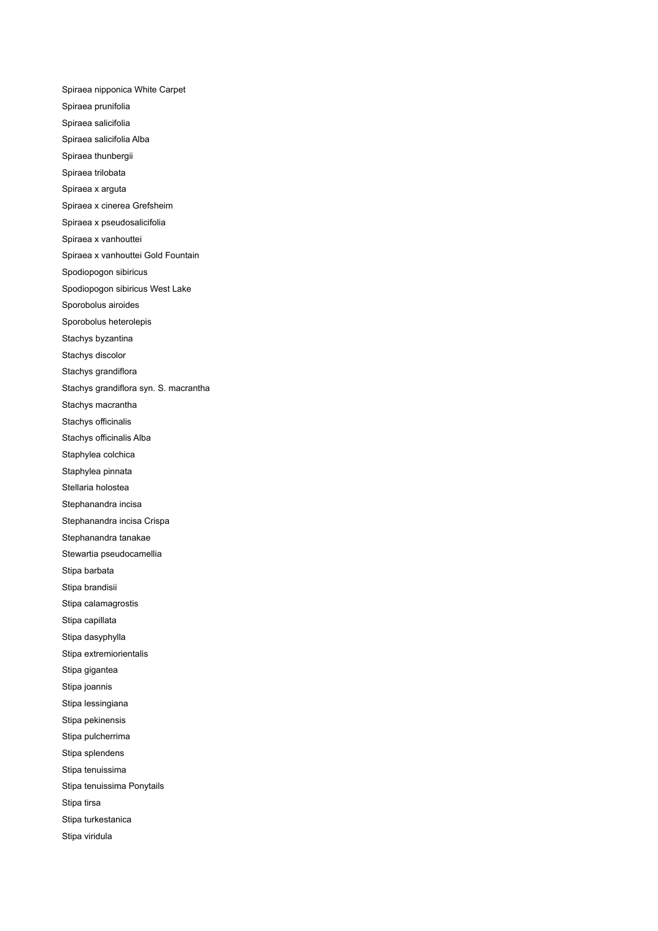Spiraea nipponica White Carpet Spiraea prunifolia Spiraea salicifolia Spiraea salicifolia Alba Spiraea thunbergii Spiraea trilobata Spiraea x arguta Spiraea x cinerea Grefsheim Spiraea x pseudosalicifolia Spiraea x vanhouttei Spiraea x vanhouttei Gold Fountain Spodiopogon sibiricus Spodiopogon sibiricus West Lake Sporobolus airoides Sporobolus heterolepis Stachys byzantina Stachys discolor Stachys grandiflora Stachys grandiflora syn. S. macrantha Stachys macrantha Stachys officinalis Stachys officinalis Alba Staphylea colchica Staphylea pinnata Stellaria holostea Stephanandra incisa Stephanandra incisa Crispa Stephanandra tanakae Stewartia pseudocamellia Stipa barbata Stipa brandisii Stipa calamagrostis Stipa capillata Stipa dasyphylla Stipa extremiorientalis Stipa gigantea Stipa joannis Stipa lessingiana Stipa pekinensis Stipa pulcherrima Stipa splendens Stipa tenuissima Stipa tenuissima Ponytails Stipa tirsa Stipa turkestanica Stipa viridula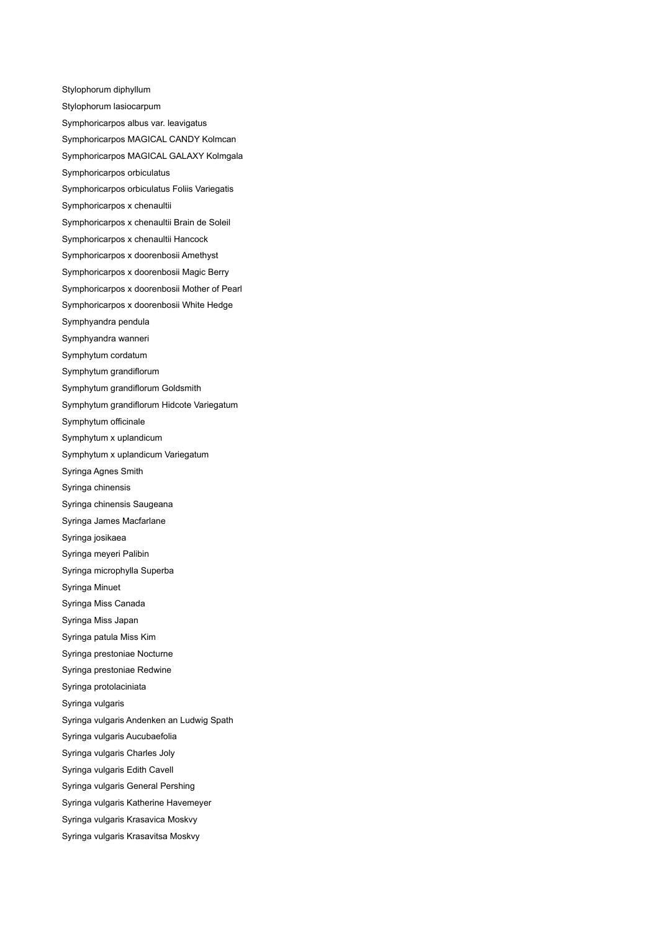Stylophorum diphyllum Stylophorum lasiocarpum Symphoricarpos albus var. leavigatus Symphoricarpos MAGICAL CANDY Kolmcan Symphoricarpos MAGICAL GALAXY Kolmgala Symphoricarpos orbiculatus Symphoricarpos orbiculatus Foliis Variegatis Symphoricarpos x chenaultii Symphoricarpos x chenaultii Brain de Soleil Symphoricarpos x chenaultii Hancock Symphoricarpos x doorenbosii Amethyst Symphoricarpos x doorenbosii Magic Berry Symphoricarpos x doorenbosii Mother of Pearl Symphoricarpos x doorenbosii White Hedge Symphyandra pendula Symphyandra wanneri Symphytum cordatum Symphytum grandiflorum Symphytum grandiflorum Goldsmith Symphytum grandiflorum Hidcote Variegatum Symphytum officinale Symphytum x uplandicum Symphytum x uplandicum Variegatum Syringa Agnes Smith Syringa chinensis Syringa chinensis Saugeana Syringa James Macfarlane Syringa josikaea Syringa meyeri Palibin Syringa microphylla Superba Syringa Minuet Syringa Miss Canada Syringa Miss Japan Syringa patula Miss Kim Syringa prestoniae Nocturne Syringa prestoniae Redwine Syringa protolaciniata Syringa vulgaris Syringa vulgaris Andenken an Ludwig Spath Syringa vulgaris Aucubaefolia Syringa vulgaris Charles Joly Syringa vulgaris Edith Cavell Syringa vulgaris General Pershing Syringa vulgaris Katherine Havemeyer Syringa vulgaris Krasavica Moskvy Syringa vulgaris Krasavitsa Moskvy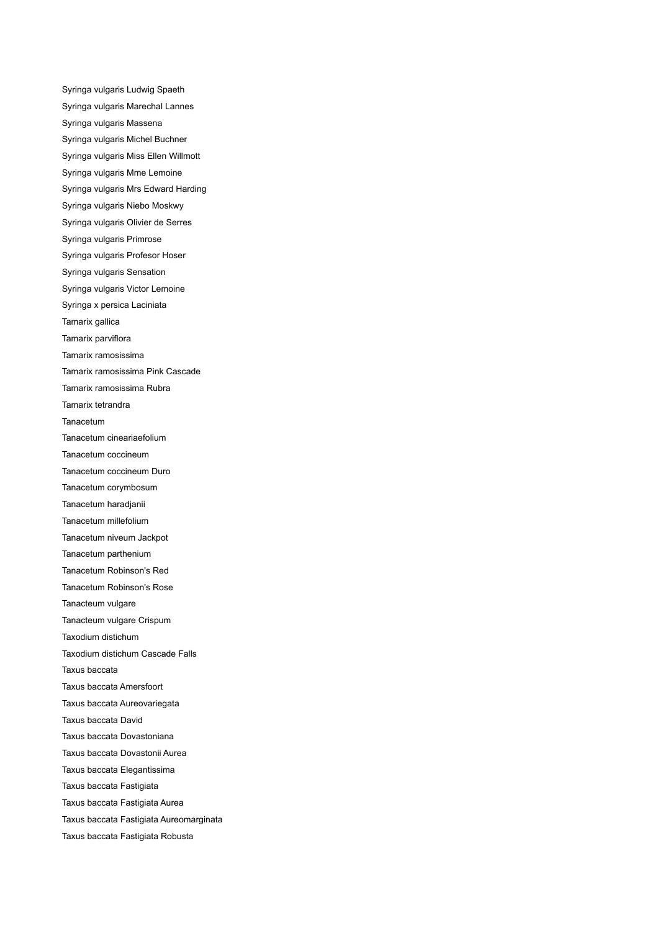Syringa vulgaris Ludwig Spaeth Syringa vulgaris Marechal Lannes Syringa vulgaris Massena Syringa vulgaris Michel Buchner Syringa vulgaris Miss Ellen Willmott Syringa vulgaris Mme Lemoine Syringa vulgaris Mrs Edward Harding Syringa vulgaris Niebo Moskwy Syringa vulgaris Olivier de Serres Syringa vulgaris Primrose Syringa vulgaris Profesor Hoser Syringa vulgaris Sensation Syringa vulgaris Victor Lemoine Syringa x persica Laciniata Tamarix gallica Tamarix parviflora Tamarix ramosissima Tamarix ramosissima Pink Cascade Tamarix ramosissima Rubra Tamarix tetrandra Tanacetum Tanacetum cineariaefolium Tanacetum coccineum Tanacetum coccineum Duro Tanacetum corymbosum Tanacetum haradjanii Tanacetum millefolium Tanacetum niveum Jackpot Tanacetum parthenium Tanacetum Robinson's Red Tanacetum Robinson's Rose Tanacteum vulgare Tanacteum vulgare Crispum Taxodium distichum Taxodium distichum Cascade Falls Taxus baccata Taxus baccata Amersfoort Taxus baccata Aureovariegata Taxus baccata David Taxus baccata Dovastoniana Taxus baccata Dovastonii Aurea Taxus baccata Elegantissima Taxus baccata Fastigiata Taxus baccata Fastigiata Aurea Taxus baccata Fastigiata Aureomarginata Taxus baccata Fastigiata Robusta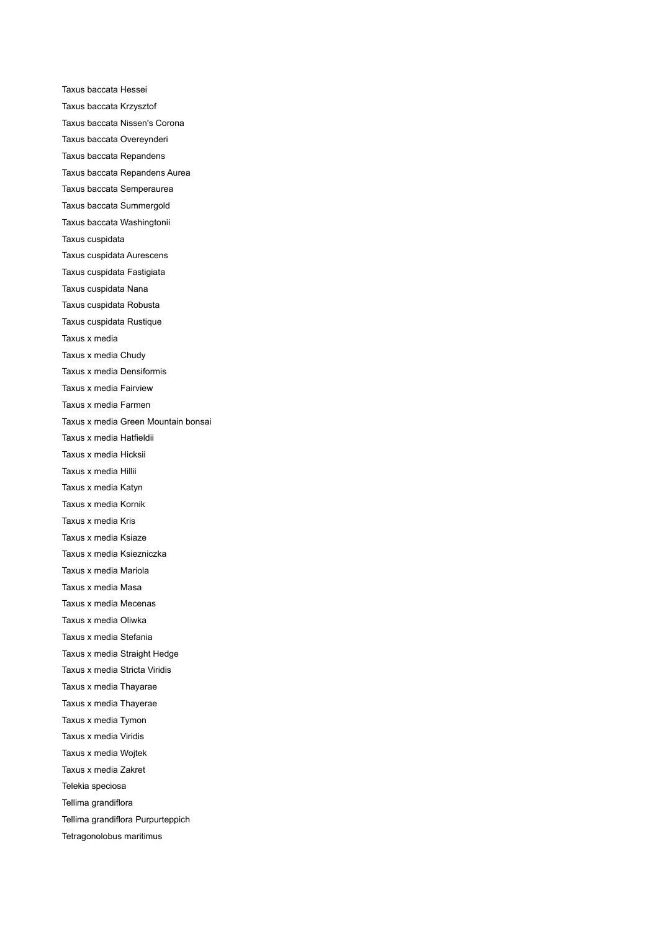Taxus baccata Hessei Taxus baccata Krzysztof Taxus baccata Nissen's Corona Taxus baccata Overeynderi Taxus baccata Repandens Taxus baccata Repandens Aurea Taxus baccata Semperaurea Taxus baccata Summergold Taxus baccata Washingtonii Taxus cuspidata Taxus cuspidata Aurescens Taxus cuspidata Fastigiata Taxus cuspidata Nana Taxus cuspidata Robusta Taxus cuspidata Rustique Taxus x media Taxus x media Chudy Taxus x media Densiformis Taxus x media Fairview Taxus x media Farmen Taxus x media Green Mountain bonsai Taxus x media Hatfieldii Taxus x media Hicksii Taxus x media Hillii Taxus x media Katyn Taxus x media Kornik Taxus x media Kris Taxus x media Ksiaze Taxus x media Ksiezniczka Taxus x media Mariola Taxus x media Masa Taxus x media Mecenas Taxus x media Oliwka Taxus x media Stefania Taxus x media Straight Hedge Taxus x media Stricta Viridis Taxus x media Thayarae Taxus x media Thayerae Taxus x media Tymon Taxus x media Viridis Taxus x media Wojtek Taxus x media Zakret Telekia speciosa Tellima grandiflora Tellima grandiflora Purpurteppich Tetragonolobus maritimus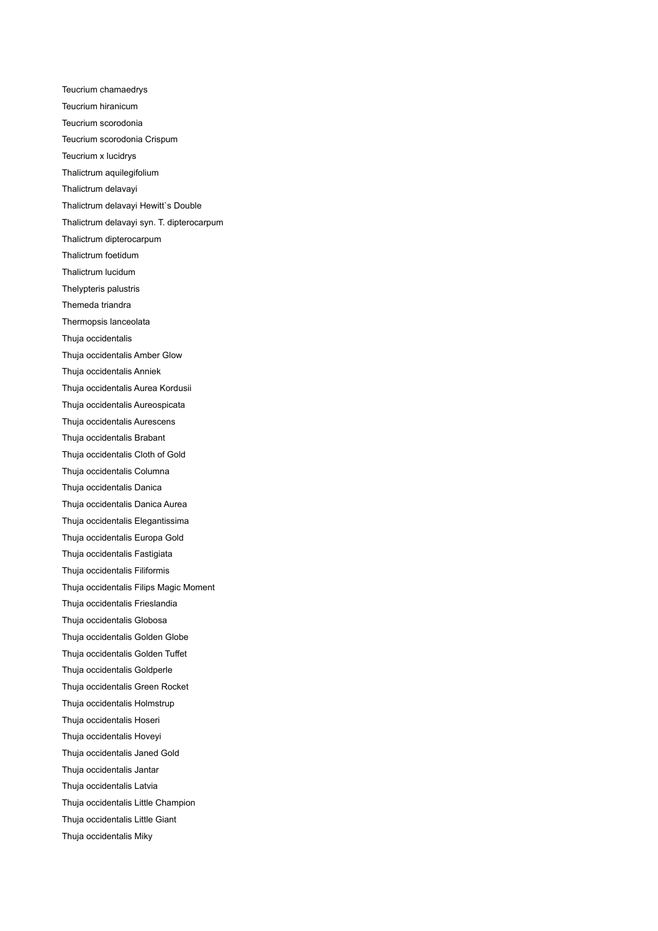Teucrium chamaedrys Teucrium hiranicum Teucrium scorodonia Teucrium scorodonia Crispum Teucrium x lucidrys Thalictrum aquilegifolium Thalictrum delavayi Thalictrum delavayi Hewitt`s Double Thalictrum delavayi syn. T. dipterocarpum Thalictrum dipterocarpum Thalictrum foetidum Thalictrum lucidum Thelypteris palustris Themeda triandra Thermopsis lanceolata Thuja occidentalis Thuja occidentalis Amber Glow Thuja occidentalis Anniek Thuja occidentalis Aurea Kordusii Thuja occidentalis Aureospicata Thuja occidentalis Aurescens Thuja occidentalis Brabant Thuja occidentalis Cloth of Gold Thuja occidentalis Columna Thuja occidentalis Danica Thuja occidentalis Danica Aurea Thuja occidentalis Elegantissima Thuja occidentalis Europa Gold Thuja occidentalis Fastigiata Thuja occidentalis Filiformis Thuja occidentalis Filips Magic Moment Thuja occidentalis Frieslandia Thuja occidentalis Globosa Thuja occidentalis Golden Globe Thuja occidentalis Golden Tuffet Thuja occidentalis Goldperle Thuja occidentalis Green Rocket Thuja occidentalis Holmstrup Thuja occidentalis Hoseri Thuja occidentalis Hoveyi Thuja occidentalis Janed Gold Thuja occidentalis Jantar Thuja occidentalis Latvia Thuja occidentalis Little Champion Thuja occidentalis Little Giant Thuja occidentalis Miky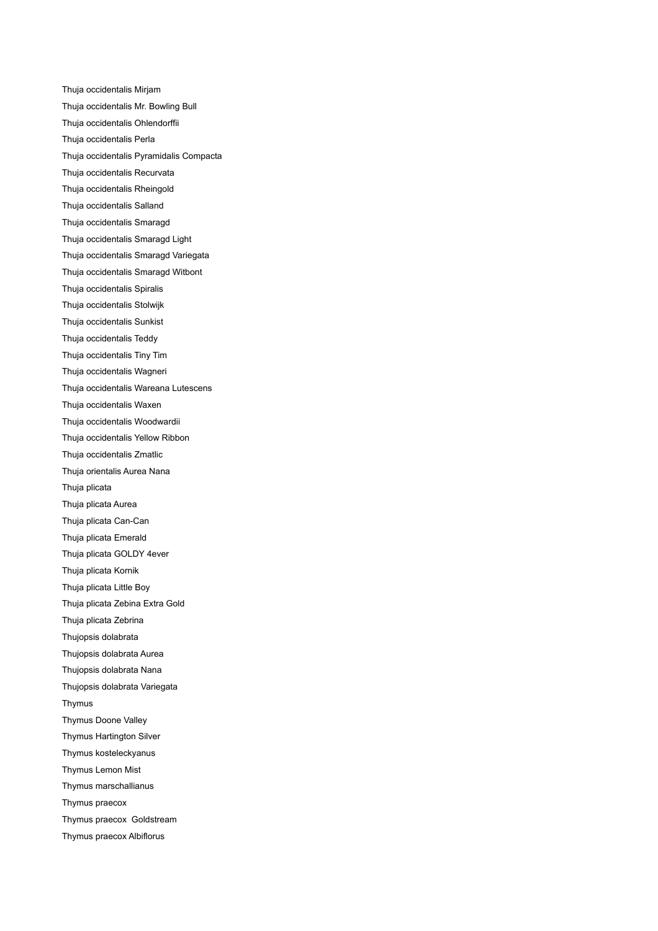Thuja occidentalis Mirjam Thuja occidentalis Mr. Bowling Bull Thuja occidentalis Ohlendorffii Thuja occidentalis Perla Thuja occidentalis Pyramidalis Compacta Thuja occidentalis Recurvata Thuja occidentalis Rheingold Thuja occidentalis Salland Thuja occidentalis Smaragd Thuja occidentalis Smaragd Light Thuja occidentalis Smaragd Variegata Thuja occidentalis Smaragd Witbont Thuja occidentalis Spiralis Thuja occidentalis Stolwijk Thuja occidentalis Sunkist Thuja occidentalis Teddy Thuja occidentalis Tiny Tim Thuja occidentalis Wagneri Thuja occidentalis Wareana Lutescens Thuja occidentalis Waxen Thuja occidentalis Woodwardii Thuja occidentalis Yellow Ribbon Thuja occidentalis Zmatlic Thuja orientalis Aurea Nana Thuja plicata Thuja plicata Aurea Thuja plicata Can-Can Thuja plicata Emerald Thuja plicata GOLDY 4ever Thuja plicata Kornik Thuja plicata Little Boy Thuja plicata Zebina Extra Gold Thuja plicata Zebrina Thujopsis dolabrata Thujopsis dolabrata Aurea Thujopsis dolabrata Nana Thujopsis dolabrata Variegata Thymus Thymus Doone Valley Thymus Hartington Silver Thymus kosteleckyanus Thymus Lemon Mist Thymus marschallianus Thymus praecox Thymus praecox Goldstream Thymus praecox Albiflorus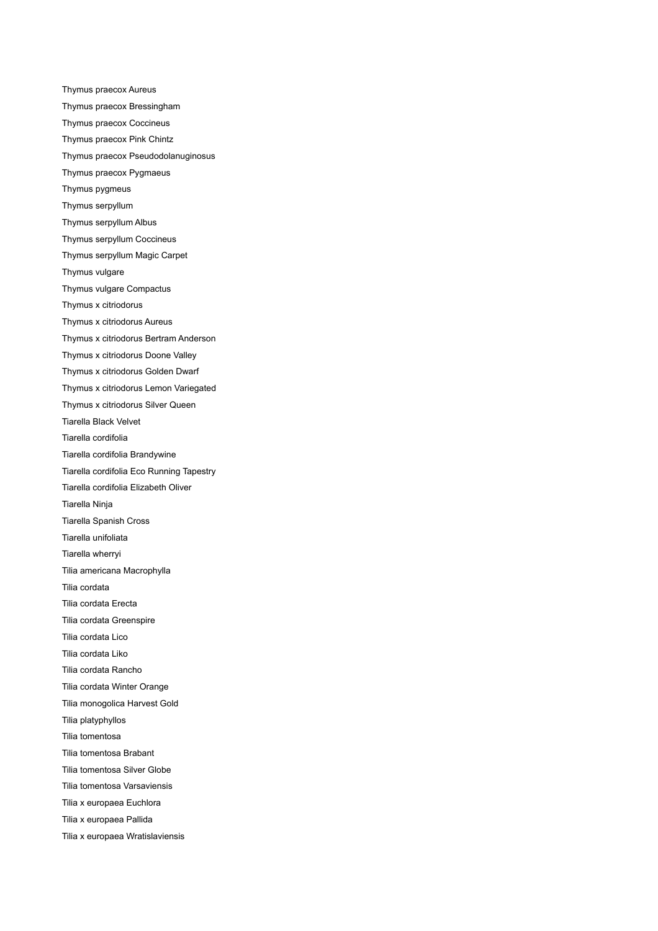Thymus praecox Aureus Thymus praecox Bressingham Thymus praecox Coccineus Thymus praecox Pink Chintz Thymus praecox Pseudodolanuginosus Thymus praecox Pygmaeus Thymus pygmeus Thymus serpyllum Thymus serpyllum Albus Thymus serpyllum Coccineus Thymus serpyllum Magic Carpet Thymus vulgare Thymus vulgare Compactus Thymus x citriodorus Thymus x citriodorus Aureus Thymus x citriodorus Bertram Anderson Thymus x citriodorus Doone Valley Thymus x citriodorus Golden Dwarf Thymus x citriodorus Lemon Variegated Thymus x citriodorus Silver Queen Tiarella Black Velvet Tiarella cordifolia Tiarella cordifolia Brandywine Tiarella cordifolia Eco Running Tapestry Tiarella cordifolia Elizabeth Oliver Tiarella Ninja Tiarella Spanish Cross Tiarella unifoliata Tiarella wherryi Tilia americana Macrophylla Tilia cordata Tilia cordata Erecta Tilia cordata Greenspire Tilia cordata Lico Tilia cordata Liko Tilia cordata Rancho Tilia cordata Winter Orange Tilia monogolica Harvest Gold Tilia platyphyllos Tilia tomentosa Tilia tomentosa Brabant Tilia tomentosa Silver Globe Tilia tomentosa Varsaviensis Tilia x europaea Euchlora Tilia x europaea Pallida Tilia x europaea Wratislaviensis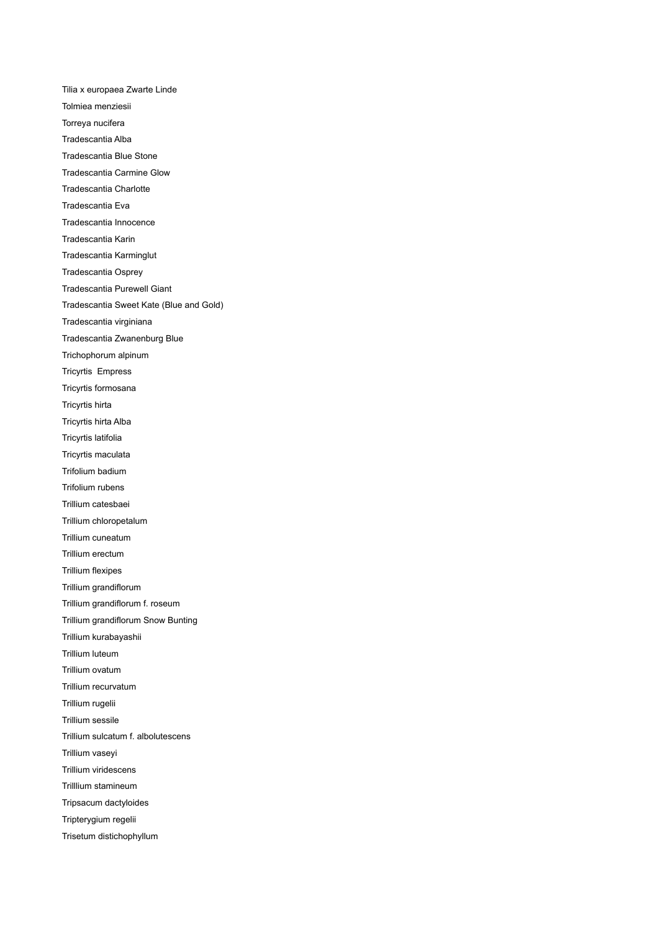Tilia x europaea Zwarte Linde Tolmiea menziesii Torreya nucifera Tradescantia Alba Tradescantia Blue Stone Tradescantia Carmine Glow Tradescantia Charlotte Tradescantia Eva Tradescantia Innocence Tradescantia Karin Tradescantia Karminglut Tradescantia Osprey Tradescantia Purewell Giant Tradescantia Sweet Kate (Blue and Gold) Tradescantia virginiana Tradescantia Zwanenburg Blue Trichophorum alpinum Tricyrtis Empress Tricyrtis formosana Tricyrtis hirta Tricyrtis hirta Alba Tricyrtis latifolia Tricyrtis maculata Trifolium badium Trifolium rubens Trillium catesbaei Trillium chloropetalum Trillium cuneatum Trillium erectum Trillium flexipes Trillium grandiflorum Trillium grandiflorum f. roseum Trillium grandiflorum Snow Bunting Trillium kurabayashii Trillium luteum Trillium ovatum Trillium recurvatum Trillium rugelii Trillium sessile Trillium sulcatum f. albolutescens Trillium vaseyi Trillium viridescens Trilllium stamineum Tripsacum dactyloides Tripterygium regelii Trisetum distichophyllum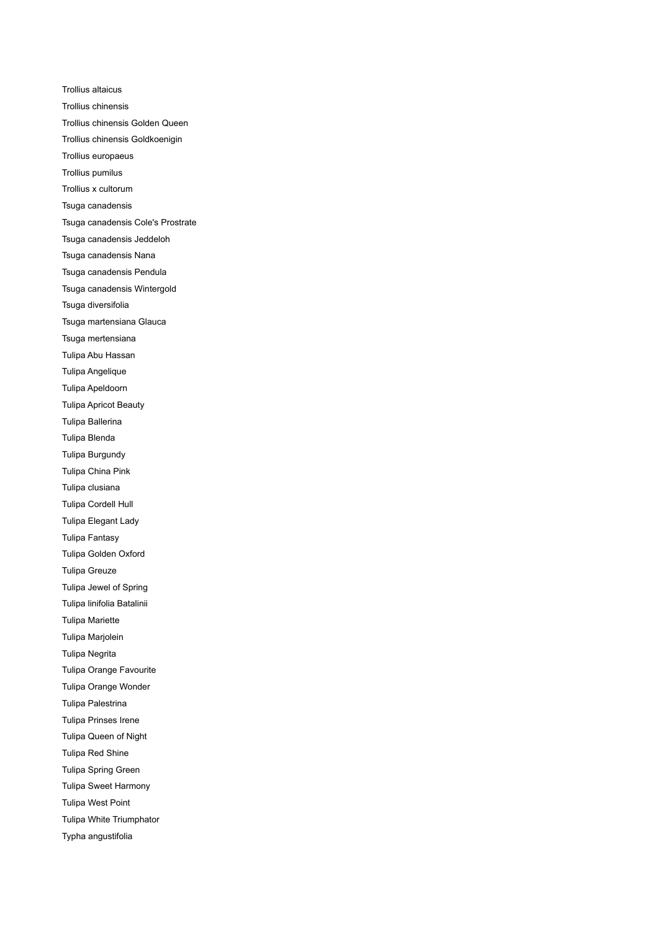Trollius altaicus Trollius chinensis Trollius chinensis Golden Queen Trollius chinensis Goldkoenigin Trollius europaeus Trollius pumilus Trollius x cultorum Tsuga canadensis Tsuga canadensis Cole's Prostrate Tsuga canadensis Jeddeloh Tsuga canadensis Nana Tsuga canadensis Pendula Tsuga canadensis Wintergold Tsuga diversifolia Tsuga martensiana Glauca Tsuga mertensiana Tulipa Abu Hassan Tulipa Angelique Tulipa Apeldoorn Tulipa Apricot Beauty Tulipa Ballerina Tulipa Blenda Tulipa Burgundy Tulipa China Pink Tulipa clusiana Tulipa Cordell Hull Tulipa Elegant Lady Tulipa Fantasy Tulipa Golden Oxford Tulipa Greuze Tulipa Jewel of Spring Tulipa linifolia Batalinii Tulipa Mariette Tulipa Marjolein Tulipa Negrita Tulipa Orange Favourite Tulipa Orange Wonder Tulipa Palestrina Tulipa Prinses Irene Tulipa Queen of Night Tulipa Red Shine Tulipa Spring Green Tulipa Sweet Harmony Tulipa West Point Tulipa White Triumphator Typha angustifolia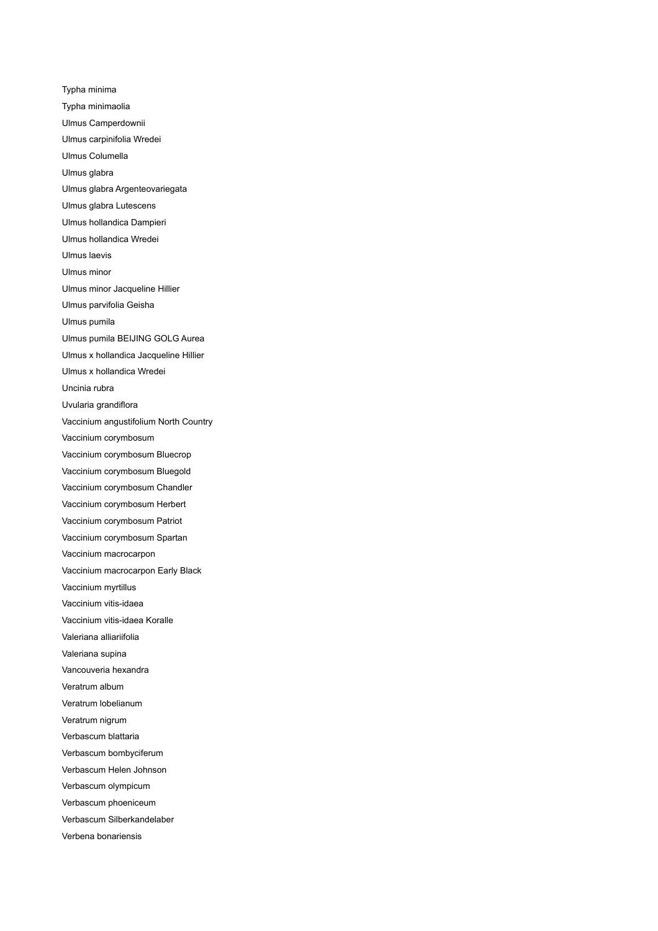Typha minima Typha minimaolia Ulmus Camperdownii Ulmus carpinifolia Wredei Ulmus Columella Ulmus glabra Ulmus glabra Argenteovariegata Ulmus glabra Lutescens Ulmus hollandica Dampieri Ulmus hollandica Wredei Ulmus laevis Ulmus minor Ulmus minor Jacqueline Hillier Ulmus parvifolia Geisha Ulmus pumila Ulmus pumila BEIJING GOLG Aurea Ulmus x hollandica Jacqueline Hillier Ulmus x hollandica Wredei Uncinia rubra Uvularia grandiflora Vaccinium angustifolium North Country Vaccinium corymbosum Vaccinium corymbosum Bluecrop Vaccinium corymbosum Bluegold Vaccinium corymbosum Chandler Vaccinium corymbosum Herbert Vaccinium corymbosum Patriot Vaccinium corymbosum Spartan Vaccinium macrocarpon Vaccinium macrocarpon Early Black Vaccinium myrtillus Vaccinium vitis-idaea Vaccinium vitis-idaea Koralle Valeriana alliariifolia Valeriana supina Vancouveria hexandra Veratrum album Veratrum lobelianum Veratrum nigrum Verbascum blattaria Verbascum bombyciferum Verbascum Helen Johnson Verbascum olympicum Verbascum phoeniceum Verbascum Silberkandelaber Verbena bonariensis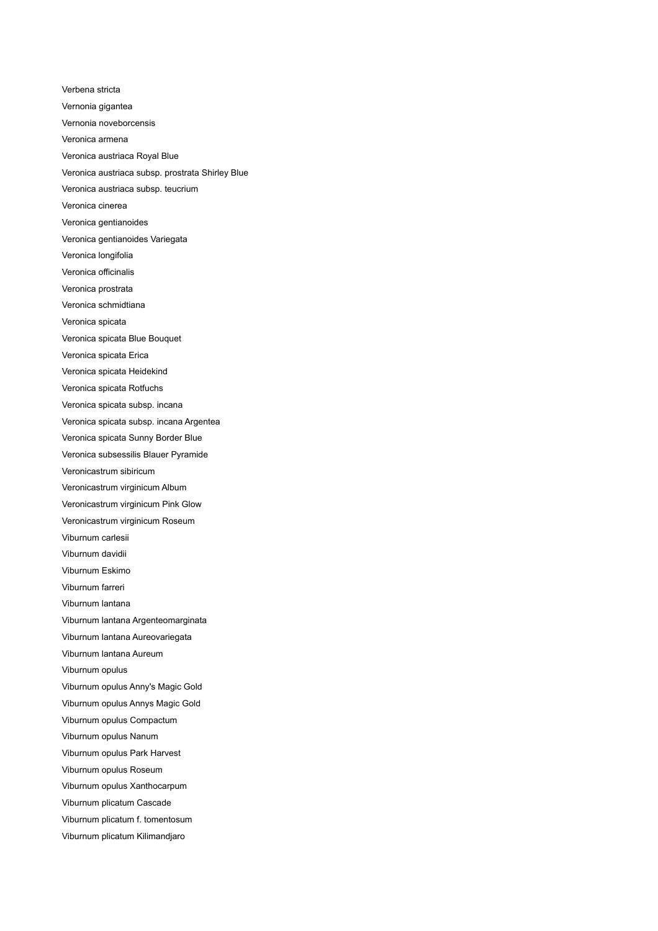Verbena stricta Vernonia gigantea Vernonia noveborcensis Veronica armena Veronica austriaca Royal Blue Veronica austriaca subsp. prostrata Shirley Blue Veronica austriaca subsp. teucrium Veronica cinerea Veronica gentianoides Veronica gentianoides Variegata Veronica longifolia Veronica officinalis Veronica prostrata Veronica schmidtiana Veronica spicata Veronica spicata Blue Bouquet Veronica spicata Erica Veronica spicata Heidekind Veronica spicata Rotfuchs Veronica spicata subsp. incana Veronica spicata subsp. incana Argentea Veronica spicata Sunny Border Blue Veronica subsessilis Blauer Pyramide Veronicastrum sibiricum Veronicastrum virginicum Album Veronicastrum virginicum Pink Glow Veronicastrum virginicum Roseum Viburnum carlesii Viburnum davidii Viburnum Eskimo Viburnum farreri Viburnum lantana Viburnum lantana Argenteomarginata Viburnum lantana Aureovariegata Viburnum lantana Aureum Viburnum opulus Viburnum opulus Anny's Magic Gold Viburnum opulus Annys Magic Gold Viburnum opulus Compactum Viburnum opulus Nanum Viburnum opulus Park Harvest Viburnum opulus Roseum Viburnum opulus Xanthocarpum Viburnum plicatum Cascade Viburnum plicatum f. tomentosum Viburnum plicatum Kilimandjaro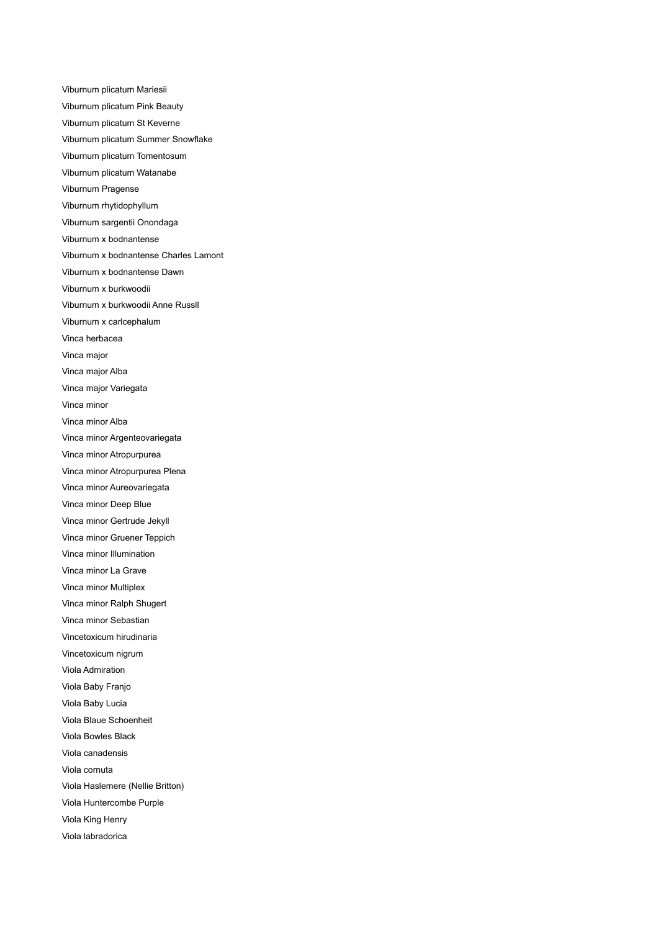Viburnum plicatum Mariesii Viburnum plicatum Pink Beauty Viburnum plicatum St Keverne Viburnum plicatum Summer Snowflake Viburnum plicatum Tomentosum Viburnum plicatum Watanabe Viburnum Pragense Viburnum rhytidophyllum Viburnum sargentii Onondaga Viburnum x bodnantense Viburnum x bodnantense Charles Lamont Viburnum x bodnantense Dawn Viburnum x burkwoodii Viburnum x burkwoodii Anne Russll Viburnum x carlcephalum Vinca herbacea Vinca major Vinca major Alba Vinca major Variegata Vinca minor Vinca minor Alba Vinca minor Argenteovariegata Vinca minor Atropurpurea Vinca minor Atropurpurea Plena Vinca minor Aureovariegata Vinca minor Deep Blue Vinca minor Gertrude Jekyll Vinca minor Gruener Teppich Vinca minor Illumination Vinca minor La Grave Vinca minor Multiplex Vinca minor Ralph Shugert Vinca minor Sebastian Vincetoxicum hirudinaria Vincetoxicum nigrum Viola Admiration Viola Baby Franjo Viola Baby Lucia Viola Blaue Schoenheit Viola Bowles Black Viola canadensis Viola cornuta Viola Haslemere (Nellie Britton) Viola Huntercombe Purple Viola King Henry Viola labradorica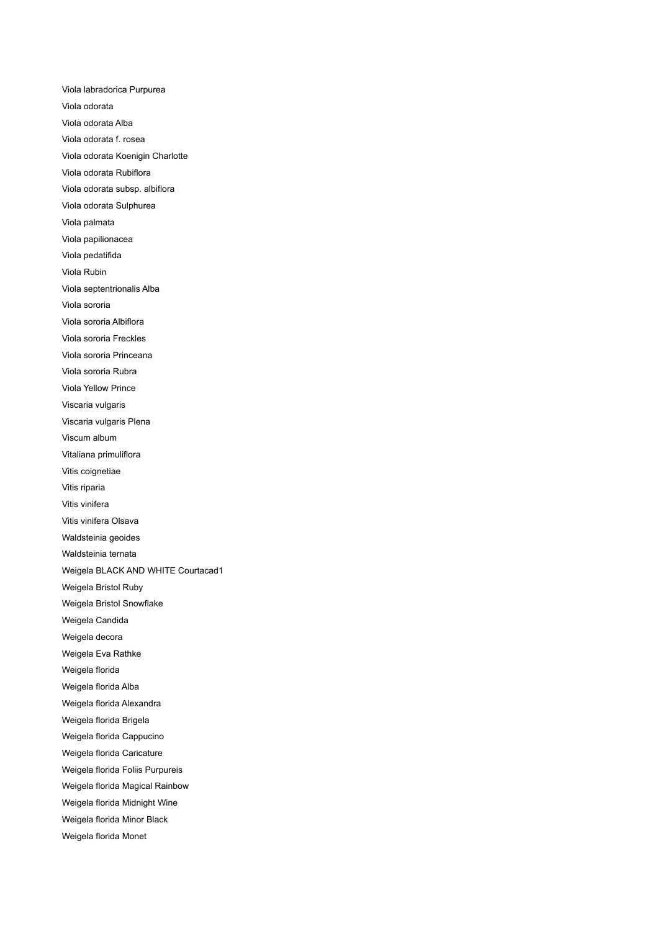Viola labradorica Purpurea Viola odorata Viola odorata Alba Viola odorata f. rosea Viola odorata Koenigin Charlotte Viola odorata Rubiflora Viola odorata subsp. albiflora Viola odorata Sulphurea Viola palmata Viola papilionacea Viola pedatifida Viola Rubin Viola septentrionalis Alba Viola sororia Viola sororia Albiflora Viola sororia Freckles Viola sororia Princeana Viola sororia Rubra Viola Yellow Prince Viscaria vulgaris Viscaria vulgaris Plena Viscum album Vitaliana primuliflora Vitis coignetiae Vitis riparia Vitis vinifera Vitis vinifera Olsava Waldsteinia geoides Waldsteinia ternata Weigela BLACK AND WHITE Courtacad1 Weigela Bristol Ruby Weigela Bristol Snowflake Weigela Candida Weigela decora Weigela Eva Rathke Weigela florida Weigela florida Alba Weigela florida Alexandra Weigela florida Brigela Weigela florida Cappucino Weigela florida Caricature Weigela florida Foliis Purpureis Weigela florida Magical Rainbow Weigela florida Midnight Wine Weigela florida Minor Black Weigela florida Monet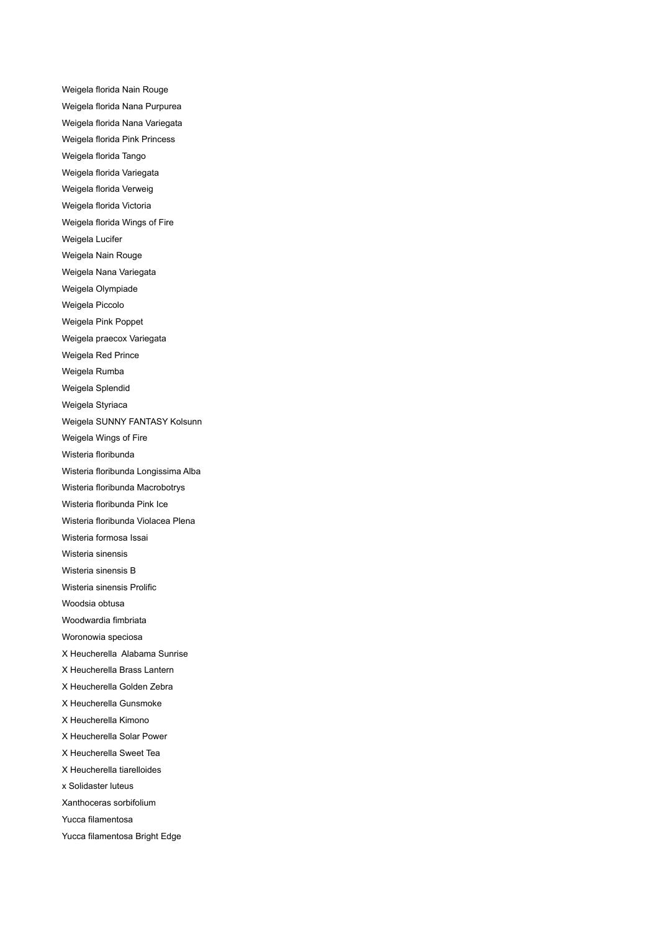Weigela florida Nain Rouge Weigela florida Nana Purpurea Weigela florida Nana Variegata Weigela florida Pink Princess Weigela florida Tango Weigela florida Variegata Weigela florida Verweig Weigela florida Victoria Weigela florida Wings of Fire Weigela Lucifer Weigela Nain Rouge Weigela Nana Variegata Weigela Olympiade Weigela Piccolo Weigela Pink Poppet Weigela praecox Variegata Weigela Red Prince Weigela Rumba Weigela Splendid Weigela Styriaca Weigela SUNNY FANTASY Kolsunn Weigela Wings of Fire Wisteria floribunda Wisteria floribunda Longissima Alba Wisteria floribunda Macrobotrys Wisteria floribunda Pink Ice Wisteria floribunda Violacea Plena Wisteria formosa Issai Wisteria sinensis Wisteria sinensis B Wisteria sinensis Prolific Woodsia obtusa Woodwardia fimbriata Woronowia speciosa X Heucherella Alabama Sunrise X Heucherella Brass Lantern X Heucherella Golden Zebra X Heucherella Gunsmoke X Heucherella Kimono X Heucherella Solar Power X Heucherella Sweet Tea X Heucherella tiarelloides x Solidaster luteus Xanthoceras sorbifolium Yucca filamentosa Yucca filamentosa Bright Edge